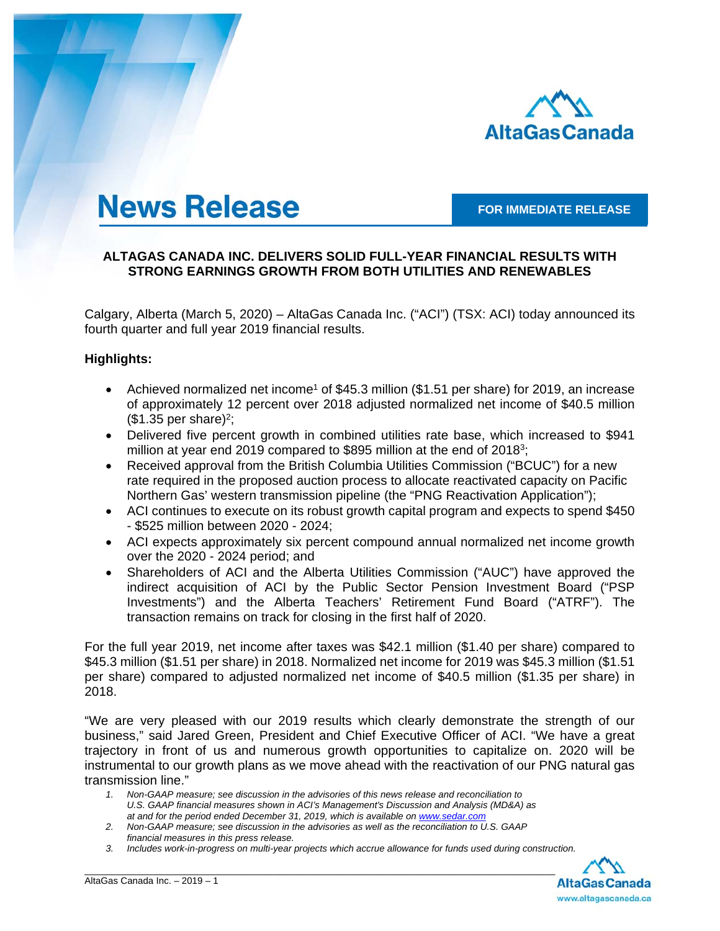

# **News Release**

**FOR IMMEDIATE RELEASE** 

# **ALTAGAS CANADA INC. DELIVERS SOLID FULL-YEAR FINANCIAL RESULTS WITH STRONG EARNINGS GROWTH FROM BOTH UTILITIES AND RENEWABLES**

Calgary, Alberta (March 5, 2020) – AltaGas Canada Inc. ("ACI") (TSX: ACI) today announced its fourth quarter and full year 2019 financial results.

# **Highlights:**

- Achieved normalized net income<sup>1</sup> of \$45.3 million (\$1.51 per share) for 2019, an increase of approximately 12 percent over 2018 adjusted normalized net income of \$40.5 million  $($1.35 \text{ per share})^2;$
- Delivered five percent growth in combined utilities rate base, which increased to \$941 million at year end 2019 compared to \$895 million at the end of 2018<sup>3</sup>;
- Received approval from the British Columbia Utilities Commission ("BCUC") for a new rate required in the proposed auction process to allocate reactivated capacity on Pacific Northern Gas' western transmission pipeline (the "PNG Reactivation Application");
- ACI continues to execute on its robust growth capital program and expects to spend \$450 - \$525 million between 2020 - 2024;
- ACI expects approximately six percent compound annual normalized net income growth over the 2020 - 2024 period; and
- Shareholders of ACI and the Alberta Utilities Commission ("AUC") have approved the indirect acquisition of ACI by the Public Sector Pension Investment Board ("PSP Investments") and the Alberta Teachers' Retirement Fund Board ("ATRF"). The transaction remains on track for closing in the first half of 2020.

For the full year 2019, net income after taxes was \$42.1 million (\$1.40 per share) compared to \$45.3 million (\$1.51 per share) in 2018. Normalized net income for 2019 was \$45.3 million (\$1.51 per share) compared to adjusted normalized net income of \$40.5 million (\$1.35 per share) in 2018.

"We are very pleased with our 2019 results which clearly demonstrate the strength of our business," said Jared Green, President and Chief Executive Officer of ACI. "We have a great trajectory in front of us and numerous growth opportunities to capitalize on. 2020 will be instrumental to our growth plans as we move ahead with the reactivation of our PNG natural gas transmission line."

- *1. Non-GAAP measure; see discussion in the advisories of this news release and reconciliation to U.S. GAAP financial measures shown in ACI's Management's Discussion and Analysis (MD&A) as at and for the period ended December 31, 2019, which is available on www.sedar.com*
- *2. Non-GAAP measure; see discussion in the advisories as well as the reconciliation to U.S. GAAP financial measures in this press release.*
- *3. Includes work-in-progress on multi-year projects which accrue allowance for funds used during construction.*

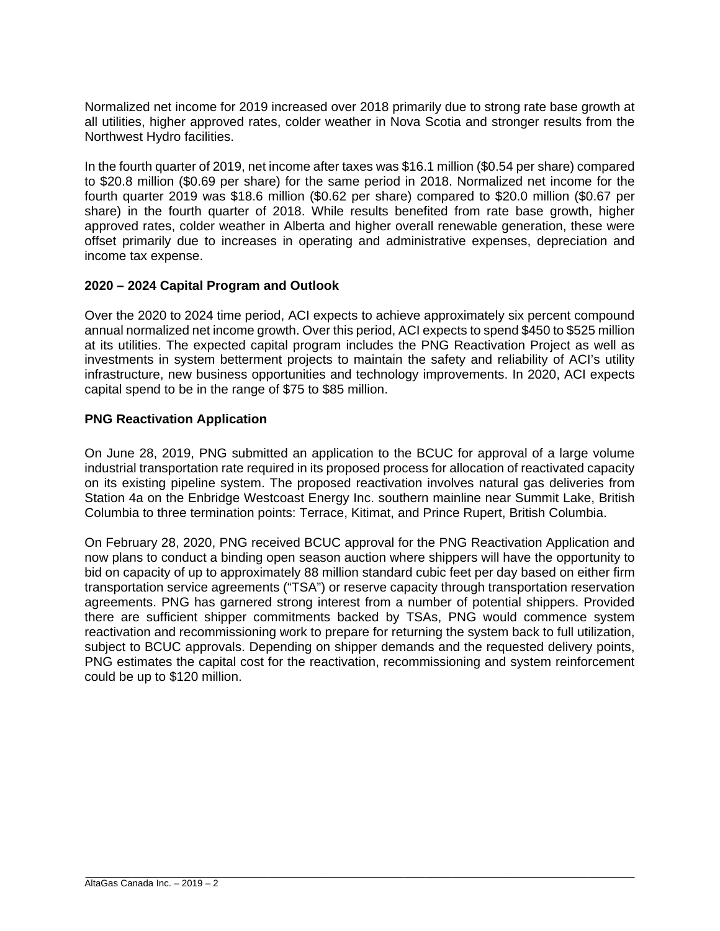Normalized net income for 2019 increased over 2018 primarily due to strong rate base growth at all utilities, higher approved rates, colder weather in Nova Scotia and stronger results from the Northwest Hydro facilities.

In the fourth quarter of 2019, net income after taxes was \$16.1 million (\$0.54 per share) compared to \$20.8 million (\$0.69 per share) for the same period in 2018. Normalized net income for the fourth quarter 2019 was \$18.6 million (\$0.62 per share) compared to \$20.0 million (\$0.67 per share) in the fourth quarter of 2018. While results benefited from rate base growth, higher approved rates, colder weather in Alberta and higher overall renewable generation, these were offset primarily due to increases in operating and administrative expenses, depreciation and income tax expense.

# **2020 – 2024 Capital Program and Outlook**

Over the 2020 to 2024 time period, ACI expects to achieve approximately six percent compound annual normalized net income growth. Over this period, ACI expects to spend \$450 to \$525 million at its utilities. The expected capital program includes the PNG Reactivation Project as well as investments in system betterment projects to maintain the safety and reliability of ACI's utility infrastructure, new business opportunities and technology improvements. In 2020, ACI expects capital spend to be in the range of \$75 to \$85 million.

# **PNG Reactivation Application**

On June 28, 2019, PNG submitted an application to the BCUC for approval of a large volume industrial transportation rate required in its proposed process for allocation of reactivated capacity on its existing pipeline system. The proposed reactivation involves natural gas deliveries from Station 4a on the Enbridge Westcoast Energy Inc. southern mainline near Summit Lake, British Columbia to three termination points: Terrace, Kitimat, and Prince Rupert, British Columbia.

On February 28, 2020, PNG received BCUC approval for the PNG Reactivation Application and now plans to conduct a binding open season auction where shippers will have the opportunity to bid on capacity of up to approximately 88 million standard cubic feet per day based on either firm transportation service agreements ("TSA") or reserve capacity through transportation reservation agreements. PNG has garnered strong interest from a number of potential shippers. Provided there are sufficient shipper commitments backed by TSAs, PNG would commence system reactivation and recommissioning work to prepare for returning the system back to full utilization, subject to BCUC approvals. Depending on shipper demands and the requested delivery points, PNG estimates the capital cost for the reactivation, recommissioning and system reinforcement could be up to \$120 million.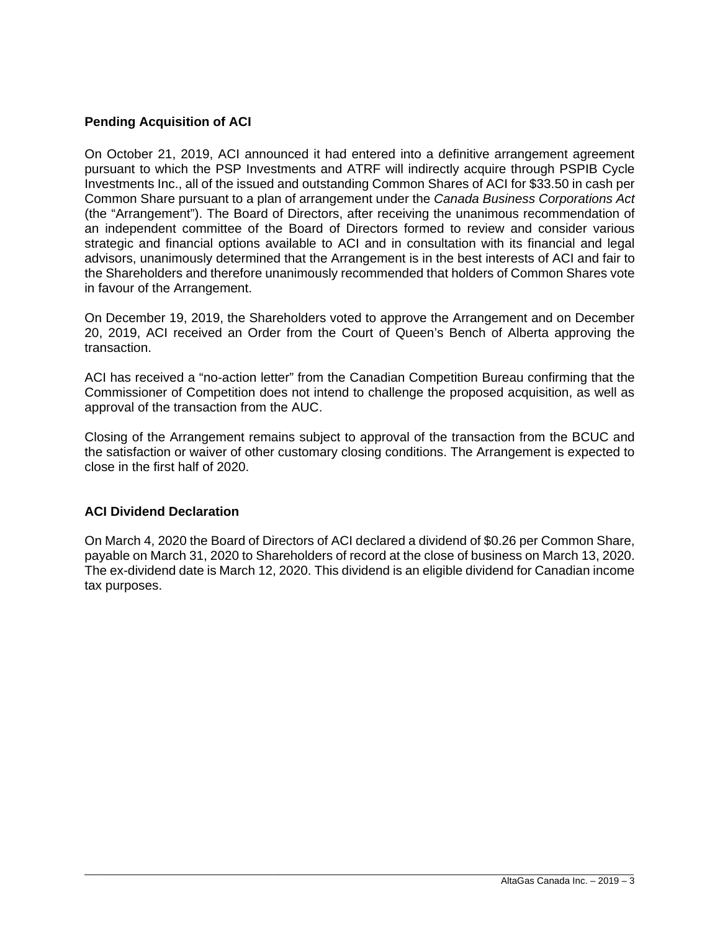# **Pending Acquisition of ACI**

On October 21, 2019, ACI announced it had entered into a definitive arrangement agreement pursuant to which the PSP Investments and ATRF will indirectly acquire through PSPIB Cycle Investments Inc., all of the issued and outstanding Common Shares of ACI for \$33.50 in cash per Common Share pursuant to a plan of arrangement under the *Canada Business Corporations Act* (the "Arrangement"). The Board of Directors, after receiving the unanimous recommendation of an independent committee of the Board of Directors formed to review and consider various strategic and financial options available to ACI and in consultation with its financial and legal advisors, unanimously determined that the Arrangement is in the best interests of ACI and fair to the Shareholders and therefore unanimously recommended that holders of Common Shares vote in favour of the Arrangement.

On December 19, 2019, the Shareholders voted to approve the Arrangement and on December 20, 2019, ACI received an Order from the Court of Queen's Bench of Alberta approving the transaction.

ACI has received a "no-action letter" from the Canadian Competition Bureau confirming that the Commissioner of Competition does not intend to challenge the proposed acquisition, as well as approval of the transaction from the AUC.

Closing of the Arrangement remains subject to approval of the transaction from the BCUC and the satisfaction or waiver of other customary closing conditions. The Arrangement is expected to close in the first half of 2020.

# **ACI Dividend Declaration**

On March 4, 2020 the Board of Directors of ACI declared a dividend of \$0.26 per Common Share, payable on March 31, 2020 to Shareholders of record at the close of business on March 13, 2020. The ex-dividend date is March 12, 2020. This dividend is an eligible dividend for Canadian income tax purposes.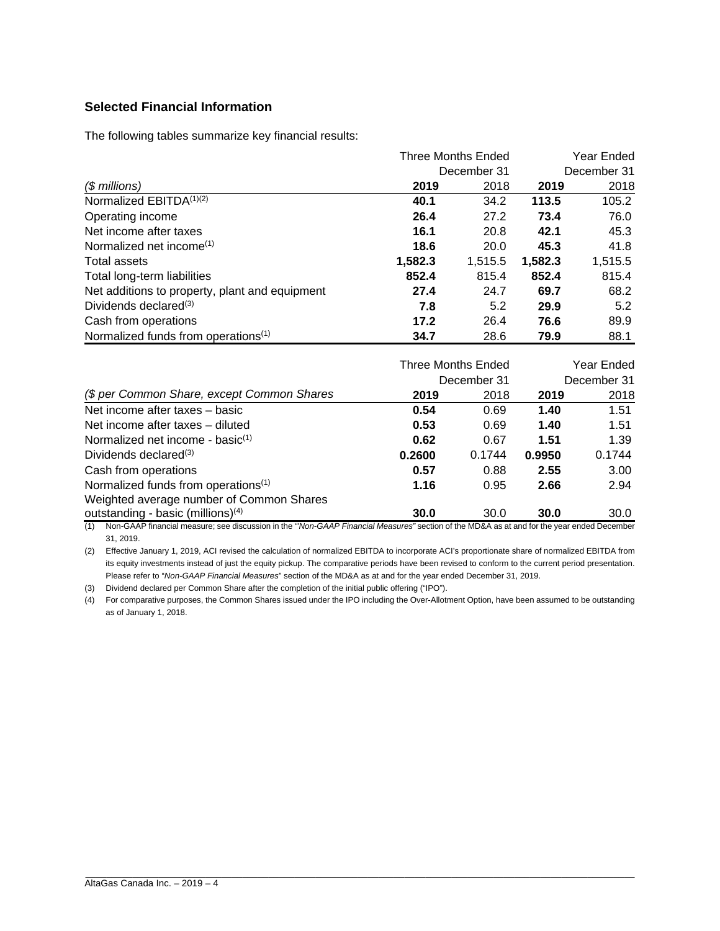# **Selected Financial Information**

The following tables summarize key financial results:

|                                                 | <b>Three Months Ended</b> |             | Year Ended  |         |  |
|-------------------------------------------------|---------------------------|-------------|-------------|---------|--|
|                                                 |                           | December 31 | December 31 |         |  |
| $$$ millions)                                   | 2019                      | 2018        | 2019        | 2018    |  |
| Normalized EBITDA <sup>(1)(2)</sup>             | 40.1                      | 34.2        | 113.5       | 105.2   |  |
| Operating income                                | 26.4                      | 27.2        | 73.4        | 76.0    |  |
| Net income after taxes                          | 16.1                      | 20.8        | 42.1        | 45.3    |  |
| Normalized net income <sup>(1)</sup>            | 18.6                      | 20.0        | 45.3        | 41.8    |  |
| Total assets                                    | 1,582.3                   | 1,515.5     | 1,582.3     | 1,515.5 |  |
| Total long-term liabilities                     | 852.4                     | 815.4       | 852.4       | 815.4   |  |
| Net additions to property, plant and equipment  | 27.4                      | 24.7        | 69.7        | 68.2    |  |
| Dividends declared <sup>(3)</sup>               | 7.8                       | 5.2         | 29.9        | 5.2     |  |
| Cash from operations                            | 17.2                      | 26.4        | 76.6        | 89.9    |  |
| Normalized funds from operations <sup>(1)</sup> | 34.7                      | 28.6        | 79.9        | 88.1    |  |

|                                                 | Three Months Ended |             | Year Ended |             |  |
|-------------------------------------------------|--------------------|-------------|------------|-------------|--|
|                                                 |                    | December 31 |            | December 31 |  |
| (\$ per Common Share, except Common Shares      | 2019               | 2018        | 2019       | 2018        |  |
| Net income after taxes - basic                  | 0.54               | 0.69        | 1.40       | 1.51        |  |
| Net income after taxes - diluted                | 0.53               | 0.69        | 1.40       | 1.51        |  |
| Normalized net income - basic <sup>(1)</sup>    | 0.62               | 0.67        | 1.51       | 1.39        |  |
| Dividends declared $(3)$                        | 0.2600             | 0.1744      | 0.9950     | 0.1744      |  |
| Cash from operations                            | 0.57               | 0.88        | 2.55       | 3.00        |  |
| Normalized funds from operations <sup>(1)</sup> | 1.16               | 0.95        | 2.66       | 2.94        |  |
| Weighted average number of Common Shares        |                    |             |            |             |  |
| outstanding - basic (millions) $(4)$            | 30.0               | 30.0        | 30.0       | 30.0        |  |

(1) Non-GAAP financial measure; see discussion in the *"'Non-GAAP Financial Measures"* section of the MD&A as at and for the year ended December 31, 2019.

(2) Effective January 1, 2019, ACI revised the calculation of normalized EBITDA to incorporate ACI's proportionate share of normalized EBITDA from its equity investments instead of just the equity pickup. The comparative periods have been revised to conform to the current period presentation. Please refer to "*Non-GAAP Financial Measures*" section of the MD&A as at and for the year ended December 31, 2019.

(3) Dividend declared per Common Share after the completion of the initial public offering ("IPO").

(4) For comparative purposes, the Common Shares issued under the IPO including the Over-Allotment Option, have been assumed to be outstanding as of January 1, 2018.

\_\_\_\_\_\_\_\_\_\_\_\_\_\_\_\_\_\_\_\_\_\_\_\_\_\_\_\_\_\_\_\_\_\_\_\_\_\_\_\_\_\_\_\_\_\_\_\_\_\_\_\_\_\_\_\_\_\_\_\_\_\_\_\_\_\_\_\_\_\_\_\_\_\_\_\_\_\_\_\_\_\_\_\_\_\_\_\_\_\_\_\_\_\_\_\_\_\_\_\_\_\_\_\_\_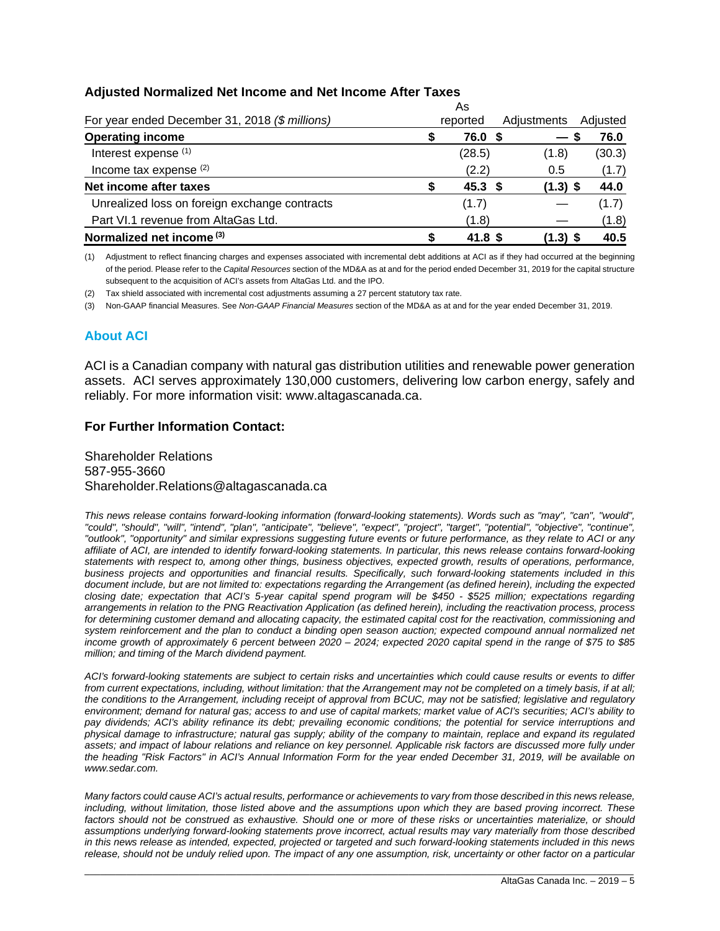# **Adjusted Normalized Net Income and Net Income After Taxes**

|                                                |   | As                |             |   |          |
|------------------------------------------------|---|-------------------|-------------|---|----------|
| For year ended December 31, 2018 (\$ millions) |   | reported          | Adiustments |   | Adjusted |
| <b>Operating income</b>                        | S | 76.0 \$           |             | S | 76.0     |
| Interest expense (1)                           |   | (28.5)            | (1.8)       |   | (30.3)   |
| Income tax expense (2)                         |   | (2.2)             | 0.5         |   | (1.7)    |
| Net income after taxes                         |   | 45.3 <sup>5</sup> | $(1.3)$ \$  |   | 44.0     |
| Unrealized loss on foreign exchange contracts  |   | (1.7)             |             |   | (1.7)    |
| Part VI.1 revenue from AltaGas Ltd.            |   | (1.8)             |             |   | (1.8)    |
| Normalized net income <sup>(3)</sup>           |   | 41.8 \$           | (1.3) \$    |   | 40.5     |

(1) Adjustment to reflect financing charges and expenses associated with incremental debt additions at ACI as if they had occurred at the beginning of the period. Please refer to the *Capital Resources* section of the MD&A as at and for the period ended December 31, 2019 for the capital structure subsequent to the acquisition of ACI's assets from AltaGas Ltd. and the IPO.

(2) Tax shield associated with incremental cost adjustments assuming a 27 percent statutory tax rate.

(3) Non-GAAP financial Measures. See *Non-GAAP Financial Measures* section of the MD&A as at and for the year ended December 31, 2019.

# **About ACI**

ACI is a Canadian company with natural gas distribution utilities and renewable power generation assets. ACI serves approximately 130,000 customers, delivering low carbon energy, safely and reliably. For more information visit: www.altagascanada.ca.

# **For Further Information Contact:**

Shareholder Relations 587-955-3660 Shareholder.Relations@altagascanada.ca

*This news release contains forward-looking information (forward-looking statements). Words such as "may", "can", "would", "could", "should", "will", "intend", "plan", "anticipate", "believe", "expect", "project", "target", "potential", "objective", "continue", "outlook", "opportunity" and similar expressions suggesting future events or future performance, as they relate to ACI or any affiliate of ACI, are intended to identify forward-looking statements. In particular, this news release contains forward-looking statements with respect to, among other things, business objectives, expected growth, results of operations, performance, business projects and opportunities and financial results. Specifically, such forward-looking statements included in this document include, but are not limited to: expectations regarding the Arrangement (as defined herein), including the expected closing date; expectation that ACI's 5-year capital spend program will be \$450 - \$525 million; expectations regarding arrangements in relation to the PNG Reactivation Application (as defined herein), including the reactivation process, process for determining customer demand and allocating capacity, the estimated capital cost for the reactivation, commissioning and*  system reinforcement and the plan to conduct a binding open season auction; expected compound annual normalized net *income growth of approximately 6 percent between 2020 – 2024; expected 2020 capital spend in the range of \$75 to \$85 million; and timing of the March dividend payment.* 

*ACI's forward-looking statements are subject to certain risks and uncertainties which could cause results or events to differ from current expectations, including, without limitation: that the Arrangement may not be completed on a timely basis, if at all; the conditions to the Arrangement, including receipt of approval from BCUC, may not be satisfied; legislative and regulatory environment; demand for natural gas; access to and use of capital markets; market value of ACI's securities; ACI's ability to pay dividends; ACI's ability refinance its debt; prevailing economic conditions; the potential for service interruptions and physical damage to infrastructure; natural gas supply; ability of the company to maintain, replace and expand its regulated assets; and impact of labour relations and reliance on key personnel. Applicable risk factors are discussed more fully under the heading "Risk Factors" in ACI's Annual Information Form for the year ended December 31, 2019, will be available on www.sedar.com.* 

*Many factors could cause ACI's actual results, performance or achievements to vary from those described in this news release, including, without limitation, those listed above and the assumptions upon which they are based proving incorrect. These*  factors should not be construed as exhaustive. Should one or more of these risks or uncertainties materialize, or should *assumptions underlying forward-looking statements prove incorrect, actual results may vary materially from those described in this news release as intended, expected, projected or targeted and such forward-looking statements included in this news release, should not be unduly relied upon. The impact of any one assumption, risk, uncertainty or other factor on a particular* 

\_\_\_\_\_\_\_\_\_\_\_\_\_\_\_\_\_\_\_\_\_\_\_\_\_\_\_\_\_\_\_\_\_\_\_\_\_\_\_\_\_\_\_\_\_\_\_\_\_\_\_\_\_\_\_\_\_\_\_\_\_\_\_\_\_\_\_\_\_\_\_\_\_\_\_\_\_\_\_\_\_\_\_\_\_\_\_\_\_\_\_\_\_\_\_\_\_\_\_\_\_\_\_\_\_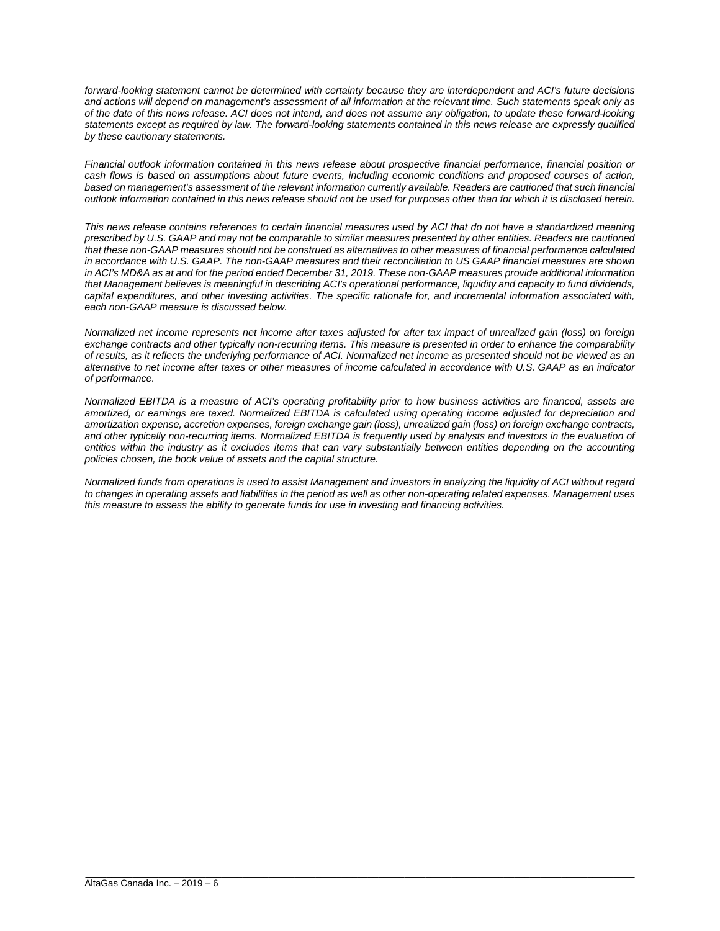*forward-looking statement cannot be determined with certainty because they are interdependent and ACI's future decisions and actions will depend on management's assessment of all information at the relevant time. Such statements speak only as of the date of this news release. ACI does not intend, and does not assume any obligation, to update these forward-looking statements except as required by law. The forward-looking statements contained in this news release are expressly qualified by these cautionary statements.* 

*Financial outlook information contained in this news release about prospective financial performance, financial position or cash flows is based on assumptions about future events, including economic conditions and proposed courses of action, based on management's assessment of the relevant information currently available. Readers are cautioned that such financial outlook information contained in this news release should not be used for purposes other than for which it is disclosed herein.*

*This news release contains references to certain financial measures used by ACI that do not have a standardized meaning prescribed by U.S. GAAP and may not be comparable to similar measures presented by other entities. Readers are cautioned that these non-GAAP measures should not be construed as alternatives to other measures of financial performance calculated in accordance with U.S. GAAP. The non-GAAP measures and their reconciliation to US GAAP financial measures are shown in ACI's MD&A as at and for the period ended December 31, 2019. These non-GAAP measures provide additional information that Management believes is meaningful in describing ACI's operational performance, liquidity and capacity to fund dividends, capital expenditures, and other investing activities. The specific rationale for, and incremental information associated with, each non-GAAP measure is discussed below.* 

*Normalized net income represents net income after taxes adjusted for after tax impact of unrealized gain (loss) on foreign*  exchange contracts and other typically non-recurring items. This measure is presented in order to enhance the comparability *of results, as it reflects the underlying performance of ACI. Normalized net income as presented should not be viewed as an alternative to net income after taxes or other measures of income calculated in accordance with U.S. GAAP as an indicator of performance.* 

*Normalized EBITDA is a measure of ACI's operating profitability prior to how business activities are financed, assets are amortized, or earnings are taxed. Normalized EBITDA is calculated using operating income adjusted for depreciation and amortization expense, accretion expenses, foreign exchange gain (loss), unrealized gain (loss) on foreign exchange contracts, and other typically non-recurring items. Normalized EBITDA is frequently used by analysts and investors in the evaluation of*  entities within the industry as it excludes items that can vary substantially between entities depending on the accounting *policies chosen, the book value of assets and the capital structure.* 

*Normalized funds from operations is used to assist Management and investors in analyzing the liquidity of ACI without regard to changes in operating assets and liabilities in the period as well as other non-operating related expenses. Management uses this measure to assess the ability to generate funds for use in investing and financing activities.* 

\_\_\_\_\_\_\_\_\_\_\_\_\_\_\_\_\_\_\_\_\_\_\_\_\_\_\_\_\_\_\_\_\_\_\_\_\_\_\_\_\_\_\_\_\_\_\_\_\_\_\_\_\_\_\_\_\_\_\_\_\_\_\_\_\_\_\_\_\_\_\_\_\_\_\_\_\_\_\_\_\_\_\_\_\_\_\_\_\_\_\_\_\_\_\_\_\_\_\_\_\_\_\_\_\_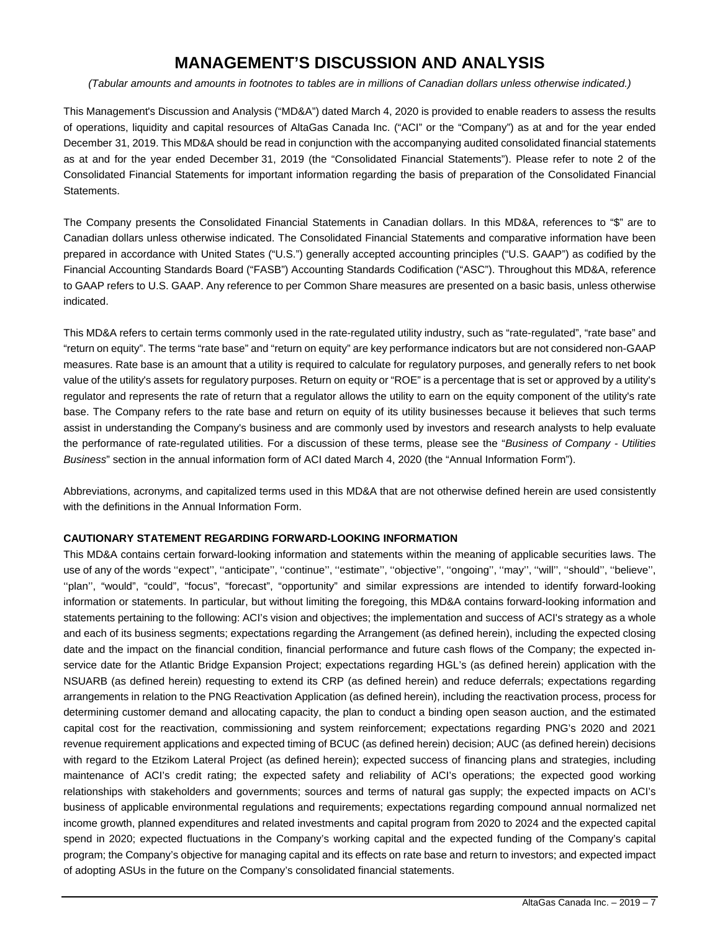# **MANAGEMENT'S DISCUSSION AND ANALYSIS**

*(Tabular amounts and amounts in footnotes to tables are in millions of Canadian dollars unless otherwise indicated.)* 

This Management's Discussion and Analysis ("MD&A") dated March 4, 2020 is provided to enable readers to assess the results of operations, liquidity and capital resources of AltaGas Canada Inc. ("ACI" or the "Company") as at and for the year ended December 31, 2019. This MD&A should be read in conjunction with the accompanying audited consolidated financial statements as at and for the year ended December 31, 2019 (the "Consolidated Financial Statements"). Please refer to note 2 of the Consolidated Financial Statements for important information regarding the basis of preparation of the Consolidated Financial Statements.

The Company presents the Consolidated Financial Statements in Canadian dollars. In this MD&A, references to "\$" are to Canadian dollars unless otherwise indicated. The Consolidated Financial Statements and comparative information have been prepared in accordance with United States ("U.S.") generally accepted accounting principles ("U.S. GAAP") as codified by the Financial Accounting Standards Board ("FASB") Accounting Standards Codification ("ASC"). Throughout this MD&A, reference to GAAP refers to U.S. GAAP. Any reference to per Common Share measures are presented on a basic basis, unless otherwise indicated.

This MD&A refers to certain terms commonly used in the rate-regulated utility industry, such as "rate-regulated", "rate base" and "return on equity". The terms "rate base" and "return on equity" are key performance indicators but are not considered non-GAAP measures. Rate base is an amount that a utility is required to calculate for regulatory purposes, and generally refers to net book value of the utility's assets for regulatory purposes. Return on equity or "ROE" is a percentage that is set or approved by a utility's regulator and represents the rate of return that a regulator allows the utility to earn on the equity component of the utility's rate base. The Company refers to the rate base and return on equity of its utility businesses because it believes that such terms assist in understanding the Company's business and are commonly used by investors and research analysts to help evaluate the performance of rate-regulated utilities. For a discussion of these terms, please see the "*Business of Company - Utilities Business*" section in the annual information form of ACI dated March 4, 2020 (the "Annual Information Form").

Abbreviations, acronyms, and capitalized terms used in this MD&A that are not otherwise defined herein are used consistently with the definitions in the Annual Information Form.

# **CAUTIONARY STATEMENT REGARDING FORWARD-LOOKING INFORMATION**

This MD&A contains certain forward-looking information and statements within the meaning of applicable securities laws. The use of any of the words "expect", "anticipate", "continue", "estimate", "objective", "ongoing", "may", "will", "should", "believe", ''plan'', "would", "could", "focus", "forecast", "opportunity" and similar expressions are intended to identify forward-looking information or statements. In particular, but without limiting the foregoing, this MD&A contains forward-looking information and statements pertaining to the following: ACI's vision and objectives; the implementation and success of ACI's strategy as a whole and each of its business segments; expectations regarding the Arrangement (as defined herein), including the expected closing date and the impact on the financial condition, financial performance and future cash flows of the Company; the expected inservice date for the Atlantic Bridge Expansion Project; expectations regarding HGL's (as defined herein) application with the NSUARB (as defined herein) requesting to extend its CRP (as defined herein) and reduce deferrals; expectations regarding arrangements in relation to the PNG Reactivation Application (as defined herein), including the reactivation process, process for determining customer demand and allocating capacity, the plan to conduct a binding open season auction, and the estimated capital cost for the reactivation, commissioning and system reinforcement; expectations regarding PNG's 2020 and 2021 revenue requirement applications and expected timing of BCUC (as defined herein) decision; AUC (as defined herein) decisions with regard to the Etzikom Lateral Project (as defined herein); expected success of financing plans and strategies, including maintenance of ACI's credit rating; the expected safety and reliability of ACI's operations; the expected good working relationships with stakeholders and governments; sources and terms of natural gas supply; the expected impacts on ACI's business of applicable environmental regulations and requirements; expectations regarding compound annual normalized net income growth, planned expenditures and related investments and capital program from 2020 to 2024 and the expected capital spend in 2020; expected fluctuations in the Company's working capital and the expected funding of the Company's capital program; the Company's objective for managing capital and its effects on rate base and return to investors; and expected impact of adopting ASUs in the future on the Company's consolidated financial statements.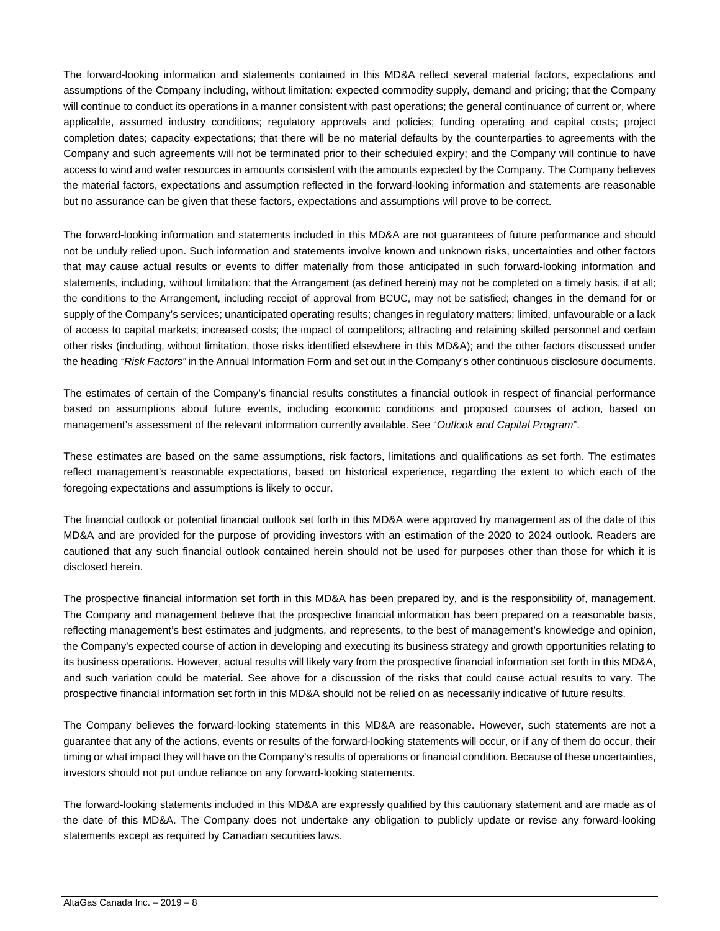The forward-looking information and statements contained in this MD&A reflect several material factors, expectations and assumptions of the Company including, without limitation: expected commodity supply, demand and pricing; that the Company will continue to conduct its operations in a manner consistent with past operations; the general continuance of current or, where applicable, assumed industry conditions; regulatory approvals and policies; funding operating and capital costs; project completion dates; capacity expectations; that there will be no material defaults by the counterparties to agreements with the Company and such agreements will not be terminated prior to their scheduled expiry; and the Company will continue to have access to wind and water resources in amounts consistent with the amounts expected by the Company. The Company believes the material factors, expectations and assumption reflected in the forward-looking information and statements are reasonable but no assurance can be given that these factors, expectations and assumptions will prove to be correct.

The forward-looking information and statements included in this MD&A are not guarantees of future performance and should not be unduly relied upon. Such information and statements involve known and unknown risks, uncertainties and other factors that may cause actual results or events to differ materially from those anticipated in such forward-looking information and statements, including, without limitation: that the Arrangement (as defined herein) may not be completed on a timely basis, if at all; the conditions to the Arrangement, including receipt of approval from BCUC, may not be satisfied; changes in the demand for or supply of the Company's services; unanticipated operating results; changes in regulatory matters; limited, unfavourable or a lack of access to capital markets; increased costs; the impact of competitors; attracting and retaining skilled personnel and certain other risks (including, without limitation, those risks identified elsewhere in this MD&A); and the other factors discussed under the heading *"Risk Factors"* in the Annual Information Form and set out in the Company's other continuous disclosure documents.

The estimates of certain of the Company's financial results constitutes a financial outlook in respect of financial performance based on assumptions about future events, including economic conditions and proposed courses of action, based on management's assessment of the relevant information currently available. See "*Outlook and Capital Program*".

These estimates are based on the same assumptions, risk factors, limitations and qualifications as set forth. The estimates reflect management's reasonable expectations, based on historical experience, regarding the extent to which each of the foregoing expectations and assumptions is likely to occur.

The financial outlook or potential financial outlook set forth in this MD&A were approved by management as of the date of this MD&A and are provided for the purpose of providing investors with an estimation of the 2020 to 2024 outlook. Readers are cautioned that any such financial outlook contained herein should not be used for purposes other than those for which it is disclosed herein.

The prospective financial information set forth in this MD&A has been prepared by, and is the responsibility of, management. The Company and management believe that the prospective financial information has been prepared on a reasonable basis, reflecting management's best estimates and judgments, and represents, to the best of management's knowledge and opinion, the Company's expected course of action in developing and executing its business strategy and growth opportunities relating to its business operations. However, actual results will likely vary from the prospective financial information set forth in this MD&A, and such variation could be material. See above for a discussion of the risks that could cause actual results to vary. The prospective financial information set forth in this MD&A should not be relied on as necessarily indicative of future results.

The Company believes the forward-looking statements in this MD&A are reasonable. However, such statements are not a guarantee that any of the actions, events or results of the forward-looking statements will occur, or if any of them do occur, their timing or what impact they will have on the Company's results of operations or financial condition. Because of these uncertainties, investors should not put undue reliance on any forward-looking statements.

The forward-looking statements included in this MD&A are expressly qualified by this cautionary statement and are made as of the date of this MD&A. The Company does not undertake any obligation to publicly update or revise any forward-looking statements except as required by Canadian securities laws.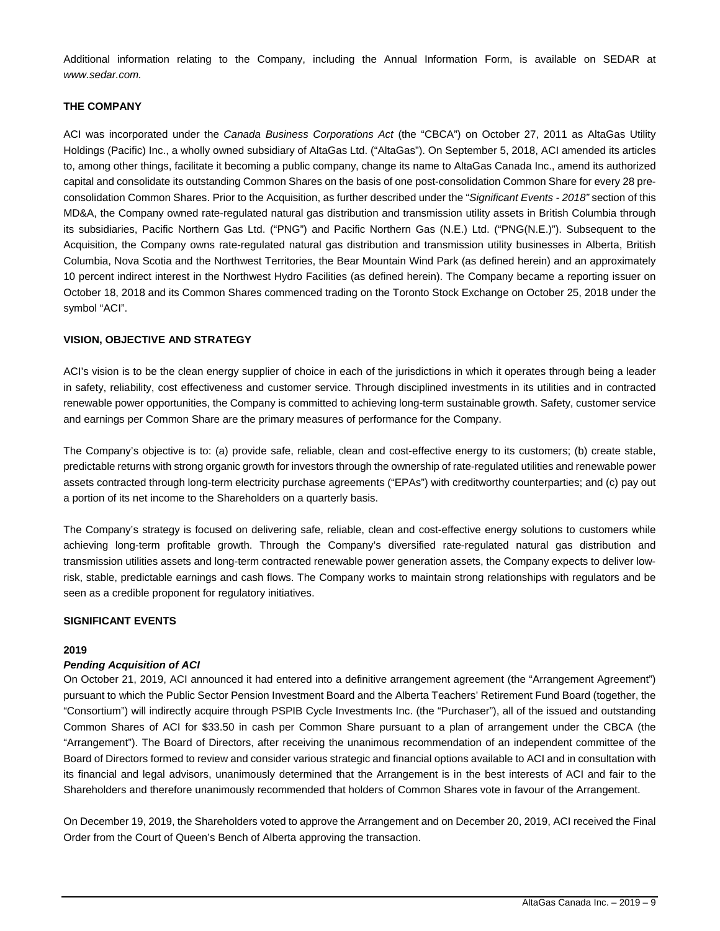Additional information relating to the Company, including the Annual Information Form, is available on SEDAR at *www.sedar.com.*

#### **THE COMPANY**

ACI was incorporated under the *Canada Business Corporations Act* (the "CBCA") on October 27, 2011 as AltaGas Utility Holdings (Pacific) Inc., a wholly owned subsidiary of AltaGas Ltd. ("AltaGas"). On September 5, 2018, ACI amended its articles to, among other things, facilitate it becoming a public company, change its name to AltaGas Canada Inc., amend its authorized capital and consolidate its outstanding Common Shares on the basis of one post-consolidation Common Share for every 28 preconsolidation Common Shares. Prior to the Acquisition, as further described under the "*Significant Events - 2018"* section of this MD&A, the Company owned rate-regulated natural gas distribution and transmission utility assets in British Columbia through its subsidiaries, Pacific Northern Gas Ltd. ("PNG") and Pacific Northern Gas (N.E.) Ltd. ("PNG(N.E.)"). Subsequent to the Acquisition, the Company owns rate-regulated natural gas distribution and transmission utility businesses in Alberta, British Columbia, Nova Scotia and the Northwest Territories, the Bear Mountain Wind Park (as defined herein) and an approximately 10 percent indirect interest in the Northwest Hydro Facilities (as defined herein). The Company became a reporting issuer on October 18, 2018 and its Common Shares commenced trading on the Toronto Stock Exchange on October 25, 2018 under the symbol "ACI".

#### **VISION, OBJECTIVE AND STRATEGY**

ACI's vision is to be the clean energy supplier of choice in each of the jurisdictions in which it operates through being a leader in safety, reliability, cost effectiveness and customer service. Through disciplined investments in its utilities and in contracted renewable power opportunities, the Company is committed to achieving long-term sustainable growth. Safety, customer service and earnings per Common Share are the primary measures of performance for the Company.

The Company's objective is to: (a) provide safe, reliable, clean and cost-effective energy to its customers; (b) create stable, predictable returns with strong organic growth for investors through the ownership of rate-regulated utilities and renewable power assets contracted through long-term electricity purchase agreements ("EPAs") with creditworthy counterparties; and (c) pay out a portion of its net income to the Shareholders on a quarterly basis.

The Company's strategy is focused on delivering safe, reliable, clean and cost-effective energy solutions to customers while achieving long-term profitable growth. Through the Company's diversified rate-regulated natural gas distribution and transmission utilities assets and long-term contracted renewable power generation assets, the Company expects to deliver lowrisk, stable, predictable earnings and cash flows. The Company works to maintain strong relationships with regulators and be seen as a credible proponent for regulatory initiatives.

## **SIGNIFICANT EVENTS**

#### **2019**

#### *Pending Acquisition of ACI*

On October 21, 2019, ACI announced it had entered into a definitive arrangement agreement (the "Arrangement Agreement") pursuant to which the Public Sector Pension Investment Board and the Alberta Teachers' Retirement Fund Board (together, the "Consortium") will indirectly acquire through PSPIB Cycle Investments Inc. (the "Purchaser"), all of the issued and outstanding Common Shares of ACI for \$33.50 in cash per Common Share pursuant to a plan of arrangement under the CBCA (the "Arrangement"). The Board of Directors, after receiving the unanimous recommendation of an independent committee of the Board of Directors formed to review and consider various strategic and financial options available to ACI and in consultation with its financial and legal advisors, unanimously determined that the Arrangement is in the best interests of ACI and fair to the Shareholders and therefore unanimously recommended that holders of Common Shares vote in favour of the Arrangement.

On December 19, 2019, the Shareholders voted to approve the Arrangement and on December 20, 2019, ACI received the Final Order from the Court of Queen's Bench of Alberta approving the transaction.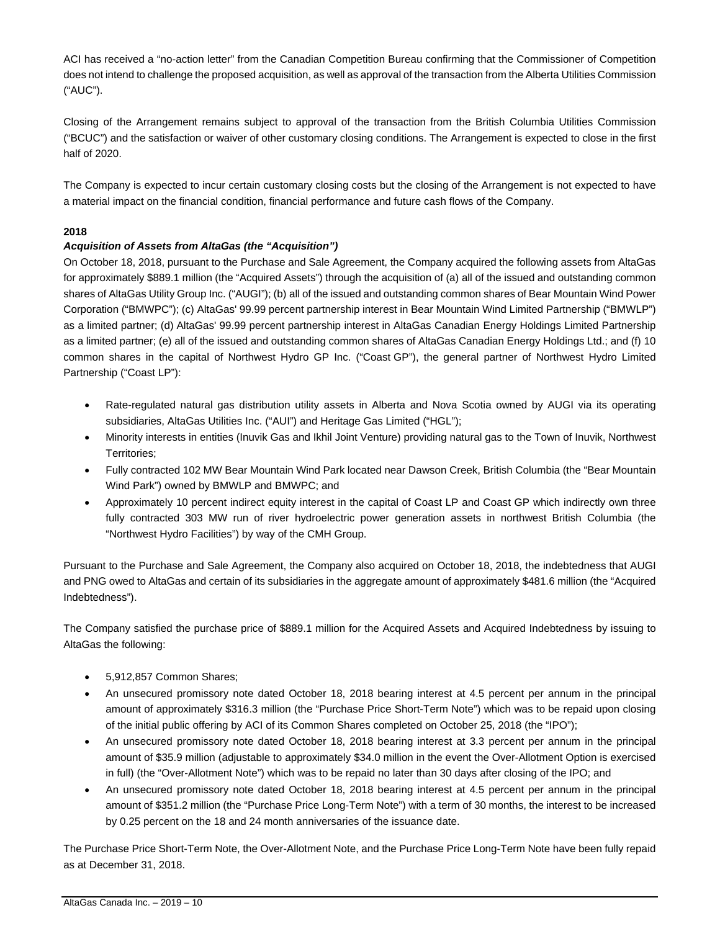ACI has received a "no-action letter" from the Canadian Competition Bureau confirming that the Commissioner of Competition does not intend to challenge the proposed acquisition, as well as approval of the transaction from the Alberta Utilities Commission ("AUC").

Closing of the Arrangement remains subject to approval of the transaction from the British Columbia Utilities Commission ("BCUC") and the satisfaction or waiver of other customary closing conditions. The Arrangement is expected to close in the first half of 2020.

The Company is expected to incur certain customary closing costs but the closing of the Arrangement is not expected to have a material impact on the financial condition, financial performance and future cash flows of the Company.

# **2018**

# *Acquisition of Assets from AltaGas (the "Acquisition")*

On October 18, 2018, pursuant to the Purchase and Sale Agreement, the Company acquired the following assets from AltaGas for approximately \$889.1 million (the "Acquired Assets") through the acquisition of (a) all of the issued and outstanding common shares of AltaGas Utility Group Inc. ("AUGI"); (b) all of the issued and outstanding common shares of Bear Mountain Wind Power Corporation ("BMWPC"); (c) AltaGas' 99.99 percent partnership interest in Bear Mountain Wind Limited Partnership ("BMWLP") as a limited partner; (d) AltaGas' 99.99 percent partnership interest in AltaGas Canadian Energy Holdings Limited Partnership as a limited partner; (e) all of the issued and outstanding common shares of AltaGas Canadian Energy Holdings Ltd.; and (f) 10 common shares in the capital of Northwest Hydro GP Inc. ("Coast GP"), the general partner of Northwest Hydro Limited Partnership ("Coast LP"):

- Rate-regulated natural gas distribution utility assets in Alberta and Nova Scotia owned by AUGI via its operating subsidiaries, AltaGas Utilities Inc. ("AUI") and Heritage Gas Limited ("HGL");
- Minority interests in entities (Inuvik Gas and Ikhil Joint Venture) providing natural gas to the Town of Inuvik, Northwest Territories;
- Fully contracted 102 MW Bear Mountain Wind Park located near Dawson Creek, British Columbia (the "Bear Mountain Wind Park") owned by BMWLP and BMWPC; and
- Approximately 10 percent indirect equity interest in the capital of Coast LP and Coast GP which indirectly own three fully contracted 303 MW run of river hydroelectric power generation assets in northwest British Columbia (the "Northwest Hydro Facilities") by way of the CMH Group.

Pursuant to the Purchase and Sale Agreement, the Company also acquired on October 18, 2018, the indebtedness that AUGI and PNG owed to AltaGas and certain of its subsidiaries in the aggregate amount of approximately \$481.6 million (the "Acquired Indebtedness").

The Company satisfied the purchase price of \$889.1 million for the Acquired Assets and Acquired Indebtedness by issuing to AltaGas the following:

- 5,912,857 Common Shares;
- An unsecured promissory note dated October 18, 2018 bearing interest at 4.5 percent per annum in the principal amount of approximately \$316.3 million (the "Purchase Price Short-Term Note") which was to be repaid upon closing of the initial public offering by ACI of its Common Shares completed on October 25, 2018 (the "IPO");
- An unsecured promissory note dated October 18, 2018 bearing interest at 3.3 percent per annum in the principal amount of \$35.9 million (adjustable to approximately \$34.0 million in the event the Over-Allotment Option is exercised in full) (the "Over-Allotment Note") which was to be repaid no later than 30 days after closing of the IPO; and
- An unsecured promissory note dated October 18, 2018 bearing interest at 4.5 percent per annum in the principal amount of \$351.2 million (the "Purchase Price Long-Term Note") with a term of 30 months, the interest to be increased by 0.25 percent on the 18 and 24 month anniversaries of the issuance date.

The Purchase Price Short-Term Note, the Over-Allotment Note, and the Purchase Price Long-Term Note have been fully repaid as at December 31, 2018.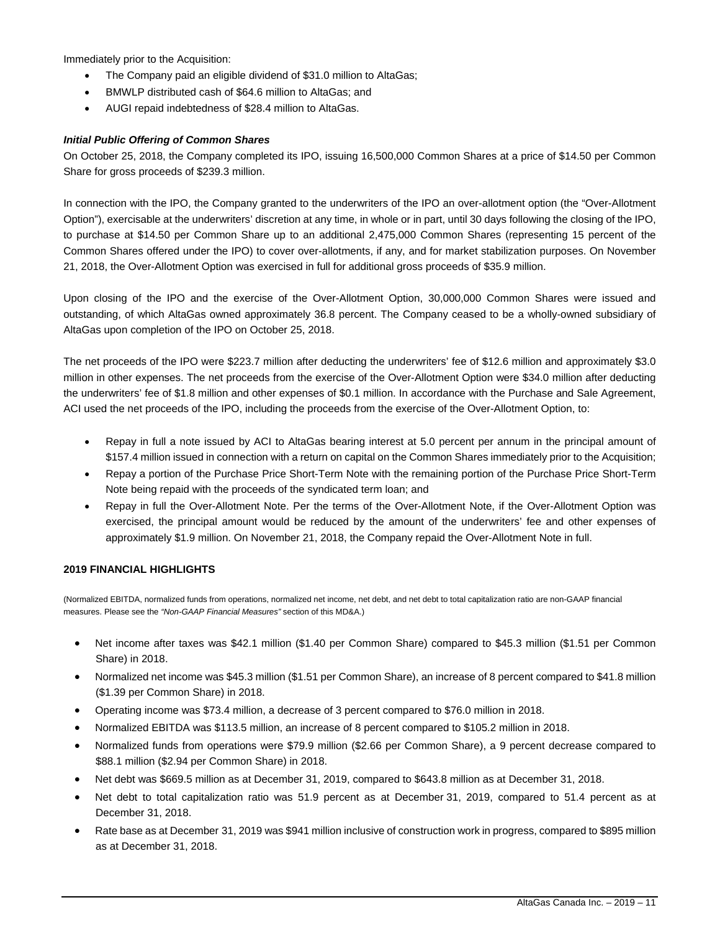Immediately prior to the Acquisition:

- The Company paid an eligible dividend of \$31.0 million to AltaGas;
- BMWLP distributed cash of \$64.6 million to AltaGas; and
- AUGI repaid indebtedness of \$28.4 million to AltaGas.

#### *Initial Public Offering of Common Shares*

On October 25, 2018, the Company completed its IPO, issuing 16,500,000 Common Shares at a price of \$14.50 per Common Share for gross proceeds of \$239.3 million.

In connection with the IPO, the Company granted to the underwriters of the IPO an over-allotment option (the "Over-Allotment Option"), exercisable at the underwriters' discretion at any time, in whole or in part, until 30 days following the closing of the IPO, to purchase at \$14.50 per Common Share up to an additional 2,475,000 Common Shares (representing 15 percent of the Common Shares offered under the IPO) to cover over-allotments, if any, and for market stabilization purposes. On November 21, 2018, the Over-Allotment Option was exercised in full for additional gross proceeds of \$35.9 million.

Upon closing of the IPO and the exercise of the Over-Allotment Option, 30,000,000 Common Shares were issued and outstanding, of which AltaGas owned approximately 36.8 percent. The Company ceased to be a wholly-owned subsidiary of AltaGas upon completion of the IPO on October 25, 2018.

The net proceeds of the IPO were \$223.7 million after deducting the underwriters' fee of \$12.6 million and approximately \$3.0 million in other expenses. The net proceeds from the exercise of the Over-Allotment Option were \$34.0 million after deducting the underwriters' fee of \$1.8 million and other expenses of \$0.1 million. In accordance with the Purchase and Sale Agreement, ACI used the net proceeds of the IPO, including the proceeds from the exercise of the Over-Allotment Option, to:

- Repay in full a note issued by ACI to AltaGas bearing interest at 5.0 percent per annum in the principal amount of \$157.4 million issued in connection with a return on capital on the Common Shares immediately prior to the Acquisition;
- Repay a portion of the Purchase Price Short-Term Note with the remaining portion of the Purchase Price Short-Term Note being repaid with the proceeds of the syndicated term loan; and
- Repay in full the Over-Allotment Note. Per the terms of the Over-Allotment Note, if the Over-Allotment Option was exercised, the principal amount would be reduced by the amount of the underwriters' fee and other expenses of approximately \$1.9 million. On November 21, 2018, the Company repaid the Over-Allotment Note in full.

# **2019 FINANCIAL HIGHLIGHTS**

(Normalized EBITDA, normalized funds from operations, normalized net income, net debt, and net debt to total capitalization ratio are non-GAAP financial measures. Please see the *"Non-GAAP Financial Measures"* section of this MD&A.)

- Net income after taxes was \$42.1 million (\$1.40 per Common Share) compared to \$45.3 million (\$1.51 per Common Share) in 2018.
- Normalized net income was \$45.3 million (\$1.51 per Common Share), an increase of 8 percent compared to \$41.8 million (\$1.39 per Common Share) in 2018.
- Operating income was \$73.4 million, a decrease of 3 percent compared to \$76.0 million in 2018.
- Normalized EBITDA was \$113.5 million, an increase of 8 percent compared to \$105.2 million in 2018.
- Normalized funds from operations were \$79.9 million (\$2.66 per Common Share), a 9 percent decrease compared to \$88.1 million (\$2.94 per Common Share) in 2018.
- Net debt was \$669.5 million as at December 31, 2019, compared to \$643.8 million as at December 31, 2018.
- Net debt to total capitalization ratio was 51.9 percent as at December 31, 2019, compared to 51.4 percent as at December 31, 2018.
- Rate base as at December 31, 2019 was \$941 million inclusive of construction work in progress, compared to \$895 million as at December 31, 2018.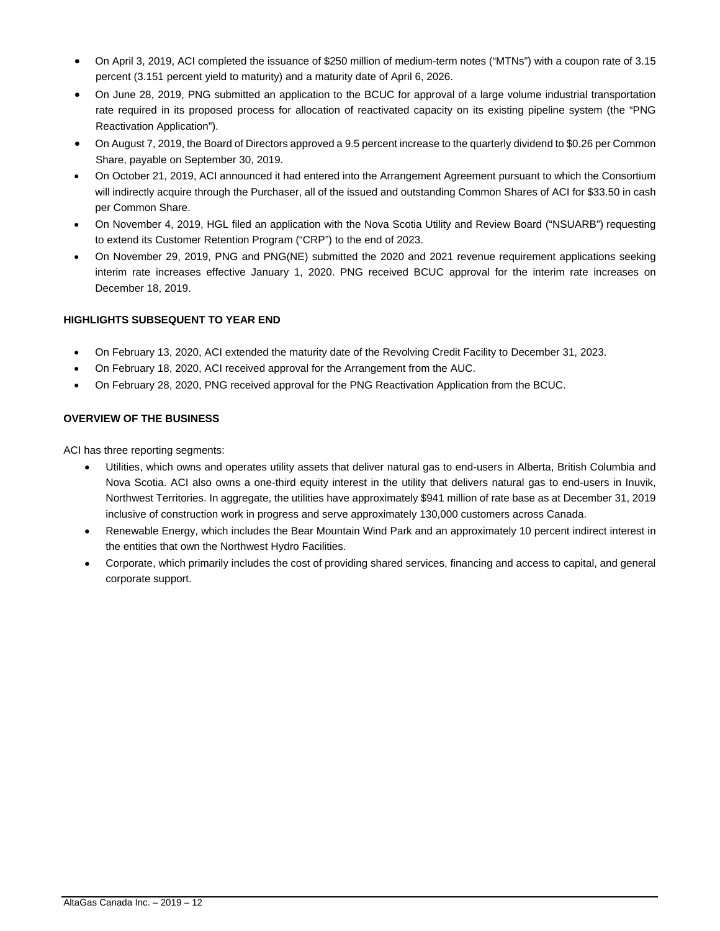- On April 3, 2019, ACI completed the issuance of \$250 million of medium-term notes ("MTNs") with a coupon rate of 3.15 percent (3.151 percent yield to maturity) and a maturity date of April 6, 2026.
- On June 28, 2019, PNG submitted an application to the BCUC for approval of a large volume industrial transportation rate required in its proposed process for allocation of reactivated capacity on its existing pipeline system (the "PNG Reactivation Application").
- On August 7, 2019, the Board of Directors approved a 9.5 percent increase to the quarterly dividend to \$0.26 per Common Share, payable on September 30, 2019.
- On October 21, 2019, ACI announced it had entered into the Arrangement Agreement pursuant to which the Consortium will indirectly acquire through the Purchaser, all of the issued and outstanding Common Shares of ACI for \$33.50 in cash per Common Share.
- On November 4, 2019, HGL filed an application with the Nova Scotia Utility and Review Board ("NSUARB") requesting to extend its Customer Retention Program ("CRP") to the end of 2023.
- On November 29, 2019, PNG and PNG(NE) submitted the 2020 and 2021 revenue requirement applications seeking interim rate increases effective January 1, 2020. PNG received BCUC approval for the interim rate increases on December 18, 2019.

# **HIGHLIGHTS SUBSEQUENT TO YEAR END**

- On February 13, 2020, ACI extended the maturity date of the Revolving Credit Facility to December 31, 2023.
- On February 18, 2020, ACI received approval for the Arrangement from the AUC.
- On February 28, 2020, PNG received approval for the PNG Reactivation Application from the BCUC.

# **OVERVIEW OF THE BUSINESS**

ACI has three reporting segments:

- Utilities, which owns and operates utility assets that deliver natural gas to end-users in Alberta, British Columbia and Nova Scotia. ACI also owns a one-third equity interest in the utility that delivers natural gas to end-users in Inuvik, Northwest Territories. In aggregate, the utilities have approximately \$941 million of rate base as at December 31, 2019 inclusive of construction work in progress and serve approximately 130,000 customers across Canada.
- Renewable Energy, which includes the Bear Mountain Wind Park and an approximately 10 percent indirect interest in the entities that own the Northwest Hydro Facilities.
- Corporate, which primarily includes the cost of providing shared services, financing and access to capital, and general corporate support.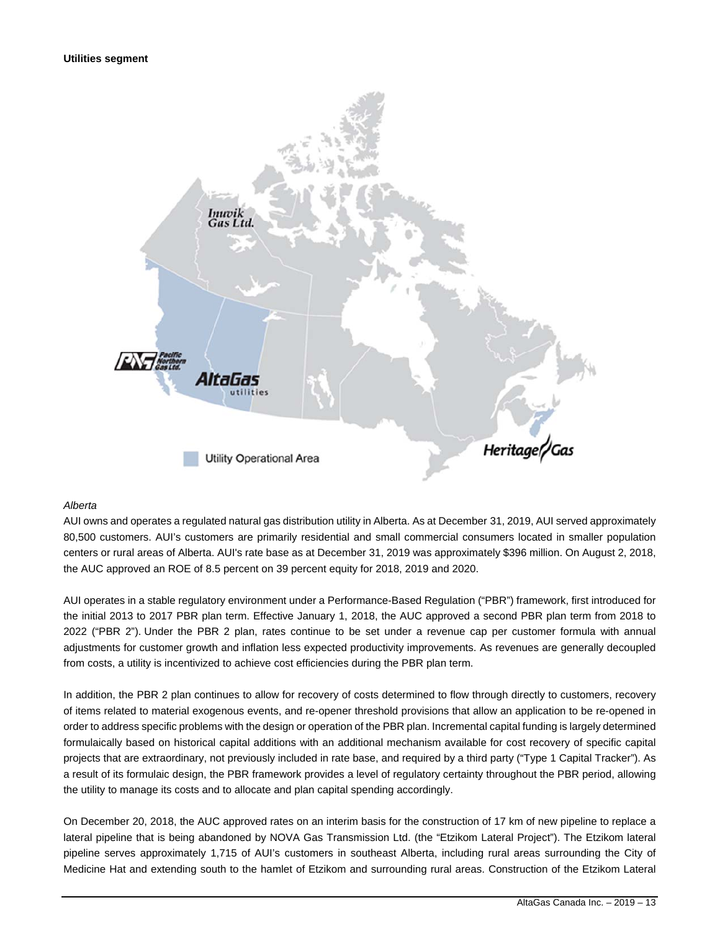

# *Alberta*

AUI owns and operates a regulated natural gas distribution utility in Alberta. As at December 31, 2019, AUI served approximately 80,500 customers. AUI's customers are primarily residential and small commercial consumers located in smaller population centers or rural areas of Alberta. AUI's rate base as at December 31, 2019 was approximately \$396 million. On August 2, 2018, the AUC approved an ROE of 8.5 percent on 39 percent equity for 2018, 2019 and 2020.

AUI operates in a stable regulatory environment under a Performance-Based Regulation ("PBR") framework, first introduced for the initial 2013 to 2017 PBR plan term. Effective January 1, 2018, the AUC approved a second PBR plan term from 2018 to 2022 ("PBR 2"). Under the PBR 2 plan, rates continue to be set under a revenue cap per customer formula with annual adjustments for customer growth and inflation less expected productivity improvements. As revenues are generally decoupled from costs, a utility is incentivized to achieve cost efficiencies during the PBR plan term.

In addition, the PBR 2 plan continues to allow for recovery of costs determined to flow through directly to customers, recovery of items related to material exogenous events, and re-opener threshold provisions that allow an application to be re-opened in order to address specific problems with the design or operation of the PBR plan. Incremental capital funding is largely determined formulaically based on historical capital additions with an additional mechanism available for cost recovery of specific capital projects that are extraordinary, not previously included in rate base, and required by a third party ("Type 1 Capital Tracker"). As a result of its formulaic design, the PBR framework provides a level of regulatory certainty throughout the PBR period, allowing the utility to manage its costs and to allocate and plan capital spending accordingly.

On December 20, 2018, the AUC approved rates on an interim basis for the construction of 17 km of new pipeline to replace a lateral pipeline that is being abandoned by NOVA Gas Transmission Ltd. (the "Etzikom Lateral Project"). The Etzikom lateral pipeline serves approximately 1,715 of AUI's customers in southeast Alberta, including rural areas surrounding the City of Medicine Hat and extending south to the hamlet of Etzikom and surrounding rural areas. Construction of the Etzikom Lateral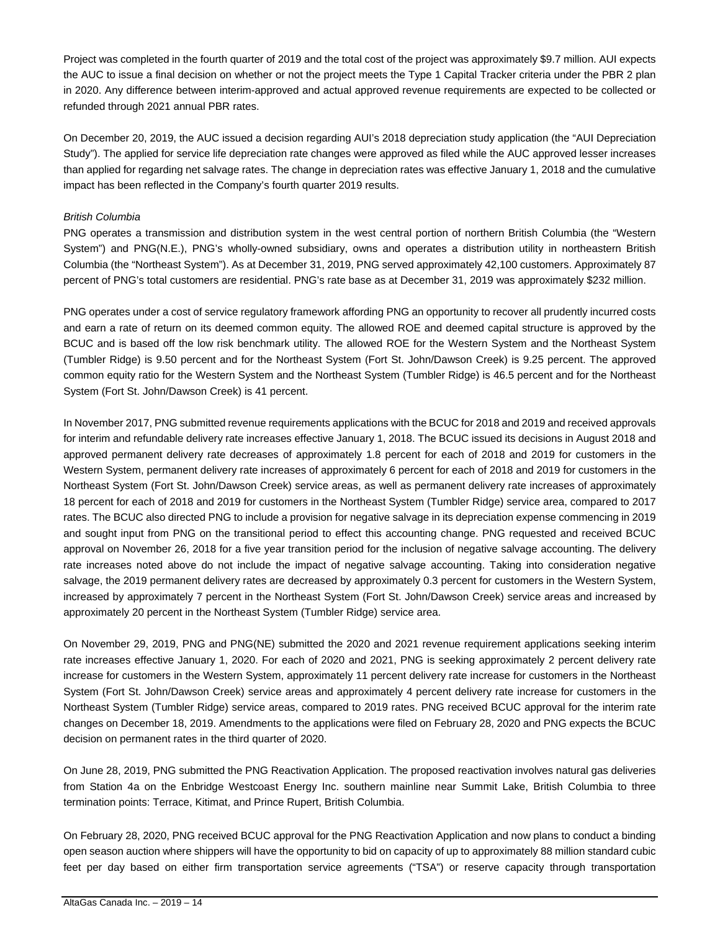Project was completed in the fourth quarter of 2019 and the total cost of the project was approximately \$9.7 million. AUI expects the AUC to issue a final decision on whether or not the project meets the Type 1 Capital Tracker criteria under the PBR 2 plan in 2020. Any difference between interim-approved and actual approved revenue requirements are expected to be collected or refunded through 2021 annual PBR rates.

On December 20, 2019, the AUC issued a decision regarding AUI's 2018 depreciation study application (the "AUI Depreciation Study"). The applied for service life depreciation rate changes were approved as filed while the AUC approved lesser increases than applied for regarding net salvage rates. The change in depreciation rates was effective January 1, 2018 and the cumulative impact has been reflected in the Company's fourth quarter 2019 results.

## *British Columbia*

PNG operates a transmission and distribution system in the west central portion of northern British Columbia (the "Western System") and PNG(N.E.), PNG's wholly-owned subsidiary, owns and operates a distribution utility in northeastern British Columbia (the "Northeast System"). As at December 31, 2019, PNG served approximately 42,100 customers. Approximately 87 percent of PNG's total customers are residential. PNG's rate base as at December 31, 2019 was approximately \$232 million.

PNG operates under a cost of service regulatory framework affording PNG an opportunity to recover all prudently incurred costs and earn a rate of return on its deemed common equity. The allowed ROE and deemed capital structure is approved by the BCUC and is based off the low risk benchmark utility. The allowed ROE for the Western System and the Northeast System (Tumbler Ridge) is 9.50 percent and for the Northeast System (Fort St. John/Dawson Creek) is 9.25 percent. The approved common equity ratio for the Western System and the Northeast System (Tumbler Ridge) is 46.5 percent and for the Northeast System (Fort St. John/Dawson Creek) is 41 percent.

In November 2017, PNG submitted revenue requirements applications with the BCUC for 2018 and 2019 and received approvals for interim and refundable delivery rate increases effective January 1, 2018. The BCUC issued its decisions in August 2018 and approved permanent delivery rate decreases of approximately 1.8 percent for each of 2018 and 2019 for customers in the Western System, permanent delivery rate increases of approximately 6 percent for each of 2018 and 2019 for customers in the Northeast System (Fort St. John/Dawson Creek) service areas, as well as permanent delivery rate increases of approximately 18 percent for each of 2018 and 2019 for customers in the Northeast System (Tumbler Ridge) service area, compared to 2017 rates. The BCUC also directed PNG to include a provision for negative salvage in its depreciation expense commencing in 2019 and sought input from PNG on the transitional period to effect this accounting change. PNG requested and received BCUC approval on November 26, 2018 for a five year transition period for the inclusion of negative salvage accounting. The delivery rate increases noted above do not include the impact of negative salvage accounting. Taking into consideration negative salvage, the 2019 permanent delivery rates are decreased by approximately 0.3 percent for customers in the Western System, increased by approximately 7 percent in the Northeast System (Fort St. John/Dawson Creek) service areas and increased by approximately 20 percent in the Northeast System (Tumbler Ridge) service area.

On November 29, 2019, PNG and PNG(NE) submitted the 2020 and 2021 revenue requirement applications seeking interim rate increases effective January 1, 2020. For each of 2020 and 2021, PNG is seeking approximately 2 percent delivery rate increase for customers in the Western System, approximately 11 percent delivery rate increase for customers in the Northeast System (Fort St. John/Dawson Creek) service areas and approximately 4 percent delivery rate increase for customers in the Northeast System (Tumbler Ridge) service areas, compared to 2019 rates. PNG received BCUC approval for the interim rate changes on December 18, 2019. Amendments to the applications were filed on February 28, 2020 and PNG expects the BCUC decision on permanent rates in the third quarter of 2020.

On June 28, 2019, PNG submitted the PNG Reactivation Application. The proposed reactivation involves natural gas deliveries from Station 4a on the Enbridge Westcoast Energy Inc. southern mainline near Summit Lake, British Columbia to three termination points: Terrace, Kitimat, and Prince Rupert, British Columbia.

On February 28, 2020, PNG received BCUC approval for the PNG Reactivation Application and now plans to conduct a binding open season auction where shippers will have the opportunity to bid on capacity of up to approximately 88 million standard cubic feet per day based on either firm transportation service agreements ("TSA") or reserve capacity through transportation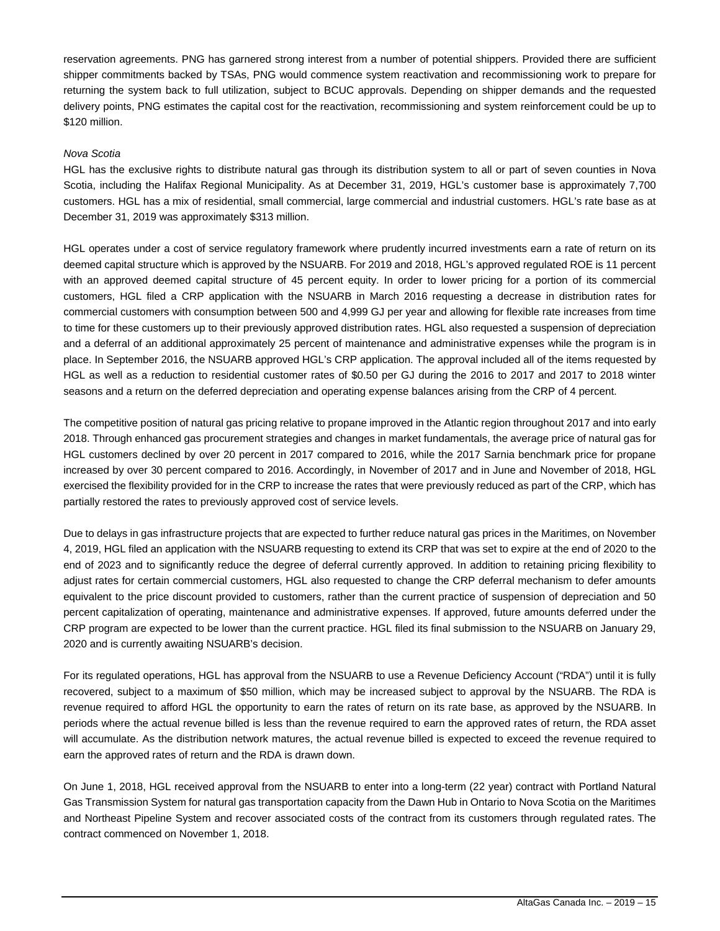reservation agreements. PNG has garnered strong interest from a number of potential shippers. Provided there are sufficient shipper commitments backed by TSAs, PNG would commence system reactivation and recommissioning work to prepare for returning the system back to full utilization, subject to BCUC approvals. Depending on shipper demands and the requested delivery points, PNG estimates the capital cost for the reactivation, recommissioning and system reinforcement could be up to \$120 million.

#### *Nova Scotia*

HGL has the exclusive rights to distribute natural gas through its distribution system to all or part of seven counties in Nova Scotia, including the Halifax Regional Municipality. As at December 31, 2019, HGL's customer base is approximately 7,700 customers. HGL has a mix of residential, small commercial, large commercial and industrial customers. HGL's rate base as at December 31, 2019 was approximately \$313 million.

HGL operates under a cost of service regulatory framework where prudently incurred investments earn a rate of return on its deemed capital structure which is approved by the NSUARB. For 2019 and 2018, HGL's approved regulated ROE is 11 percent with an approved deemed capital structure of 45 percent equity. In order to lower pricing for a portion of its commercial customers, HGL filed a CRP application with the NSUARB in March 2016 requesting a decrease in distribution rates for commercial customers with consumption between 500 and 4,999 GJ per year and allowing for flexible rate increases from time to time for these customers up to their previously approved distribution rates. HGL also requested a suspension of depreciation and a deferral of an additional approximately 25 percent of maintenance and administrative expenses while the program is in place. In September 2016, the NSUARB approved HGL's CRP application. The approval included all of the items requested by HGL as well as a reduction to residential customer rates of \$0.50 per GJ during the 2016 to 2017 and 2017 to 2018 winter seasons and a return on the deferred depreciation and operating expense balances arising from the CRP of 4 percent.

The competitive position of natural gas pricing relative to propane improved in the Atlantic region throughout 2017 and into early 2018. Through enhanced gas procurement strategies and changes in market fundamentals, the average price of natural gas for HGL customers declined by over 20 percent in 2017 compared to 2016, while the 2017 Sarnia benchmark price for propane increased by over 30 percent compared to 2016. Accordingly, in November of 2017 and in June and November of 2018, HGL exercised the flexibility provided for in the CRP to increase the rates that were previously reduced as part of the CRP, which has partially restored the rates to previously approved cost of service levels.

Due to delays in gas infrastructure projects that are expected to further reduce natural gas prices in the Maritimes, on November 4, 2019, HGL filed an application with the NSUARB requesting to extend its CRP that was set to expire at the end of 2020 to the end of 2023 and to significantly reduce the degree of deferral currently approved. In addition to retaining pricing flexibility to adjust rates for certain commercial customers, HGL also requested to change the CRP deferral mechanism to defer amounts equivalent to the price discount provided to customers, rather than the current practice of suspension of depreciation and 50 percent capitalization of operating, maintenance and administrative expenses. If approved, future amounts deferred under the CRP program are expected to be lower than the current practice. HGL filed its final submission to the NSUARB on January 29, 2020 and is currently awaiting NSUARB's decision.

For its regulated operations, HGL has approval from the NSUARB to use a Revenue Deficiency Account ("RDA") until it is fully recovered, subject to a maximum of \$50 million, which may be increased subject to approval by the NSUARB. The RDA is revenue required to afford HGL the opportunity to earn the rates of return on its rate base, as approved by the NSUARB. In periods where the actual revenue billed is less than the revenue required to earn the approved rates of return, the RDA asset will accumulate. As the distribution network matures, the actual revenue billed is expected to exceed the revenue required to earn the approved rates of return and the RDA is drawn down.

On June 1, 2018, HGL received approval from the NSUARB to enter into a long-term (22 year) contract with Portland Natural Gas Transmission System for natural gas transportation capacity from the Dawn Hub in Ontario to Nova Scotia on the Maritimes and Northeast Pipeline System and recover associated costs of the contract from its customers through regulated rates. The contract commenced on November 1, 2018.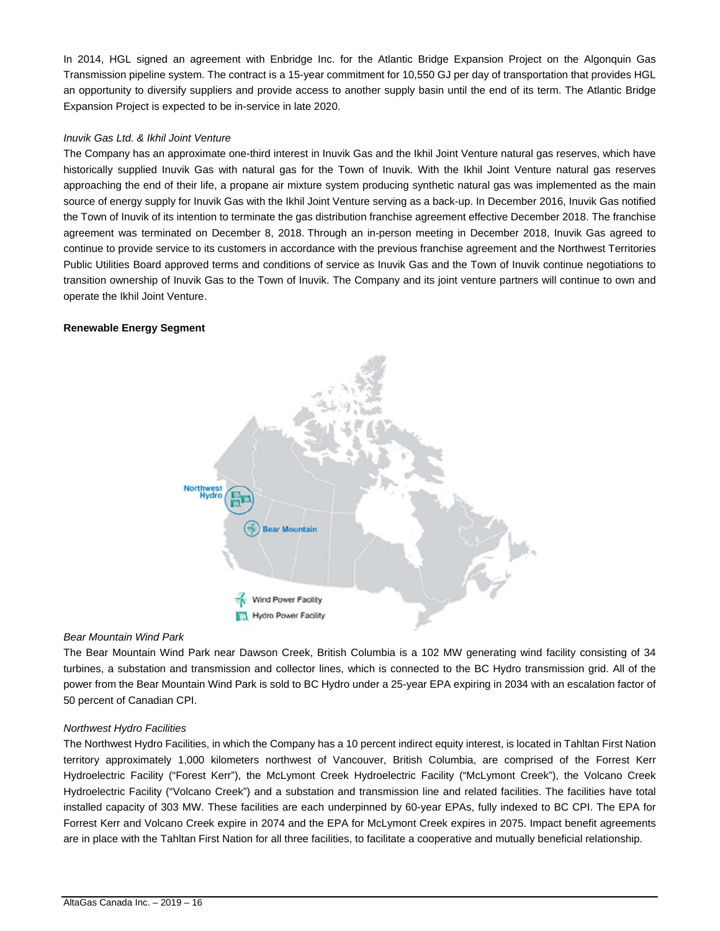In 2014, HGL signed an agreement with Enbridge Inc. for the Atlantic Bridge Expansion Project on the Algonquin Gas Transmission pipeline system. The contract is a 15-year commitment for 10,550 GJ per day of transportation that provides HGL an opportunity to diversify suppliers and provide access to another supply basin until the end of its term. The Atlantic Bridge Expansion Project is expected to be in-service in late 2020.

# *Inuvik Gas Ltd. & Ikhil Joint Venture*

The Company has an approximate one-third interest in Inuvik Gas and the Ikhil Joint Venture natural gas reserves, which have historically supplied Inuvik Gas with natural gas for the Town of Inuvik. With the Ikhil Joint Venture natural gas reserves approaching the end of their life, a propane air mixture system producing synthetic natural gas was implemented as the main source of energy supply for Inuvik Gas with the Ikhil Joint Venture serving as a back-up. In December 2016, Inuvik Gas notified the Town of Inuvik of its intention to terminate the gas distribution franchise agreement effective December 2018. The franchise agreement was terminated on December 8, 2018. Through an in-person meeting in December 2018, Inuvik Gas agreed to continue to provide service to its customers in accordance with the previous franchise agreement and the Northwest Territories Public Utilities Board approved terms and conditions of service as Inuvik Gas and the Town of Inuvik continue negotiations to transition ownership of Inuvik Gas to the Town of Inuvik. The Company and its joint venture partners will continue to own and operate the Ikhil Joint Venture.

#### **Renewable Energy Segment**



#### *Bear Mountain Wind Park*

The Bear Mountain Wind Park near Dawson Creek, British Columbia is a 102 MW generating wind facility consisting of 34 turbines, a substation and transmission and collector lines, which is connected to the BC Hydro transmission grid. All of the power from the Bear Mountain Wind Park is sold to BC Hydro under a 25-year EPA expiring in 2034 with an escalation factor of 50 percent of Canadian CPI.

#### *Northwest Hydro Facilities*

The Northwest Hydro Facilities, in which the Company has a 10 percent indirect equity interest, is located in Tahltan First Nation territory approximately 1,000 kilometers northwest of Vancouver, British Columbia, are comprised of the Forrest Kerr Hydroelectric Facility ("Forest Kerr"), the McLymont Creek Hydroelectric Facility ("McLymont Creek"), the Volcano Creek Hydroelectric Facility ("Volcano Creek") and a substation and transmission line and related facilities. The facilities have total installed capacity of 303 MW. These facilities are each underpinned by 60-year EPAs, fully indexed to BC CPI. The EPA for Forrest Kerr and Volcano Creek expire in 2074 and the EPA for McLymont Creek expires in 2075. Impact benefit agreements are in place with the Tahltan First Nation for all three facilities, to facilitate a cooperative and mutually beneficial relationship.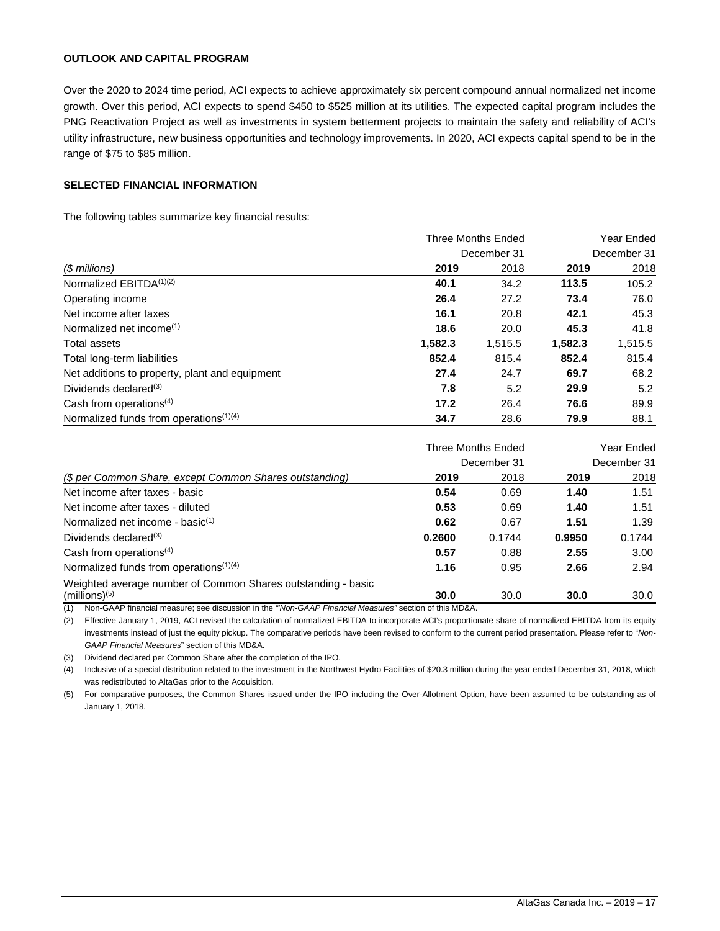## **OUTLOOK AND CAPITAL PROGRAM**

Over the 2020 to 2024 time period, ACI expects to achieve approximately six percent compound annual normalized net income growth. Over this period, ACI expects to spend \$450 to \$525 million at its utilities. The expected capital program includes the PNG Reactivation Project as well as investments in system betterment projects to maintain the safety and reliability of ACI's utility infrastructure, new business opportunities and technology improvements. In 2020, ACI expects capital spend to be in the range of \$75 to \$85 million.

#### **SELECTED FINANCIAL INFORMATION**

The following tables summarize key financial results:

|                                                |         | Three Months Ended |         |         |  |  |
|------------------------------------------------|---------|--------------------|---------|---------|--|--|
|                                                |         | December 31        |         |         |  |  |
| (\$ millions)                                  | 2019    | 2018               | 2019    | 2018    |  |  |
| Normalized EBITDA(1)(2)                        | 40.1    | 34.2               | 113.5   | 105.2   |  |  |
| Operating income                               | 26.4    | 27.2               | 73.4    | 76.0    |  |  |
| Net income after taxes                         | 16.1    | 20.8               | 42.1    | 45.3    |  |  |
| Normalized net income <sup>(1)</sup>           | 18.6    | 20.0               | 45.3    | 41.8    |  |  |
| Total assets                                   | 1,582.3 | 1,515.5            | 1,582.3 | 1,515.5 |  |  |
| Total long-term liabilities                    | 852.4   | 815.4              | 852.4   | 815.4   |  |  |
| Net additions to property, plant and equipment | 27.4    | 24.7               | 69.7    | 68.2    |  |  |
| Dividends declared $(3)$                       | 7.8     | 5.2                | 29.9    | 5.2     |  |  |
| Cash from operations $(4)$                     | 17.2    | 26.4               | 76.6    | 89.9    |  |  |
| Normalized funds from operations $(1)(4)$      | 34.7    | 28.6               | 79.9    | 88.1    |  |  |

|                                                              |        | Three Months Ended | Year Ended<br>December 31 |        |  |
|--------------------------------------------------------------|--------|--------------------|---------------------------|--------|--|
|                                                              |        | December 31        |                           |        |  |
| (\$ per Common Share, except Common Shares outstanding)      | 2019   | 2018               | 2019                      | 2018   |  |
| Net income after taxes - basic                               | 0.54   | 0.69               | 1.40                      | 1.51   |  |
| Net income after taxes - diluted                             | 0.53   | 0.69               | 1.40                      | 1.51   |  |
| Normalized net income - basi $c^{(1)}$                       | 0.62   | 0.67               | 1.51                      | 1.39   |  |
| Dividends declared $(3)$                                     | 0.2600 | 0.1744             | 0.9950                    | 0.1744 |  |
| Cash from operations <sup><math>(4)</math></sup>             | 0.57   | 0.88               | 2.55                      | 3.00   |  |
| Normalized funds from operations $(1)(4)$                    | 1.16   | 0.95               | 2.66                      | 2.94   |  |
| Weighted average number of Common Shares outstanding - basic |        |                    |                           |        |  |
| (millions) <sup>(5)</sup>                                    | 30.0   | 30.0               | 30.0                      | 30.0   |  |

(1) Non-GAAP financial measure; see discussion in the *"'Non-GAAP Financial Measures"* section of this MD&A.

(2) Effective January 1, 2019, ACI revised the calculation of normalized EBITDA to incorporate ACI's proportionate share of normalized EBITDA from its equity investments instead of just the equity pickup. The comparative periods have been revised to conform to the current period presentation. Please refer to "*Non-GAAP Financial Measures*" section of this MD&A.

(3) Dividend declared per Common Share after the completion of the IPO.

(4) Inclusive of a special distribution related to the investment in the Northwest Hydro Facilities of \$20.3 million during the year ended December 31, 2018, which was redistributed to AltaGas prior to the Acquisition.

(5) For comparative purposes, the Common Shares issued under the IPO including the Over-Allotment Option, have been assumed to be outstanding as of January 1, 2018.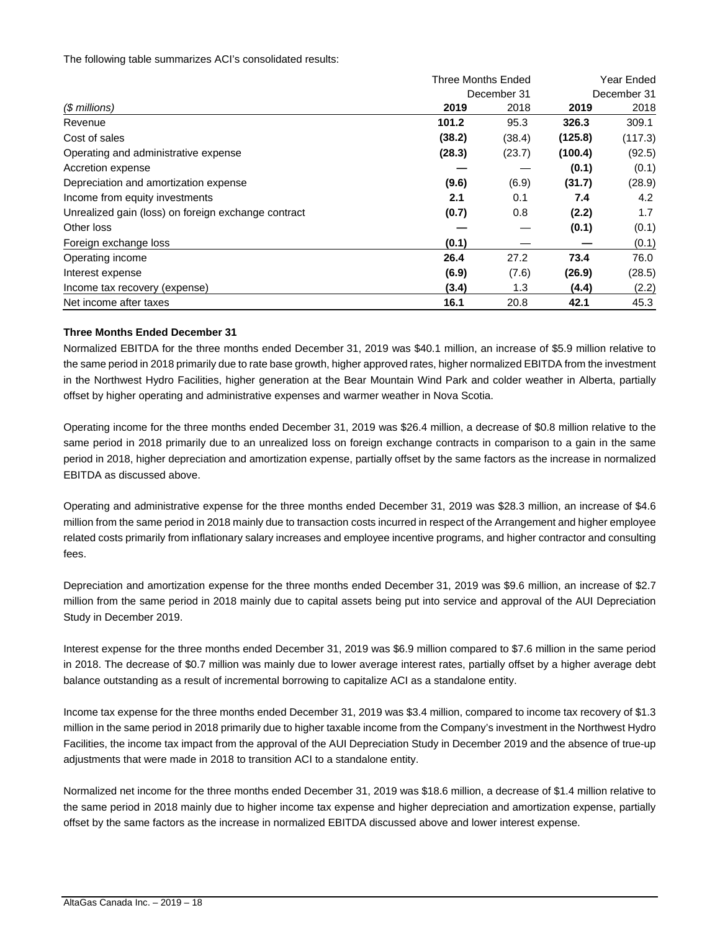The following table summarizes ACI's consolidated results:

|                                                     | Three Months Ended | Year Ended  |             |         |
|-----------------------------------------------------|--------------------|-------------|-------------|---------|
|                                                     |                    | December 31 | December 31 |         |
| $$$ millions)                                       | 2019               | 2018        | 2019        | 2018    |
| Revenue                                             | 101.2              | 95.3        | 326.3       | 309.1   |
| Cost of sales                                       | (38.2)             | (38.4)      | (125.8)     | (117.3) |
| Operating and administrative expense                | (28.3)             | (23.7)      | (100.4)     | (92.5)  |
| Accretion expense                                   |                    |             | (0.1)       | (0.1)   |
| Depreciation and amortization expense               | (9.6)              | (6.9)       | (31.7)      | (28.9)  |
| Income from equity investments                      | 2.1                | 0.1         | 7.4         | 4.2     |
| Unrealized gain (loss) on foreign exchange contract | (0.7)              | 0.8         | (2.2)       | 1.7     |
| Other loss                                          |                    |             | (0.1)       | (0.1)   |
| Foreign exchange loss                               | (0.1)              |             |             | (0.1)   |
| Operating income                                    | 26.4               | 27.2        | 73.4        | 76.0    |
| Interest expense                                    | (6.9)              | (7.6)       | (26.9)      | (28.5)  |
| Income tax recovery (expense)                       | (3.4)              | 1.3         | (4.4)       | (2.2)   |
| Net income after taxes                              | 16.1               | 20.8        | 42.1        | 45.3    |

#### **Three Months Ended December 31**

Normalized EBITDA for the three months ended December 31, 2019 was \$40.1 million, an increase of \$5.9 million relative to the same period in 2018 primarily due to rate base growth, higher approved rates, higher normalized EBITDA from the investment in the Northwest Hydro Facilities, higher generation at the Bear Mountain Wind Park and colder weather in Alberta, partially offset by higher operating and administrative expenses and warmer weather in Nova Scotia.

Operating income for the three months ended December 31, 2019 was \$26.4 million, a decrease of \$0.8 million relative to the same period in 2018 primarily due to an unrealized loss on foreign exchange contracts in comparison to a gain in the same period in 2018, higher depreciation and amortization expense, partially offset by the same factors as the increase in normalized EBITDA as discussed above.

Operating and administrative expense for the three months ended December 31, 2019 was \$28.3 million, an increase of \$4.6 million from the same period in 2018 mainly due to transaction costs incurred in respect of the Arrangement and higher employee related costs primarily from inflationary salary increases and employee incentive programs, and higher contractor and consulting fees.

Depreciation and amortization expense for the three months ended December 31, 2019 was \$9.6 million, an increase of \$2.7 million from the same period in 2018 mainly due to capital assets being put into service and approval of the AUI Depreciation Study in December 2019.

Interest expense for the three months ended December 31, 2019 was \$6.9 million compared to \$7.6 million in the same period in 2018. The decrease of \$0.7 million was mainly due to lower average interest rates, partially offset by a higher average debt balance outstanding as a result of incremental borrowing to capitalize ACI as a standalone entity.

Income tax expense for the three months ended December 31, 2019 was \$3.4 million, compared to income tax recovery of \$1.3 million in the same period in 2018 primarily due to higher taxable income from the Company's investment in the Northwest Hydro Facilities, the income tax impact from the approval of the AUI Depreciation Study in December 2019 and the absence of true-up adjustments that were made in 2018 to transition ACI to a standalone entity.

Normalized net income for the three months ended December 31, 2019 was \$18.6 million, a decrease of \$1.4 million relative to the same period in 2018 mainly due to higher income tax expense and higher depreciation and amortization expense, partially offset by the same factors as the increase in normalized EBITDA discussed above and lower interest expense.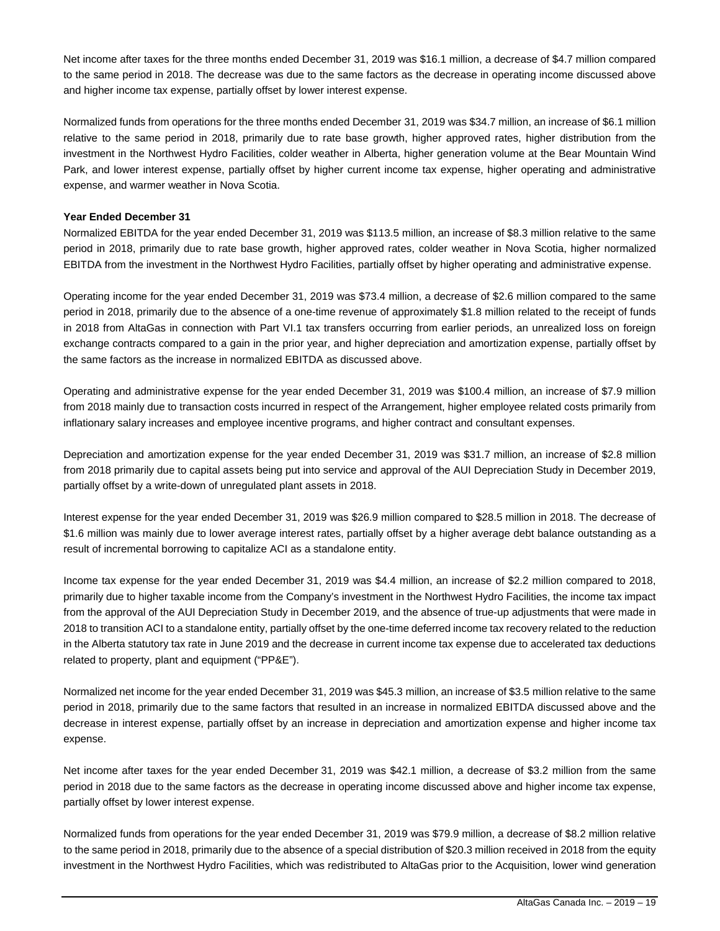Net income after taxes for the three months ended December 31, 2019 was \$16.1 million, a decrease of \$4.7 million compared to the same period in 2018. The decrease was due to the same factors as the decrease in operating income discussed above and higher income tax expense, partially offset by lower interest expense.

Normalized funds from operations for the three months ended December 31, 2019 was \$34.7 million, an increase of \$6.1 million relative to the same period in 2018, primarily due to rate base growth, higher approved rates, higher distribution from the investment in the Northwest Hydro Facilities, colder weather in Alberta, higher generation volume at the Bear Mountain Wind Park, and lower interest expense, partially offset by higher current income tax expense, higher operating and administrative expense, and warmer weather in Nova Scotia.

#### **Year Ended December 31**

Normalized EBITDA for the year ended December 31, 2019 was \$113.5 million, an increase of \$8.3 million relative to the same period in 2018, primarily due to rate base growth, higher approved rates, colder weather in Nova Scotia, higher normalized EBITDA from the investment in the Northwest Hydro Facilities, partially offset by higher operating and administrative expense.

Operating income for the year ended December 31, 2019 was \$73.4 million, a decrease of \$2.6 million compared to the same period in 2018, primarily due to the absence of a one-time revenue of approximately \$1.8 million related to the receipt of funds in 2018 from AltaGas in connection with Part VI.1 tax transfers occurring from earlier periods, an unrealized loss on foreign exchange contracts compared to a gain in the prior year, and higher depreciation and amortization expense, partially offset by the same factors as the increase in normalized EBITDA as discussed above.

Operating and administrative expense for the year ended December 31, 2019 was \$100.4 million, an increase of \$7.9 million from 2018 mainly due to transaction costs incurred in respect of the Arrangement, higher employee related costs primarily from inflationary salary increases and employee incentive programs, and higher contract and consultant expenses.

Depreciation and amortization expense for the year ended December 31, 2019 was \$31.7 million, an increase of \$2.8 million from 2018 primarily due to capital assets being put into service and approval of the AUI Depreciation Study in December 2019, partially offset by a write-down of unregulated plant assets in 2018.

Interest expense for the year ended December 31, 2019 was \$26.9 million compared to \$28.5 million in 2018. The decrease of \$1.6 million was mainly due to lower average interest rates, partially offset by a higher average debt balance outstanding as a result of incremental borrowing to capitalize ACI as a standalone entity.

Income tax expense for the year ended December 31, 2019 was \$4.4 million, an increase of \$2.2 million compared to 2018, primarily due to higher taxable income from the Company's investment in the Northwest Hydro Facilities, the income tax impact from the approval of the AUI Depreciation Study in December 2019, and the absence of true-up adjustments that were made in 2018 to transition ACI to a standalone entity, partially offset by the one-time deferred income tax recovery related to the reduction in the Alberta statutory tax rate in June 2019 and the decrease in current income tax expense due to accelerated tax deductions related to property, plant and equipment ("PP&E").

Normalized net income for the year ended December 31, 2019 was \$45.3 million, an increase of \$3.5 million relative to the same period in 2018, primarily due to the same factors that resulted in an increase in normalized EBITDA discussed above and the decrease in interest expense, partially offset by an increase in depreciation and amortization expense and higher income tax expense.

Net income after taxes for the year ended December 31, 2019 was \$42.1 million, a decrease of \$3.2 million from the same period in 2018 due to the same factors as the decrease in operating income discussed above and higher income tax expense, partially offset by lower interest expense.

Normalized funds from operations for the year ended December 31, 2019 was \$79.9 million, a decrease of \$8.2 million relative to the same period in 2018, primarily due to the absence of a special distribution of \$20.3 million received in 2018 from the equity investment in the Northwest Hydro Facilities, which was redistributed to AltaGas prior to the Acquisition, lower wind generation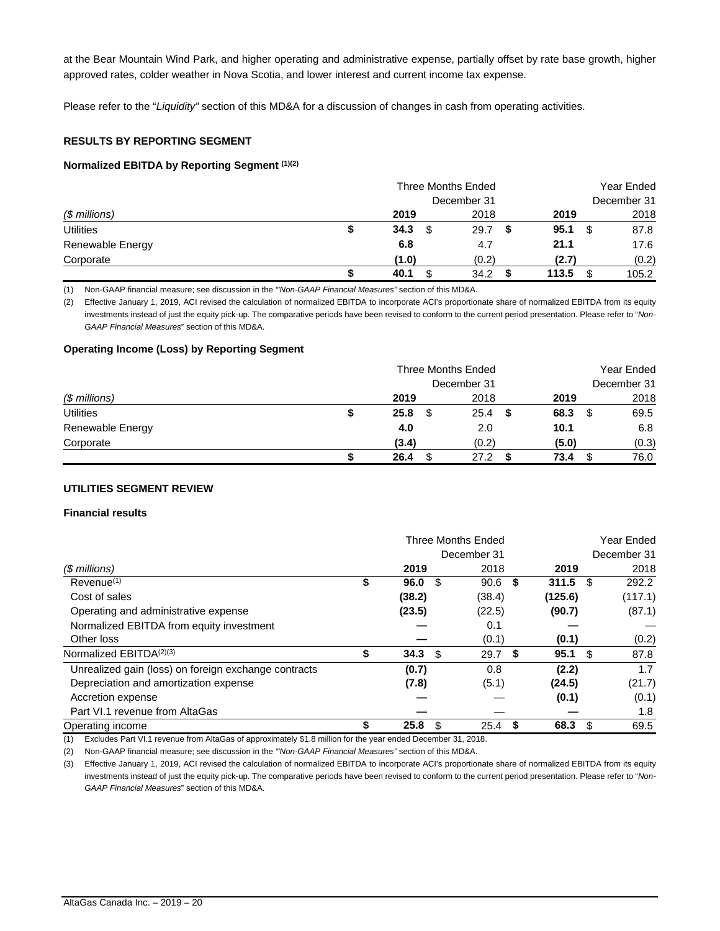at the Bear Mountain Wind Park, and higher operating and administrative expense, partially offset by rate base growth, higher approved rates, colder weather in Nova Scotia, and lower interest and current income tax expense.

Please refer to the "*Liquidity"* section of this MD&A for a discussion of changes in cash from operating activities.

#### **RESULTS BY REPORTING SEGMENT**

#### **Normalized EBITDA by Reporting Segment (1)(2)**

|                  |   | Three Months Ended |             |            | Year Ended  |  |
|------------------|---|--------------------|-------------|------------|-------------|--|
|                  |   |                    | December 31 |            | December 31 |  |
| $$$ millions)    |   | 2019               | 2018        | 2019       | 2018        |  |
| <b>Utilities</b> | S | 34.3               | 29.7        | 95.1<br>\$ | 87.8        |  |
| Renewable Energy |   | 6.8                | 4.7         | 21.1       | 17.6        |  |
| Corporate        |   | (1.0)              | (0.2)       | (2.7)      | (0.2)       |  |
|                  |   | 40.1               | 34.2        | 113.5      | 105.2       |  |

(1) Non-GAAP financial measure; see discussion in the *"'Non-GAAP Financial Measures"* section of this MD&A.

(2) Effective January 1, 2019, ACI revised the calculation of normalized EBITDA to incorporate ACI's proportionate share of normalized EBITDA from its equity investments instead of just the equity pick-up. The comparative periods have been revised to conform to the current period presentation. Please refer to "*Non-GAAP Financial Measures*" section of this MD&A.

#### **Operating Income (Loss) by Reporting Segment**

|                  | Three Months Ended |             | Year Ended  |             |  |
|------------------|--------------------|-------------|-------------|-------------|--|
|                  |                    | December 31 |             | December 31 |  |
| $$$ millions)    | 2019               | 2018        | 2019        | 2018        |  |
| <b>Utilities</b> | \$<br>25.8         | 25.4        | 68.3<br>-\$ | 69.5        |  |
| Renewable Energy | 4.0                | 2.0         | 10.1        | 6.8         |  |
| Corporate        | (3.4)              | (0.2)       | (5.0)       | (0.3)       |  |
|                  | 26.4               | 27.2        | 73.4        | 76.0        |  |

# **UTILITIES SEGMENT REVIEW**

#### **Financial results**

|                                                      |    |        |     | <b>Three Months Ended</b> |    |            |      | Year Ended  |
|------------------------------------------------------|----|--------|-----|---------------------------|----|------------|------|-------------|
|                                                      |    |        |     | December 31               |    |            |      | December 31 |
| $$$ millions)                                        |    | 2019   |     | 2018                      |    | 2019       |      | 2018        |
| Revenue <sup>(1)</sup>                               | \$ | 96.0   | \$  | 90.6                      | \$ | $311.5$ \$ |      | 292.2       |
| Cost of sales                                        |    | (38.2) |     | (38.4)                    |    | (125.6)    |      | (117.1)     |
| Operating and administrative expense                 |    | (23.5) |     | (22.5)                    |    | (90.7)     |      | (87.1)      |
| Normalized EBITDA from equity investment             |    |        |     | 0.1                       |    |            |      |             |
| Other loss                                           |    |        |     | (0.1)                     |    | (0.1)      |      | (0.2)       |
| Normalized $EBITDA(2)(3)$                            | \$ | 34.3   | -\$ | 29.7                      | -S | 95.1       | - \$ | 87.8        |
| Unrealized gain (loss) on foreign exchange contracts |    | (0.7)  |     | 0.8                       |    | (2.2)      |      | 1.7         |
| Depreciation and amortization expense                |    | (7.8)  |     | (5.1)                     |    | (24.5)     |      | (21.7)      |
| Accretion expense                                    |    |        |     |                           |    | (0.1)      |      | (0.1)       |
| Part VI.1 revenue from AltaGas                       |    |        |     |                           |    |            |      | 1.8         |
| Operating income                                     | S  | 25.8   | \$. | 25.4                      |    | 68.3       | \$.  | 69.5        |

(1) Excludes Part VI.1 revenue from AltaGas of approximately \$1.8 million for the year ended December 31, 2018.

(2) Non-GAAP financial measure; see discussion in the *"'Non-GAAP Financial Measures"* section of this MD&A.

(3) Effective January 1, 2019, ACI revised the calculation of normalized EBITDA to incorporate ACI's proportionate share of normalized EBITDA from its equity investments instead of just the equity pick-up. The comparative periods have been revised to conform to the current period presentation. Please refer to "*Non-GAAP Financial Measures*" section of this MD&A.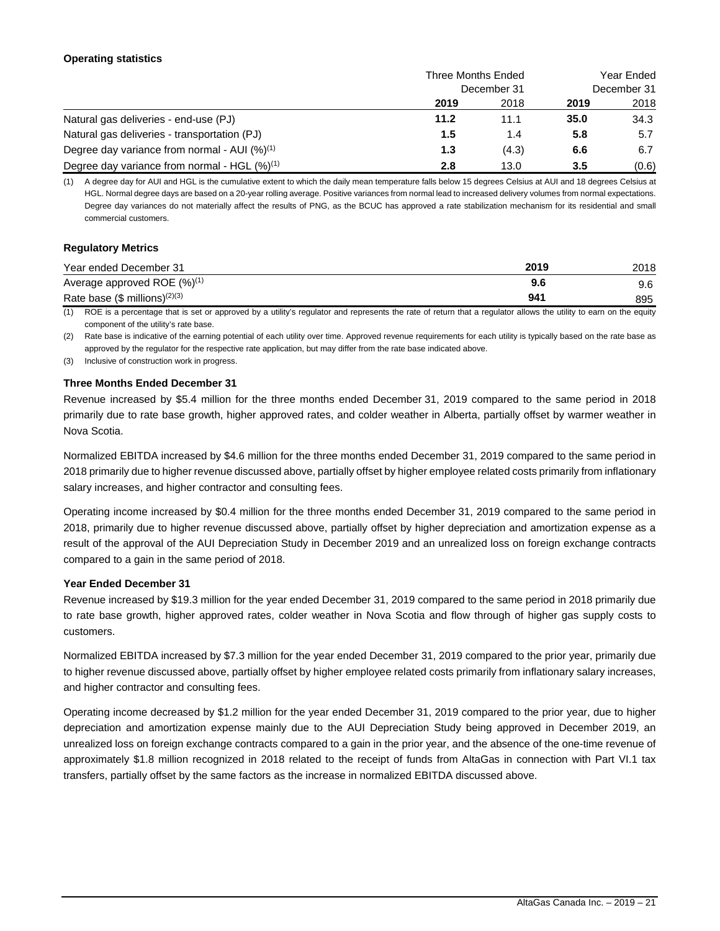#### **Operating statistics**

|                                                    | Three Months Ended | Year Ended<br>December 31 |      |       |
|----------------------------------------------------|--------------------|---------------------------|------|-------|
|                                                    | December 31        |                           |      |       |
|                                                    | 2019               | 2018                      | 2019 | 2018  |
| Natural gas deliveries - end-use (PJ)              | 11.2               | 11.1                      | 35.0 | 34.3  |
| Natural gas deliveries - transportation (PJ)       | $1.5\,$            | 1.4                       | 5.8  | 5.7   |
| Degree day variance from normal - AUI $(%)^{(1)}$  | 1.3                | (4.3)                     | 6.6  | 6.7   |
| Degree day variance from normal - HGL $(\%)^{(1)}$ | 2.8                | 13.0                      | 3.5  | (0.6) |

(1) A degree day for AUI and HGL is the cumulative extent to which the daily mean temperature falls below 15 degrees Celsius at AUI and 18 degrees Celsius at HGL. Normal degree days are based on a 20-year rolling average. Positive variances from normal lead to increased delivery volumes from normal expectations. Degree day variances do not materially affect the results of PNG, as the BCUC has approved a rate stabilization mechanism for its residential and small commercial customers.

#### **Regulatory Metrics**

| Year ended December 31                      | 2019 | 2018 |
|---------------------------------------------|------|------|
| Average approved ROE $(\%)^{(1)}$           | 9.6  | 9.6  |
| Rate base $(\$$ millions) <sup>(2)(3)</sup> | 94'  | 895  |

(1) ROE is a percentage that is set or approved by a utility's regulator and represents the rate of return that a regulator allows the utility to earn on the equity component of the utility's rate base.

(2) Rate base is indicative of the earning potential of each utility over time. Approved revenue requirements for each utility is typically based on the rate base as approved by the regulator for the respective rate application, but may differ from the rate base indicated above.

(3) Inclusive of construction work in progress.

# **Three Months Ended December 31**

Revenue increased by \$5.4 million for the three months ended December 31, 2019 compared to the same period in 2018 primarily due to rate base growth, higher approved rates, and colder weather in Alberta, partially offset by warmer weather in Nova Scotia.

Normalized EBITDA increased by \$4.6 million for the three months ended December 31, 2019 compared to the same period in 2018 primarily due to higher revenue discussed above, partially offset by higher employee related costs primarily from inflationary salary increases, and higher contractor and consulting fees.

Operating income increased by \$0.4 million for the three months ended December 31, 2019 compared to the same period in 2018, primarily due to higher revenue discussed above, partially offset by higher depreciation and amortization expense as a result of the approval of the AUI Depreciation Study in December 2019 and an unrealized loss on foreign exchange contracts compared to a gain in the same period of 2018.

#### **Year Ended December 31**

Revenue increased by \$19.3 million for the year ended December 31, 2019 compared to the same period in 2018 primarily due to rate base growth, higher approved rates, colder weather in Nova Scotia and flow through of higher gas supply costs to customers.

Normalized EBITDA increased by \$7.3 million for the year ended December 31, 2019 compared to the prior year, primarily due to higher revenue discussed above, partially offset by higher employee related costs primarily from inflationary salary increases, and higher contractor and consulting fees.

Operating income decreased by \$1.2 million for the year ended December 31, 2019 compared to the prior year, due to higher depreciation and amortization expense mainly due to the AUI Depreciation Study being approved in December 2019, an unrealized loss on foreign exchange contracts compared to a gain in the prior year, and the absence of the one-time revenue of approximately \$1.8 million recognized in 2018 related to the receipt of funds from AltaGas in connection with Part VI.1 tax transfers, partially offset by the same factors as the increase in normalized EBITDA discussed above.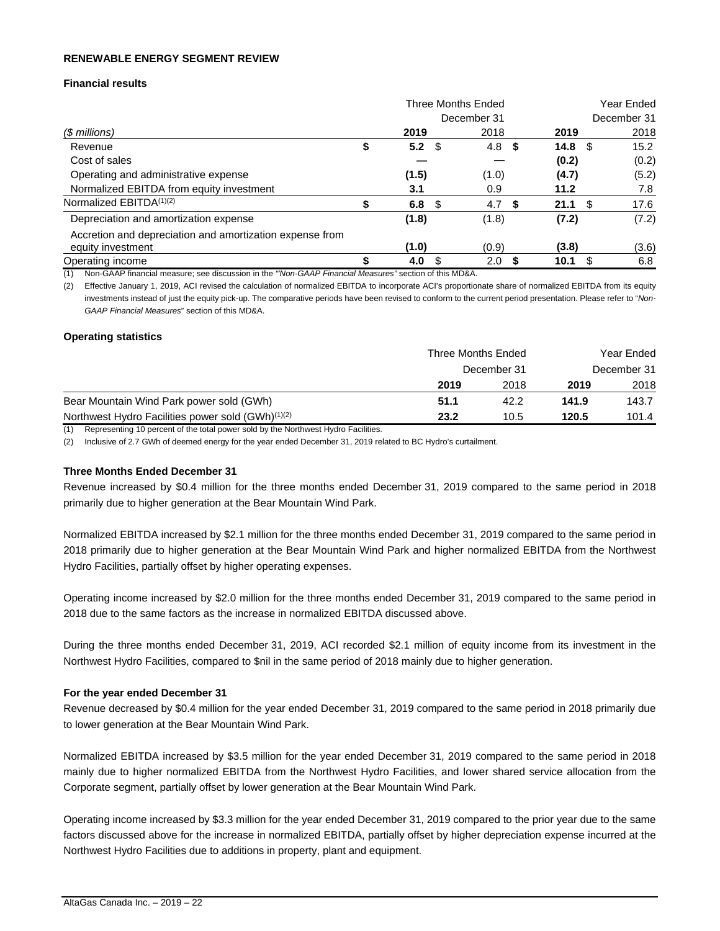#### **RENEWABLE ENERGY SEGMENT REVIEW**

#### **Financial results**

|                                                          | Three Months Ended |      |                  |  | Year Ended |      |             |  |
|----------------------------------------------------------|--------------------|------|------------------|--|------------|------|-------------|--|
|                                                          |                    |      | December 31      |  |            |      | December 31 |  |
| (\$ millions)                                            | 2019               |      | 2018             |  | 2019       |      | 2018        |  |
| Revenue                                                  | \$<br>5.2          | - \$ | 4.8 \$           |  | 14.8       | - \$ | 15.2        |  |
| Cost of sales                                            |                    |      |                  |  | (0.2)      |      | (0.2)       |  |
| Operating and administrative expense                     | (1.5)              |      | (1.0)            |  | (4.7)      |      | (5.2)       |  |
| Normalized EBITDA from equity investment                 | 3.1                |      | 0.9              |  | 11.2       |      | 7.8         |  |
| Normalized EBITDA(1)(2)                                  | 6.8                | - \$ | 4.7 <sup>5</sup> |  | 21.1 S     |      | 17.6        |  |
| Depreciation and amortization expense                    | (1.8)              |      | (1.8)            |  | (7.2)      |      | (7.2)       |  |
| Accretion and depreciation and amortization expense from |                    |      |                  |  |            |      |             |  |
| equity investment                                        | (1.0)              |      | (0.9)            |  | (3.8)      |      | (3.6)       |  |
| Operating income                                         | 4.0                |      | 2.0              |  | 10.1       |      | 6.8         |  |

(1) Non-GAAP financial measure; see discussion in the *"'Non-GAAP Financial Measures"* section of this MD&A.

(2) Effective January 1, 2019, ACI revised the calculation of normalized EBITDA to incorporate ACI's proportionate share of normalized EBITDA from its equity investments instead of just the equity pick-up. The comparative periods have been revised to conform to the current period presentation. Please refer to "*Non-GAAP Financial Measures*" section of this MD&A.

#### **Operating statistics**

|                                                                                                                                                                                                                                                                              | <b>Three Months Ended</b> |             |       | Year Ended  |
|------------------------------------------------------------------------------------------------------------------------------------------------------------------------------------------------------------------------------------------------------------------------------|---------------------------|-------------|-------|-------------|
|                                                                                                                                                                                                                                                                              |                           | December 31 |       | December 31 |
|                                                                                                                                                                                                                                                                              | 2019                      | 2018        | 2019  | 2018        |
| Bear Mountain Wind Park power sold (GWh)                                                                                                                                                                                                                                     | 51.1                      | 42.2        | 141.9 | 143.7       |
| Northwest Hydro Facilities power sold (GWh) <sup>(1)(2)</sup>                                                                                                                                                                                                                | 23.2                      | 10.5        | 120.5 | 101.4       |
| $\mathcal{L}(\mathbf{A})$ is a constant of the constant of the constant of the constant of the constant of the constant of the constant of the constant of the constant of the constant of the constant of the constant of the constant<br>.<br>$\overline{\phantom{0}}$<br> |                           |             |       |             |

(1) Representing 10 percent of the total power sold by the Northwest Hydro Facilities.

(2) Inclusive of 2.7 GWh of deemed energy for the year ended December 31, 2019 related to BC Hydro's curtailment.

#### **Three Months Ended December 31**

Revenue increased by \$0.4 million for the three months ended December 31, 2019 compared to the same period in 2018 primarily due to higher generation at the Bear Mountain Wind Park.

Normalized EBITDA increased by \$2.1 million for the three months ended December 31, 2019 compared to the same period in 2018 primarily due to higher generation at the Bear Mountain Wind Park and higher normalized EBITDA from the Northwest Hydro Facilities, partially offset by higher operating expenses.

Operating income increased by \$2.0 million for the three months ended December 31, 2019 compared to the same period in 2018 due to the same factors as the increase in normalized EBITDA discussed above.

During the three months ended December 31, 2019, ACI recorded \$2.1 million of equity income from its investment in the Northwest Hydro Facilities, compared to \$nil in the same period of 2018 mainly due to higher generation.

#### **For the year ended December 31**

Revenue decreased by \$0.4 million for the year ended December 31, 2019 compared to the same period in 2018 primarily due to lower generation at the Bear Mountain Wind Park.

Normalized EBITDA increased by \$3.5 million for the year ended December 31, 2019 compared to the same period in 2018 mainly due to higher normalized EBITDA from the Northwest Hydro Facilities, and lower shared service allocation from the Corporate segment, partially offset by lower generation at the Bear Mountain Wind Park.

Operating income increased by \$3.3 million for the year ended December 31, 2019 compared to the prior year due to the same factors discussed above for the increase in normalized EBITDA, partially offset by higher depreciation expense incurred at the Northwest Hydro Facilities due to additions in property, plant and equipment.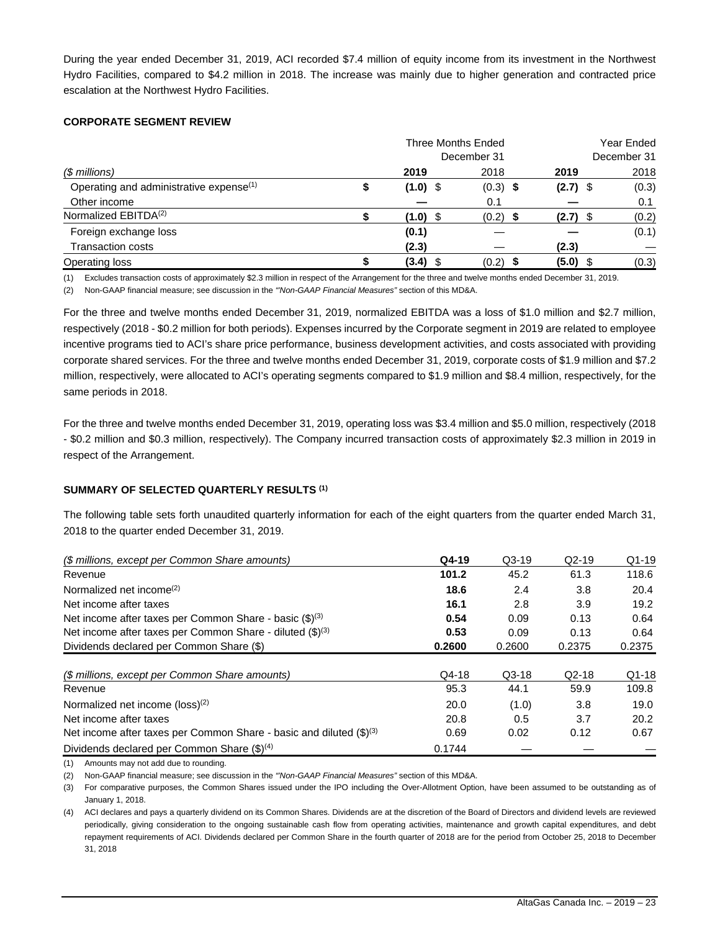During the year ended December 31, 2019, ACI recorded \$7.4 million of equity income from its investment in the Northwest Hydro Facilities, compared to \$4.2 million in 2018. The increase was mainly due to higher generation and contracted price escalation at the Northwest Hydro Facilities.

## **CORPORATE SEGMENT REVIEW**

|                                                     |   | Three Months Ended |             |            | Year Ended  |
|-----------------------------------------------------|---|--------------------|-------------|------------|-------------|
|                                                     |   |                    | December 31 |            | December 31 |
| (\$ millions)                                       |   | 2019               | 2018        | 2019       | 2018        |
| Operating and administrative expense <sup>(1)</sup> | Φ | $(1.0)$ \$         | $(0.3)$ \$  | $(2.7)$ \$ | (0.3)       |
| Other income                                        |   |                    | 0.1         |            | 0.1         |
| Normalized EBITDA <sup>(2)</sup>                    |   | $(1.0)$ \$         | $(0.2)$ \$  | $(2.7)$ \$ | (0.2)       |
| Foreign exchange loss                               |   | (0.1)              |             |            | (0.1)       |
| <b>Transaction costs</b>                            |   | (2.3)              |             | (2.3)      |             |
| Operating loss                                      |   | (3.4)              | (0.2)       | $(5.0)$ \$ | (0.3)       |

(1) Excludes transaction costs of approximately \$2.3 million in respect of the Arrangement for the three and twelve months ended December 31, 2019.

(2) Non-GAAP financial measure; see discussion in the *"'Non-GAAP Financial Measures"* section of this MD&A.

For the three and twelve months ended December 31, 2019, normalized EBITDA was a loss of \$1.0 million and \$2.7 million, respectively (2018 - \$0.2 million for both periods). Expenses incurred by the Corporate segment in 2019 are related to employee incentive programs tied to ACI's share price performance, business development activities, and costs associated with providing corporate shared services. For the three and twelve months ended December 31, 2019, corporate costs of \$1.9 million and \$7.2 million, respectively, were allocated to ACI's operating segments compared to \$1.9 million and \$8.4 million, respectively, for the same periods in 2018.

For the three and twelve months ended December 31, 2019, operating loss was \$3.4 million and \$5.0 million, respectively (2018 - \$0.2 million and \$0.3 million, respectively). The Company incurred transaction costs of approximately \$2.3 million in 2019 in respect of the Arrangement.

# **SUMMARY OF SELECTED QUARTERLY RESULTS (1)**

The following table sets forth unaudited quarterly information for each of the eight quarters from the quarter ended March 31, 2018 to the quarter ended December 31, 2019.

| (\$ millions, except per Common Share amounts)                                    | $Q4-19$ | $Q3-19$ | $Q2-19$ | $Q1-19$ |
|-----------------------------------------------------------------------------------|---------|---------|---------|---------|
| Revenue                                                                           | 101.2   | 45.2    | 61.3    | 118.6   |
| Normalized net income <sup>(2)</sup>                                              | 18.6    | 2.4     | 3.8     | 20.4    |
| Net income after taxes                                                            | 16.1    | 2.8     | 3.9     | 19.2    |
| Net income after taxes per Common Share - basic $(\frac{2}{3})^{(3)}$             | 0.54    | 0.09    | 0.13    | 0.64    |
| Net income after taxes per Common Share - diluted $(\text{$\$})^{(3)}$            | 0.53    | 0.09    | 0.13    | 0.64    |
| Dividends declared per Common Share (\$)                                          | 0.2600  | 0.2600  | 0.2375  | 0.2375  |
|                                                                                   |         |         |         |         |
| (\$ millions, except per Common Share amounts)                                    | $Q4-18$ | $Q3-18$ | $Q2-18$ | $Q1-18$ |
| Revenue                                                                           | 95.3    | 44.1    | 59.9    | 109.8   |
| Normalized net income (loss) <sup>(2)</sup>                                       | 20.0    | (1.0)   | 3.8     | 19.0    |
| Net income after taxes                                                            | 20.8    | 0.5     | 3.7     | 20.2    |
| Net income after taxes per Common Share - basic and diluted $(\frac{1}{2})^{(3)}$ | 0.69    | 0.02    | 0.12    | 0.67    |
| Dividends declared per Common Share $(\text{$}^{\mathsf{S}})^{(4)}$               | 0.1744  |         |         |         |

(1) Amounts may not add due to rounding.

(2) Non-GAAP financial measure; see discussion in the *"'Non-GAAP Financial Measures"* section of this MD&A.

(3) For comparative purposes, the Common Shares issued under the IPO including the Over-Allotment Option, have been assumed to be outstanding as of January 1, 2018.

(4) ACI declares and pays a quarterly dividend on its Common Shares. Dividends are at the discretion of the Board of Directors and dividend levels are reviewed periodically, giving consideration to the ongoing sustainable cash flow from operating activities, maintenance and growth capital expenditures, and debt repayment requirements of ACI. Dividends declared per Common Share in the fourth quarter of 2018 are for the period from October 25, 2018 to December 31, 2018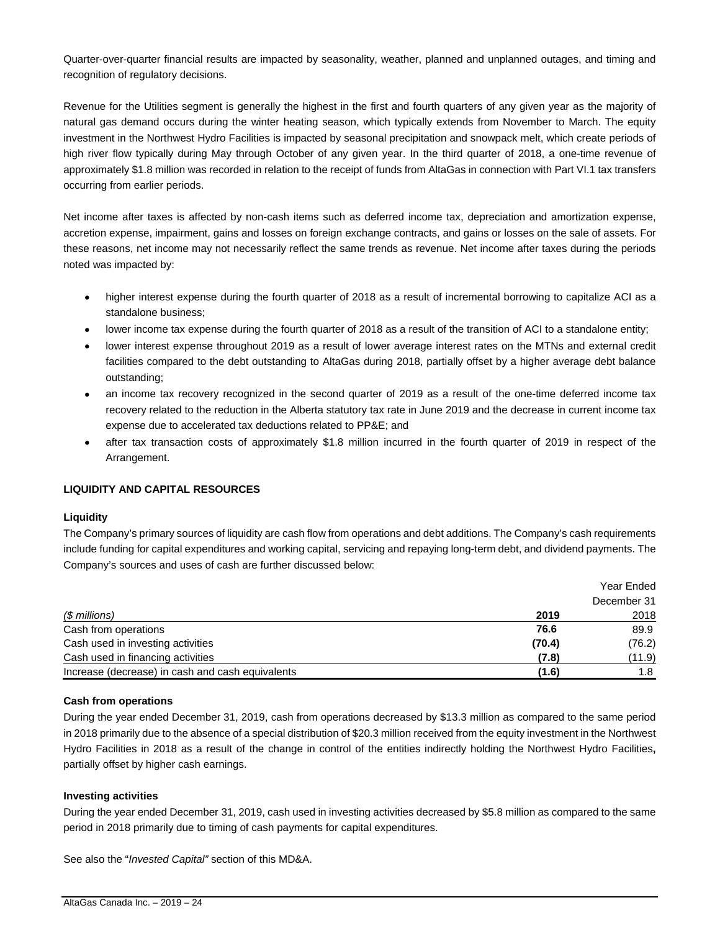Quarter-over-quarter financial results are impacted by seasonality, weather, planned and unplanned outages, and timing and recognition of regulatory decisions.

Revenue for the Utilities segment is generally the highest in the first and fourth quarters of any given year as the majority of natural gas demand occurs during the winter heating season, which typically extends from November to March. The equity investment in the Northwest Hydro Facilities is impacted by seasonal precipitation and snowpack melt, which create periods of high river flow typically during May through October of any given year. In the third quarter of 2018, a one-time revenue of approximately \$1.8 million was recorded in relation to the receipt of funds from AltaGas in connection with Part VI.1 tax transfers occurring from earlier periods.

Net income after taxes is affected by non-cash items such as deferred income tax, depreciation and amortization expense, accretion expense, impairment, gains and losses on foreign exchange contracts, and gains or losses on the sale of assets. For these reasons, net income may not necessarily reflect the same trends as revenue. Net income after taxes during the periods noted was impacted by:

- higher interest expense during the fourth quarter of 2018 as a result of incremental borrowing to capitalize ACI as a standalone business;
- lower income tax expense during the fourth quarter of 2018 as a result of the transition of ACI to a standalone entity;
- lower interest expense throughout 2019 as a result of lower average interest rates on the MTNs and external credit facilities compared to the debt outstanding to AltaGas during 2018, partially offset by a higher average debt balance outstanding;
- an income tax recovery recognized in the second quarter of 2019 as a result of the one-time deferred income tax recovery related to the reduction in the Alberta statutory tax rate in June 2019 and the decrease in current income tax expense due to accelerated tax deductions related to PP&E; and
- after tax transaction costs of approximately \$1.8 million incurred in the fourth quarter of 2019 in respect of the Arrangement.

# **LIQUIDITY AND CAPITAL RESOURCES**

#### **Liquidity**

The Company's primary sources of liquidity are cash flow from operations and debt additions. The Company's cash requirements include funding for capital expenditures and working capital, servicing and repaying long-term debt, and dividend payments. The Company's sources and uses of cash are further discussed below:

|                                                  |        | Year Ended  |
|--------------------------------------------------|--------|-------------|
|                                                  |        | December 31 |
| (\$ millions)                                    | 2019   | 2018        |
| Cash from operations                             | 76.6   | 89.9        |
| Cash used in investing activities                | (70.4) | (76.2)      |
| Cash used in financing activities                | (7.8)  | (11.9)      |
| Increase (decrease) in cash and cash equivalents | (1.6)  | 1.8         |

#### **Cash from operations**

During the year ended December 31, 2019, cash from operations decreased by \$13.3 million as compared to the same period in 2018 primarily due to the absence of a special distribution of \$20.3 million received from the equity investment in the Northwest Hydro Facilities in 2018 as a result of the change in control of the entities indirectly holding the Northwest Hydro Facilities**,**  partially offset by higher cash earnings.

# **Investing activities**

During the year ended December 31, 2019, cash used in investing activities decreased by \$5.8 million as compared to the same period in 2018 primarily due to timing of cash payments for capital expenditures.

See also the "*Invested Capital"* section of this MD&A.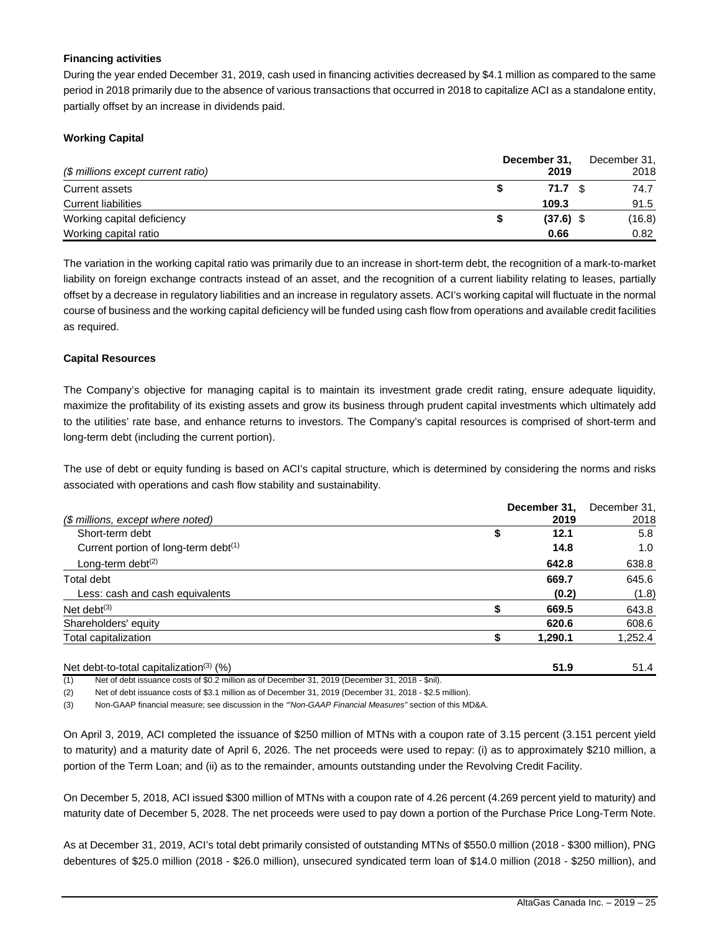# **Financing activities**

During the year ended December 31, 2019, cash used in financing activities decreased by \$4.1 million as compared to the same period in 2018 primarily due to the absence of various transactions that occurred in 2018 to capitalize ACI as a standalone entity, partially offset by an increase in dividends paid.

# **Working Capital**

|                                    | December 31, | December 31, |  |  |
|------------------------------------|--------------|--------------|--|--|
| (\$ millions except current ratio) | 2019         | 2018         |  |  |
| Current assets                     | 71.7 S       | 74.7         |  |  |
| <b>Current liabilities</b>         | 109.3        | 91.5         |  |  |
| Working capital deficiency         | $(37.6)$ \$  | (16.8)       |  |  |
| Working capital ratio              | 0.66         | 0.82         |  |  |

The variation in the working capital ratio was primarily due to an increase in short-term debt, the recognition of a mark-to-market liability on foreign exchange contracts instead of an asset, and the recognition of a current liability relating to leases, partially offset by a decrease in regulatory liabilities and an increase in regulatory assets. ACI's working capital will fluctuate in the normal course of business and the working capital deficiency will be funded using cash flow from operations and available credit facilities as required.

# **Capital Resources**

The Company's objective for managing capital is to maintain its investment grade credit rating, ensure adequate liquidity, maximize the profitability of its existing assets and grow its business through prudent capital investments which ultimately add to the utilities' rate base, and enhance returns to investors. The Company's capital resources is comprised of short-term and long-term debt (including the current portion).

The use of debt or equity funding is based on ACI's capital structure, which is determined by considering the norms and risks associated with operations and cash flow stability and sustainability.

|                                                  | December 31, | December 31, |
|--------------------------------------------------|--------------|--------------|
| (\$ millions, except where noted)                | 2019         | 2018         |
| Short-term debt                                  | \$<br>12.1   | 5.8          |
| Current portion of long-term debt <sup>(1)</sup> | 14.8         | 1.0          |
| Long-term debt $(2)$                             | 642.8        | 638.8        |
| Total debt                                       | 669.7        | 645.6        |
| Less: cash and cash equivalents                  | (0.2)        | (1.8)        |
| Net debt $(3)$                                   | 669.5        | 643.8        |
| Shareholders' equity                             | 620.6        | 608.6        |
| Total capitalization                             | 1,290.1      | 1,252.4      |
|                                                  |              |              |

Net debt-to-total capitalization(3) (%) **51.9** 51.4 (1) Net of debt issuance costs of \$0.2 million as of December 31, 2019 (December 31, 2018 - \$nil).

(2) Net of debt issuance costs of \$3.1 million as of December 31, 2019 (December 31, 2018 - \$2.5 million).

(3) Non-GAAP financial measure; see discussion in the *"'Non-GAAP Financial Measures"* section of this MD&A.

On April 3, 2019, ACI completed the issuance of \$250 million of MTNs with a coupon rate of 3.15 percent (3.151 percent yield to maturity) and a maturity date of April 6, 2026. The net proceeds were used to repay: (i) as to approximately \$210 million, a portion of the Term Loan; and (ii) as to the remainder, amounts outstanding under the Revolving Credit Facility.

On December 5, 2018, ACI issued \$300 million of MTNs with a coupon rate of 4.26 percent (4.269 percent yield to maturity) and maturity date of December 5, 2028. The net proceeds were used to pay down a portion of the Purchase Price Long-Term Note.

As at December 31, 2019, ACI's total debt primarily consisted of outstanding MTNs of \$550.0 million (2018 - \$300 million), PNG debentures of \$25.0 million (2018 - \$26.0 million), unsecured syndicated term loan of \$14.0 million (2018 - \$250 million), and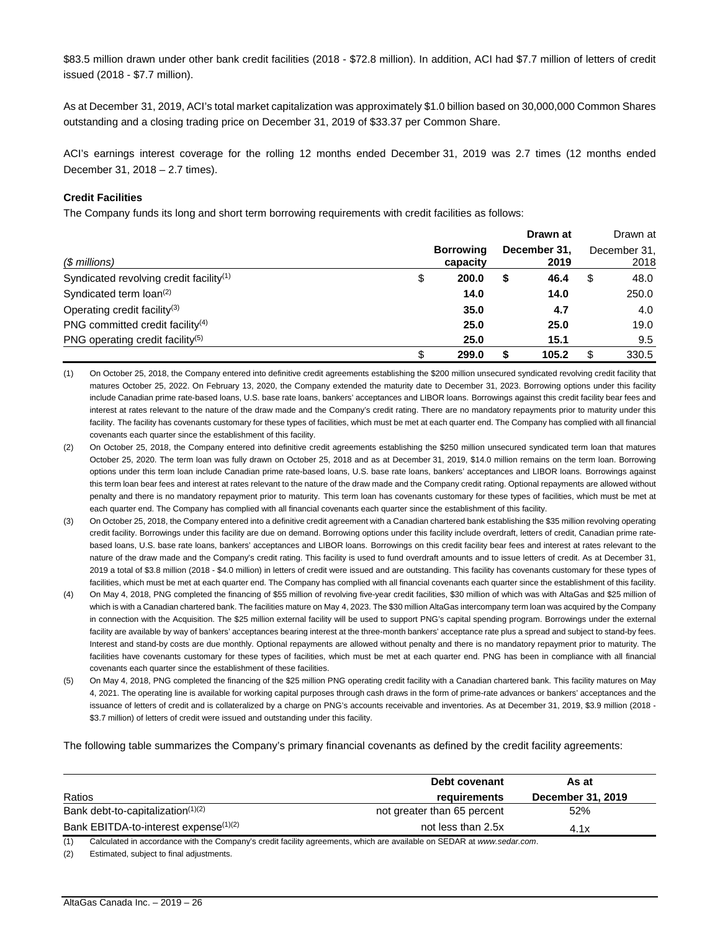\$83.5 million drawn under other bank credit facilities (2018 - \$72.8 million). In addition, ACI had \$7.7 million of letters of credit issued (2018 - \$7.7 million).

As at December 31, 2019, ACI's total market capitalization was approximately \$1.0 billion based on 30,000,000 Common Shares outstanding and a closing trading price on December 31, 2019 of \$33.37 per Common Share.

ACI's earnings interest coverage for the rolling 12 months ended December 31, 2019 was 2.7 times (12 months ended December 31, 2018 – 2.7 times).

#### **Credit Facilities**

The Company funds its long and short term borrowing requirements with credit facilities as follows:

|                                                     |                              |   | Drawn at             | Drawn at             |
|-----------------------------------------------------|------------------------------|---|----------------------|----------------------|
| (\$ millions)                                       | <b>Borrowing</b><br>capacity |   | December 31,<br>2019 | December 31,<br>2018 |
| Syndicated revolving credit facility <sup>(1)</sup> | \$<br>200.0                  | S | 46.4                 | \$<br>48.0           |
| Syndicated term $\text{loan}^{(2)}$                 | 14.0                         |   | 14.0                 | 250.0                |
| Operating credit facility <sup>(3)</sup>            | 35.0                         |   | 4.7                  | 4.0                  |
| PNG committed credit facility <sup>(4)</sup>        | 25.0                         |   | 25.0                 | 19.0                 |
| PNG operating credit facility <sup>(5)</sup>        | 25.0                         |   | 15.1                 | 9.5                  |
|                                                     | 299.0                        |   | 105.2                | 330.5                |

(1) On October 25, 2018, the Company entered into definitive credit agreements establishing the \$200 million unsecured syndicated revolving credit facility that matures October 25, 2022. On February 13, 2020, the Company extended the maturity date to December 31, 2023. Borrowing options under this facility include Canadian prime rate-based loans, U.S. base rate loans, bankers' acceptances and LIBOR loans. Borrowings against this credit facility bear fees and interest at rates relevant to the nature of the draw made and the Company's credit rating. There are no mandatory repayments prior to maturity under this facility. The facility has covenants customary for these types of facilities, which must be met at each quarter end. The Company has complied with all financial covenants each quarter since the establishment of this facility.

- (2) On October 25, 2018, the Company entered into definitive credit agreements establishing the \$250 million unsecured syndicated term loan that matures October 25, 2020. The term loan was fully drawn on October 25, 2018 and as at December 31, 2019, \$14.0 million remains on the term loan. Borrowing options under this term loan include Canadian prime rate-based loans, U.S. base rate loans, bankers' acceptances and LIBOR loans. Borrowings against this term loan bear fees and interest at rates relevant to the nature of the draw made and the Company credit rating. Optional repayments are allowed without penalty and there is no mandatory repayment prior to maturity. This term loan has covenants customary for these types of facilities, which must be met at each quarter end. The Company has complied with all financial covenants each quarter since the establishment of this facility.
- (3) On October 25, 2018, the Company entered into a definitive credit agreement with a Canadian chartered bank establishing the \$35 million revolving operating credit facility. Borrowings under this facility are due on demand. Borrowing options under this facility include overdraft, letters of credit, Canadian prime ratebased loans, U.S. base rate loans, bankers' acceptances and LIBOR loans. Borrowings on this credit facility bear fees and interest at rates relevant to the nature of the draw made and the Company's credit rating. This facility is used to fund overdraft amounts and to issue letters of credit. As at December 31, 2019 a total of \$3.8 million (2018 - \$4.0 million) in letters of credit were issued and are outstanding. This facility has covenants customary for these types of facilities, which must be met at each quarter end. The Company has complied with all financial covenants each quarter since the establishment of this facility.
- (4) On May 4, 2018, PNG completed the financing of \$55 million of revolving five-year credit facilities, \$30 million of which was with AltaGas and \$25 million of which is with a Canadian chartered bank. The facilities mature on May 4, 2023. The \$30 million AltaGas intercompany term loan was acquired by the Company in connection with the Acquisition. The \$25 million external facility will be used to support PNG's capital spending program. Borrowings under the external facility are available by way of bankers' acceptances bearing interest at the three-month bankers' acceptance rate plus a spread and subject to stand-by fees. Interest and stand-by costs are due monthly. Optional repayments are allowed without penalty and there is no mandatory repayment prior to maturity. The facilities have covenants customary for these types of facilities, which must be met at each quarter end. PNG has been in compliance with all financial covenants each quarter since the establishment of these facilities.
- (5) On May 4, 2018, PNG completed the financing of the \$25 million PNG operating credit facility with a Canadian chartered bank. This facility matures on May 4, 2021. The operating line is available for working capital purposes through cash draws in the form of prime-rate advances or bankers' acceptances and the issuance of letters of credit and is collateralized by a charge on PNG's accounts receivable and inventories. As at December 31, 2019, \$3.9 million (2018 - \$3.7 million) of letters of credit were issued and outstanding under this facility.

The following table summarizes the Company's primary financial covenants as defined by the credit facility agreements:

|                                                   | Debt covenant               | As at             |
|---------------------------------------------------|-----------------------------|-------------------|
| Ratios                                            | requirements                | December 31, 2019 |
| Bank debt-to-capitalization $(1)(2)$              | not greater than 65 percent | 52%               |
| Bank EBITDA-to-interest expense <sup>(1)(2)</sup> | not less than 2.5x          | 4.1x              |

(2) Estimated, subject to final adjustments.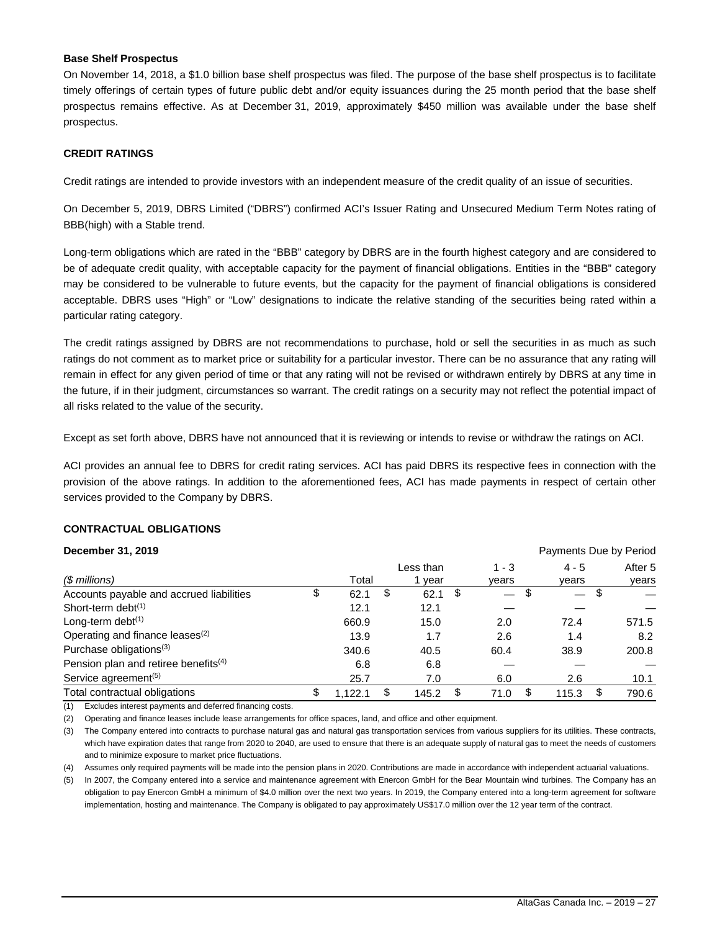#### **Base Shelf Prospectus**

On November 14, 2018, a \$1.0 billion base shelf prospectus was filed. The purpose of the base shelf prospectus is to facilitate timely offerings of certain types of future public debt and/or equity issuances during the 25 month period that the base shelf prospectus remains effective. As at December 31, 2019, approximately \$450 million was available under the base shelf prospectus.

#### **CREDIT RATINGS**

Credit ratings are intended to provide investors with an independent measure of the credit quality of an issue of securities.

On December 5, 2019, DBRS Limited ("DBRS") confirmed ACI's Issuer Rating and Unsecured Medium Term Notes rating of BBB(high) with a Stable trend.

Long-term obligations which are rated in the "BBB" category by DBRS are in the fourth highest category and are considered to be of adequate credit quality, with acceptable capacity for the payment of financial obligations. Entities in the "BBB" category may be considered to be vulnerable to future events, but the capacity for the payment of financial obligations is considered acceptable. DBRS uses "High" or "Low" designations to indicate the relative standing of the securities being rated within a particular rating category.

The credit ratings assigned by DBRS are not recommendations to purchase, hold or sell the securities in as much as such ratings do not comment as to market price or suitability for a particular investor. There can be no assurance that any rating will remain in effect for any given period of time or that any rating will not be revised or withdrawn entirely by DBRS at any time in the future, if in their judgment, circumstances so warrant. The credit ratings on a security may not reflect the potential impact of all risks related to the value of the security.

Except as set forth above, DBRS have not announced that it is reviewing or intends to revise or withdraw the ratings on ACI.

ACI provides an annual fee to DBRS for credit rating services. ACI has paid DBRS its respective fees in connection with the provision of the above ratings. In addition to the aforementioned fees, ACI has made payments in respect of certain other services provided to the Company by DBRS.

# **CONTRACTUAL OBLIGATIONS**

| December 31, 2019                                |              |                   |      |                  |    | Payments Due by Period |   |                  |
|--------------------------------------------------|--------------|-------------------|------|------------------|----|------------------------|---|------------------|
| (\$ millions)                                    | Total        | Less than<br>vear |      | $1 - 3$<br>vears |    | $4 - 5$<br>vears       |   | After 5<br>vears |
| Accounts payable and accrued liabilities         | \$<br>62.1   | \$<br>62.1        | - \$ |                  | \$ |                        | S |                  |
| Short-term debt $(1)$                            | 12.1         | 12.1              |      |                  |    |                        |   |                  |
| Long-term debt $(1)$                             | 660.9        | 15.0              |      | 2.0              |    | 72.4                   |   | 571.5            |
| Operating and finance leases <sup>(2)</sup>      | 13.9         | 1.7               |      | 2.6              |    | 1.4                    |   | 8.2              |
| Purchase obligations <sup>(3)</sup>              | 340.6        | 40.5              |      | 60.4             |    | 38.9                   |   | 200.8            |
| Pension plan and retiree benefits <sup>(4)</sup> | 6.8          | 6.8               |      |                  |    |                        |   |                  |
| Service agreement <sup>(5)</sup>                 | 25.7         | 7.0               |      | 6.0              |    | 2.6                    |   | 10.1             |
| Total contractual obligations                    | \$<br>.122.1 | \$<br>145.2       | S    | 71.0             | S  | 115.3                  |   | 790.6            |

(1) Excludes interest payments and deferred financing costs.

(2) Operating and finance leases include lease arrangements for office spaces, land, and office and other equipment.

(3) The Company entered into contracts to purchase natural gas and natural gas transportation services from various suppliers for its utilities. These contracts, which have expiration dates that range from 2020 to 2040, are used to ensure that there is an adequate supply of natural gas to meet the needs of customers and to minimize exposure to market price fluctuations.

(4) Assumes only required payments will be made into the pension plans in 2020. Contributions are made in accordance with independent actuarial valuations.

(5) In 2007, the Company entered into a service and maintenance agreement with Enercon GmbH for the Bear Mountain wind turbines. The Company has an obligation to pay Enercon GmbH a minimum of \$4.0 million over the next two years. In 2019, the Company entered into a long-term agreement for software implementation, hosting and maintenance. The Company is obligated to pay approximately US\$17.0 million over the 12 year term of the contract.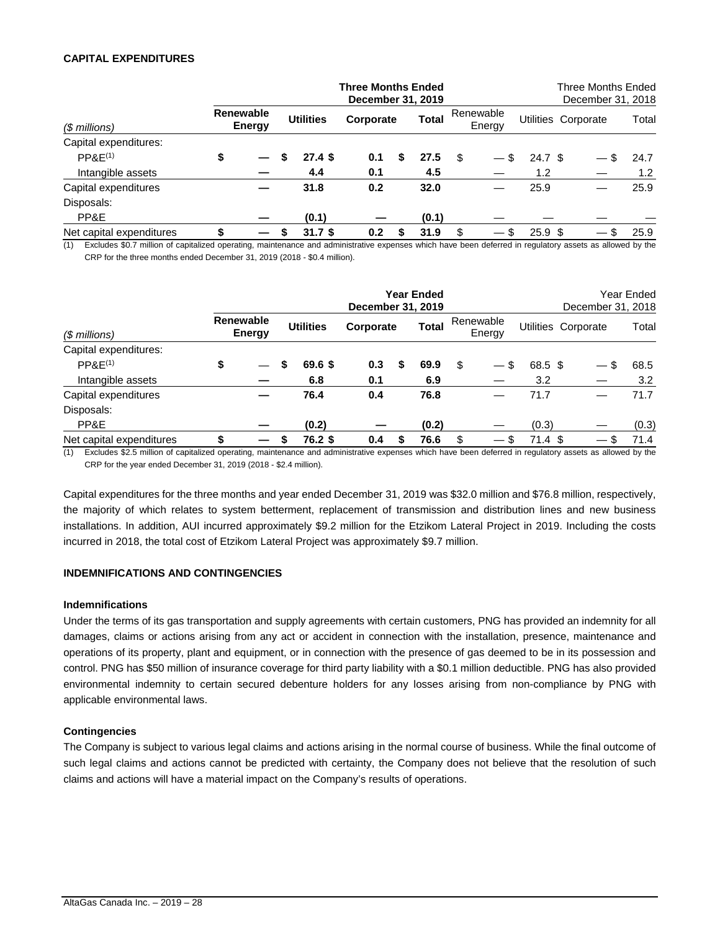## **CAPITAL EXPENDITURES**

|                          |                            |                   | <b>Three Months Ended</b><br>December 31, 2019 |   |       |    |                                 |                   | Three Months Ended<br>December 31, 2018 |       |
|--------------------------|----------------------------|-------------------|------------------------------------------------|---|-------|----|---------------------------------|-------------------|-----------------------------------------|-------|
| $$$ millions)            | <b>Renewable</b><br>Energy | <b>Utilities</b>  | Corporate                                      |   | Total |    | Renewable<br>Energy             |                   | Utilities Corporate                     | Total |
| Capital expenditures:    |                            |                   |                                                |   |       |    |                                 |                   |                                         |       |
| PPAE <sup>(1)</sup>      |                            | 27.4 <sup>5</sup> | 0.1                                            |   | 27.5  | S. | \$.<br>$\overline{\phantom{m}}$ | 24.7 <sup>°</sup> |                                         | 24.7  |
| Intangible assets        |                            | 4.4               | 0.1                                            |   | 4.5   |    |                                 | 1.2               |                                         | 1.2   |
| Capital expenditures     |                            | 31.8              | 0.2                                            |   | 32.0  |    |                                 | 25.9              |                                         | 25.9  |
| Disposals:               |                            |                   |                                                |   |       |    |                                 |                   |                                         |       |
| PP&E                     |                            | (0.1)             |                                                |   | (0.1) |    |                                 |                   |                                         |       |
| Net capital expenditures |                            | 31.7 <sup>5</sup> | 0.2                                            | S | 31.9  | \$ | $-$ \$                          | 25.9 <sup>5</sup> |                                         | 25.9  |

Excludes \$0.7 million of capitalized operating, maintenance and administrative expenses which have been deferred in regulatory assets as allowed by the CRP for the three months ended December 31, 2019 (2018 - \$0.4 million).

|                          |                            |   |                   | December 31, 2019 |   | <b>Year Ended</b> |                                              |                   | December 31, 2018   | Year Ended |
|--------------------------|----------------------------|---|-------------------|-------------------|---|-------------------|----------------------------------------------|-------------------|---------------------|------------|
| (\$ millions)            | <b>Renewable</b><br>Energy |   | <b>Utilities</b>  | Corporate         |   | Total             | Renewable<br>Energy                          |                   | Utilities Corporate | Total      |
| Capital expenditures:    |                            |   |                   |                   |   |                   |                                              |                   |                     |            |
| PP&F <sup>(1)</sup>      | \$                         | S | 69.6 <sup>5</sup> | 0.3               | S | 69.9              | \$<br>\$.<br>$\hspace{0.1mm}-\hspace{0.1mm}$ | 68.5 \$           |                     | 68.5       |
| Intangible assets        |                            |   | 6.8               | 0.1               |   | 6.9               |                                              | 3.2               |                     | 3.2        |
| Capital expenditures     |                            |   | 76.4              | 0.4               |   | 76.8              |                                              | 71.7              |                     | 71.7       |
| Disposals:               |                            |   |                   |                   |   |                   |                                              |                   |                     |            |
| PP&E                     |                            |   | (0.2)             |                   |   | (0.2)             |                                              | (0.3)             |                     | (0.3)      |
| Net capital expenditures |                            |   | 76.2 \$           | 0.4               | S | 76.6              | \$<br>$-$ \$                                 | 71.4 <sup>5</sup> | — \$                | 71.4       |

(1) Excludes \$2.5 million of capitalized operating, maintenance and administrative expenses which have been deferred in regulatory assets as allowed by the CRP for the year ended December 31, 2019 (2018 - \$2.4 million).

Capital expenditures for the three months and year ended December 31, 2019 was \$32.0 million and \$76.8 million, respectively, the majority of which relates to system betterment, replacement of transmission and distribution lines and new business installations. In addition, AUI incurred approximately \$9.2 million for the Etzikom Lateral Project in 2019. Including the costs incurred in 2018, the total cost of Etzikom Lateral Project was approximately \$9.7 million.

#### **INDEMNIFICATIONS AND CONTINGENCIES**

#### **Indemnifications**

Under the terms of its gas transportation and supply agreements with certain customers, PNG has provided an indemnity for all damages, claims or actions arising from any act or accident in connection with the installation, presence, maintenance and operations of its property, plant and equipment, or in connection with the presence of gas deemed to be in its possession and control. PNG has \$50 million of insurance coverage for third party liability with a \$0.1 million deductible. PNG has also provided environmental indemnity to certain secured debenture holders for any losses arising from non-compliance by PNG with applicable environmental laws.

#### **Contingencies**

The Company is subject to various legal claims and actions arising in the normal course of business. While the final outcome of such legal claims and actions cannot be predicted with certainty, the Company does not believe that the resolution of such claims and actions will have a material impact on the Company's results of operations.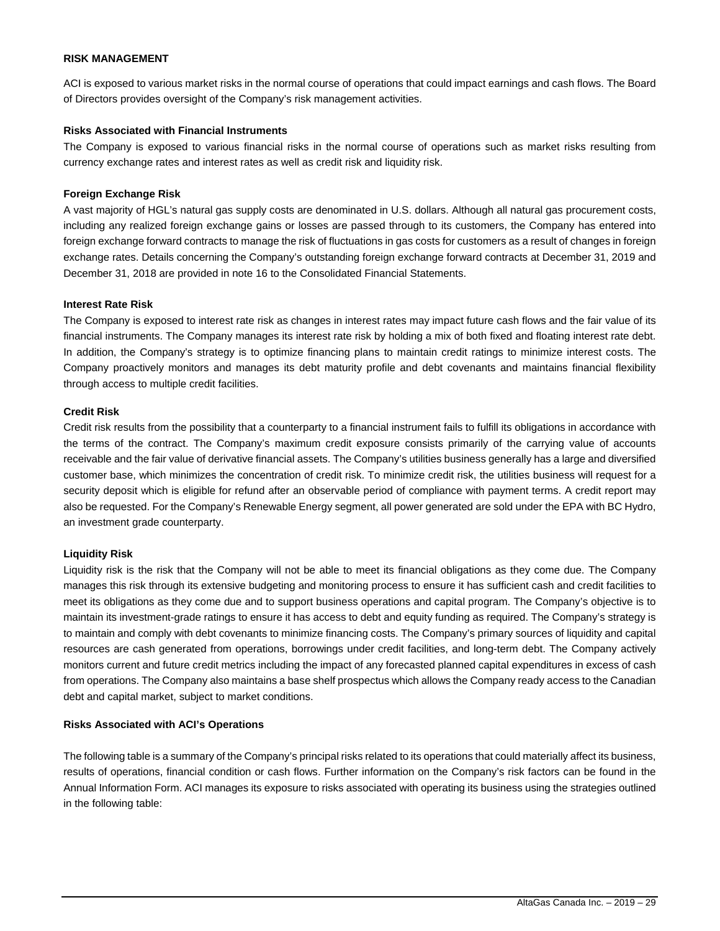#### **RISK MANAGEMENT**

ACI is exposed to various market risks in the normal course of operations that could impact earnings and cash flows. The Board of Directors provides oversight of the Company's risk management activities.

#### **Risks Associated with Financial Instruments**

The Company is exposed to various financial risks in the normal course of operations such as market risks resulting from currency exchange rates and interest rates as well as credit risk and liquidity risk.

#### **Foreign Exchange Risk**

A vast majority of HGL's natural gas supply costs are denominated in U.S. dollars. Although all natural gas procurement costs, including any realized foreign exchange gains or losses are passed through to its customers, the Company has entered into foreign exchange forward contracts to manage the risk of fluctuations in gas costs for customers as a result of changes in foreign exchange rates. Details concerning the Company's outstanding foreign exchange forward contracts at December 31, 2019 and December 31, 2018 are provided in note 16 to the Consolidated Financial Statements.

#### **Interest Rate Risk**

The Company is exposed to interest rate risk as changes in interest rates may impact future cash flows and the fair value of its financial instruments. The Company manages its interest rate risk by holding a mix of both fixed and floating interest rate debt. In addition, the Company's strategy is to optimize financing plans to maintain credit ratings to minimize interest costs. The Company proactively monitors and manages its debt maturity profile and debt covenants and maintains financial flexibility through access to multiple credit facilities.

#### **Credit Risk**

Credit risk results from the possibility that a counterparty to a financial instrument fails to fulfill its obligations in accordance with the terms of the contract. The Company's maximum credit exposure consists primarily of the carrying value of accounts receivable and the fair value of derivative financial assets. The Company's utilities business generally has a large and diversified customer base, which minimizes the concentration of credit risk. To minimize credit risk, the utilities business will request for a security deposit which is eligible for refund after an observable period of compliance with payment terms. A credit report may also be requested. For the Company's Renewable Energy segment, all power generated are sold under the EPA with BC Hydro, an investment grade counterparty.

#### **Liquidity Risk**

Liquidity risk is the risk that the Company will not be able to meet its financial obligations as they come due. The Company manages this risk through its extensive budgeting and monitoring process to ensure it has sufficient cash and credit facilities to meet its obligations as they come due and to support business operations and capital program. The Company's objective is to maintain its investment-grade ratings to ensure it has access to debt and equity funding as required. The Company's strategy is to maintain and comply with debt covenants to minimize financing costs. The Company's primary sources of liquidity and capital resources are cash generated from operations, borrowings under credit facilities, and long-term debt. The Company actively monitors current and future credit metrics including the impact of any forecasted planned capital expenditures in excess of cash from operations. The Company also maintains a base shelf prospectus which allows the Company ready access to the Canadian debt and capital market, subject to market conditions.

#### **Risks Associated with ACI's Operations**

The following table is a summary of the Company's principal risks related to its operations that could materially affect its business, results of operations, financial condition or cash flows. Further information on the Company's risk factors can be found in the Annual Information Form. ACI manages its exposure to risks associated with operating its business using the strategies outlined in the following table: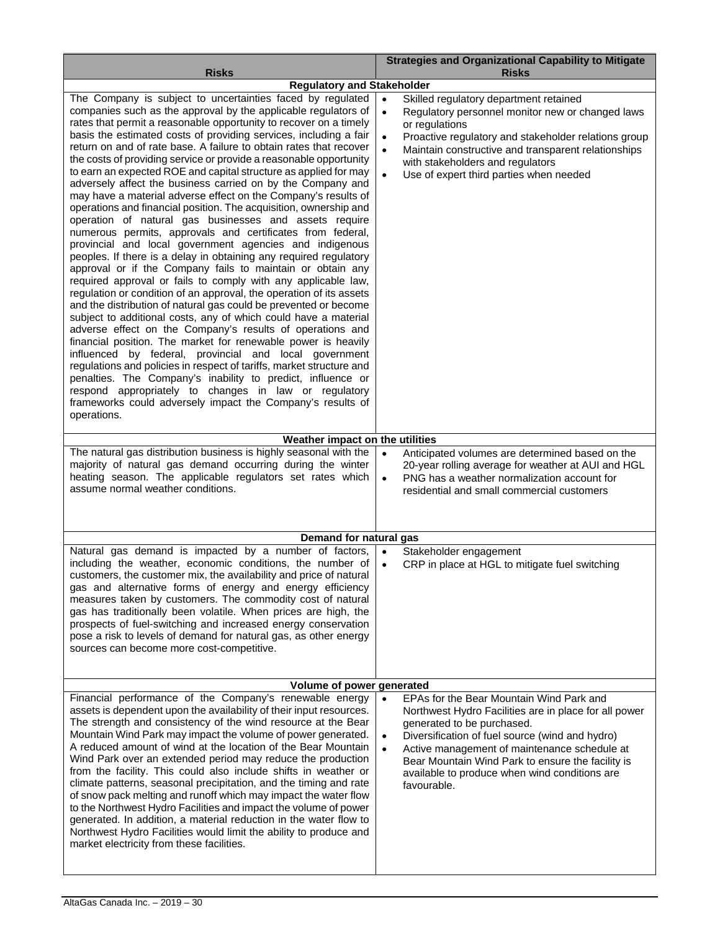| <b>Risks</b>                                                                                                                                                                                                                                                                                                                                                                                                                                                                                                                                                                                                                                                                                                                                                                                                                                                                                                                                                                                                                                                                                                                                                                                                                                                                                                                                                                                                                                                                                                                                                                                                                                                                                                                                                           | <b>Strategies and Organizational Capability to Mitigate</b><br><b>Risks</b>                                                                                                                                                                                                                                                                                                                    |
|------------------------------------------------------------------------------------------------------------------------------------------------------------------------------------------------------------------------------------------------------------------------------------------------------------------------------------------------------------------------------------------------------------------------------------------------------------------------------------------------------------------------------------------------------------------------------------------------------------------------------------------------------------------------------------------------------------------------------------------------------------------------------------------------------------------------------------------------------------------------------------------------------------------------------------------------------------------------------------------------------------------------------------------------------------------------------------------------------------------------------------------------------------------------------------------------------------------------------------------------------------------------------------------------------------------------------------------------------------------------------------------------------------------------------------------------------------------------------------------------------------------------------------------------------------------------------------------------------------------------------------------------------------------------------------------------------------------------------------------------------------------------|------------------------------------------------------------------------------------------------------------------------------------------------------------------------------------------------------------------------------------------------------------------------------------------------------------------------------------------------------------------------------------------------|
| <b>Regulatory and Stakeholder</b>                                                                                                                                                                                                                                                                                                                                                                                                                                                                                                                                                                                                                                                                                                                                                                                                                                                                                                                                                                                                                                                                                                                                                                                                                                                                                                                                                                                                                                                                                                                                                                                                                                                                                                                                      |                                                                                                                                                                                                                                                                                                                                                                                                |
| The Company is subject to uncertainties faced by regulated<br>companies such as the approval by the applicable regulators of<br>rates that permit a reasonable opportunity to recover on a timely<br>basis the estimated costs of providing services, including a fair<br>return on and of rate base. A failure to obtain rates that recover<br>the costs of providing service or provide a reasonable opportunity<br>to earn an expected ROE and capital structure as applied for may<br>adversely affect the business carried on by the Company and<br>may have a material adverse effect on the Company's results of<br>operations and financial position. The acquisition, ownership and<br>operation of natural gas businesses and assets require<br>numerous permits, approvals and certificates from federal,<br>provincial and local government agencies and indigenous<br>peoples. If there is a delay in obtaining any required regulatory<br>approval or if the Company fails to maintain or obtain any<br>required approval or fails to comply with any applicable law,<br>regulation or condition of an approval, the operation of its assets<br>and the distribution of natural gas could be prevented or become<br>subject to additional costs, any of which could have a material<br>adverse effect on the Company's results of operations and<br>financial position. The market for renewable power is heavily<br>influenced by federal, provincial and local government<br>regulations and policies in respect of tariffs, market structure and<br>penalties. The Company's inability to predict, influence or<br>respond appropriately to changes in law or regulatory<br>frameworks could adversely impact the Company's results of<br>operations. | $\bullet$<br>Skilled regulatory department retained<br>$\bullet$<br>Regulatory personnel monitor new or changed laws<br>or regulations<br>Proactive regulatory and stakeholder relations group<br>$\bullet$<br>Maintain constructive and transparent relationships<br>$\bullet$<br>with stakeholders and regulators<br>Use of expert third parties when needed<br>$\bullet$                    |
|                                                                                                                                                                                                                                                                                                                                                                                                                                                                                                                                                                                                                                                                                                                                                                                                                                                                                                                                                                                                                                                                                                                                                                                                                                                                                                                                                                                                                                                                                                                                                                                                                                                                                                                                                                        |                                                                                                                                                                                                                                                                                                                                                                                                |
| Weather impact on the utilities                                                                                                                                                                                                                                                                                                                                                                                                                                                                                                                                                                                                                                                                                                                                                                                                                                                                                                                                                                                                                                                                                                                                                                                                                                                                                                                                                                                                                                                                                                                                                                                                                                                                                                                                        |                                                                                                                                                                                                                                                                                                                                                                                                |
| The natural gas distribution business is highly seasonal with the<br>majority of natural gas demand occurring during the winter<br>heating season. The applicable regulators set rates which<br>assume normal weather conditions.                                                                                                                                                                                                                                                                                                                                                                                                                                                                                                                                                                                                                                                                                                                                                                                                                                                                                                                                                                                                                                                                                                                                                                                                                                                                                                                                                                                                                                                                                                                                      | Anticipated volumes are determined based on the<br>$\bullet$<br>20-year rolling average for weather at AUI and HGL<br>PNG has a weather normalization account for<br>$\bullet$<br>residential and small commercial customers                                                                                                                                                                   |
| Demand for natural gas                                                                                                                                                                                                                                                                                                                                                                                                                                                                                                                                                                                                                                                                                                                                                                                                                                                                                                                                                                                                                                                                                                                                                                                                                                                                                                                                                                                                                                                                                                                                                                                                                                                                                                                                                 |                                                                                                                                                                                                                                                                                                                                                                                                |
| Natural gas demand is impacted by a number of factors,<br>including the weather, economic conditions, the number of<br>customers, the customer mix, the availability and price of natural<br>gas and alternative forms of energy and energy efficiency<br>measures taken by customers. The commodity cost of natural<br>gas has traditionally been volatile. When prices are high, the<br>prospects of fuel-switching and increased energy conservation<br>pose a risk to levels of demand for natural gas, as other energy<br>sources can become more cost-competitive.                                                                                                                                                                                                                                                                                                                                                                                                                                                                                                                                                                                                                                                                                                                                                                                                                                                                                                                                                                                                                                                                                                                                                                                               | Stakeholder engagement<br>$\bullet$<br>CRP in place at HGL to mitigate fuel switching<br>$\bullet$                                                                                                                                                                                                                                                                                             |
| Volume of power generated                                                                                                                                                                                                                                                                                                                                                                                                                                                                                                                                                                                                                                                                                                                                                                                                                                                                                                                                                                                                                                                                                                                                                                                                                                                                                                                                                                                                                                                                                                                                                                                                                                                                                                                                              |                                                                                                                                                                                                                                                                                                                                                                                                |
| Financial performance of the Company's renewable energy<br>assets is dependent upon the availability of their input resources.<br>The strength and consistency of the wind resource at the Bear<br>Mountain Wind Park may impact the volume of power generated.<br>A reduced amount of wind at the location of the Bear Mountain<br>Wind Park over an extended period may reduce the production<br>from the facility. This could also include shifts in weather or<br>climate patterns, seasonal precipitation, and the timing and rate<br>of snow pack melting and runoff which may impact the water flow<br>to the Northwest Hydro Facilities and impact the volume of power<br>generated. In addition, a material reduction in the water flow to<br>Northwest Hydro Facilities would limit the ability to produce and<br>market electricity from these facilities.                                                                                                                                                                                                                                                                                                                                                                                                                                                                                                                                                                                                                                                                                                                                                                                                                                                                                                  | EPAs for the Bear Mountain Wind Park and<br>$\bullet$<br>Northwest Hydro Facilities are in place for all power<br>generated to be purchased.<br>Diversification of fuel source (wind and hydro)<br>$\bullet$<br>Active management of maintenance schedule at<br>$\bullet$<br>Bear Mountain Wind Park to ensure the facility is<br>available to produce when wind conditions are<br>favourable. |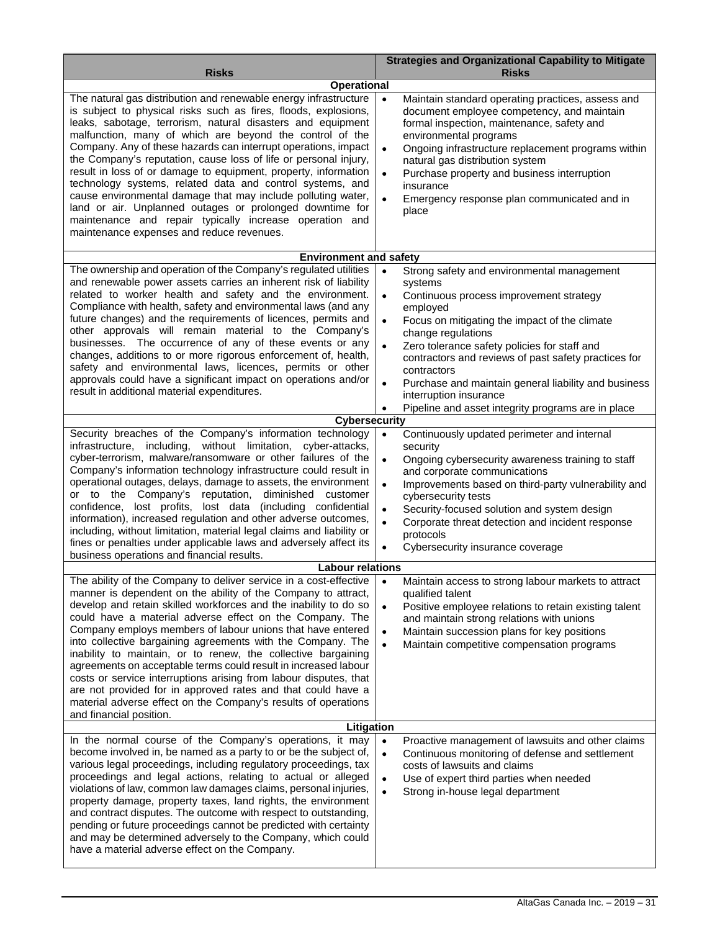| <b>Risks</b>                                                                                                                                                                                                                                                                                                                                                                                                                                                                                                                                                                                                                                                                                                                                                                                                                                                                                                                                                                                                                                                                                                                                                                                                                                                                                                                                                                                                                                                                                                  | <b>Strategies and Organizational Capability to Mitigate</b><br><b>Risks</b>                                                                                                                                                                                                                                                                                                                                                                                                                                                                                                                                                                                                                                                                                                       |  |  |  |  |
|---------------------------------------------------------------------------------------------------------------------------------------------------------------------------------------------------------------------------------------------------------------------------------------------------------------------------------------------------------------------------------------------------------------------------------------------------------------------------------------------------------------------------------------------------------------------------------------------------------------------------------------------------------------------------------------------------------------------------------------------------------------------------------------------------------------------------------------------------------------------------------------------------------------------------------------------------------------------------------------------------------------------------------------------------------------------------------------------------------------------------------------------------------------------------------------------------------------------------------------------------------------------------------------------------------------------------------------------------------------------------------------------------------------------------------------------------------------------------------------------------------------|-----------------------------------------------------------------------------------------------------------------------------------------------------------------------------------------------------------------------------------------------------------------------------------------------------------------------------------------------------------------------------------------------------------------------------------------------------------------------------------------------------------------------------------------------------------------------------------------------------------------------------------------------------------------------------------------------------------------------------------------------------------------------------------|--|--|--|--|
| Operational<br>The natural gas distribution and renewable energy infrastructure<br>is subject to physical risks such as fires, floods, explosions,<br>leaks, sabotage, terrorism, natural disasters and equipment                                                                                                                                                                                                                                                                                                                                                                                                                                                                                                                                                                                                                                                                                                                                                                                                                                                                                                                                                                                                                                                                                                                                                                                                                                                                                             | Maintain standard operating practices, assess and<br>$\bullet$<br>document employee competency, and maintain<br>formal inspection, maintenance, safety and                                                                                                                                                                                                                                                                                                                                                                                                                                                                                                                                                                                                                        |  |  |  |  |
| malfunction, many of which are beyond the control of the<br>Company. Any of these hazards can interrupt operations, impact<br>the Company's reputation, cause loss of life or personal injury,<br>result in loss of or damage to equipment, property, information<br>technology systems, related data and control systems, and<br>cause environmental damage that may include polluting water,<br>land or air. Unplanned outages or prolonged downtime for<br>maintenance and repair typically increase operation and<br>maintenance expenses and reduce revenues.                                                                                                                                                                                                                                                                                                                                                                                                                                                                                                                                                                                                                                                                                                                                                                                                                                                                                                                                            | environmental programs<br>Ongoing infrastructure replacement programs within<br>$\bullet$<br>natural gas distribution system<br>Purchase property and business interruption<br>$\bullet$<br>insurance<br>Emergency response plan communicated and in<br>place                                                                                                                                                                                                                                                                                                                                                                                                                                                                                                                     |  |  |  |  |
| <b>Environment and safety</b>                                                                                                                                                                                                                                                                                                                                                                                                                                                                                                                                                                                                                                                                                                                                                                                                                                                                                                                                                                                                                                                                                                                                                                                                                                                                                                                                                                                                                                                                                 |                                                                                                                                                                                                                                                                                                                                                                                                                                                                                                                                                                                                                                                                                                                                                                                   |  |  |  |  |
| The ownership and operation of the Company's regulated utilities<br>and renewable power assets carries an inherent risk of liability<br>related to worker health and safety and the environment.<br>Compliance with health, safety and environmental laws (and any<br>future changes) and the requirements of licences, permits and<br>other approvals will remain material to the Company's<br>businesses. The occurrence of any of these events or any<br>changes, additions to or more rigorous enforcement of, health,<br>safety and environmental laws, licences, permits or other<br>approvals could have a significant impact on operations and/or<br>result in additional material expenditures.                                                                                                                                                                                                                                                                                                                                                                                                                                                                                                                                                                                                                                                                                                                                                                                                      | Strong safety and environmental management<br>$\bullet$<br>systems<br>Continuous process improvement strategy<br>$\bullet$<br>employed<br>Focus on mitigating the impact of the climate<br>$\bullet$<br>change regulations<br>Zero tolerance safety policies for staff and<br>$\bullet$<br>contractors and reviews of past safety practices for<br>contractors<br>Purchase and maintain general liability and business<br>$\bullet$<br>interruption insurance                                                                                                                                                                                                                                                                                                                     |  |  |  |  |
| Pipeline and asset integrity programs are in place<br>$\bullet$                                                                                                                                                                                                                                                                                                                                                                                                                                                                                                                                                                                                                                                                                                                                                                                                                                                                                                                                                                                                                                                                                                                                                                                                                                                                                                                                                                                                                                               |                                                                                                                                                                                                                                                                                                                                                                                                                                                                                                                                                                                                                                                                                                                                                                                   |  |  |  |  |
| Cybersecurity<br>Security breaches of the Company's information technology<br>infrastructure, including, without limitation, cyber-attacks,<br>cyber-terrorism, malware/ransomware or other failures of the<br>Company's information technology infrastructure could result in<br>operational outages, delays, damage to assets, the environment<br>or to the Company's reputation, diminished customer<br>confidence, lost profits, lost data (including confidential<br>information), increased regulation and other adverse outcomes,<br>including, without limitation, material legal claims and liability or<br>fines or penalties under applicable laws and adversely affect its<br>business operations and financial results.<br><b>Labour relations</b><br>The ability of the Company to deliver service in a cost-effective<br>manner is dependent on the ability of the Company to attract,<br>develop and retain skilled workforces and the inability to do so<br>could have a material adverse effect on the Company. The<br>Company employs members of labour unions that have entered<br>into collective bargaining agreements with the Company. The<br>inability to maintain, or to renew, the collective bargaining<br>agreements on acceptable terms could result in increased labour<br>costs or service interruptions arising from labour disputes, that<br>are not provided for in approved rates and that could have a<br>material adverse effect on the Company's results of operations | Continuously updated perimeter and internal<br>$\bullet$<br>security<br>Ongoing cybersecurity awareness training to staff<br>$\bullet$<br>and corporate communications<br>Improvements based on third-party vulnerability and<br>$\bullet$<br>cybersecurity tests<br>Security-focused solution and system design<br>$\bullet$<br>$\bullet$<br>Corporate threat detection and incident response<br>protocols<br>Cybersecurity insurance coverage<br>$\bullet$<br>Maintain access to strong labour markets to attract<br>qualified talent<br>$\bullet$<br>Positive employee relations to retain existing talent<br>and maintain strong relations with unions<br>Maintain succession plans for key positions<br>$\bullet$<br>Maintain competitive compensation programs<br>$\bullet$ |  |  |  |  |
| and financial position.<br>Litigation<br>In the normal course of the Company's operations, it may<br>become involved in, be named as a party to or be the subject of,<br>various legal proceedings, including regulatory proceedings, tax<br>proceedings and legal actions, relating to actual or alleged<br>violations of law, common law damages claims, personal injuries,<br>property damage, property taxes, land rights, the environment<br>and contract disputes. The outcome with respect to outstanding,<br>pending or future proceedings cannot be predicted with certainty<br>and may be determined adversely to the Company, which could<br>have a material adverse effect on the Company.                                                                                                                                                                                                                                                                                                                                                                                                                                                                                                                                                                                                                                                                                                                                                                                                        | Proactive management of lawsuits and other claims<br>$\bullet$<br>Continuous monitoring of defense and settlement<br>$\bullet$<br>costs of lawsuits and claims<br>Use of expert third parties when needed<br>$\bullet$<br>Strong in-house legal department<br>$\bullet$                                                                                                                                                                                                                                                                                                                                                                                                                                                                                                           |  |  |  |  |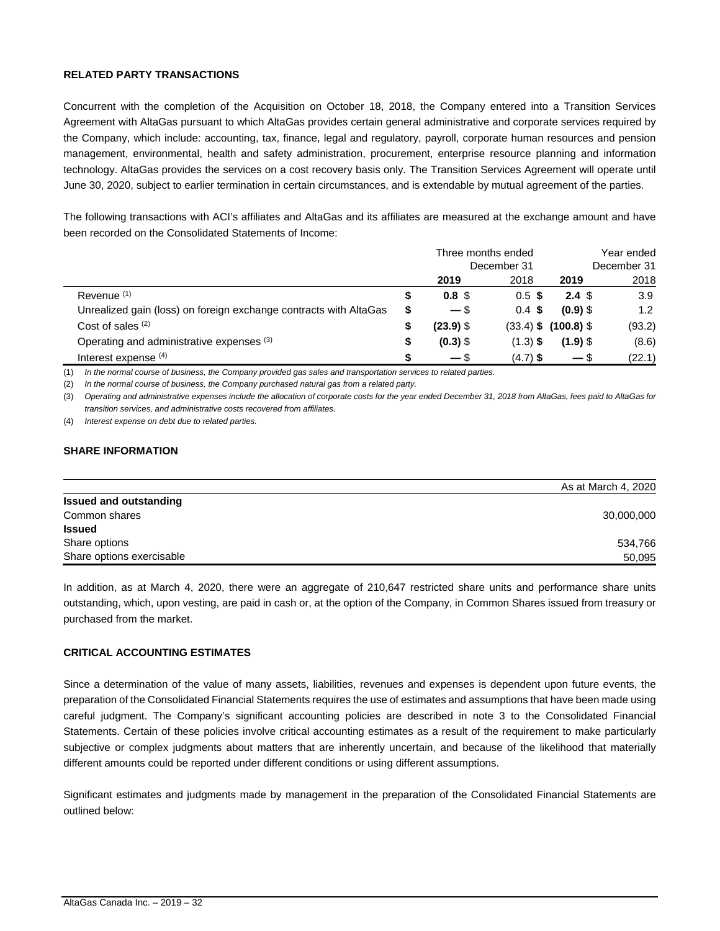#### **RELATED PARTY TRANSACTIONS**

Concurrent with the completion of the Acquisition on October 18, 2018, the Company entered into a Transition Services Agreement with AltaGas pursuant to which AltaGas provides certain general administrative and corporate services required by the Company, which include: accounting, tax, finance, legal and regulatory, payroll, corporate human resources and pension management, environmental, health and safety administration, procurement, enterprise resource planning and information technology. AltaGas provides the services on a cost recovery basis only. The Transition Services Agreement will operate until June 30, 2020, subject to earlier termination in certain circumstances, and is extendable by mutual agreement of the parties.

The following transactions with ACI's affiliates and AltaGas and its affiliates are measured at the exchange amount and have been recorded on the Consolidated Statements of Income:

|                                                                   |   | Three months ended<br>December 31 |            |                          | Year ended<br>December 31 |  |
|-------------------------------------------------------------------|---|-----------------------------------|------------|--------------------------|---------------------------|--|
|                                                                   |   | 2019                              | 2018       | 2019                     | 2018                      |  |
| Revenue <sup>(1)</sup>                                            | S | 0.8 <sup>5</sup>                  | $0.5$ \$   | 2.4 <sup>5</sup>         | 3.9                       |  |
| Unrealized gain (loss) on foreign exchange contracts with AltaGas | S | $-$ \$                            | $0.4$ \$   | $(0.9)$ \$               | 1.2                       |  |
| Cost of sales $(2)$                                               |   | $(23.9)$ \$                       |            | $(33.4)$ \$ $(100.8)$ \$ | (93.2)                    |  |
| Operating and administrative expenses (3)                         |   | $(0.3)$ \$                        | $(1.3)$ \$ | $(1.9)$ \$               | (8.6)                     |  |
| Interest expense (4)                                              |   | $-$ \$                            | (4.7) \$   | — \$                     | (22.1)                    |  |

(1) *In the normal course of business, the Company provided gas sales and transportation services to related parties.* 

(2) *In the normal course of business, the Company purchased natural gas from a related party.* 

(3) *Operating and administrative expenses include the allocation of corporate costs for the year ended December 31, 2018 from AltaGas, fees paid to AltaGas for transition services, and administrative costs recovered from affiliates.* 

(4) *Interest expense on debt due to related parties.* 

#### **SHARE INFORMATION**

|                               | As at March 4, 2020 |
|-------------------------------|---------------------|
| <b>Issued and outstanding</b> |                     |
| Common shares                 | 30,000,000          |
| <b>Issued</b>                 |                     |
| Share options                 | 534,766             |
| Share options exercisable     | 50,095              |

In addition, as at March 4, 2020, there were an aggregate of 210,647 restricted share units and performance share units outstanding, which, upon vesting, are paid in cash or, at the option of the Company, in Common Shares issued from treasury or purchased from the market.

#### **CRITICAL ACCOUNTING ESTIMATES**

Since a determination of the value of many assets, liabilities, revenues and expenses is dependent upon future events, the preparation of the Consolidated Financial Statements requires the use of estimates and assumptions that have been made using careful judgment. The Company's significant accounting policies are described in note 3 to the Consolidated Financial Statements. Certain of these policies involve critical accounting estimates as a result of the requirement to make particularly subjective or complex judgments about matters that are inherently uncertain, and because of the likelihood that materially different amounts could be reported under different conditions or using different assumptions.

Significant estimates and judgments made by management in the preparation of the Consolidated Financial Statements are outlined below: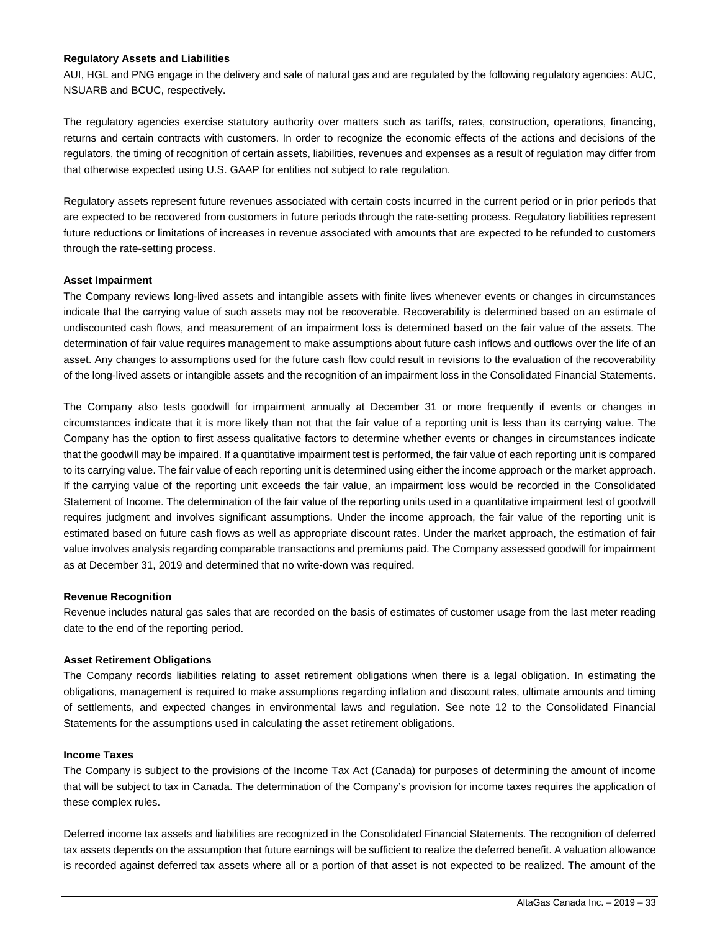#### **Regulatory Assets and Liabilities**

AUI, HGL and PNG engage in the delivery and sale of natural gas and are regulated by the following regulatory agencies: AUC, NSUARB and BCUC, respectively.

The regulatory agencies exercise statutory authority over matters such as tariffs, rates, construction, operations, financing, returns and certain contracts with customers. In order to recognize the economic effects of the actions and decisions of the regulators, the timing of recognition of certain assets, liabilities, revenues and expenses as a result of regulation may differ from that otherwise expected using U.S. GAAP for entities not subject to rate regulation.

Regulatory assets represent future revenues associated with certain costs incurred in the current period or in prior periods that are expected to be recovered from customers in future periods through the rate-setting process. Regulatory liabilities represent future reductions or limitations of increases in revenue associated with amounts that are expected to be refunded to customers through the rate-setting process.

#### **Asset Impairment**

The Company reviews long-lived assets and intangible assets with finite lives whenever events or changes in circumstances indicate that the carrying value of such assets may not be recoverable. Recoverability is determined based on an estimate of undiscounted cash flows, and measurement of an impairment loss is determined based on the fair value of the assets. The determination of fair value requires management to make assumptions about future cash inflows and outflows over the life of an asset. Any changes to assumptions used for the future cash flow could result in revisions to the evaluation of the recoverability of the long-lived assets or intangible assets and the recognition of an impairment loss in the Consolidated Financial Statements.

The Company also tests goodwill for impairment annually at December 31 or more frequently if events or changes in circumstances indicate that it is more likely than not that the fair value of a reporting unit is less than its carrying value. The Company has the option to first assess qualitative factors to determine whether events or changes in circumstances indicate that the goodwill may be impaired. If a quantitative impairment test is performed, the fair value of each reporting unit is compared to its carrying value. The fair value of each reporting unit is determined using either the income approach or the market approach. If the carrying value of the reporting unit exceeds the fair value, an impairment loss would be recorded in the Consolidated Statement of Income. The determination of the fair value of the reporting units used in a quantitative impairment test of goodwill requires judgment and involves significant assumptions. Under the income approach, the fair value of the reporting unit is estimated based on future cash flows as well as appropriate discount rates. Under the market approach, the estimation of fair value involves analysis regarding comparable transactions and premiums paid. The Company assessed goodwill for impairment as at December 31, 2019 and determined that no write-down was required.

#### **Revenue Recognition**

Revenue includes natural gas sales that are recorded on the basis of estimates of customer usage from the last meter reading date to the end of the reporting period.

# **Asset Retirement Obligations**

The Company records liabilities relating to asset retirement obligations when there is a legal obligation. In estimating the obligations, management is required to make assumptions regarding inflation and discount rates, ultimate amounts and timing of settlements, and expected changes in environmental laws and regulation. See note 12 to the Consolidated Financial Statements for the assumptions used in calculating the asset retirement obligations.

# **Income Taxes**

The Company is subject to the provisions of the Income Tax Act (Canada) for purposes of determining the amount of income that will be subject to tax in Canada. The determination of the Company's provision for income taxes requires the application of these complex rules.

Deferred income tax assets and liabilities are recognized in the Consolidated Financial Statements. The recognition of deferred tax assets depends on the assumption that future earnings will be sufficient to realize the deferred benefit. A valuation allowance is recorded against deferred tax assets where all or a portion of that asset is not expected to be realized. The amount of the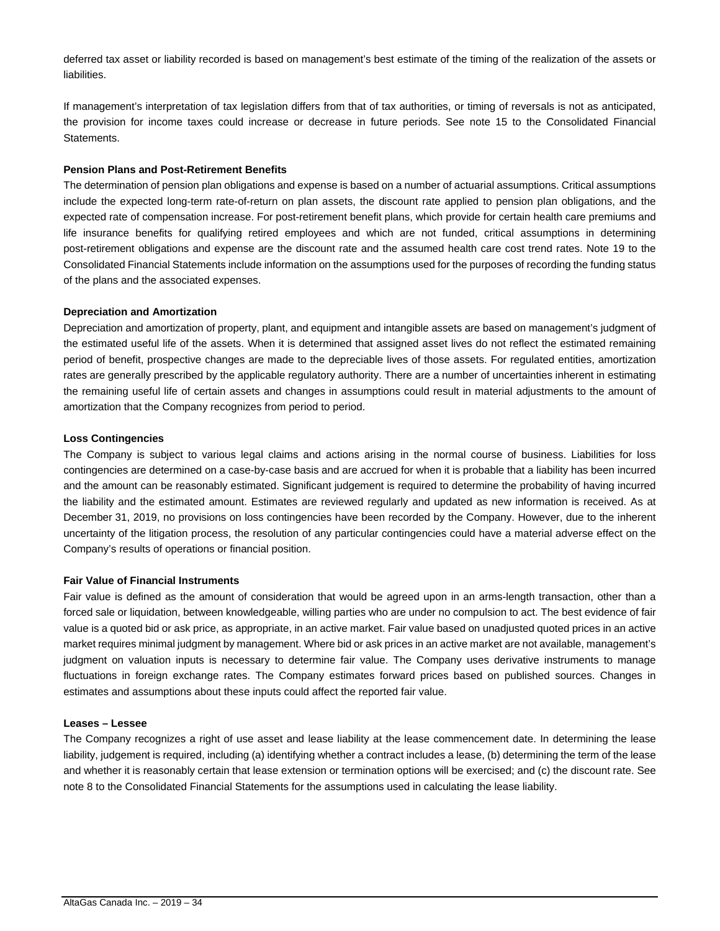deferred tax asset or liability recorded is based on management's best estimate of the timing of the realization of the assets or liabilities.

If management's interpretation of tax legislation differs from that of tax authorities, or timing of reversals is not as anticipated, the provision for income taxes could increase or decrease in future periods. See note 15 to the Consolidated Financial Statements.

#### **Pension Plans and Post-Retirement Benefits**

The determination of pension plan obligations and expense is based on a number of actuarial assumptions. Critical assumptions include the expected long-term rate-of-return on plan assets, the discount rate applied to pension plan obligations, and the expected rate of compensation increase. For post-retirement benefit plans, which provide for certain health care premiums and life insurance benefits for qualifying retired employees and which are not funded, critical assumptions in determining post-retirement obligations and expense are the discount rate and the assumed health care cost trend rates. Note 19 to the Consolidated Financial Statements include information on the assumptions used for the purposes of recording the funding status of the plans and the associated expenses.

#### **Depreciation and Amortization**

Depreciation and amortization of property, plant, and equipment and intangible assets are based on management's judgment of the estimated useful life of the assets. When it is determined that assigned asset lives do not reflect the estimated remaining period of benefit, prospective changes are made to the depreciable lives of those assets. For regulated entities, amortization rates are generally prescribed by the applicable regulatory authority. There are a number of uncertainties inherent in estimating the remaining useful life of certain assets and changes in assumptions could result in material adjustments to the amount of amortization that the Company recognizes from period to period.

#### **Loss Contingencies**

The Company is subject to various legal claims and actions arising in the normal course of business. Liabilities for loss contingencies are determined on a case-by-case basis and are accrued for when it is probable that a liability has been incurred and the amount can be reasonably estimated. Significant judgement is required to determine the probability of having incurred the liability and the estimated amount. Estimates are reviewed regularly and updated as new information is received. As at December 31, 2019, no provisions on loss contingencies have been recorded by the Company. However, due to the inherent uncertainty of the litigation process, the resolution of any particular contingencies could have a material adverse effect on the Company's results of operations or financial position.

#### **Fair Value of Financial Instruments**

Fair value is defined as the amount of consideration that would be agreed upon in an arms-length transaction, other than a forced sale or liquidation, between knowledgeable, willing parties who are under no compulsion to act. The best evidence of fair value is a quoted bid or ask price, as appropriate, in an active market. Fair value based on unadjusted quoted prices in an active market requires minimal judgment by management. Where bid or ask prices in an active market are not available, management's judgment on valuation inputs is necessary to determine fair value. The Company uses derivative instruments to manage fluctuations in foreign exchange rates. The Company estimates forward prices based on published sources. Changes in estimates and assumptions about these inputs could affect the reported fair value.

#### **Leases – Lessee**

The Company recognizes a right of use asset and lease liability at the lease commencement date. In determining the lease liability, judgement is required, including (a) identifying whether a contract includes a lease, (b) determining the term of the lease and whether it is reasonably certain that lease extension or termination options will be exercised; and (c) the discount rate. See note 8 to the Consolidated Financial Statements for the assumptions used in calculating the lease liability.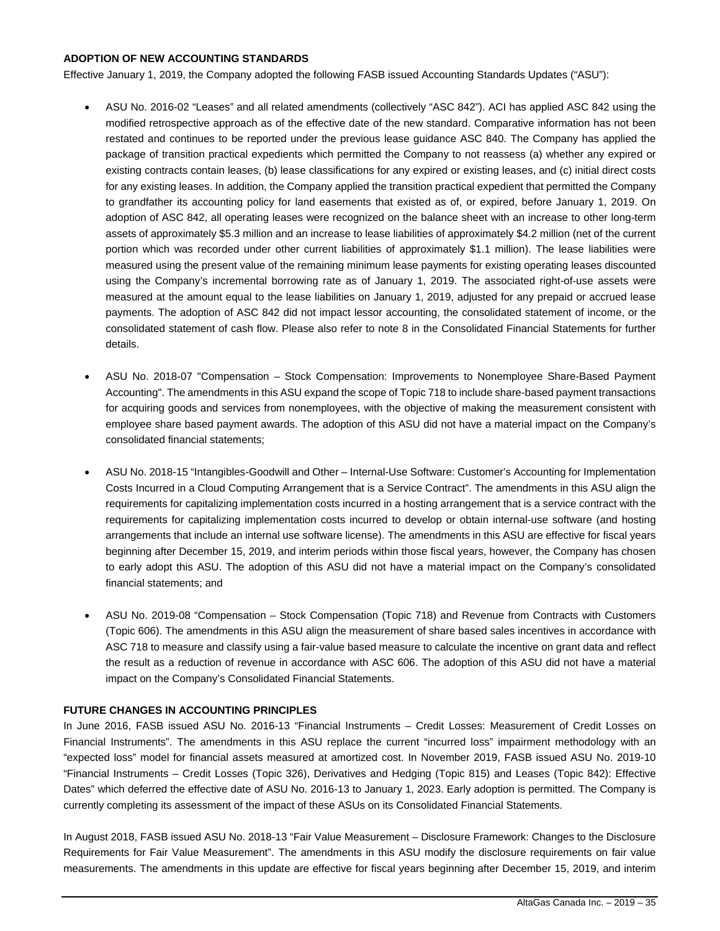#### **ADOPTION OF NEW ACCOUNTING STANDARDS**

Effective January 1, 2019, the Company adopted the following FASB issued Accounting Standards Updates ("ASU"):

- ASU No. 2016-02 "Leases" and all related amendments (collectively "ASC 842"). ACI has applied ASC 842 using the modified retrospective approach as of the effective date of the new standard. Comparative information has not been restated and continues to be reported under the previous lease guidance ASC 840. The Company has applied the package of transition practical expedients which permitted the Company to not reassess (a) whether any expired or existing contracts contain leases, (b) lease classifications for any expired or existing leases, and (c) initial direct costs for any existing leases. In addition, the Company applied the transition practical expedient that permitted the Company to grandfather its accounting policy for land easements that existed as of, or expired, before January 1, 2019. On adoption of ASC 842, all operating leases were recognized on the balance sheet with an increase to other long-term assets of approximately \$5.3 million and an increase to lease liabilities of approximately \$4.2 million (net of the current portion which was recorded under other current liabilities of approximately \$1.1 million). The lease liabilities were measured using the present value of the remaining minimum lease payments for existing operating leases discounted using the Company's incremental borrowing rate as of January 1, 2019. The associated right-of-use assets were measured at the amount equal to the lease liabilities on January 1, 2019, adjusted for any prepaid or accrued lease payments. The adoption of ASC 842 did not impact lessor accounting, the consolidated statement of income, or the consolidated statement of cash flow. Please also refer to note 8 in the Consolidated Financial Statements for further details.
- ASU No. 2018-07 "Compensation Stock Compensation: Improvements to Nonemployee Share-Based Payment Accounting". The amendments in this ASU expand the scope of Topic 718 to include share-based payment transactions for acquiring goods and services from nonemployees, with the objective of making the measurement consistent with employee share based payment awards. The adoption of this ASU did not have a material impact on the Company's consolidated financial statements;
- ASU No. 2018-15 "Intangibles-Goodwill and Other Internal-Use Software: Customer's Accounting for Implementation Costs Incurred in a Cloud Computing Arrangement that is a Service Contract". The amendments in this ASU align the requirements for capitalizing implementation costs incurred in a hosting arrangement that is a service contract with the requirements for capitalizing implementation costs incurred to develop or obtain internal-use software (and hosting arrangements that include an internal use software license). The amendments in this ASU are effective for fiscal years beginning after December 15, 2019, and interim periods within those fiscal years, however, the Company has chosen to early adopt this ASU. The adoption of this ASU did not have a material impact on the Company's consolidated financial statements; and
- ASU No. 2019-08 "Compensation Stock Compensation (Topic 718) and Revenue from Contracts with Customers (Topic 606). The amendments in this ASU align the measurement of share based sales incentives in accordance with ASC 718 to measure and classify using a fair-value based measure to calculate the incentive on grant data and reflect the result as a reduction of revenue in accordance with ASC 606. The adoption of this ASU did not have a material impact on the Company's Consolidated Financial Statements.

# **FUTURE CHANGES IN ACCOUNTING PRINCIPLES**

In June 2016, FASB issued ASU No. 2016-13 "Financial Instruments – Credit Losses: Measurement of Credit Losses on Financial Instruments". The amendments in this ASU replace the current "incurred loss" impairment methodology with an "expected loss" model for financial assets measured at amortized cost. In November 2019, FASB issued ASU No. 2019-10 "Financial Instruments – Credit Losses (Topic 326), Derivatives and Hedging (Topic 815) and Leases (Topic 842): Effective Dates" which deferred the effective date of ASU No. 2016-13 to January 1, 2023. Early adoption is permitted. The Company is currently completing its assessment of the impact of these ASUs on its Consolidated Financial Statements.

In August 2018, FASB issued ASU No. 2018-13 "Fair Value Measurement – Disclosure Framework: Changes to the Disclosure Requirements for Fair Value Measurement". The amendments in this ASU modify the disclosure requirements on fair value measurements. The amendments in this update are effective for fiscal years beginning after December 15, 2019, and interim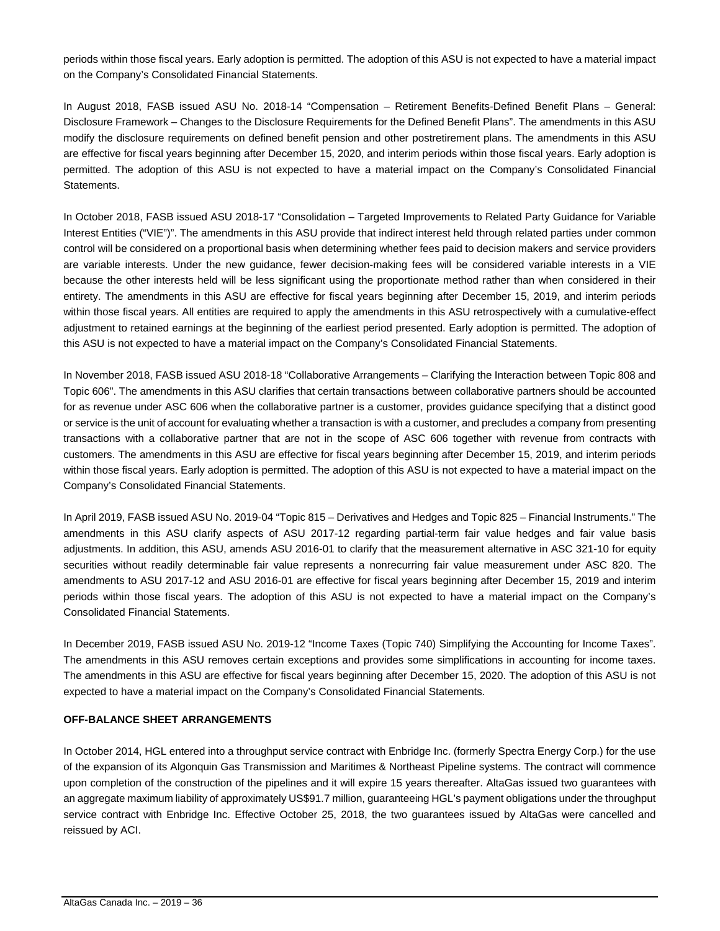periods within those fiscal years. Early adoption is permitted. The adoption of this ASU is not expected to have a material impact on the Company's Consolidated Financial Statements.

In August 2018, FASB issued ASU No. 2018-14 "Compensation – Retirement Benefits-Defined Benefit Plans – General: Disclosure Framework – Changes to the Disclosure Requirements for the Defined Benefit Plans". The amendments in this ASU modify the disclosure requirements on defined benefit pension and other postretirement plans. The amendments in this ASU are effective for fiscal years beginning after December 15, 2020, and interim periods within those fiscal years. Early adoption is permitted. The adoption of this ASU is not expected to have a material impact on the Company's Consolidated Financial Statements.

In October 2018, FASB issued ASU 2018-17 "Consolidation – Targeted Improvements to Related Party Guidance for Variable Interest Entities ("VIE")". The amendments in this ASU provide that indirect interest held through related parties under common control will be considered on a proportional basis when determining whether fees paid to decision makers and service providers are variable interests. Under the new guidance, fewer decision-making fees will be considered variable interests in a VIE because the other interests held will be less significant using the proportionate method rather than when considered in their entirety. The amendments in this ASU are effective for fiscal years beginning after December 15, 2019, and interim periods within those fiscal years. All entities are required to apply the amendments in this ASU retrospectively with a cumulative-effect adjustment to retained earnings at the beginning of the earliest period presented. Early adoption is permitted. The adoption of this ASU is not expected to have a material impact on the Company's Consolidated Financial Statements.

In November 2018, FASB issued ASU 2018-18 "Collaborative Arrangements – Clarifying the Interaction between Topic 808 and Topic 606". The amendments in this ASU clarifies that certain transactions between collaborative partners should be accounted for as revenue under ASC 606 when the collaborative partner is a customer, provides guidance specifying that a distinct good or service is the unit of account for evaluating whether a transaction is with a customer, and precludes a company from presenting transactions with a collaborative partner that are not in the scope of ASC 606 together with revenue from contracts with customers. The amendments in this ASU are effective for fiscal years beginning after December 15, 2019, and interim periods within those fiscal years. Early adoption is permitted. The adoption of this ASU is not expected to have a material impact on the Company's Consolidated Financial Statements.

In April 2019, FASB issued ASU No. 2019-04 "Topic 815 – Derivatives and Hedges and Topic 825 – Financial Instruments." The amendments in this ASU clarify aspects of ASU 2017-12 regarding partial-term fair value hedges and fair value basis adjustments. In addition, this ASU, amends ASU 2016-01 to clarify that the measurement alternative in ASC 321-10 for equity securities without readily determinable fair value represents a nonrecurring fair value measurement under ASC 820. The amendments to ASU 2017-12 and ASU 2016-01 are effective for fiscal years beginning after December 15, 2019 and interim periods within those fiscal years. The adoption of this ASU is not expected to have a material impact on the Company's Consolidated Financial Statements.

In December 2019, FASB issued ASU No. 2019-12 "Income Taxes (Topic 740) Simplifying the Accounting for Income Taxes". The amendments in this ASU removes certain exceptions and provides some simplifications in accounting for income taxes. The amendments in this ASU are effective for fiscal years beginning after December 15, 2020. The adoption of this ASU is not expected to have a material impact on the Company's Consolidated Financial Statements.

# **OFF-BALANCE SHEET ARRANGEMENTS**

In October 2014, HGL entered into a throughput service contract with Enbridge Inc. (formerly Spectra Energy Corp.) for the use of the expansion of its Algonquin Gas Transmission and Maritimes & Northeast Pipeline systems. The contract will commence upon completion of the construction of the pipelines and it will expire 15 years thereafter. AltaGas issued two guarantees with an aggregate maximum liability of approximately US\$91.7 million, guaranteeing HGL's payment obligations under the throughput service contract with Enbridge Inc. Effective October 25, 2018, the two guarantees issued by AltaGas were cancelled and reissued by ACI.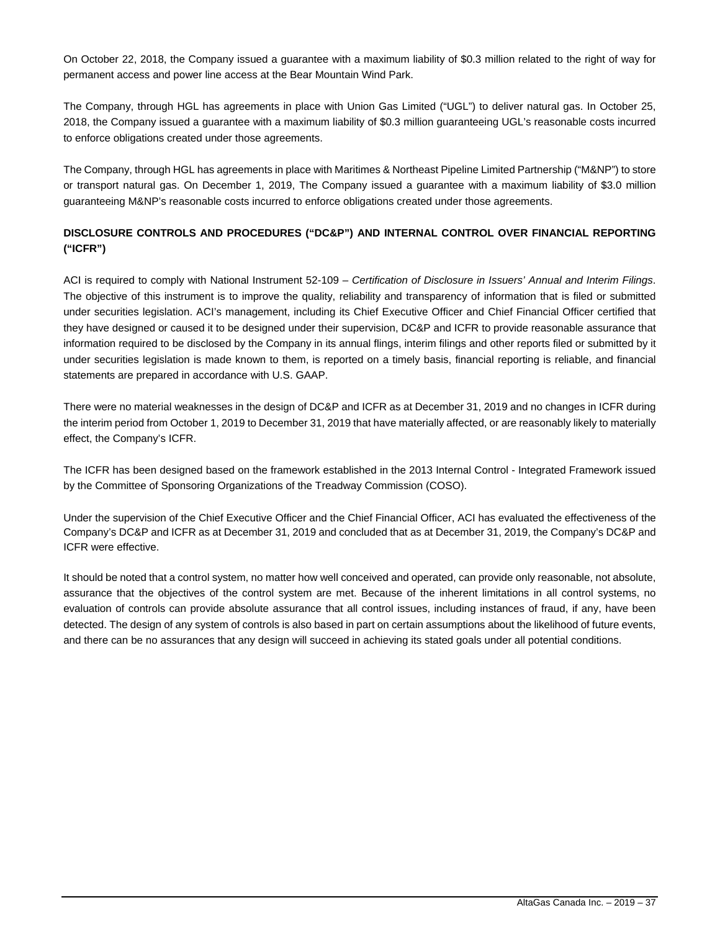On October 22, 2018, the Company issued a guarantee with a maximum liability of \$0.3 million related to the right of way for permanent access and power line access at the Bear Mountain Wind Park.

The Company, through HGL has agreements in place with Union Gas Limited ("UGL") to deliver natural gas. In October 25, 2018, the Company issued a guarantee with a maximum liability of \$0.3 million guaranteeing UGL's reasonable costs incurred to enforce obligations created under those agreements.

The Company, through HGL has agreements in place with Maritimes & Northeast Pipeline Limited Partnership ("M&NP") to store or transport natural gas. On December 1, 2019, The Company issued a guarantee with a maximum liability of \$3.0 million guaranteeing M&NP's reasonable costs incurred to enforce obligations created under those agreements.

# **DISCLOSURE CONTROLS AND PROCEDURES ("DC&P") AND INTERNAL CONTROL OVER FINANCIAL REPORTING ("ICFR")**

ACI is required to comply with National Instrument 52-109 – *Certification of Disclosure in Issuers' Annual and Interim Filings*. The objective of this instrument is to improve the quality, reliability and transparency of information that is filed or submitted under securities legislation. ACI's management, including its Chief Executive Officer and Chief Financial Officer certified that they have designed or caused it to be designed under their supervision, DC&P and ICFR to provide reasonable assurance that information required to be disclosed by the Company in its annual flings, interim filings and other reports filed or submitted by it under securities legislation is made known to them, is reported on a timely basis, financial reporting is reliable, and financial statements are prepared in accordance with U.S. GAAP.

There were no material weaknesses in the design of DC&P and ICFR as at December 31, 2019 and no changes in ICFR during the interim period from October 1, 2019 to December 31, 2019 that have materially affected, or are reasonably likely to materially effect, the Company's ICFR.

The ICFR has been designed based on the framework established in the 2013 Internal Control - Integrated Framework issued by the Committee of Sponsoring Organizations of the Treadway Commission (COSO).

Under the supervision of the Chief Executive Officer and the Chief Financial Officer, ACI has evaluated the effectiveness of the Company's DC&P and ICFR as at December 31, 2019 and concluded that as at December 31, 2019, the Company's DC&P and ICFR were effective.

It should be noted that a control system, no matter how well conceived and operated, can provide only reasonable, not absolute, assurance that the objectives of the control system are met. Because of the inherent limitations in all control systems, no evaluation of controls can provide absolute assurance that all control issues, including instances of fraud, if any, have been detected. The design of any system of controls is also based in part on certain assumptions about the likelihood of future events, and there can be no assurances that any design will succeed in achieving its stated goals under all potential conditions.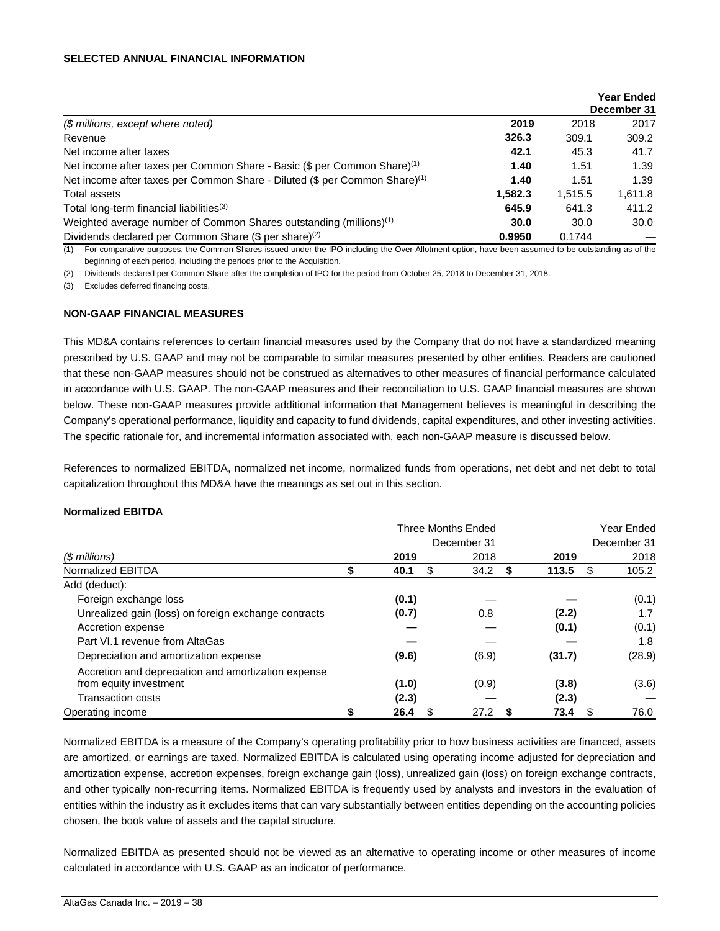#### **SELECTED ANNUAL FINANCIAL INFORMATION**

|                                                                                        |         |         | Year Ended<br>December 31 |
|----------------------------------------------------------------------------------------|---------|---------|---------------------------|
| (\$ millions, except where noted)                                                      | 2019    | 2018    | 2017                      |
| Revenue                                                                                | 326.3   | 309.1   | 309.2                     |
| Net income after taxes                                                                 | 42.1    | 45.3    | 41.7                      |
| Net income after taxes per Common Share - Basic (\$ per Common Share) <sup>(1)</sup>   | 1.40    | 1.51    | 1.39                      |
| Net income after taxes per Common Share - Diluted (\$ per Common Share) <sup>(1)</sup> | 1.40    | 1.51    | 1.39                      |
| Total assets                                                                           | 1,582.3 | 1,515.5 | 1,611.8                   |
| Total long-term financial liabilities <sup>(3)</sup>                                   | 645.9   | 641.3   | 411.2                     |
| Weighted average number of Common Shares outstanding (millions) <sup>(1)</sup>         | 30.0    | 30.0    | 30.0                      |
| Dividends declared per Common Share (\$ per share) <sup>(2)</sup>                      | 0.9950  | 0.1744  |                           |

(1) For comparative purposes, the Common Shares issued under the IPO including the Over-Allotment option, have been assumed to be outstanding as of the beginning of each period, including the periods prior to the Acquisition.

(2) Dividends declared per Common Share after the completion of IPO for the period from October 25, 2018 to December 31, 2018.

(3) Excludes deferred financing costs.

#### **NON-GAAP FINANCIAL MEASURES**

This MD&A contains references to certain financial measures used by the Company that do not have a standardized meaning prescribed by U.S. GAAP and may not be comparable to similar measures presented by other entities. Readers are cautioned that these non-GAAP measures should not be construed as alternatives to other measures of financial performance calculated in accordance with U.S. GAAP. The non-GAAP measures and their reconciliation to U.S. GAAP financial measures are shown below. These non-GAAP measures provide additional information that Management believes is meaningful in describing the Company's operational performance, liquidity and capacity to fund dividends, capital expenditures, and other investing activities. The specific rationale for, and incremental information associated with, each non-GAAP measure is discussed below.

References to normalized EBITDA, normalized net income, normalized funds from operations, net debt and net debt to total capitalization throughout this MD&A have the meanings as set out in this section.

#### **Normalized EBITDA**

|                                                      |    | <b>Three Months Ended</b> |             |              | Year Ended  |
|------------------------------------------------------|----|---------------------------|-------------|--------------|-------------|
|                                                      |    |                           | December 31 |              | December 31 |
| (\$ millions)                                        |    | 2019                      | 2018        | 2019         | 2018        |
| Normalized EBITDA                                    | S  | 40.1<br>\$                | $34.2$ \$   | 113.5<br>\$. | 105.2       |
| Add (deduct):                                        |    |                           |             |              |             |
| Foreign exchange loss                                |    | (0.1)                     |             |              | (0.1)       |
| Unrealized gain (loss) on foreign exchange contracts |    | (0.7)                     | 0.8         | (2.2)        | 1.7         |
| Accretion expense                                    |    |                           |             | (0.1)        | (0.1)       |
| Part VI.1 revenue from AltaGas                       |    |                           |             |              | 1.8         |
| Depreciation and amortization expense                |    | (9.6)                     | (6.9)       | (31.7)       | (28.9)      |
| Accretion and depreciation and amortization expense  |    |                           |             |              |             |
| from equity investment                               |    | (1.0)                     | (0.9)       | (3.8)        | (3.6)       |
| <b>Transaction costs</b>                             |    | (2.3)                     |             | (2.3)        |             |
| Operating income                                     | \$ | \$<br>26.4                | 27.2<br>S   | \$<br>73.4   | 76.0        |

Normalized EBITDA is a measure of the Company's operating profitability prior to how business activities are financed, assets are amortized, or earnings are taxed. Normalized EBITDA is calculated using operating income adjusted for depreciation and amortization expense, accretion expenses, foreign exchange gain (loss), unrealized gain (loss) on foreign exchange contracts, and other typically non-recurring items. Normalized EBITDA is frequently used by analysts and investors in the evaluation of entities within the industry as it excludes items that can vary substantially between entities depending on the accounting policies chosen, the book value of assets and the capital structure.

Normalized EBITDA as presented should not be viewed as an alternative to operating income or other measures of income calculated in accordance with U.S. GAAP as an indicator of performance.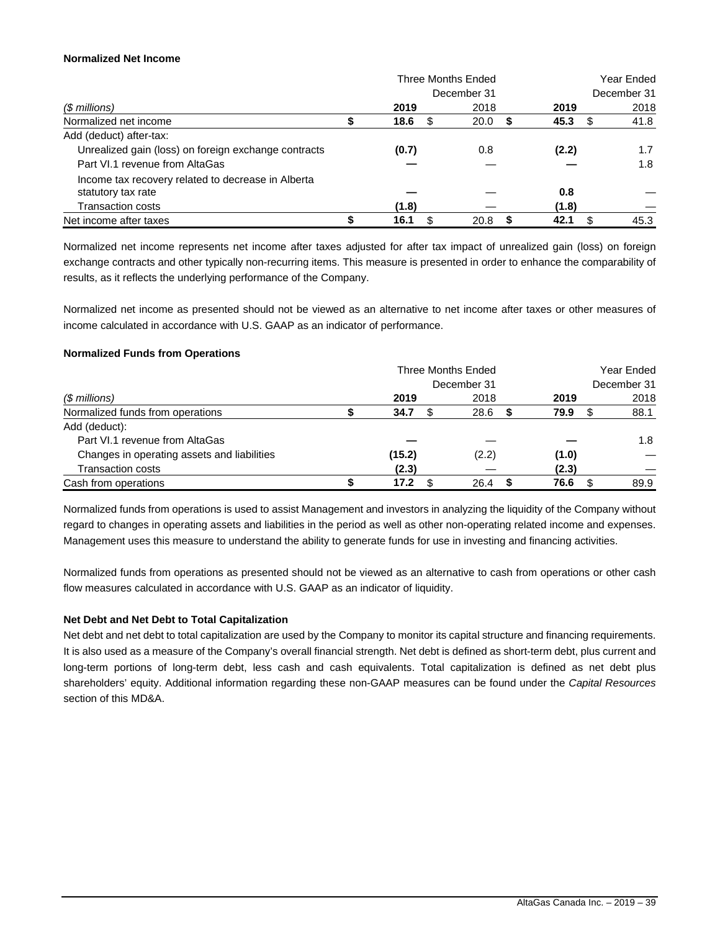#### **Normalized Net Income**

|                                                      |              | Three Months Ended |              | Year Ended   |
|------------------------------------------------------|--------------|--------------------|--------------|--------------|
|                                                      |              | December 31        |              | December 31  |
| (\$ millions)                                        | 2019         | 2018               | 2019         | 2018         |
| Normalized net income                                | 18.6<br>- \$ | 20.0               | 45.3<br>- \$ | 41.8<br>- \$ |
| Add (deduct) after-tax:                              |              |                    |              |              |
| Unrealized gain (loss) on foreign exchange contracts | (0.7)        | 0.8                | (2.2)        | 1.7          |
| Part VI.1 revenue from AltaGas                       |              |                    |              | 1.8          |
| Income tax recovery related to decrease in Alberta   |              |                    |              |              |
| statutory tax rate                                   |              |                    | 0.8          |              |
| <b>Transaction costs</b>                             | (1.8)        |                    | (1.8)        |              |
| Net income after taxes                               | 16.1         | 20.8               | 42.1         | 45.3         |

Normalized net income represents net income after taxes adjusted for after tax impact of unrealized gain (loss) on foreign exchange contracts and other typically non-recurring items. This measure is presented in order to enhance the comparability of results, as it reflects the underlying performance of the Company.

Normalized net income as presented should not be viewed as an alternative to net income after taxes or other measures of income calculated in accordance with U.S. GAAP as an indicator of performance.

# **Normalized Funds from Operations**

|                                             |        | <b>Three Months Ended</b> |       | Year Ended  |
|---------------------------------------------|--------|---------------------------|-------|-------------|
|                                             |        | December 31               |       | December 31 |
| (\$ millions)                               | 2019   | 2018                      | 2019  | 2018        |
| Normalized funds from operations            | 34.7   | 28.6                      | 79.9  | 88.1        |
| Add (deduct):                               |        |                           |       |             |
| Part VI.1 revenue from AltaGas              |        |                           |       | 1.8         |
| Changes in operating assets and liabilities | (15.2) | (2.2)                     | (1.0) |             |
| <b>Transaction costs</b>                    | (2.3)  |                           | (2.3) |             |
| Cash from operations                        | 17.2   | 26.4                      | 76.6  | 89.9        |

Normalized funds from operations is used to assist Management and investors in analyzing the liquidity of the Company without regard to changes in operating assets and liabilities in the period as well as other non-operating related income and expenses. Management uses this measure to understand the ability to generate funds for use in investing and financing activities.

Normalized funds from operations as presented should not be viewed as an alternative to cash from operations or other cash flow measures calculated in accordance with U.S. GAAP as an indicator of liquidity.

# **Net Debt and Net Debt to Total Capitalization**

Net debt and net debt to total capitalization are used by the Company to monitor its capital structure and financing requirements. It is also used as a measure of the Company's overall financial strength. Net debt is defined as short-term debt, plus current and long-term portions of long-term debt, less cash and cash equivalents. Total capitalization is defined as net debt plus shareholders' equity. Additional information regarding these non-GAAP measures can be found under the *Capital Resources* section of this MD&A.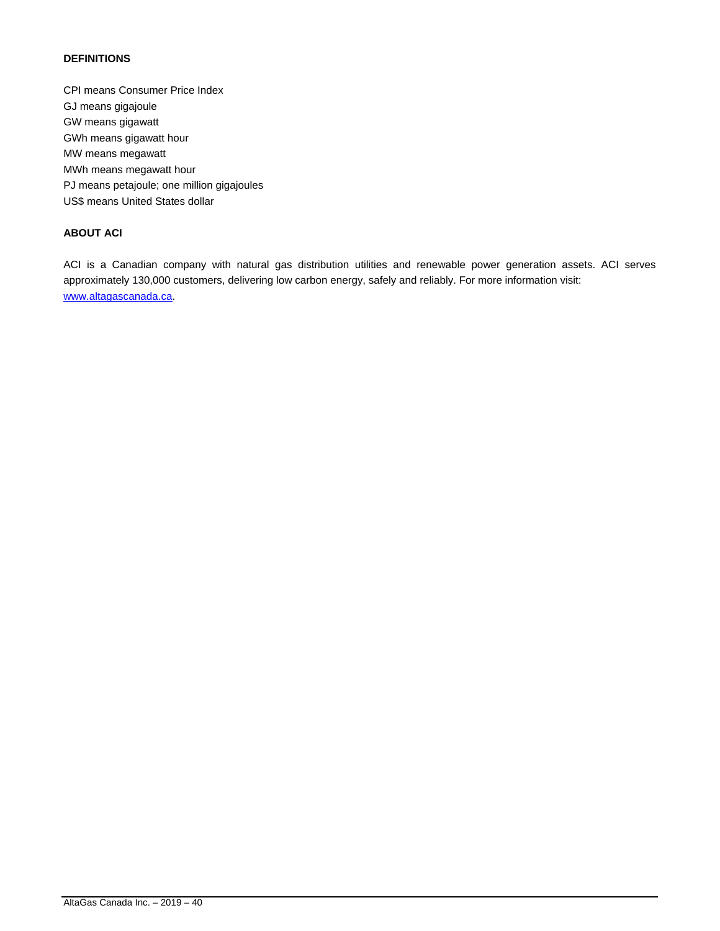# **DEFINITIONS**

CPI means Consumer Price Index GJ means gigajoule GW means gigawatt GWh means gigawatt hour MW means megawatt MWh means megawatt hour PJ means petajoule; one million gigajoules US\$ means United States dollar

# **ABOUT ACI**

ACI is a Canadian company with natural gas distribution utilities and renewable power generation assets. ACI serves approximately 130,000 customers, delivering low carbon energy, safely and reliably. For more information visit: www.altagascanada.ca.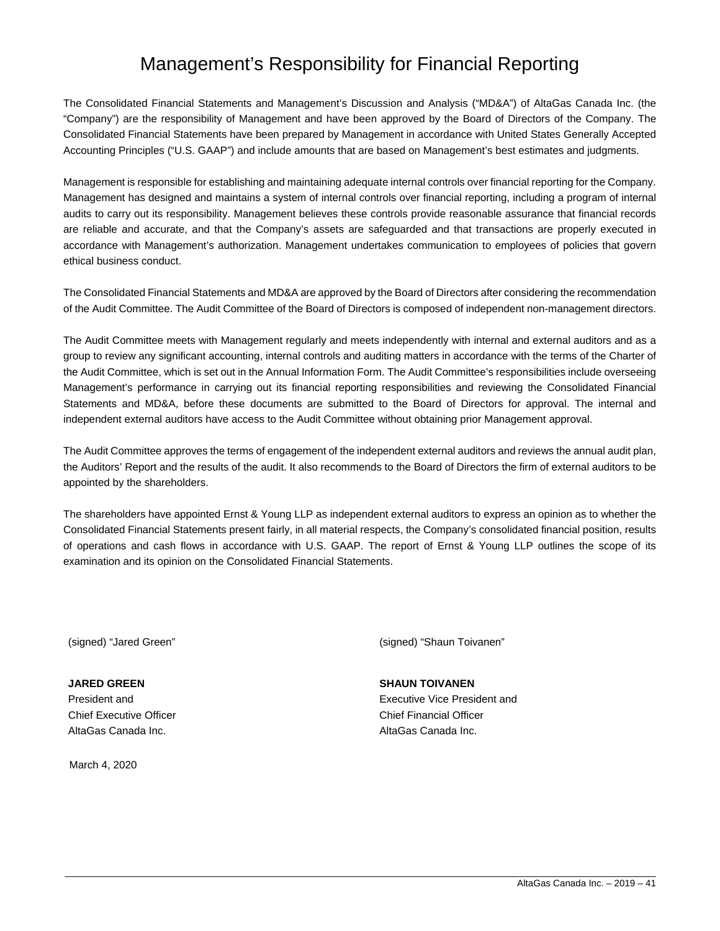# Management's Responsibility for Financial Reporting

The Consolidated Financial Statements and Management's Discussion and Analysis ("MD&A") of AltaGas Canada Inc. (the "Company") are the responsibility of Management and have been approved by the Board of Directors of the Company. The Consolidated Financial Statements have been prepared by Management in accordance with United States Generally Accepted Accounting Principles ("U.S. GAAP") and include amounts that are based on Management's best estimates and judgments.

Management is responsible for establishing and maintaining adequate internal controls over financial reporting for the Company. Management has designed and maintains a system of internal controls over financial reporting, including a program of internal audits to carry out its responsibility. Management believes these controls provide reasonable assurance that financial records are reliable and accurate, and that the Company's assets are safeguarded and that transactions are properly executed in accordance with Management's authorization. Management undertakes communication to employees of policies that govern ethical business conduct.

The Consolidated Financial Statements and MD&A are approved by the Board of Directors after considering the recommendation of the Audit Committee. The Audit Committee of the Board of Directors is composed of independent non-management directors.

The Audit Committee meets with Management regularly and meets independently with internal and external auditors and as a group to review any significant accounting, internal controls and auditing matters in accordance with the terms of the Charter of the Audit Committee, which is set out in the Annual Information Form. The Audit Committee's responsibilities include overseeing Management's performance in carrying out its financial reporting responsibilities and reviewing the Consolidated Financial Statements and MD&A, before these documents are submitted to the Board of Directors for approval. The internal and independent external auditors have access to the Audit Committee without obtaining prior Management approval.

The Audit Committee approves the terms of engagement of the independent external auditors and reviews the annual audit plan, the Auditors' Report and the results of the audit. It also recommends to the Board of Directors the firm of external auditors to be appointed by the shareholders.

The shareholders have appointed Ernst & Young LLP as independent external auditors to express an opinion as to whether the Consolidated Financial Statements present fairly, in all material respects, the Company's consolidated financial position, results of operations and cash flows in accordance with U.S. GAAP. The report of Ernst & Young LLP outlines the scope of its examination and its opinion on the Consolidated Financial Statements.

\_\_\_\_\_\_\_\_\_\_\_\_\_\_\_\_\_\_\_\_\_\_\_\_\_\_\_\_\_\_\_\_\_\_\_\_\_\_\_\_\_\_\_\_\_\_\_\_\_\_\_\_\_\_\_\_\_\_\_\_\_\_\_\_\_\_\_\_\_\_\_\_\_\_\_\_\_\_\_\_\_\_\_\_\_\_\_\_\_\_\_\_\_\_\_\_\_\_\_\_\_\_\_\_\_\_\_\_\_\_\_\_\_

(signed) "Jared Green" (signed) "Shaun Toivanen"

**JARED GREEN SHAUN TOIVANEN** Chief Executive Officer Chief Financial Officer AltaGas Canada Inc. AltaGas Canada Inc.

March 4, 2020

President and Executive Vice President and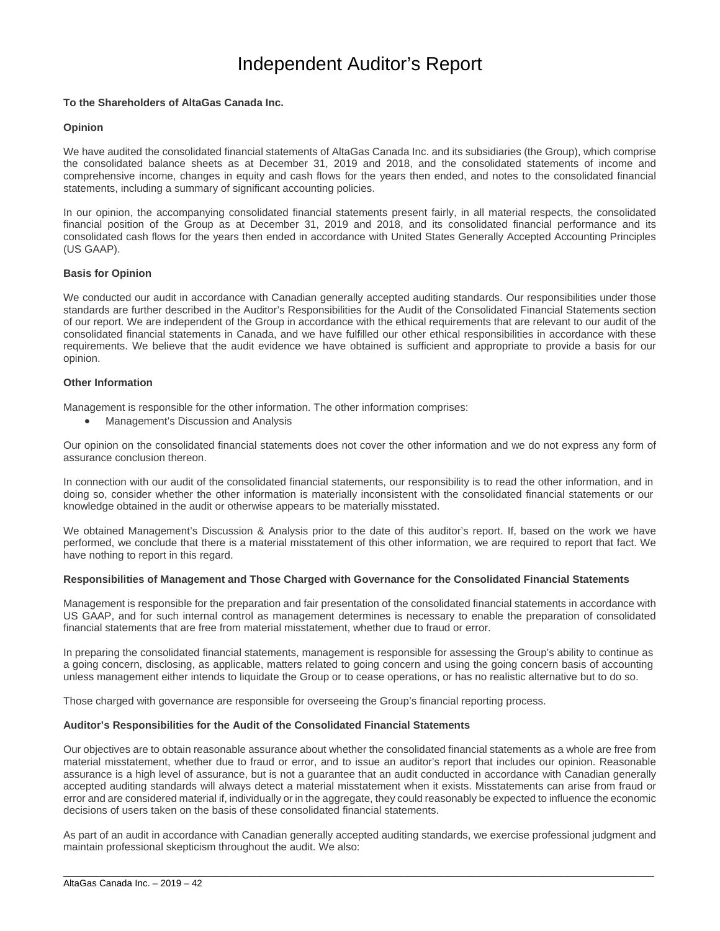# Independent Auditor's Report

#### **To the Shareholders of AltaGas Canada Inc.**

#### **Opinion**

We have audited the consolidated financial statements of AltaGas Canada Inc. and its subsidiaries (the Group), which comprise the consolidated balance sheets as at December 31, 2019 and 2018, and the consolidated statements of income and comprehensive income, changes in equity and cash flows for the years then ended, and notes to the consolidated financial statements, including a summary of significant accounting policies.

In our opinion, the accompanying consolidated financial statements present fairly, in all material respects, the consolidated financial position of the Group as at December 31, 2019 and 2018, and its consolidated financial performance and its consolidated cash flows for the years then ended in accordance with United States Generally Accepted Accounting Principles (US GAAP).

#### **Basis for Opinion**

We conducted our audit in accordance with Canadian generally accepted auditing standards. Our responsibilities under those standards are further described in the Auditor's Responsibilities for the Audit of the Consolidated Financial Statements section of our report. We are independent of the Group in accordance with the ethical requirements that are relevant to our audit of the consolidated financial statements in Canada, and we have fulfilled our other ethical responsibilities in accordance with these requirements. We believe that the audit evidence we have obtained is sufficient and appropriate to provide a basis for our opinion.

#### **Other Information**

Management is responsible for the other information. The other information comprises:

Management's Discussion and Analysis

Our opinion on the consolidated financial statements does not cover the other information and we do not express any form of assurance conclusion thereon.

In connection with our audit of the consolidated financial statements, our responsibility is to read the other information, and in doing so, consider whether the other information is materially inconsistent with the consolidated financial statements or our knowledge obtained in the audit or otherwise appears to be materially misstated.

We obtained Management's Discussion & Analysis prior to the date of this auditor's report. If, based on the work we have performed, we conclude that there is a material misstatement of this other information, we are required to report that fact. We have nothing to report in this regard.

#### **Responsibilities of Management and Those Charged with Governance for the Consolidated Financial Statements**

Management is responsible for the preparation and fair presentation of the consolidated financial statements in accordance with US GAAP, and for such internal control as management determines is necessary to enable the preparation of consolidated financial statements that are free from material misstatement, whether due to fraud or error.

In preparing the consolidated financial statements, management is responsible for assessing the Group's ability to continue as a going concern, disclosing, as applicable, matters related to going concern and using the going concern basis of accounting unless management either intends to liquidate the Group or to cease operations, or has no realistic alternative but to do so.

Those charged with governance are responsible for overseeing the Group's financial reporting process.

#### **Auditor's Responsibilities for the Audit of the Consolidated Financial Statements**

Our objectives are to obtain reasonable assurance about whether the consolidated financial statements as a whole are free from material misstatement, whether due to fraud or error, and to issue an auditor's report that includes our opinion. Reasonable assurance is a high level of assurance, but is not a guarantee that an audit conducted in accordance with Canadian generally accepted auditing standards will always detect a material misstatement when it exists. Misstatements can arise from fraud or error and are considered material if, individually or in the aggregate, they could reasonably be expected to influence the economic decisions of users taken on the basis of these consolidated financial statements.

As part of an audit in accordance with Canadian generally accepted auditing standards, we exercise professional judgment and maintain professional skepticism throughout the audit. We also: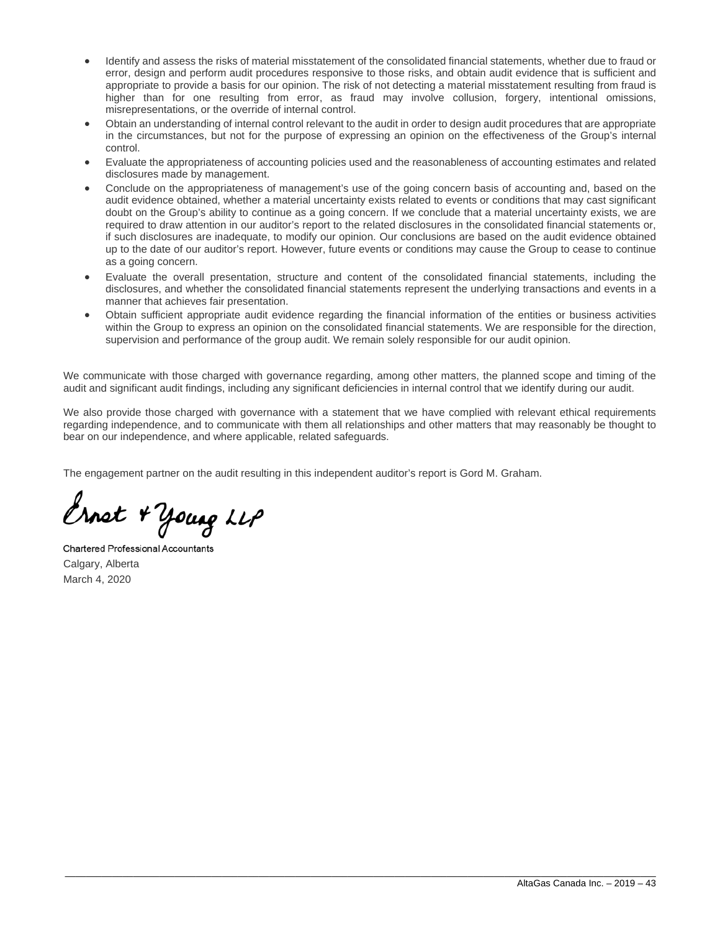- Identify and assess the risks of material misstatement of the consolidated financial statements, whether due to fraud or error, design and perform audit procedures responsive to those risks, and obtain audit evidence that is sufficient and appropriate to provide a basis for our opinion. The risk of not detecting a material misstatement resulting from fraud is higher than for one resulting from error, as fraud may involve collusion, forgery, intentional omissions, misrepresentations, or the override of internal control.
- Obtain an understanding of internal control relevant to the audit in order to design audit procedures that are appropriate in the circumstances, but not for the purpose of expressing an opinion on the effectiveness of the Group's internal control.
- Evaluate the appropriateness of accounting policies used and the reasonableness of accounting estimates and related disclosures made by management.
- Conclude on the appropriateness of management's use of the going concern basis of accounting and, based on the audit evidence obtained, whether a material uncertainty exists related to events or conditions that may cast significant doubt on the Group's ability to continue as a going concern. If we conclude that a material uncertainty exists, we are required to draw attention in our auditor's report to the related disclosures in the consolidated financial statements or, if such disclosures are inadequate, to modify our opinion. Our conclusions are based on the audit evidence obtained up to the date of our auditor's report. However, future events or conditions may cause the Group to cease to continue as a going concern.
- Evaluate the overall presentation, structure and content of the consolidated financial statements, including the disclosures, and whether the consolidated financial statements represent the underlying transactions and events in a manner that achieves fair presentation.
- Obtain sufficient appropriate audit evidence regarding the financial information of the entities or business activities within the Group to express an opinion on the consolidated financial statements. We are responsible for the direction, supervision and performance of the group audit. We remain solely responsible for our audit opinion.

We communicate with those charged with governance regarding, among other matters, the planned scope and timing of the audit and significant audit findings, including any significant deficiencies in internal control that we identify during our audit.

We also provide those charged with governance with a statement that we have complied with relevant ethical requirements regarding independence, and to communicate with them all relationships and other matters that may reasonably be thought to bear on our independence, and where applicable, related safeguards.

\_\_\_\_\_\_\_\_\_\_\_\_\_\_\_\_\_\_\_\_\_\_\_\_\_\_\_\_\_\_\_\_\_\_\_\_\_\_\_\_\_\_\_\_\_\_\_\_\_\_\_\_\_\_\_\_\_\_\_\_\_\_\_\_\_\_\_\_\_\_\_\_\_\_\_\_\_\_\_\_\_\_\_\_\_\_\_\_\_\_\_\_\_\_\_\_\_\_\_\_\_\_\_\_\_\_\_\_\_\_\_\_\_

The engagement partner on the audit resulting in this independent auditor's report is Gord M. Graham.

Ernst + Young LLP

**Chartered Professional Accountants** Calgary, Alberta March 4, 2020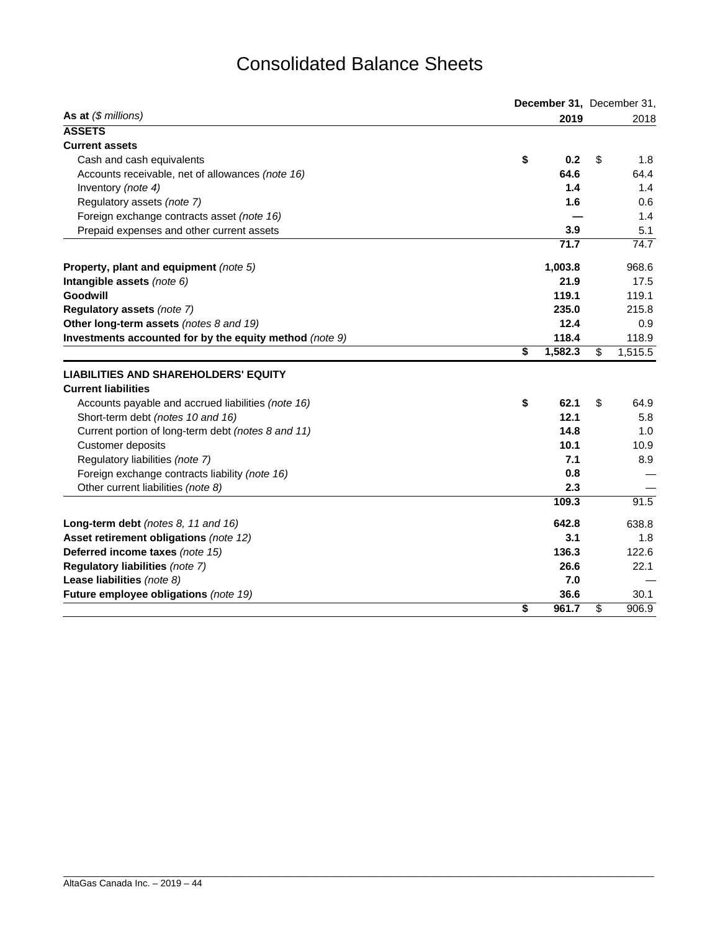# Consolidated Balance Sheets

|                                                         |               |                         | December 31, December 31, |  |
|---------------------------------------------------------|---------------|-------------------------|---------------------------|--|
| As at $(\$$ millions)                                   | 2019          |                         | 2018                      |  |
| <b>ASSETS</b>                                           |               |                         |                           |  |
| <b>Current assets</b>                                   |               |                         |                           |  |
| Cash and cash equivalents                               | \$<br>0.2     | \$                      | 1.8                       |  |
| Accounts receivable, net of allowances (note 16)        | 64.6          |                         | 64.4                      |  |
| Inventory (note 4)                                      | 1.4           |                         | 1.4                       |  |
| Regulatory assets (note 7)                              | 1.6           |                         | 0.6                       |  |
| Foreign exchange contracts asset (note 16)              |               |                         | 1.4                       |  |
| Prepaid expenses and other current assets               | 3.9           |                         | 5.1                       |  |
|                                                         | 71.7          |                         | 74.7                      |  |
| Property, plant and equipment (note 5)                  | 1,003.8       |                         | 968.6                     |  |
| Intangible assets (note 6)                              | 21.9          |                         | 17.5                      |  |
| Goodwill                                                | 119.1         |                         | 119.1                     |  |
| Regulatory assets (note 7)                              | 235.0         |                         | 215.8                     |  |
| Other long-term assets (notes 8 and 19)                 | 12.4          |                         | 0.9                       |  |
| Investments accounted for by the equity method (note 9) | 118.4         |                         | 118.9                     |  |
|                                                         | \$<br>1,582.3 | \$                      | 1,515.5                   |  |
| <b>LIABILITIES AND SHAREHOLDERS' EQUITY</b>             |               |                         |                           |  |
| <b>Current liabilities</b>                              |               |                         |                           |  |
| Accounts payable and accrued liabilities (note 16)      | \$<br>62.1    | \$                      | 64.9                      |  |
| Short-term debt (notes 10 and 16)                       | 12.1          |                         | 5.8                       |  |
| Current portion of long-term debt (notes 8 and 11)      | 14.8          |                         | 1.0                       |  |
| Customer deposits                                       | 10.1          |                         | 10.9                      |  |
| Regulatory liabilities (note 7)                         | 7.1           |                         | 8.9                       |  |
| Foreign exchange contracts liability (note 16)          | 0.8           |                         |                           |  |
| Other current liabilities (note 8)                      | 2.3           |                         |                           |  |
|                                                         | 109.3         |                         | 91.5                      |  |
| Long-term debt (notes 8, 11 and 16)                     | 642.8         |                         | 638.8                     |  |
| Asset retirement obligations (note 12)                  | 3.1           |                         | 1.8                       |  |
| Deferred income taxes (note 15)                         | 136.3         |                         | 122.6                     |  |
| Regulatory liabilities (note 7)                         | 26.6          |                         | 22.1                      |  |
| Lease liabilities (note 8)                              | 7.0           |                         |                           |  |
| Future employee obligations (note 19)                   | 36.6          |                         | 30.1                      |  |
|                                                         | \$<br>961.7   | $\overline{\mathbf{S}}$ | 906.9                     |  |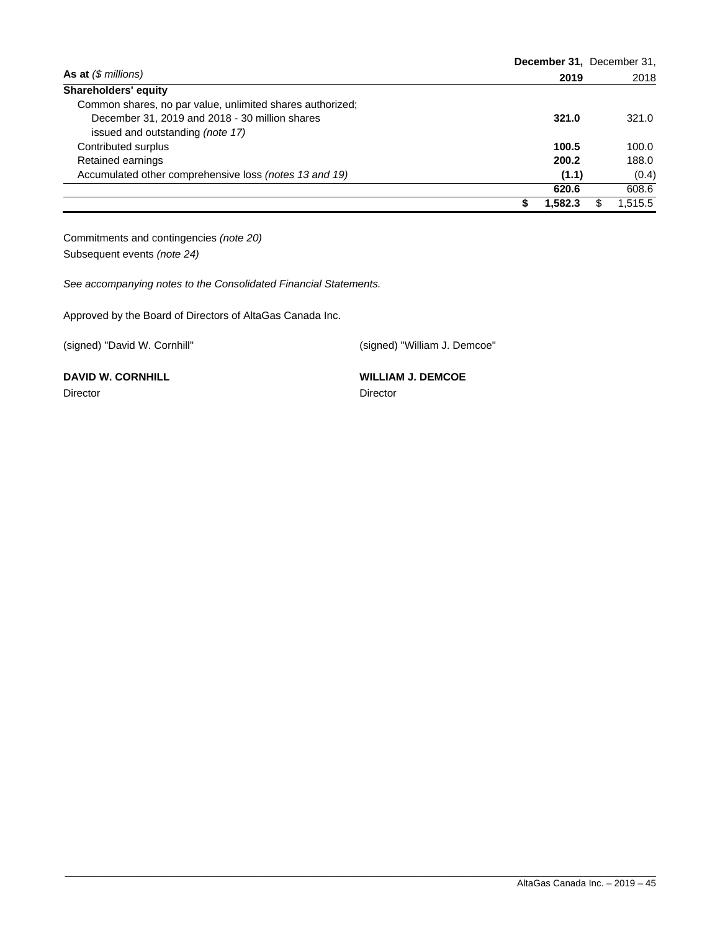|                                                           |              | December 31, December 31, |
|-----------------------------------------------------------|--------------|---------------------------|
| As at $(\$$ millions)                                     | 2019         | 2018                      |
| <b>Shareholders' equity</b>                               |              |                           |
| Common shares, no par value, unlimited shares authorized; |              |                           |
| December 31, 2019 and 2018 - 30 million shares            | 321.0        | 321.0                     |
| issued and outstanding (note 17)                          |              |                           |
| Contributed surplus                                       | 100.5        | 100.0                     |
| Retained earnings                                         | 200.2        | 188.0                     |
| Accumulated other comprehensive loss (notes 13 and 19)    | (1.1)        | (0.4)                     |
|                                                           | 620.6        | 608.6                     |
|                                                           | 1.582.3<br>S | 1.515.5                   |

Commitments and contingencies *(note 20)*  Subsequent events *(note 24)* 

*See accompanying notes to the Consolidated Financial Statements.* 

Approved by the Board of Directors of AltaGas Canada Inc.

(signed) "David W. Cornhill" (signed) "William J. Demcoe"

**DAVID W. CORNHILL WILLIAM J. DEMCOE** Director **Director** Director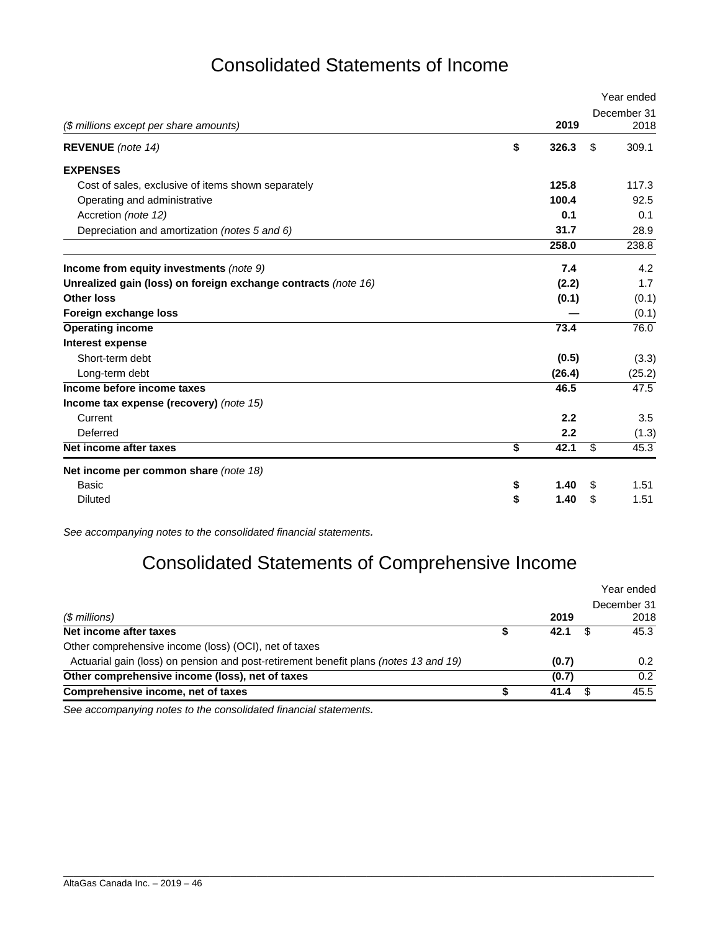| <b>Consolidated Statements of Income</b> |  |
|------------------------------------------|--|
|------------------------------------------|--|

|                                                                |             |             | Year ended |
|----------------------------------------------------------------|-------------|-------------|------------|
|                                                                |             | December 31 |            |
| (\$ millions except per share amounts)                         | 2019        |             | 2018       |
| REVENUE (note 14)                                              | \$<br>326.3 | \$          | 309.1      |
| <b>EXPENSES</b>                                                |             |             |            |
| Cost of sales, exclusive of items shown separately             | 125.8       |             | 117.3      |
| Operating and administrative                                   | 100.4       |             | 92.5       |
| Accretion (note 12)                                            | 0.1         |             | 0.1        |
| Depreciation and amortization (notes 5 and 6)                  | 31.7        |             | 28.9       |
|                                                                | 258.0       |             | 238.8      |
| Income from equity investments (note 9)                        | 7.4         |             | 4.2        |
| Unrealized gain (loss) on foreign exchange contracts (note 16) | (2.2)       |             | 1.7        |
| <b>Other loss</b>                                              | (0.1)       |             | (0.1)      |
| Foreign exchange loss                                          |             |             | (0.1)      |
| <b>Operating income</b>                                        | 73.4        |             | 76.0       |
| Interest expense                                               |             |             |            |
| Short-term debt                                                | (0.5)       |             | (3.3)      |
| Long-term debt                                                 | (26.4)      |             | (25.2)     |
| Income before income taxes                                     | 46.5        |             | 47.5       |
| Income tax expense (recovery) (note 15)                        |             |             |            |
| Current                                                        | 2.2         |             | 3.5        |
| Deferred                                                       | 2.2         |             | (1.3)      |
| Net income after taxes                                         | \$<br>42.1  | \$          | 45.3       |
| Net income per common share (note 18)                          |             |             |            |
| <b>Basic</b>                                                   | \$<br>1.40  | \$          | 1.51       |
| <b>Diluted</b>                                                 | \$<br>1.40  | \$          | 1.51       |

*See accompanying notes to the consolidated financial statements.* 

# Consolidated Statements of Comprehensive Income

|                                                                                      |  |       |     | Year ended  |
|--------------------------------------------------------------------------------------|--|-------|-----|-------------|
|                                                                                      |  |       |     | December 31 |
| (\$ millions)                                                                        |  | 2019  |     | 2018        |
| Net income after taxes                                                               |  | 42.1  | -S  | 45.3        |
| Other comprehensive income (loss) (OCI), net of taxes                                |  |       |     |             |
| Actuarial gain (loss) on pension and post-retirement benefit plans (notes 13 and 19) |  | (0.7) |     | 0.2         |
| Other comprehensive income (loss), net of taxes                                      |  | (0.7) |     | 0.2         |
| Comprehensive income, net of taxes                                                   |  | 41.4  | -SS | 45.5        |

\_\_\_\_\_\_\_\_\_\_\_\_\_\_\_\_\_\_\_\_\_\_\_\_\_\_\_\_\_\_\_\_\_\_\_\_\_\_\_\_\_\_\_\_\_\_\_\_\_\_\_\_\_\_\_\_\_\_\_\_\_\_\_\_\_\_\_\_\_\_\_\_\_\_\_\_\_\_\_\_\_\_\_\_\_\_\_\_\_\_\_\_\_\_\_\_\_\_\_\_\_\_\_\_\_\_\_\_\_\_\_\_\_

*See accompanying notes to the consolidated financial statements.*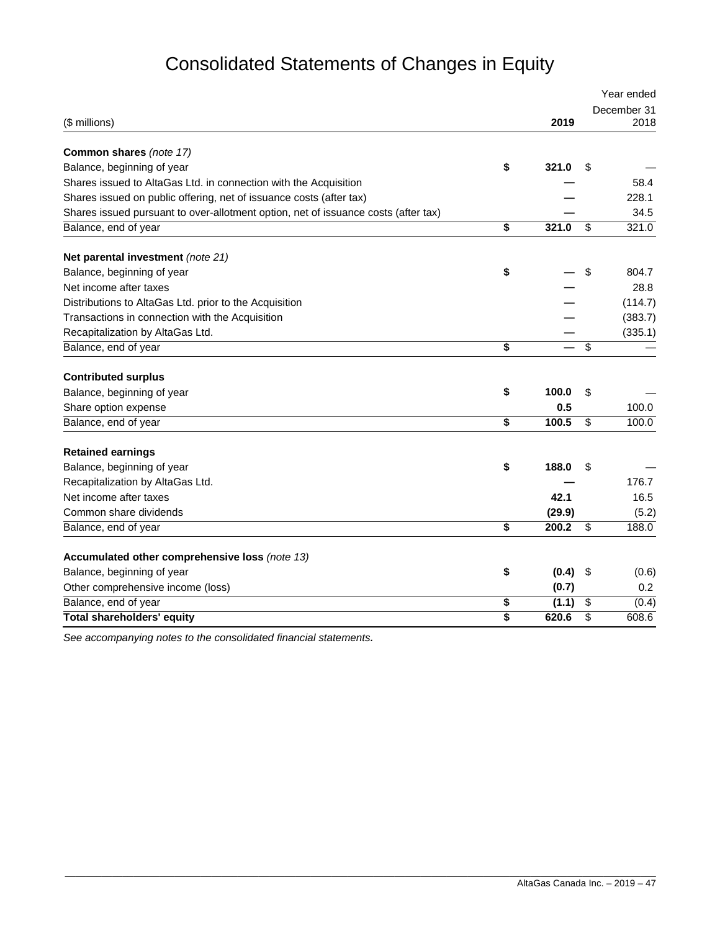# Consolidated Statements of Changes in Equity

|                                                                                    |             |                                  | Year ended  |
|------------------------------------------------------------------------------------|-------------|----------------------------------|-------------|
|                                                                                    |             |                                  | December 31 |
| (\$ millions)                                                                      | 2019        |                                  | 2018        |
| Common shares (note 17)                                                            |             |                                  |             |
| Balance, beginning of year                                                         | \$<br>321.0 | \$                               |             |
| Shares issued to AltaGas Ltd. in connection with the Acquisition                   |             |                                  | 58.4        |
| Shares issued on public offering, net of issuance costs (after tax)                |             |                                  | 228.1       |
| Shares issued pursuant to over-allotment option, net of issuance costs (after tax) |             |                                  | 34.5        |
| Balance, end of year                                                               | \$<br>321.0 | \$                               | 321.0       |
| Net parental investment (note 21)                                                  |             |                                  |             |
| Balance, beginning of year                                                         | \$          | \$                               | 804.7       |
| Net income after taxes                                                             |             |                                  | 28.8        |
| Distributions to AltaGas Ltd. prior to the Acquisition                             |             |                                  | (114.7)     |
| Transactions in connection with the Acquisition                                    |             |                                  | (383.7)     |
| Recapitalization by AltaGas Ltd.                                                   |             |                                  | (335.1)     |
| Balance, end of year                                                               | \$          | $\overline{\boldsymbol{\theta}}$ |             |
| <b>Contributed surplus</b>                                                         |             |                                  |             |
| Balance, beginning of year                                                         | \$<br>100.0 | \$                               |             |
| Share option expense                                                               | 0.5         |                                  | 100.0       |
| Balance, end of year                                                               | \$<br>100.5 | \$                               | 100.0       |
| <b>Retained earnings</b>                                                           |             |                                  |             |
| Balance, beginning of year                                                         | \$<br>188.0 | \$                               |             |
| Recapitalization by AltaGas Ltd.                                                   |             |                                  | 176.7       |
| Net income after taxes                                                             | 42.1        |                                  | 16.5        |
| Common share dividends                                                             | (29.9)      |                                  | (5.2)       |
| Balance, end of year                                                               | \$<br>200.2 | \$                               | 188.0       |
| Accumulated other comprehensive loss (note 13)                                     |             |                                  |             |
| Balance, beginning of year                                                         | \$<br>(0.4) | \$                               | (0.6)       |
| Other comprehensive income (loss)                                                  | (0.7)       |                                  | 0.2         |
| Balance, end of year                                                               | \$<br>(1.1) | \$                               | (0.4)       |
| <b>Total shareholders' equity</b>                                                  | \$<br>620.6 | \$                               | 608.6       |

\_\_\_\_\_\_\_\_\_\_\_\_\_\_\_\_\_\_\_\_\_\_\_\_\_\_\_\_\_\_\_\_\_\_\_\_\_\_\_\_\_\_\_\_\_\_\_\_\_\_\_\_\_\_\_\_\_\_\_\_\_\_\_\_\_\_\_\_\_\_\_\_\_\_\_\_\_\_\_\_\_\_\_\_\_\_\_\_\_\_\_\_\_\_\_\_\_\_\_\_\_\_\_\_\_\_\_\_\_\_\_\_\_

*See accompanying notes to the consolidated financial statements.*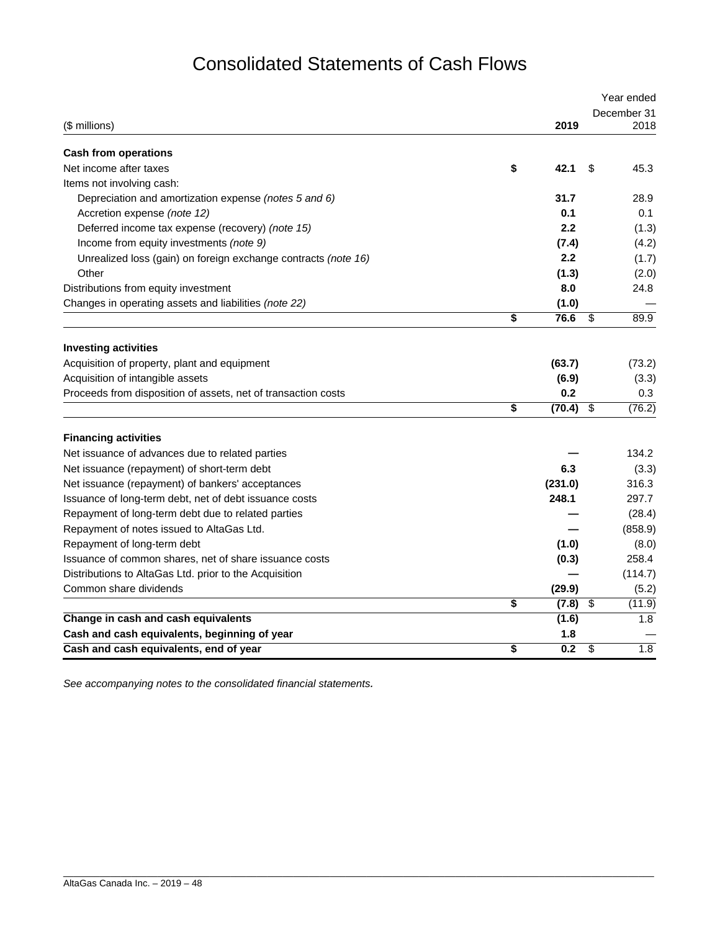|                                                                |                  |     | Year ended          |
|----------------------------------------------------------------|------------------|-----|---------------------|
| (\$ millions)                                                  | 2019             |     | December 31<br>2018 |
| <b>Cash from operations</b>                                    |                  |     |                     |
| Net income after taxes                                         | \$<br>42.1       | \$. | 45.3                |
| Items not involving cash:                                      |                  |     |                     |
| Depreciation and amortization expense (notes 5 and 6)          | 31.7             |     | 28.9                |
| Accretion expense (note 12)                                    | 0.1              |     | 0.1                 |
| Deferred income tax expense (recovery) (note 15)               | 2.2              |     | (1.3)               |
| Income from equity investments (note 9)                        | (7.4)            |     | (4.2)               |
| Unrealized loss (gain) on foreign exchange contracts (note 16) | $2.2\phantom{0}$ |     | (1.7)               |
| Other                                                          | (1.3)            |     | (2.0)               |
| Distributions from equity investment                           | 8.0              |     | 24.8                |
| Changes in operating assets and liabilities (note 22)          | (1.0)            |     |                     |
|                                                                | \$<br>76.6       | \$  | 89.9                |
| <b>Investing activities</b>                                    |                  |     |                     |
| Acquisition of property, plant and equipment                   | (63.7)           |     | (73.2)              |
| Acquisition of intangible assets                               | (6.9)            |     | (3.3)               |
| Proceeds from disposition of assets, net of transaction costs  | 0.2              |     | 0.3                 |
|                                                                | \$<br>(70.4)     | \$  | (76.2)              |
| <b>Financing activities</b>                                    |                  |     |                     |
| Net issuance of advances due to related parties                |                  |     | 134.2               |
| Net issuance (repayment) of short-term debt                    | 6.3              |     | (3.3)               |
| Net issuance (repayment) of bankers' acceptances               | (231.0)          |     | 316.3               |
| Issuance of long-term debt, net of debt issuance costs         | 248.1            |     | 297.7               |
| Repayment of long-term debt due to related parties             |                  |     | (28.4)              |
| Repayment of notes issued to AltaGas Ltd.                      |                  |     | (858.9)             |
| Repayment of long-term debt                                    | (1.0)            |     | (8.0)               |
| Issuance of common shares, net of share issuance costs         | (0.3)            |     | 258.4               |
| Distributions to AltaGas Ltd. prior to the Acquisition         |                  |     | (114.7)             |
| Common share dividends                                         | (29.9)           |     | (5.2)               |
|                                                                | \$<br>(7.8)      | \$  | (11.9)              |
| Change in cash and cash equivalents                            | (1.6)            |     | 1.8                 |
| Cash and cash equivalents, beginning of year                   | 1.8              |     |                     |
| Cash and cash equivalents, end of year                         | \$<br>0.2        | \$  | 1.8                 |

\_\_\_\_\_\_\_\_\_\_\_\_\_\_\_\_\_\_\_\_\_\_\_\_\_\_\_\_\_\_\_\_\_\_\_\_\_\_\_\_\_\_\_\_\_\_\_\_\_\_\_\_\_\_\_\_\_\_\_\_\_\_\_\_\_\_\_\_\_\_\_\_\_\_\_\_\_\_\_\_\_\_\_\_\_\_\_\_\_\_\_\_\_\_\_\_\_\_\_\_\_\_\_\_\_\_\_\_\_\_\_\_\_

# Consolidated Statements of Cash Flows

*See accompanying notes to the consolidated financial statements.*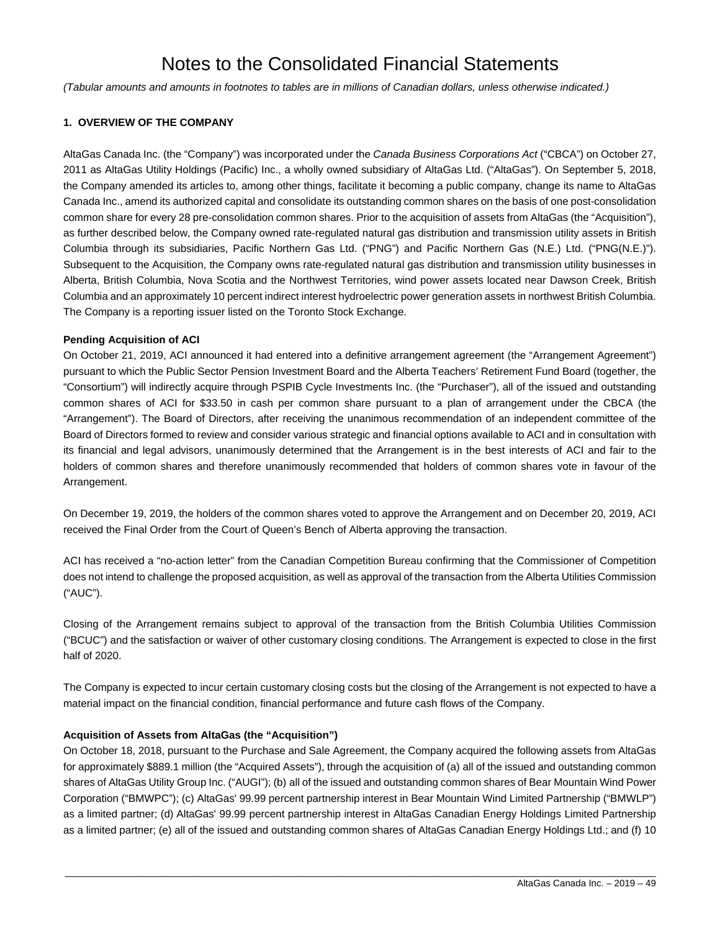# Notes to the Consolidated Financial Statements

*(Tabular amounts and amounts in footnotes to tables are in millions of Canadian dollars, unless otherwise indicated.)* 

# **1. OVERVIEW OF THE COMPANY**

AltaGas Canada Inc. (the "Company") was incorporated under the *Canada Business Corporations Act* ("CBCA") on October 27, 2011 as AltaGas Utility Holdings (Pacific) Inc., a wholly owned subsidiary of AltaGas Ltd. ("AltaGas"). On September 5, 2018, the Company amended its articles to, among other things, facilitate it becoming a public company, change its name to AltaGas Canada Inc., amend its authorized capital and consolidate its outstanding common shares on the basis of one post-consolidation common share for every 28 pre-consolidation common shares. Prior to the acquisition of assets from AltaGas (the "Acquisition"), as further described below, the Company owned rate-regulated natural gas distribution and transmission utility assets in British Columbia through its subsidiaries, Pacific Northern Gas Ltd. ("PNG") and Pacific Northern Gas (N.E.) Ltd. ("PNG(N.E.)"). Subsequent to the Acquisition, the Company owns rate-regulated natural gas distribution and transmission utility businesses in Alberta, British Columbia, Nova Scotia and the Northwest Territories, wind power assets located near Dawson Creek, British Columbia and an approximately 10 percent indirect interest hydroelectric power generation assets in northwest British Columbia. The Company is a reporting issuer listed on the Toronto Stock Exchange.

#### **Pending Acquisition of ACI**

On October 21, 2019, ACI announced it had entered into a definitive arrangement agreement (the "Arrangement Agreement") pursuant to which the Public Sector Pension Investment Board and the Alberta Teachers' Retirement Fund Board (together, the "Consortium") will indirectly acquire through PSPIB Cycle Investments Inc. (the "Purchaser"), all of the issued and outstanding common shares of ACI for \$33.50 in cash per common share pursuant to a plan of arrangement under the CBCA (the "Arrangement"). The Board of Directors, after receiving the unanimous recommendation of an independent committee of the Board of Directors formed to review and consider various strategic and financial options available to ACI and in consultation with its financial and legal advisors, unanimously determined that the Arrangement is in the best interests of ACI and fair to the holders of common shares and therefore unanimously recommended that holders of common shares vote in favour of the Arrangement.

On December 19, 2019, the holders of the common shares voted to approve the Arrangement and on December 20, 2019, ACI received the Final Order from the Court of Queen's Bench of Alberta approving the transaction.

ACI has received a "no-action letter" from the Canadian Competition Bureau confirming that the Commissioner of Competition does not intend to challenge the proposed acquisition, as well as approval of the transaction from the Alberta Utilities Commission ("AUC").

Closing of the Arrangement remains subject to approval of the transaction from the British Columbia Utilities Commission ("BCUC") and the satisfaction or waiver of other customary closing conditions. The Arrangement is expected to close in the first half of 2020.

The Company is expected to incur certain customary closing costs but the closing of the Arrangement is not expected to have a material impact on the financial condition, financial performance and future cash flows of the Company.

# **Acquisition of Assets from AltaGas (the "Acquisition")**

On October 18, 2018, pursuant to the Purchase and Sale Agreement, the Company acquired the following assets from AltaGas for approximately \$889.1 million (the "Acquired Assets"), through the acquisition of (a) all of the issued and outstanding common shares of AltaGas Utility Group Inc. ("AUGI"); (b) all of the issued and outstanding common shares of Bear Mountain Wind Power Corporation ("BMWPC"); (c) AltaGas' 99.99 percent partnership interest in Bear Mountain Wind Limited Partnership ("BMWLP") as a limited partner; (d) AltaGas' 99.99 percent partnership interest in AltaGas Canadian Energy Holdings Limited Partnership as a limited partner; (e) all of the issued and outstanding common shares of AltaGas Canadian Energy Holdings Ltd.; and (f) 10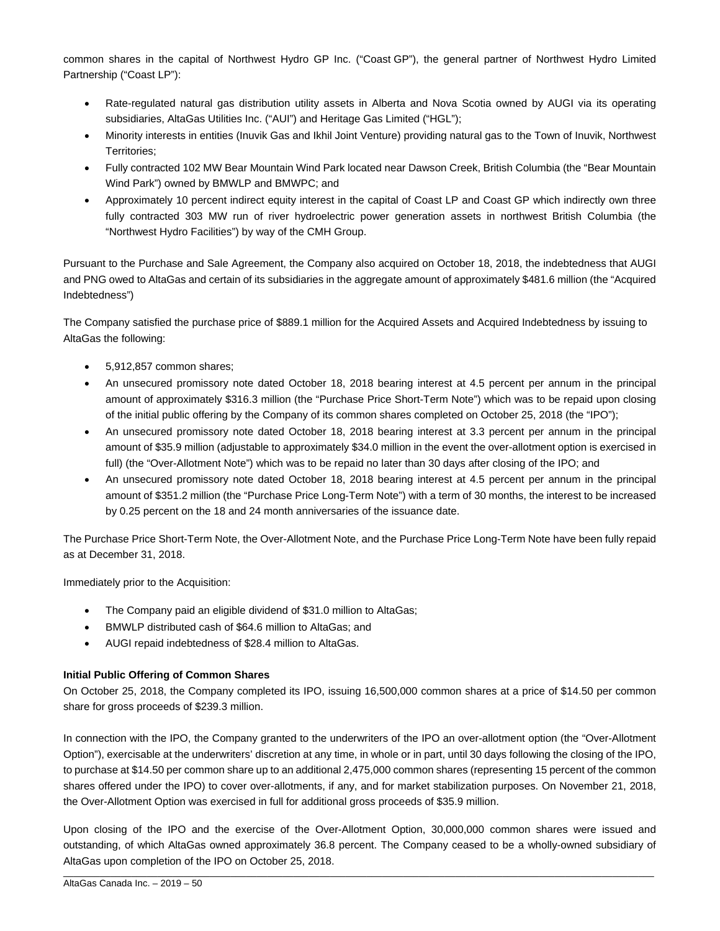common shares in the capital of Northwest Hydro GP Inc. ("Coast GP"), the general partner of Northwest Hydro Limited Partnership ("Coast LP"):

- Rate-regulated natural gas distribution utility assets in Alberta and Nova Scotia owned by AUGI via its operating subsidiaries, AltaGas Utilities Inc. ("AUI") and Heritage Gas Limited ("HGL");
- Minority interests in entities (Inuvik Gas and Ikhil Joint Venture) providing natural gas to the Town of Inuvik, Northwest Territories;
- Fully contracted 102 MW Bear Mountain Wind Park located near Dawson Creek, British Columbia (the "Bear Mountain Wind Park") owned by BMWLP and BMWPC; and
- Approximately 10 percent indirect equity interest in the capital of Coast LP and Coast GP which indirectly own three fully contracted 303 MW run of river hydroelectric power generation assets in northwest British Columbia (the "Northwest Hydro Facilities") by way of the CMH Group.

Pursuant to the Purchase and Sale Agreement, the Company also acquired on October 18, 2018, the indebtedness that AUGI and PNG owed to AltaGas and certain of its subsidiaries in the aggregate amount of approximately \$481.6 million (the "Acquired Indebtedness")

The Company satisfied the purchase price of \$889.1 million for the Acquired Assets and Acquired Indebtedness by issuing to AltaGas the following:

- 5,912,857 common shares;
- An unsecured promissory note dated October 18, 2018 bearing interest at 4.5 percent per annum in the principal amount of approximately \$316.3 million (the "Purchase Price Short-Term Note") which was to be repaid upon closing of the initial public offering by the Company of its common shares completed on October 25, 2018 (the "IPO");
- An unsecured promissory note dated October 18, 2018 bearing interest at 3.3 percent per annum in the principal amount of \$35.9 million (adjustable to approximately \$34.0 million in the event the over-allotment option is exercised in full) (the "Over-Allotment Note") which was to be repaid no later than 30 days after closing of the IPO; and
- An unsecured promissory note dated October 18, 2018 bearing interest at 4.5 percent per annum in the principal amount of \$351.2 million (the "Purchase Price Long-Term Note") with a term of 30 months, the interest to be increased by 0.25 percent on the 18 and 24 month anniversaries of the issuance date.

The Purchase Price Short-Term Note, the Over-Allotment Note, and the Purchase Price Long-Term Note have been fully repaid as at December 31, 2018.

Immediately prior to the Acquisition:

- The Company paid an eligible dividend of \$31.0 million to AltaGas;
- BMWLP distributed cash of \$64.6 million to AltaGas; and
- AUGI repaid indebtedness of \$28.4 million to AltaGas.

# **Initial Public Offering of Common Shares**

On October 25, 2018, the Company completed its IPO, issuing 16,500,000 common shares at a price of \$14.50 per common share for gross proceeds of \$239.3 million.

In connection with the IPO, the Company granted to the underwriters of the IPO an over-allotment option (the "Over-Allotment Option"), exercisable at the underwriters' discretion at any time, in whole or in part, until 30 days following the closing of the IPO, to purchase at \$14.50 per common share up to an additional 2,475,000 common shares (representing 15 percent of the common shares offered under the IPO) to cover over-allotments, if any, and for market stabilization purposes. On November 21, 2018, the Over-Allotment Option was exercised in full for additional gross proceeds of \$35.9 million.

Upon closing of the IPO and the exercise of the Over-Allotment Option, 30,000,000 common shares were issued and outstanding, of which AltaGas owned approximately 36.8 percent. The Company ceased to be a wholly-owned subsidiary of AltaGas upon completion of the IPO on October 25, 2018.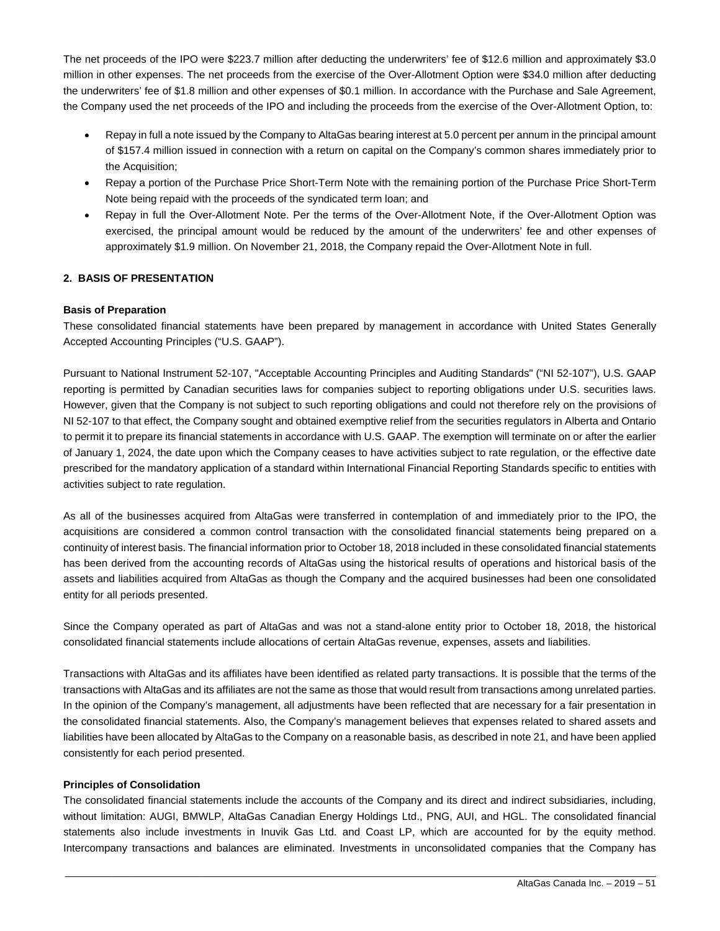The net proceeds of the IPO were \$223.7 million after deducting the underwriters' fee of \$12.6 million and approximately \$3.0 million in other expenses. The net proceeds from the exercise of the Over-Allotment Option were \$34.0 million after deducting the underwriters' fee of \$1.8 million and other expenses of \$0.1 million. In accordance with the Purchase and Sale Agreement, the Company used the net proceeds of the IPO and including the proceeds from the exercise of the Over-Allotment Option, to:

- Repay in full a note issued by the Company to AltaGas bearing interest at 5.0 percent per annum in the principal amount of \$157.4 million issued in connection with a return on capital on the Company's common shares immediately prior to the Acquisition;
- Repay a portion of the Purchase Price Short-Term Note with the remaining portion of the Purchase Price Short-Term Note being repaid with the proceeds of the syndicated term loan; and
- Repay in full the Over-Allotment Note. Per the terms of the Over-Allotment Note, if the Over-Allotment Option was exercised, the principal amount would be reduced by the amount of the underwriters' fee and other expenses of approximately \$1.9 million. On November 21, 2018, the Company repaid the Over-Allotment Note in full.

# **2. BASIS OF PRESENTATION**

# **Basis of Preparation**

These consolidated financial statements have been prepared by management in accordance with United States Generally Accepted Accounting Principles ("U.S. GAAP").

Pursuant to National Instrument 52-107, "Acceptable Accounting Principles and Auditing Standards" ("NI 52-107"), U.S. GAAP reporting is permitted by Canadian securities laws for companies subject to reporting obligations under U.S. securities laws. However, given that the Company is not subject to such reporting obligations and could not therefore rely on the provisions of NI 52-107 to that effect, the Company sought and obtained exemptive relief from the securities regulators in Alberta and Ontario to permit it to prepare its financial statements in accordance with U.S. GAAP. The exemption will terminate on or after the earlier of January 1, 2024, the date upon which the Company ceases to have activities subject to rate regulation, or the effective date prescribed for the mandatory application of a standard within International Financial Reporting Standards specific to entities with activities subject to rate regulation.

As all of the businesses acquired from AltaGas were transferred in contemplation of and immediately prior to the IPO, the acquisitions are considered a common control transaction with the consolidated financial statements being prepared on a continuity of interest basis. The financial information prior to October 18, 2018 included in these consolidated financial statements has been derived from the accounting records of AltaGas using the historical results of operations and historical basis of the assets and liabilities acquired from AltaGas as though the Company and the acquired businesses had been one consolidated entity for all periods presented.

Since the Company operated as part of AltaGas and was not a stand-alone entity prior to October 18, 2018, the historical consolidated financial statements include allocations of certain AltaGas revenue, expenses, assets and liabilities.

Transactions with AltaGas and its affiliates have been identified as related party transactions. It is possible that the terms of the transactions with AltaGas and its affiliates are not the same as those that would result from transactions among unrelated parties. In the opinion of the Company's management, all adjustments have been reflected that are necessary for a fair presentation in the consolidated financial statements. Also, the Company's management believes that expenses related to shared assets and liabilities have been allocated by AltaGas to the Company on a reasonable basis, as described in note 21, and have been applied consistently for each period presented.

# **Principles of Consolidation**

The consolidated financial statements include the accounts of the Company and its direct and indirect subsidiaries, including, without limitation: AUGI, BMWLP, AltaGas Canadian Energy Holdings Ltd., PNG, AUI, and HGL. The consolidated financial statements also include investments in Inuvik Gas Ltd. and Coast LP, which are accounted for by the equity method. Intercompany transactions and balances are eliminated. Investments in unconsolidated companies that the Company has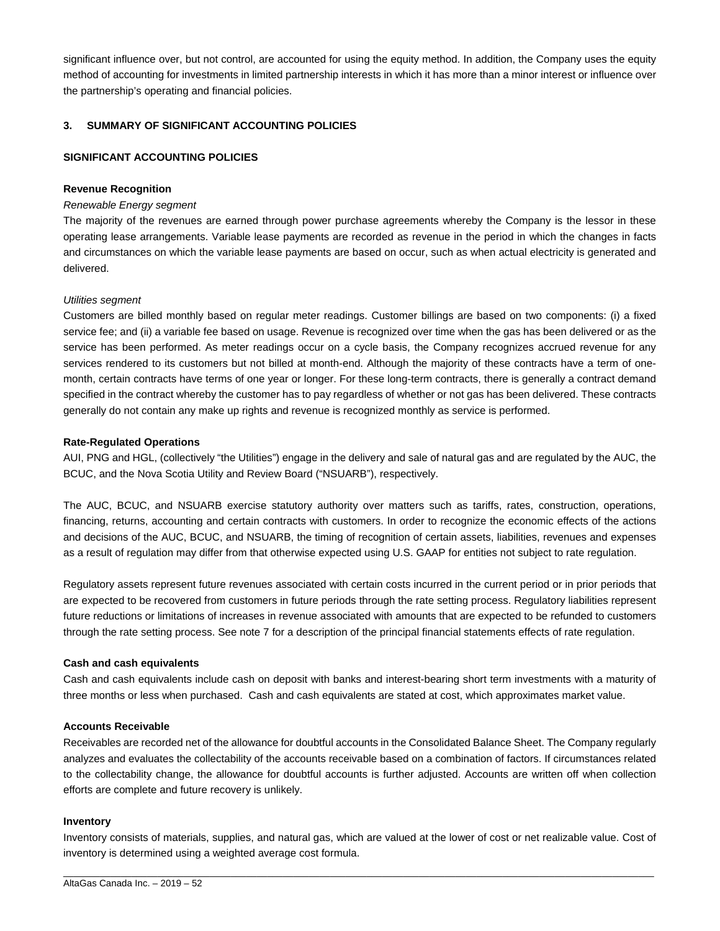significant influence over, but not control, are accounted for using the equity method. In addition, the Company uses the equity method of accounting for investments in limited partnership interests in which it has more than a minor interest or influence over the partnership's operating and financial policies.

# **3. SUMMARY OF SIGNIFICANT ACCOUNTING POLICIES**

#### **SIGNIFICANT ACCOUNTING POLICIES**

#### **Revenue Recognition**

#### *Renewable Energy segment*

The majority of the revenues are earned through power purchase agreements whereby the Company is the lessor in these operating lease arrangements. Variable lease payments are recorded as revenue in the period in which the changes in facts and circumstances on which the variable lease payments are based on occur, such as when actual electricity is generated and delivered.

#### *Utilities segment*

Customers are billed monthly based on regular meter readings. Customer billings are based on two components: (i) a fixed service fee; and (ii) a variable fee based on usage. Revenue is recognized over time when the gas has been delivered or as the service has been performed. As meter readings occur on a cycle basis, the Company recognizes accrued revenue for any services rendered to its customers but not billed at month-end. Although the majority of these contracts have a term of onemonth, certain contracts have terms of one year or longer. For these long-term contracts, there is generally a contract demand specified in the contract whereby the customer has to pay regardless of whether or not gas has been delivered. These contracts generally do not contain any make up rights and revenue is recognized monthly as service is performed.

#### **Rate-Regulated Operations**

AUI, PNG and HGL, (collectively "the Utilities") engage in the delivery and sale of natural gas and are regulated by the AUC, the BCUC, and the Nova Scotia Utility and Review Board ("NSUARB"), respectively.

The AUC, BCUC, and NSUARB exercise statutory authority over matters such as tariffs, rates, construction, operations, financing, returns, accounting and certain contracts with customers. In order to recognize the economic effects of the actions and decisions of the AUC, BCUC, and NSUARB, the timing of recognition of certain assets, liabilities, revenues and expenses as a result of regulation may differ from that otherwise expected using U.S. GAAP for entities not subject to rate regulation.

Regulatory assets represent future revenues associated with certain costs incurred in the current period or in prior periods that are expected to be recovered from customers in future periods through the rate setting process. Regulatory liabilities represent future reductions or limitations of increases in revenue associated with amounts that are expected to be refunded to customers through the rate setting process. See note 7 for a description of the principal financial statements effects of rate regulation.

#### **Cash and cash equivalents**

Cash and cash equivalents include cash on deposit with banks and interest-bearing short term investments with a maturity of three months or less when purchased. Cash and cash equivalents are stated at cost, which approximates market value.

#### **Accounts Receivable**

Receivables are recorded net of the allowance for doubtful accounts in the Consolidated Balance Sheet. The Company regularly analyzes and evaluates the collectability of the accounts receivable based on a combination of factors. If circumstances related to the collectability change, the allowance for doubtful accounts is further adjusted. Accounts are written off when collection efforts are complete and future recovery is unlikely.

#### **Inventory**

Inventory consists of materials, supplies, and natural gas, which are valued at the lower of cost or net realizable value. Cost of inventory is determined using a weighted average cost formula.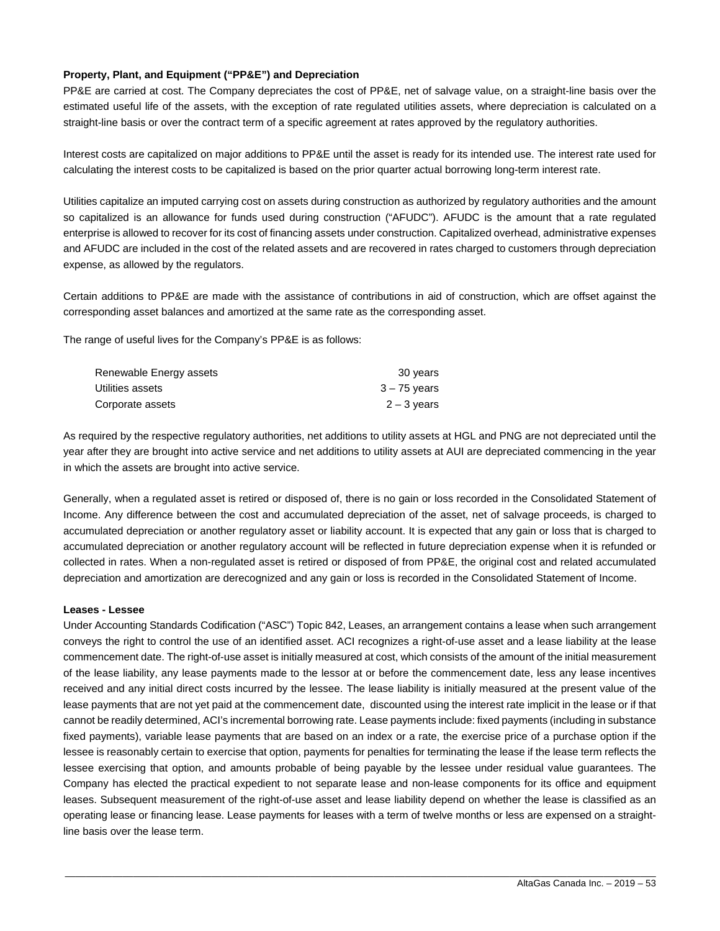# **Property, Plant, and Equipment ("PP&E") and Depreciation**

PP&E are carried at cost. The Company depreciates the cost of PP&E, net of salvage value, on a straight-line basis over the estimated useful life of the assets, with the exception of rate regulated utilities assets, where depreciation is calculated on a straight-line basis or over the contract term of a specific agreement at rates approved by the regulatory authorities.

Interest costs are capitalized on major additions to PP&E until the asset is ready for its intended use. The interest rate used for calculating the interest costs to be capitalized is based on the prior quarter actual borrowing long-term interest rate.

Utilities capitalize an imputed carrying cost on assets during construction as authorized by regulatory authorities and the amount so capitalized is an allowance for funds used during construction ("AFUDC"). AFUDC is the amount that a rate regulated enterprise is allowed to recover for its cost of financing assets under construction. Capitalized overhead, administrative expenses and AFUDC are included in the cost of the related assets and are recovered in rates charged to customers through depreciation expense, as allowed by the regulators.

Certain additions to PP&E are made with the assistance of contributions in aid of construction, which are offset against the corresponding asset balances and amortized at the same rate as the corresponding asset.

The range of useful lives for the Company's PP&E is as follows:

| Renewable Energy assets | 30 years       |
|-------------------------|----------------|
| Utilities assets        | $3 - 75$ years |
| Corporate assets        | $2 - 3$ years  |

As required by the respective regulatory authorities, net additions to utility assets at HGL and PNG are not depreciated until the year after they are brought into active service and net additions to utility assets at AUI are depreciated commencing in the year in which the assets are brought into active service.

Generally, when a regulated asset is retired or disposed of, there is no gain or loss recorded in the Consolidated Statement of Income. Any difference between the cost and accumulated depreciation of the asset, net of salvage proceeds, is charged to accumulated depreciation or another regulatory asset or liability account. It is expected that any gain or loss that is charged to accumulated depreciation or another regulatory account will be reflected in future depreciation expense when it is refunded or collected in rates. When a non-regulated asset is retired or disposed of from PP&E, the original cost and related accumulated depreciation and amortization are derecognized and any gain or loss is recorded in the Consolidated Statement of Income.

#### **Leases - Lessee**

Under Accounting Standards Codification ("ASC") Topic 842, Leases, an arrangement contains a lease when such arrangement conveys the right to control the use of an identified asset. ACI recognizes a right-of-use asset and a lease liability at the lease commencement date. The right-of-use asset is initially measured at cost, which consists of the amount of the initial measurement of the lease liability, any lease payments made to the lessor at or before the commencement date, less any lease incentives received and any initial direct costs incurred by the lessee. The lease liability is initially measured at the present value of the lease payments that are not yet paid at the commencement date, discounted using the interest rate implicit in the lease or if that cannot be readily determined, ACI's incremental borrowing rate. Lease payments include: fixed payments (including in substance fixed payments), variable lease payments that are based on an index or a rate, the exercise price of a purchase option if the lessee is reasonably certain to exercise that option, payments for penalties for terminating the lease if the lease term reflects the lessee exercising that option, and amounts probable of being payable by the lessee under residual value guarantees. The Company has elected the practical expedient to not separate lease and non-lease components for its office and equipment leases. Subsequent measurement of the right-of-use asset and lease liability depend on whether the lease is classified as an operating lease or financing lease. Lease payments for leases with a term of twelve months or less are expensed on a straightline basis over the lease term.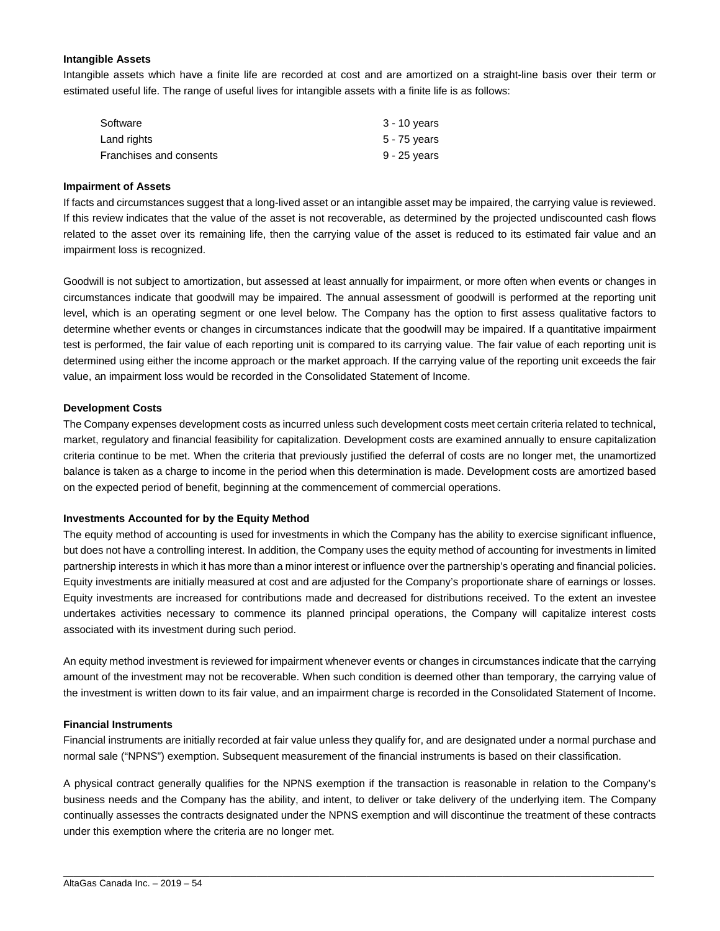# **Intangible Assets**

Intangible assets which have a finite life are recorded at cost and are amortized on a straight-line basis over their term or estimated useful life. The range of useful lives for intangible assets with a finite life is as follows:

| Software                | 3 - 10 years |
|-------------------------|--------------|
| Land rights             | 5 - 75 years |
| Franchises and consents | 9 - 25 years |

#### **Impairment of Assets**

If facts and circumstances suggest that a long-lived asset or an intangible asset may be impaired, the carrying value is reviewed. If this review indicates that the value of the asset is not recoverable, as determined by the projected undiscounted cash flows related to the asset over its remaining life, then the carrying value of the asset is reduced to its estimated fair value and an impairment loss is recognized.

Goodwill is not subject to amortization, but assessed at least annually for impairment, or more often when events or changes in circumstances indicate that goodwill may be impaired. The annual assessment of goodwill is performed at the reporting unit level, which is an operating segment or one level below. The Company has the option to first assess qualitative factors to determine whether events or changes in circumstances indicate that the goodwill may be impaired. If a quantitative impairment test is performed, the fair value of each reporting unit is compared to its carrying value. The fair value of each reporting unit is determined using either the income approach or the market approach. If the carrying value of the reporting unit exceeds the fair value, an impairment loss would be recorded in the Consolidated Statement of Income.

#### **Development Costs**

The Company expenses development costs as incurred unless such development costs meet certain criteria related to technical, market, regulatory and financial feasibility for capitalization. Development costs are examined annually to ensure capitalization criteria continue to be met. When the criteria that previously justified the deferral of costs are no longer met, the unamortized balance is taken as a charge to income in the period when this determination is made. Development costs are amortized based on the expected period of benefit, beginning at the commencement of commercial operations.

#### **Investments Accounted for by the Equity Method**

The equity method of accounting is used for investments in which the Company has the ability to exercise significant influence, but does not have a controlling interest. In addition, the Company uses the equity method of accounting for investments in limited partnership interests in which it has more than a minor interest or influence over the partnership's operating and financial policies. Equity investments are initially measured at cost and are adjusted for the Company's proportionate share of earnings or losses. Equity investments are increased for contributions made and decreased for distributions received. To the extent an investee undertakes activities necessary to commence its planned principal operations, the Company will capitalize interest costs associated with its investment during such period.

An equity method investment is reviewed for impairment whenever events or changes in circumstances indicate that the carrying amount of the investment may not be recoverable. When such condition is deemed other than temporary, the carrying value of the investment is written down to its fair value, and an impairment charge is recorded in the Consolidated Statement of Income.

#### **Financial Instruments**

Financial instruments are initially recorded at fair value unless they qualify for, and are designated under a normal purchase and normal sale ("NPNS") exemption. Subsequent measurement of the financial instruments is based on their classification.

A physical contract generally qualifies for the NPNS exemption if the transaction is reasonable in relation to the Company's business needs and the Company has the ability, and intent, to deliver or take delivery of the underlying item. The Company continually assesses the contracts designated under the NPNS exemption and will discontinue the treatment of these contracts under this exemption where the criteria are no longer met.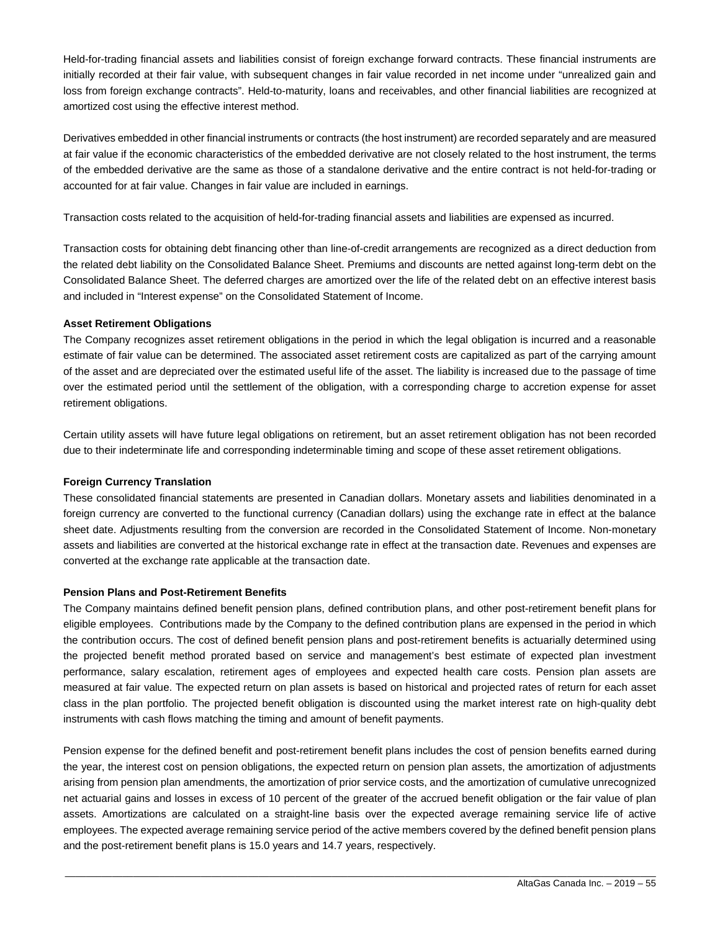Held-for-trading financial assets and liabilities consist of foreign exchange forward contracts. These financial instruments are initially recorded at their fair value, with subsequent changes in fair value recorded in net income under "unrealized gain and loss from foreign exchange contracts". Held-to-maturity, loans and receivables, and other financial liabilities are recognized at amortized cost using the effective interest method.

Derivatives embedded in other financial instruments or contracts (the host instrument) are recorded separately and are measured at fair value if the economic characteristics of the embedded derivative are not closely related to the host instrument, the terms of the embedded derivative are the same as those of a standalone derivative and the entire contract is not held-for-trading or accounted for at fair value. Changes in fair value are included in earnings.

Transaction costs related to the acquisition of held-for-trading financial assets and liabilities are expensed as incurred.

Transaction costs for obtaining debt financing other than line-of-credit arrangements are recognized as a direct deduction from the related debt liability on the Consolidated Balance Sheet. Premiums and discounts are netted against long-term debt on the Consolidated Balance Sheet. The deferred charges are amortized over the life of the related debt on an effective interest basis and included in "Interest expense" on the Consolidated Statement of Income.

# **Asset Retirement Obligations**

The Company recognizes asset retirement obligations in the period in which the legal obligation is incurred and a reasonable estimate of fair value can be determined. The associated asset retirement costs are capitalized as part of the carrying amount of the asset and are depreciated over the estimated useful life of the asset. The liability is increased due to the passage of time over the estimated period until the settlement of the obligation, with a corresponding charge to accretion expense for asset retirement obligations.

Certain utility assets will have future legal obligations on retirement, but an asset retirement obligation has not been recorded due to their indeterminate life and corresponding indeterminable timing and scope of these asset retirement obligations.

# **Foreign Currency Translation**

These consolidated financial statements are presented in Canadian dollars. Monetary assets and liabilities denominated in a foreign currency are converted to the functional currency (Canadian dollars) using the exchange rate in effect at the balance sheet date. Adjustments resulting from the conversion are recorded in the Consolidated Statement of Income. Non-monetary assets and liabilities are converted at the historical exchange rate in effect at the transaction date. Revenues and expenses are converted at the exchange rate applicable at the transaction date.

# **Pension Plans and Post-Retirement Benefits**

The Company maintains defined benefit pension plans, defined contribution plans, and other post-retirement benefit plans for eligible employees. Contributions made by the Company to the defined contribution plans are expensed in the period in which the contribution occurs. The cost of defined benefit pension plans and post-retirement benefits is actuarially determined using the projected benefit method prorated based on service and management's best estimate of expected plan investment performance, salary escalation, retirement ages of employees and expected health care costs. Pension plan assets are measured at fair value. The expected return on plan assets is based on historical and projected rates of return for each asset class in the plan portfolio. The projected benefit obligation is discounted using the market interest rate on high-quality debt instruments with cash flows matching the timing and amount of benefit payments.

Pension expense for the defined benefit and post-retirement benefit plans includes the cost of pension benefits earned during the year, the interest cost on pension obligations, the expected return on pension plan assets, the amortization of adjustments arising from pension plan amendments, the amortization of prior service costs, and the amortization of cumulative unrecognized net actuarial gains and losses in excess of 10 percent of the greater of the accrued benefit obligation or the fair value of plan assets. Amortizations are calculated on a straight-line basis over the expected average remaining service life of active employees. The expected average remaining service period of the active members covered by the defined benefit pension plans and the post-retirement benefit plans is 15.0 years and 14.7 years, respectively.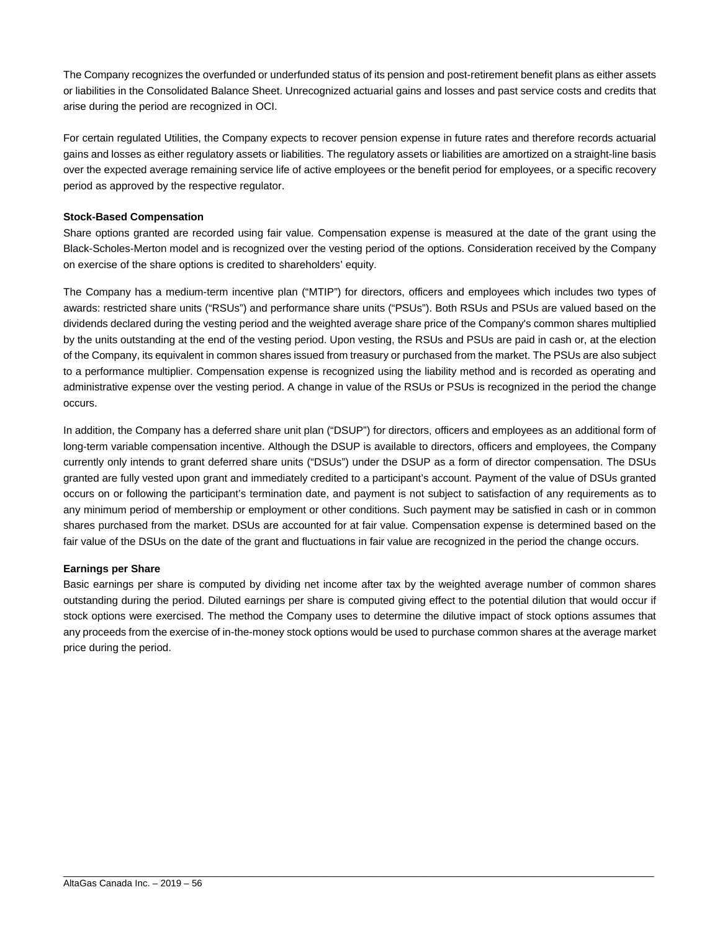The Company recognizes the overfunded or underfunded status of its pension and post-retirement benefit plans as either assets or liabilities in the Consolidated Balance Sheet. Unrecognized actuarial gains and losses and past service costs and credits that arise during the period are recognized in OCI.

For certain regulated Utilities, the Company expects to recover pension expense in future rates and therefore records actuarial gains and losses as either regulatory assets or liabilities. The regulatory assets or liabilities are amortized on a straight-line basis over the expected average remaining service life of active employees or the benefit period for employees, or a specific recovery period as approved by the respective regulator.

# **Stock-Based Compensation**

Share options granted are recorded using fair value. Compensation expense is measured at the date of the grant using the Black-Scholes-Merton model and is recognized over the vesting period of the options. Consideration received by the Company on exercise of the share options is credited to shareholders' equity.

The Company has a medium-term incentive plan ("MTIP") for directors, officers and employees which includes two types of awards: restricted share units ("RSUs") and performance share units ("PSUs"). Both RSUs and PSUs are valued based on the dividends declared during the vesting period and the weighted average share price of the Company's common shares multiplied by the units outstanding at the end of the vesting period. Upon vesting, the RSUs and PSUs are paid in cash or, at the election of the Company, its equivalent in common shares issued from treasury or purchased from the market. The PSUs are also subject to a performance multiplier. Compensation expense is recognized using the liability method and is recorded as operating and administrative expense over the vesting period. A change in value of the RSUs or PSUs is recognized in the period the change occurs.

In addition, the Company has a deferred share unit plan ("DSUP") for directors, officers and employees as an additional form of long-term variable compensation incentive. Although the DSUP is available to directors, officers and employees, the Company currently only intends to grant deferred share units ("DSUs") under the DSUP as a form of director compensation. The DSUs granted are fully vested upon grant and immediately credited to a participant's account. Payment of the value of DSUs granted occurs on or following the participant's termination date, and payment is not subject to satisfaction of any requirements as to any minimum period of membership or employment or other conditions. Such payment may be satisfied in cash or in common shares purchased from the market. DSUs are accounted for at fair value. Compensation expense is determined based on the fair value of the DSUs on the date of the grant and fluctuations in fair value are recognized in the period the change occurs.

# **Earnings per Share**

Basic earnings per share is computed by dividing net income after tax by the weighted average number of common shares outstanding during the period. Diluted earnings per share is computed giving effect to the potential dilution that would occur if stock options were exercised. The method the Company uses to determine the dilutive impact of stock options assumes that any proceeds from the exercise of in-the-money stock options would be used to purchase common shares at the average market price during the period.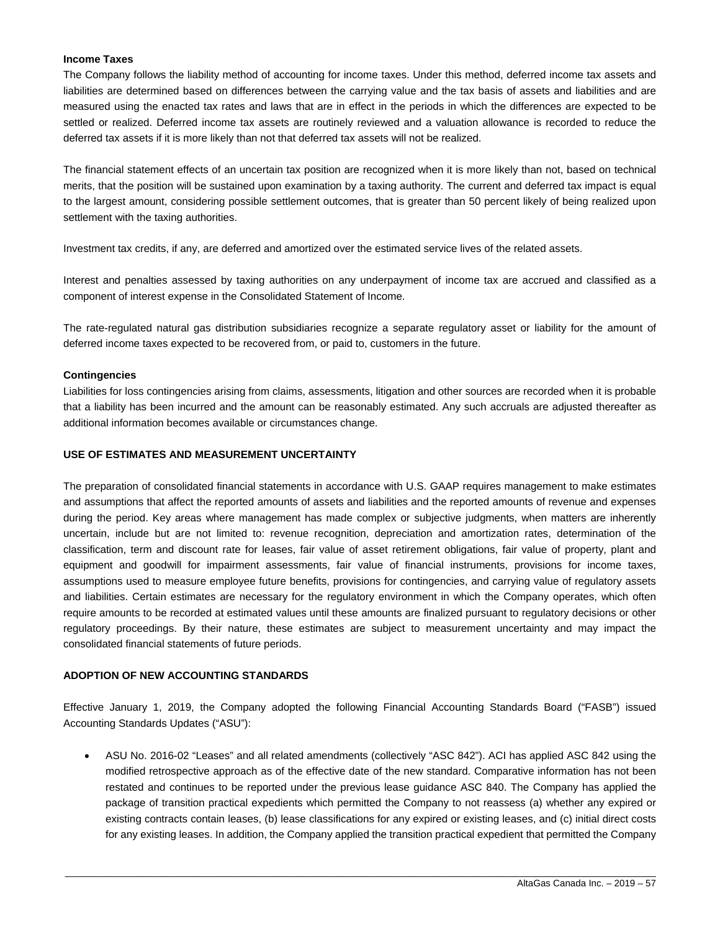# **Income Taxes**

The Company follows the liability method of accounting for income taxes. Under this method, deferred income tax assets and liabilities are determined based on differences between the carrying value and the tax basis of assets and liabilities and are measured using the enacted tax rates and laws that are in effect in the periods in which the differences are expected to be settled or realized. Deferred income tax assets are routinely reviewed and a valuation allowance is recorded to reduce the deferred tax assets if it is more likely than not that deferred tax assets will not be realized.

The financial statement effects of an uncertain tax position are recognized when it is more likely than not, based on technical merits, that the position will be sustained upon examination by a taxing authority. The current and deferred tax impact is equal to the largest amount, considering possible settlement outcomes, that is greater than 50 percent likely of being realized upon settlement with the taxing authorities.

Investment tax credits, if any, are deferred and amortized over the estimated service lives of the related assets.

Interest and penalties assessed by taxing authorities on any underpayment of income tax are accrued and classified as a component of interest expense in the Consolidated Statement of Income.

The rate-regulated natural gas distribution subsidiaries recognize a separate regulatory asset or liability for the amount of deferred income taxes expected to be recovered from, or paid to, customers in the future.

#### **Contingencies**

Liabilities for loss contingencies arising from claims, assessments, litigation and other sources are recorded when it is probable that a liability has been incurred and the amount can be reasonably estimated. Any such accruals are adjusted thereafter as additional information becomes available or circumstances change.

#### **USE OF ESTIMATES AND MEASUREMENT UNCERTAINTY**

The preparation of consolidated financial statements in accordance with U.S. GAAP requires management to make estimates and assumptions that affect the reported amounts of assets and liabilities and the reported amounts of revenue and expenses during the period. Key areas where management has made complex or subjective judgments, when matters are inherently uncertain, include but are not limited to: revenue recognition, depreciation and amortization rates, determination of the classification, term and discount rate for leases, fair value of asset retirement obligations, fair value of property, plant and equipment and goodwill for impairment assessments, fair value of financial instruments, provisions for income taxes, assumptions used to measure employee future benefits, provisions for contingencies, and carrying value of regulatory assets and liabilities. Certain estimates are necessary for the regulatory environment in which the Company operates, which often require amounts to be recorded at estimated values until these amounts are finalized pursuant to regulatory decisions or other regulatory proceedings. By their nature, these estimates are subject to measurement uncertainty and may impact the consolidated financial statements of future periods.

#### **ADOPTION OF NEW ACCOUNTING STANDARDS**

Effective January 1, 2019, the Company adopted the following Financial Accounting Standards Board ("FASB") issued Accounting Standards Updates ("ASU"):

 ASU No. 2016-02 "Leases" and all related amendments (collectively "ASC 842"). ACI has applied ASC 842 using the modified retrospective approach as of the effective date of the new standard. Comparative information has not been restated and continues to be reported under the previous lease guidance ASC 840. The Company has applied the package of transition practical expedients which permitted the Company to not reassess (a) whether any expired or existing contracts contain leases, (b) lease classifications for any expired or existing leases, and (c) initial direct costs for any existing leases. In addition, the Company applied the transition practical expedient that permitted the Company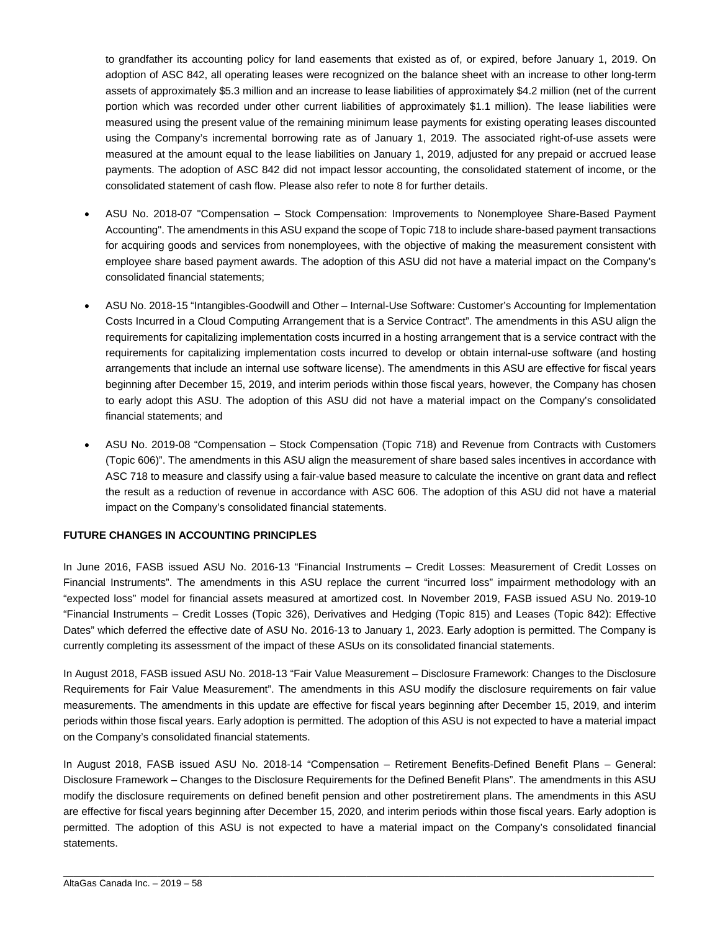to grandfather its accounting policy for land easements that existed as of, or expired, before January 1, 2019. On adoption of ASC 842, all operating leases were recognized on the balance sheet with an increase to other long-term assets of approximately \$5.3 million and an increase to lease liabilities of approximately \$4.2 million (net of the current portion which was recorded under other current liabilities of approximately \$1.1 million). The lease liabilities were measured using the present value of the remaining minimum lease payments for existing operating leases discounted using the Company's incremental borrowing rate as of January 1, 2019. The associated right-of-use assets were measured at the amount equal to the lease liabilities on January 1, 2019, adjusted for any prepaid or accrued lease payments. The adoption of ASC 842 did not impact lessor accounting, the consolidated statement of income, or the consolidated statement of cash flow. Please also refer to note 8 for further details.

- ASU No. 2018-07 "Compensation Stock Compensation: Improvements to Nonemployee Share-Based Payment Accounting". The amendments in this ASU expand the scope of Topic 718 to include share-based payment transactions for acquiring goods and services from nonemployees, with the objective of making the measurement consistent with employee share based payment awards. The adoption of this ASU did not have a material impact on the Company's consolidated financial statements;
- ASU No. 2018-15 "Intangibles-Goodwill and Other Internal-Use Software: Customer's Accounting for Implementation Costs Incurred in a Cloud Computing Arrangement that is a Service Contract". The amendments in this ASU align the requirements for capitalizing implementation costs incurred in a hosting arrangement that is a service contract with the requirements for capitalizing implementation costs incurred to develop or obtain internal-use software (and hosting arrangements that include an internal use software license). The amendments in this ASU are effective for fiscal years beginning after December 15, 2019, and interim periods within those fiscal years, however, the Company has chosen to early adopt this ASU. The adoption of this ASU did not have a material impact on the Company's consolidated financial statements; and
- ASU No. 2019-08 "Compensation Stock Compensation (Topic 718) and Revenue from Contracts with Customers (Topic 606)". The amendments in this ASU align the measurement of share based sales incentives in accordance with ASC 718 to measure and classify using a fair-value based measure to calculate the incentive on grant data and reflect the result as a reduction of revenue in accordance with ASC 606. The adoption of this ASU did not have a material impact on the Company's consolidated financial statements.

# **FUTURE CHANGES IN ACCOUNTING PRINCIPLES**

In June 2016, FASB issued ASU No. 2016-13 "Financial Instruments – Credit Losses: Measurement of Credit Losses on Financial Instruments". The amendments in this ASU replace the current "incurred loss" impairment methodology with an "expected loss" model for financial assets measured at amortized cost. In November 2019, FASB issued ASU No. 2019-10 "Financial Instruments – Credit Losses (Topic 326), Derivatives and Hedging (Topic 815) and Leases (Topic 842): Effective Dates" which deferred the effective date of ASU No. 2016-13 to January 1, 2023. Early adoption is permitted. The Company is currently completing its assessment of the impact of these ASUs on its consolidated financial statements.

In August 2018, FASB issued ASU No. 2018-13 "Fair Value Measurement – Disclosure Framework: Changes to the Disclosure Requirements for Fair Value Measurement". The amendments in this ASU modify the disclosure requirements on fair value measurements. The amendments in this update are effective for fiscal years beginning after December 15, 2019, and interim periods within those fiscal years. Early adoption is permitted. The adoption of this ASU is not expected to have a material impact on the Company's consolidated financial statements.

In August 2018, FASB issued ASU No. 2018-14 "Compensation – Retirement Benefits-Defined Benefit Plans – General: Disclosure Framework – Changes to the Disclosure Requirements for the Defined Benefit Plans". The amendments in this ASU modify the disclosure requirements on defined benefit pension and other postretirement plans. The amendments in this ASU are effective for fiscal years beginning after December 15, 2020, and interim periods within those fiscal years. Early adoption is permitted. The adoption of this ASU is not expected to have a material impact on the Company's consolidated financial statements.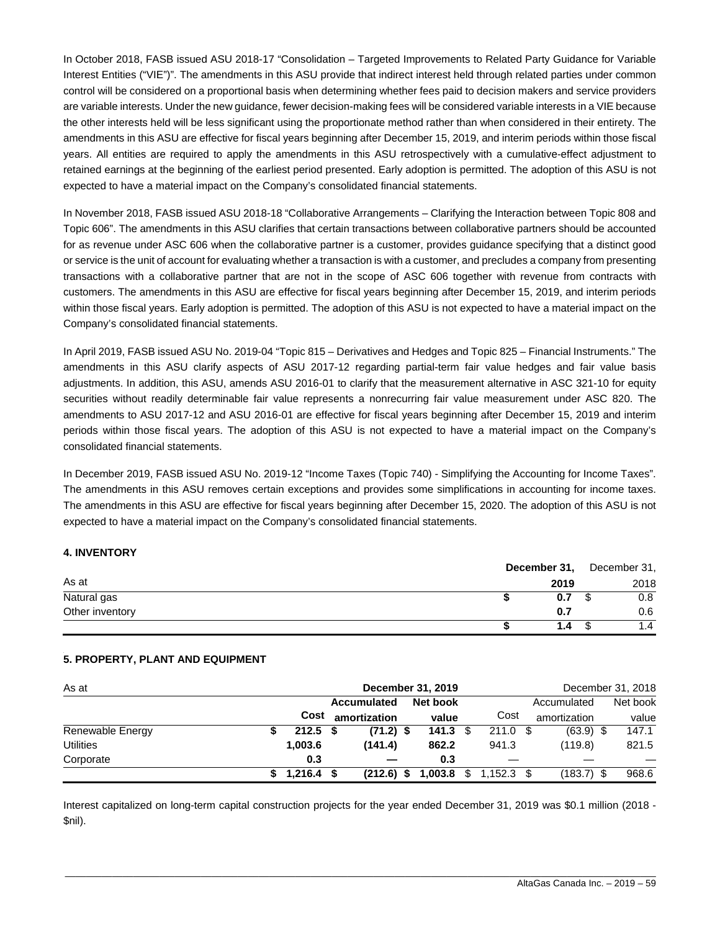In October 2018, FASB issued ASU 2018-17 "Consolidation – Targeted Improvements to Related Party Guidance for Variable Interest Entities ("VIE")". The amendments in this ASU provide that indirect interest held through related parties under common control will be considered on a proportional basis when determining whether fees paid to decision makers and service providers are variable interests. Under the new guidance, fewer decision-making fees will be considered variable interests in a VIE because the other interests held will be less significant using the proportionate method rather than when considered in their entirety. The amendments in this ASU are effective for fiscal years beginning after December 15, 2019, and interim periods within those fiscal years. All entities are required to apply the amendments in this ASU retrospectively with a cumulative-effect adjustment to retained earnings at the beginning of the earliest period presented. Early adoption is permitted. The adoption of this ASU is not expected to have a material impact on the Company's consolidated financial statements.

In November 2018, FASB issued ASU 2018-18 "Collaborative Arrangements – Clarifying the Interaction between Topic 808 and Topic 606". The amendments in this ASU clarifies that certain transactions between collaborative partners should be accounted for as revenue under ASC 606 when the collaborative partner is a customer, provides guidance specifying that a distinct good or service is the unit of account for evaluating whether a transaction is with a customer, and precludes a company from presenting transactions with a collaborative partner that are not in the scope of ASC 606 together with revenue from contracts with customers. The amendments in this ASU are effective for fiscal years beginning after December 15, 2019, and interim periods within those fiscal years. Early adoption is permitted. The adoption of this ASU is not expected to have a material impact on the Company's consolidated financial statements.

In April 2019, FASB issued ASU No. 2019-04 "Topic 815 – Derivatives and Hedges and Topic 825 – Financial Instruments." The amendments in this ASU clarify aspects of ASU 2017-12 regarding partial-term fair value hedges and fair value basis adjustments. In addition, this ASU, amends ASU 2016-01 to clarify that the measurement alternative in ASC 321-10 for equity securities without readily determinable fair value represents a nonrecurring fair value measurement under ASC 820. The amendments to ASU 2017-12 and ASU 2016-01 are effective for fiscal years beginning after December 15, 2019 and interim periods within those fiscal years. The adoption of this ASU is not expected to have a material impact on the Company's consolidated financial statements.

In December 2019, FASB issued ASU No. 2019-12 "Income Taxes (Topic 740) - Simplifying the Accounting for Income Taxes". The amendments in this ASU removes certain exceptions and provides some simplifications in accounting for income taxes. The amendments in this ASU are effective for fiscal years beginning after December 15, 2020. The adoption of this ASU is not expected to have a material impact on the Company's consolidated financial statements.

# **4. INVENTORY**

|                 | December 31, |    | December 31,    |
|-----------------|--------------|----|-----------------|
| As at           | 2019         |    | 2018            |
| Natural gas     | 0.7          | ъD | 0.8             |
| Other inventory | 0.7          |    | 0.6             |
|                 | 1.4          |    | $\mathsf{I}$ .4 |

# **5. PROPERTY, PLANT AND EQUIPMENT**

| As at            |  | December 31, 2019 |  |                    |  |                  | December 31, 2018         |      |              |  |          |
|------------------|--|-------------------|--|--------------------|--|------------------|---------------------------|------|--------------|--|----------|
|                  |  |                   |  | <b>Accumulated</b> |  | Net book         |                           |      | Accumulated  |  | Net book |
|                  |  | Cost              |  | amortization       |  | value            | Cost                      |      | amortization |  | value    |
| Renewable Energy |  | $212.5$ \$        |  | $(71.2)$ \$        |  | $141.3 \quad$ \$ | 211.0                     | - \$ | $(63.9)$ \$  |  | 147.1    |
| <b>Utilities</b> |  | 1,003.6           |  | (141.4)            |  | 862.2            | 941.3                     |      | (119.8)      |  | 821.5    |
| Corporate        |  | 0.3               |  |                    |  | 0.3              |                           |      |              |  |          |
|                  |  | 1.216.4           |  | $(212.6)$ \$       |  |                  | <b>1,003.8</b> \$ 1,152.3 |      | $(183.7)$ \$ |  | 968.6    |

Interest capitalized on long-term capital construction projects for the year ended December 31, 2019 was \$0.1 million (2018 - \$nil).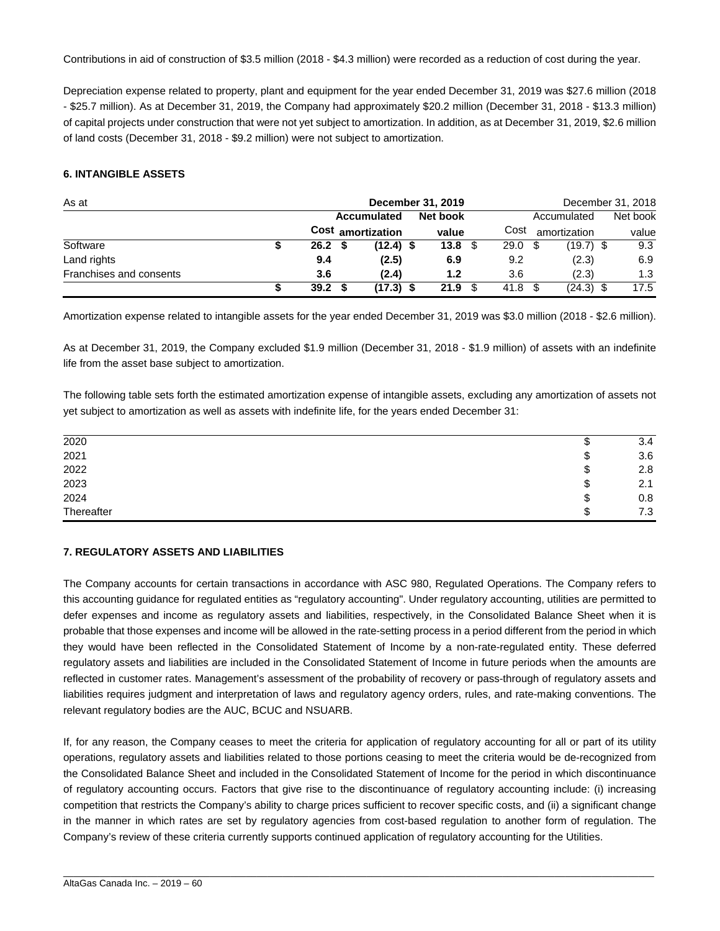Contributions in aid of construction of \$3.5 million (2018 - \$4.3 million) were recorded as a reduction of cost during the year.

Depreciation expense related to property, plant and equipment for the year ended December 31, 2019 was \$27.6 million (2018 - \$25.7 million). As at December 31, 2019, the Company had approximately \$20.2 million (December 31, 2018 - \$13.3 million) of capital projects under construction that were not yet subject to amortization. In addition, as at December 31, 2019, \$2.6 million of land costs (December 31, 2018 - \$9.2 million) were not subject to amortization.

# **6. INTANGIBLE ASSETS**

| As at                   | December 31, 2019  |  |                              |  | December 31, 2018 |             |                   |          |              |  |       |
|-------------------------|--------------------|--|------------------------------|--|-------------------|-------------|-------------------|----------|--------------|--|-------|
|                         | <b>Accumulated</b> |  | Net book                     |  |                   | Accumulated |                   | Net book |              |  |       |
|                         |                    |  | Cost <sub>amortization</sub> |  | value             |             | Cost              |          | amortization |  | value |
| Software                | 26.2               |  | $(12.4)$ \$                  |  | 13.8 <sup>°</sup> |             | 29.0 <sup>5</sup> |          | (19.7) \$    |  | 9.3   |
| Land rights             | 9.4                |  | (2.5)                        |  | 6.9               |             | 9.2               |          | (2.3)        |  | 6.9   |
| Franchises and consents | 3.6                |  | (2.4)                        |  | 1.2               |             | 3.6               |          | (2.3)        |  | 1.3   |
|                         | 39.2               |  | $(17.3)$ \$                  |  | 21.9              | - \$        | 41.8              | - \$     | $(24.3)$ \$  |  | 17.5  |

Amortization expense related to intangible assets for the year ended December 31, 2019 was \$3.0 million (2018 - \$2.6 million).

As at December 31, 2019, the Company excluded \$1.9 million (December 31, 2018 - \$1.9 million) of assets with an indefinite life from the asset base subject to amortization.

The following table sets forth the estimated amortization expense of intangible assets, excluding any amortization of assets not yet subject to amortization as well as assets with indefinite life, for the years ended December 31:

| 2020       | ◡      | 3.4 |
|------------|--------|-----|
| 2021       | D      | 3.6 |
| 2022       | ง      | 2.8 |
| 2023       | ጦ<br>J | 2.1 |
| 2024       | S      | 0.8 |
| Thereafter | Ф      | 7.3 |

# **7. REGULATORY ASSETS AND LIABILITIES**

The Company accounts for certain transactions in accordance with ASC 980, Regulated Operations. The Company refers to this accounting guidance for regulated entities as "regulatory accounting". Under regulatory accounting, utilities are permitted to defer expenses and income as regulatory assets and liabilities, respectively, in the Consolidated Balance Sheet when it is probable that those expenses and income will be allowed in the rate-setting process in a period different from the period in which they would have been reflected in the Consolidated Statement of Income by a non-rate-regulated entity. These deferred regulatory assets and liabilities are included in the Consolidated Statement of Income in future periods when the amounts are reflected in customer rates. Management's assessment of the probability of recovery or pass-through of regulatory assets and liabilities requires judgment and interpretation of laws and regulatory agency orders, rules, and rate-making conventions. The relevant regulatory bodies are the AUC, BCUC and NSUARB.

If, for any reason, the Company ceases to meet the criteria for application of regulatory accounting for all or part of its utility operations, regulatory assets and liabilities related to those portions ceasing to meet the criteria would be de-recognized from the Consolidated Balance Sheet and included in the Consolidated Statement of Income for the period in which discontinuance of regulatory accounting occurs. Factors that give rise to the discontinuance of regulatory accounting include: (i) increasing competition that restricts the Company's ability to charge prices sufficient to recover specific costs, and (ii) a significant change in the manner in which rates are set by regulatory agencies from cost-based regulation to another form of regulation. The Company's review of these criteria currently supports continued application of regulatory accounting for the Utilities.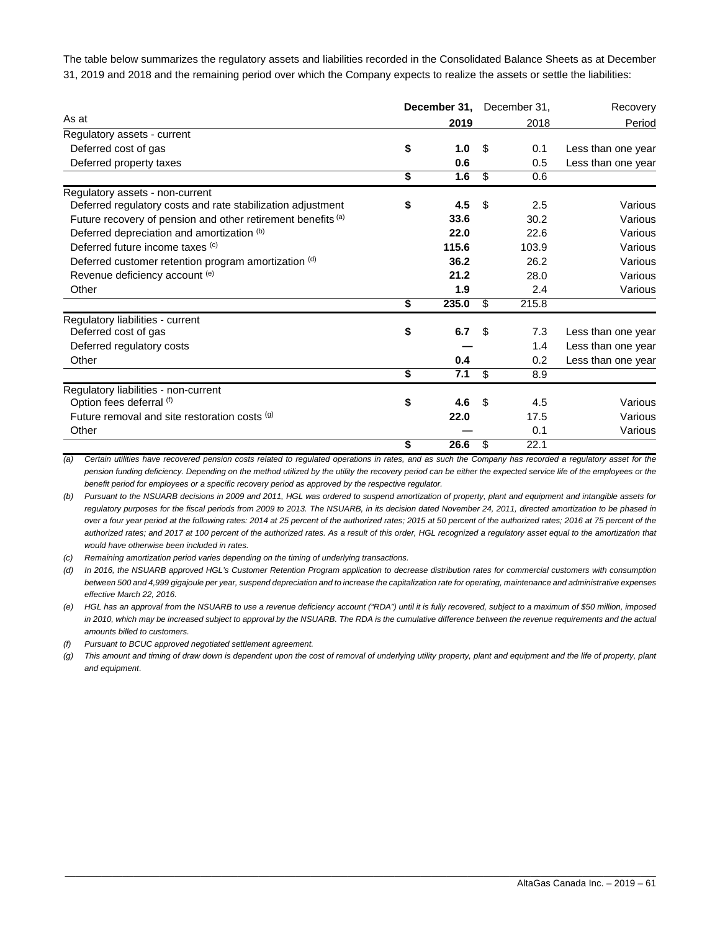The table below summarizes the regulatory assets and liabilities recorded in the Consolidated Balance Sheets as at December 31, 2019 and 2018 and the remaining period over which the Company expects to realize the assets or settle the liabilities:

|                                                              | December 31, |     | December 31, | Recovery           |
|--------------------------------------------------------------|--------------|-----|--------------|--------------------|
| As at                                                        | 2019         |     | 2018         | Period             |
| Regulatory assets - current                                  |              |     |              |                    |
| Deferred cost of gas                                         | \$<br>1.0    | \$  | 0.1          | Less than one year |
| Deferred property taxes                                      | 0.6          |     | 0.5          | Less than one year |
|                                                              | \$<br>1.6    | \$  | 0.6          |                    |
| Regulatory assets - non-current                              |              |     |              |                    |
| Deferred regulatory costs and rate stabilization adjustment  | \$<br>4.5    | \$  | 2.5          | Various            |
| Future recovery of pension and other retirement benefits (a) | 33.6         |     | 30.2         | Various            |
| Deferred depreciation and amortization (b)                   | 22.0         |     | 22.6         | Various            |
| Deferred future income taxes (c)                             | 115.6        |     | 103.9        | Various            |
| Deferred customer retention program amortization (d)         | 36.2         |     | 26.2         | Various            |
| Revenue deficiency account (e)                               | 21.2         |     | 28.0         | Various            |
| Other                                                        | 1.9          |     | 2.4          | Various            |
|                                                              | \$<br>235.0  | \$  | 215.8        |                    |
| Regulatory liabilities - current                             |              |     |              |                    |
| Deferred cost of gas                                         | \$<br>6.7    | \$  | 7.3          | Less than one year |
| Deferred regulatory costs                                    |              |     | 1.4          | Less than one year |
| Other                                                        | 0.4          |     | 0.2          | Less than one year |
|                                                              | \$<br>7.1    | \$  | 8.9          |                    |
| Regulatory liabilities - non-current                         |              |     |              |                    |
| Option fees deferral (f)                                     | \$<br>4.6    | \$. | 4.5          | Various            |
| Future removal and site restoration costs (g)                | 22.0         |     | 17.5         | Various            |
| Other                                                        |              |     | 0.1          | Various            |
|                                                              | \$<br>26.6   | \$  | 22.1         |                    |

*(a) Certain utilities have recovered pension costs related to regulated operations in rates, and as such the Company has recorded a regulatory asset for the*  pension funding deficiency. Depending on the method utilized by the utility the recovery period can be either the expected service life of the employees or the *benefit period for employees or a specific recovery period as approved by the respective regulator.* 

*(b) Pursuant to the NSUARB decisions in 2009 and 2011, HGL was ordered to suspend amortization of property, plant and equipment and intangible assets for regulatory purposes for the fiscal periods from 2009 to 2013. The NSUARB, in its decision dated November 24, 2011, directed amortization to be phased in over a four year period at the following rates: 2014 at 25 percent of the authorized rates; 2015 at 50 percent of the authorized rates; 2016 at 75 percent of the authorized rates; and 2017 at 100 percent of the authorized rates. As a result of this order, HGL recognized a regulatory asset equal to the amortization that would have otherwise been included in rates.* 

*(c) Remaining amortization period varies depending on the timing of underlying transactions.* 

*(d) In 2016, the NSUARB approved HGL's Customer Retention Program application to decrease distribution rates for commercial customers with consumption between 500 and 4,999 gigajoule per year, suspend depreciation and to increase the capitalization rate for operating, maintenance and administrative expenses effective March 22, 2016.* 

*(e) HGL has an approval from the NSUARB to use a revenue deficiency account ("RDA") until it is fully recovered, subject to a maximum of \$50 million, imposed*  in 2010, which may be increased subject to approval by the NSUARB. The RDA is the cumulative difference between the revenue requirements and the actual *amounts billed to customers.* 

*(f) Pursuant to BCUC approved negotiated settlement agreement.* 

(g) This amount and timing of draw down is dependent upon the cost of removal of underlying utility property, plant and equipment and the life of property, plant *and equipment*.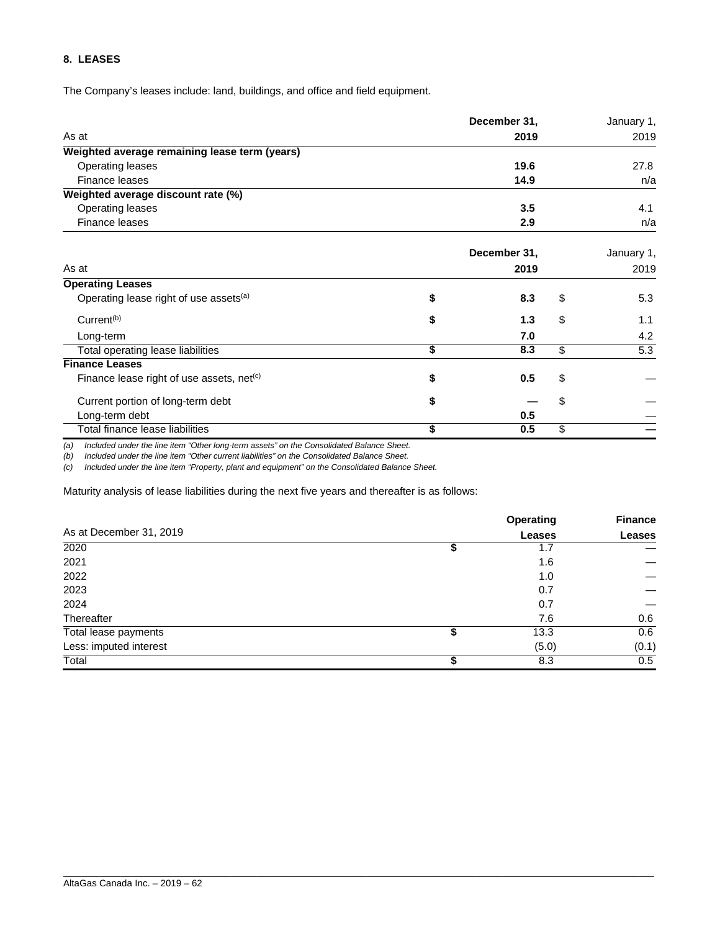# **8. LEASES**

The Company's leases include: land, buildings, and office and field equipment.

|                                                       | December 31, | January 1, |
|-------------------------------------------------------|--------------|------------|
| As at                                                 | 2019         | 2019       |
| Weighted average remaining lease term (years)         |              |            |
| Operating leases                                      | 19.6         | 27.8       |
| Finance leases                                        | 14.9         | n/a        |
| Weighted average discount rate (%)                    |              |            |
| Operating leases                                      | 3.5          | 4.1        |
| Finance leases                                        | 2.9          | n/a        |
|                                                       | December 31, | January 1, |
| As at                                                 | 2019         | 2019       |
| <b>Operating Leases</b>                               |              |            |
| Operating lease right of use assets <sup>(a)</sup>    | \$<br>8.3    | \$<br>5.3  |
| Current <sup>(b)</sup>                                | \$<br>1.3    | \$<br>1.1  |
| Long-term                                             | 7.0          | 4.2        |
| Total operating lease liabilities                     | \$<br>8.3    | \$<br>5.3  |
| <b>Finance Leases</b>                                 |              |            |
| Finance lease right of use assets, net <sup>(c)</sup> | \$<br>0.5    | \$         |
| Current portion of long-term debt                     | \$           | \$         |
| Long-term debt                                        | 0.5          |            |
| Total finance lease liabilities                       | \$<br>0.5    | \$         |

*(a) Included under the line item "Other long-term assets" on the Consolidated Balance Sheet.* 

*(b) Included under the line item "Other current liabilities" on the Consolidated Balance Sheet.* 

*(c) Included under the line item "Property, plant and equipment" on the Consolidated Balance Sheet.* 

Maturity analysis of lease liabilities during the next five years and thereafter is as follows:

|                         | Operating     | <b>Finance</b> |  |
|-------------------------|---------------|----------------|--|
| As at December 31, 2019 | <b>Leases</b> | <b>Leases</b>  |  |
| 2020                    | 1.7           |                |  |
| 2021                    | 1.6           |                |  |
| 2022                    | 1.0           |                |  |
| 2023                    | 0.7           |                |  |
| 2024                    | 0.7           |                |  |
| Thereafter              | 7.6           | 0.6            |  |
| Total lease payments    | 13.3          | 0.6            |  |
| Less: imputed interest  | (5.0)         | (0.1)          |  |
| Total                   | 8.3           | 0.5            |  |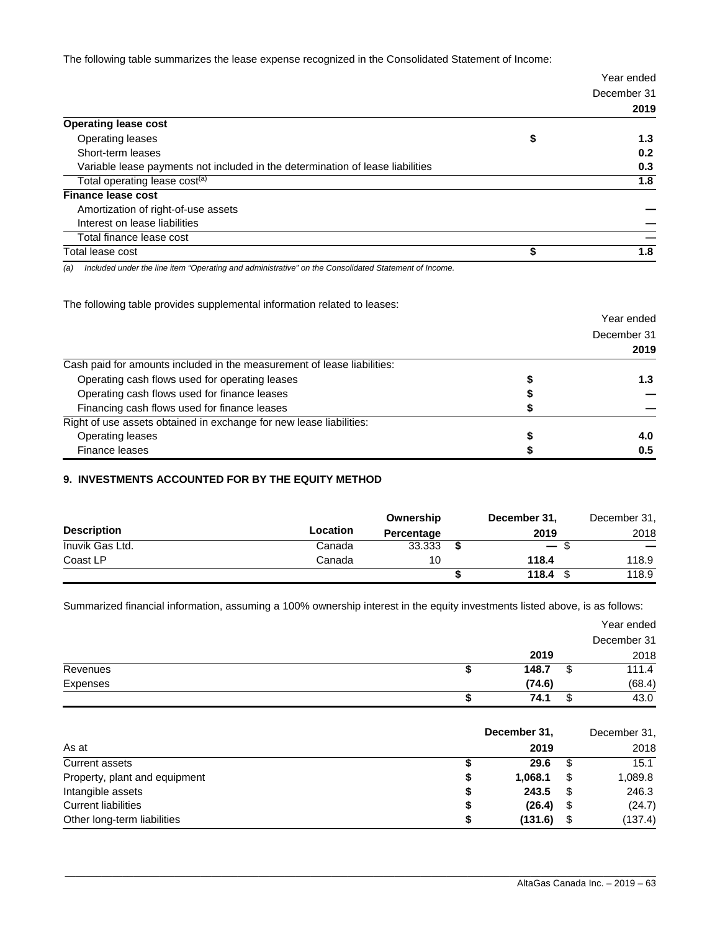The following table summarizes the lease expense recognized in the Consolidated Statement of Income:

|                                                                                | Year ended  |
|--------------------------------------------------------------------------------|-------------|
|                                                                                | December 31 |
|                                                                                | 2019        |
| <b>Operating lease cost</b>                                                    |             |
| Operating leases                                                               | \$<br>1.3   |
| Short-term leases                                                              | 0.2         |
| Variable lease payments not included in the determination of lease liabilities | 0.3         |
| Total operating lease cost(a)                                                  | 1.8         |
| <b>Finance lease cost</b>                                                      |             |
| Amortization of right-of-use assets                                            |             |
| Interest on lease liabilities                                                  |             |
| Total finance lease cost                                                       |             |
| Total lease cost                                                               | 1.8         |

*(a) Included under the line item "Operating and administrative" on the Consolidated Statement of Income.*

The following table provides supplemental information related to leases:

|                                                                         | Year ended  |
|-------------------------------------------------------------------------|-------------|
|                                                                         | December 31 |
|                                                                         | 2019        |
| Cash paid for amounts included in the measurement of lease liabilities: |             |
| Operating cash flows used for operating leases                          | 1.3         |
| Operating cash flows used for finance leases                            |             |
| Financing cash flows used for finance leases                            |             |
| Right of use assets obtained in exchange for new lease liabilities:     |             |
| <b>Operating leases</b>                                                 | 4.0         |
| Finance leases                                                          | 0.5         |

# **9. INVESTMENTS ACCOUNTED FOR BY THE EQUITY METHOD**

|                    |          | Ownership  | December 31, | December 31,             |
|--------------------|----------|------------|--------------|--------------------------|
| <b>Description</b> | Location | Percentage | 2019         | 2018                     |
| Inuvik Gas Ltd.    | Canada   | 33.333     | $-$ s        | $\overline{\phantom{m}}$ |
| Coast LP           | Canada   | 10         | 118.4        | 118.9                    |
|                    |          |            | 118.4        | 118.9                    |

Summarized financial information, assuming a 100% ownership interest in the equity investments listed above, is as follows:

|          |        |        | Year ended  |
|----------|--------|--------|-------------|
|          |        |        | December 31 |
|          | 2019   |        | 2018        |
| Revenues | 148.7  | \$     | 111.4       |
| Expenses | (74.6) |        | (68.4)      |
|          | 74.1   | ጥ<br>D | 43.0        |

|                               |  | December 31, |     | December 31, |  |  |
|-------------------------------|--|--------------|-----|--------------|--|--|
| As at                         |  | 2019         |     | 2018         |  |  |
| Current assets                |  | 29.6         | \$. | 15.1         |  |  |
| Property, plant and equipment |  | 1.068.1      | S   | 1,089.8      |  |  |
| Intangible assets             |  | 243.5        | \$. | 246.3        |  |  |
| <b>Current liabilities</b>    |  | (26.4)       |     | (24.7)       |  |  |
| Other long-term liabilities   |  | (131.6)      |     | (137.4)      |  |  |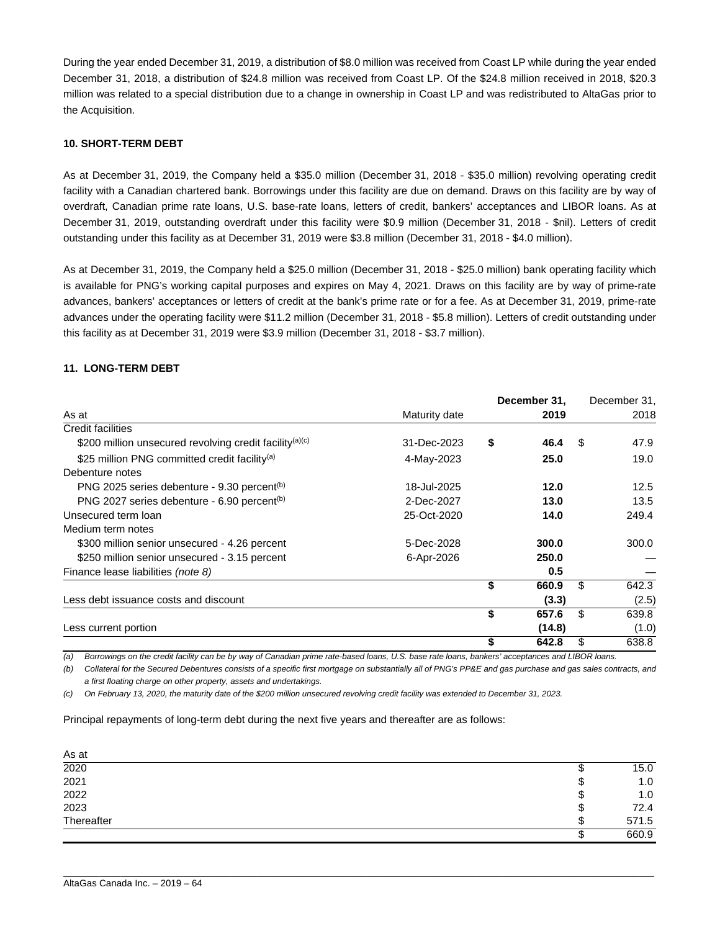During the year ended December 31, 2019, a distribution of \$8.0 million was received from Coast LP while during the year ended December 31, 2018, a distribution of \$24.8 million was received from Coast LP. Of the \$24.8 million received in 2018, \$20.3 million was related to a special distribution due to a change in ownership in Coast LP and was redistributed to AltaGas prior to the Acquisition.

# **10. SHORT-TERM DEBT**

As at December 31, 2019, the Company held a \$35.0 million (December 31, 2018 - \$35.0 million) revolving operating credit facility with a Canadian chartered bank. Borrowings under this facility are due on demand. Draws on this facility are by way of overdraft, Canadian prime rate loans, U.S. base-rate loans, letters of credit, bankers' acceptances and LIBOR loans. As at December 31, 2019, outstanding overdraft under this facility were \$0.9 million (December 31, 2018 - \$nil). Letters of credit outstanding under this facility as at December 31, 2019 were \$3.8 million (December 31, 2018 - \$4.0 million).

As at December 31, 2019, the Company held a \$25.0 million (December 31, 2018 - \$25.0 million) bank operating facility which is available for PNG's working capital purposes and expires on May 4, 2021. Draws on this facility are by way of prime-rate advances, bankers' acceptances or letters of credit at the bank's prime rate or for a fee. As at December 31, 2019, prime-rate advances under the operating facility were \$11.2 million (December 31, 2018 - \$5.8 million). Letters of credit outstanding under this facility as at December 31, 2019 were \$3.9 million (December 31, 2018 - \$3.7 million).

# **11. LONG-TERM DEBT**

|                                                                     |               | December 31, | December 31, |
|---------------------------------------------------------------------|---------------|--------------|--------------|
| As at                                                               | Maturity date | 2019         | 2018         |
| Credit facilities                                                   |               |              |              |
| \$200 million unsecured revolving credit facility <sup>(a)(c)</sup> | 31-Dec-2023   | \$<br>46.4   | \$<br>47.9   |
| \$25 million PNG committed credit facility <sup>(a)</sup>           | 4-May-2023    | 25.0         | 19.0         |
| Debenture notes                                                     |               |              |              |
| PNG 2025 series debenture - 9.30 percent <sup>(b)</sup>             | 18-Jul-2025   | 12.0         | 12.5         |
| PNG 2027 series debenture - 6.90 percent <sup>(b)</sup>             | 2-Dec-2027    | 13.0         | 13.5         |
| Unsecured term loan                                                 | 25-Oct-2020   | 14.0         | 249.4        |
| Medium term notes                                                   |               |              |              |
| \$300 million senior unsecured - 4.26 percent                       | 5-Dec-2028    | 300.0        | 300.0        |
| \$250 million senior unsecured - 3.15 percent                       | 6-Apr-2026    | 250.0        |              |
| Finance lease liabilities (note 8)                                  |               | 0.5          |              |
|                                                                     |               | \$<br>660.9  | \$<br>642.3  |
| Less debt issuance costs and discount                               |               | (3.3)        | (2.5)        |
|                                                                     |               | \$<br>657.6  | \$<br>639.8  |
| Less current portion                                                |               | (14.8)       | (1.0)        |
|                                                                     |               | \$<br>642.8  | \$<br>638.8  |

*(a) Borrowings on the credit facility can be by way of Canadian prime rate-based loans, U.S. base rate loans, bankers' acceptances and LIBOR loans.* 

*(b) Collateral for the Secured Debentures consists of a specific first mortgage on substantially all of PNG's PP&E and gas purchase and gas sales contracts, and a first floating charge on other property, assets and undertakings.* 

*(c) On February 13, 2020, the maturity date of the \$200 million unsecured revolving credit facility was extended to December 31, 2023.* 

Principal repayments of long-term debt during the next five years and thereafter are as follows:

| As at                      |    |       |
|----------------------------|----|-------|
| 2020                       |    | 15.0  |
| 2021                       | ۰D | 1.0   |
| 2022<br>2023<br>Thereafter |    | 1.0   |
|                            | ъ  | 72.4  |
|                            | ъ  | 571.5 |
|                            |    | 660.9 |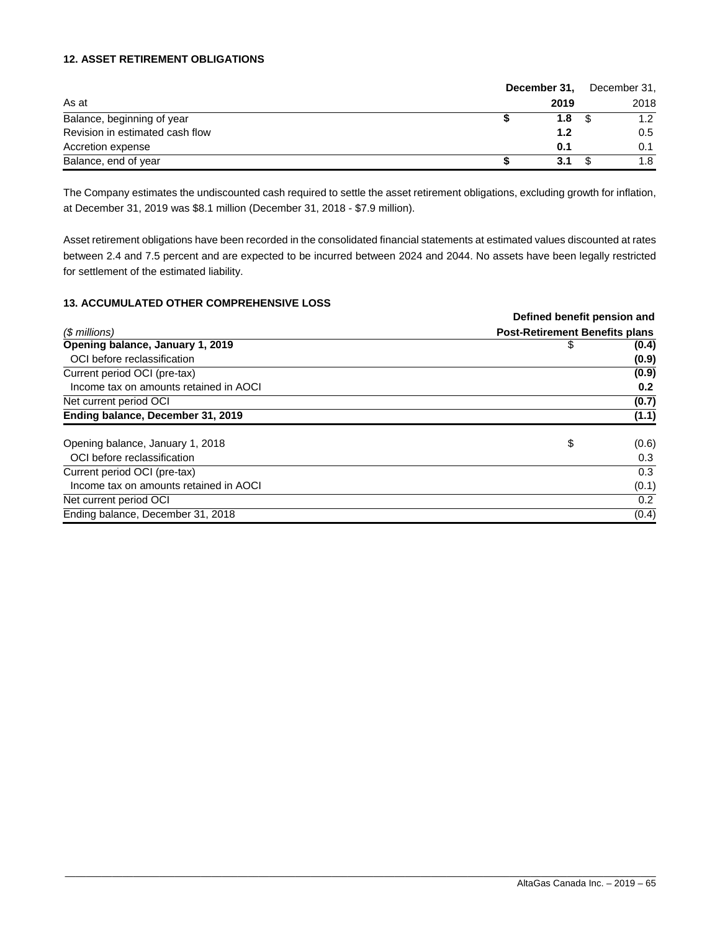# **12. ASSET RETIREMENT OBLIGATIONS**

|                                 | December 31, | December 31, |                  |  |
|---------------------------------|--------------|--------------|------------------|--|
| As at                           | 2019         |              | 2018             |  |
| Balance, beginning of year      | 1.8          |              | 1.2 <sub>1</sub> |  |
| Revision in estimated cash flow | 1.2          |              | 0.5              |  |
| Accretion expense               | 0.1          |              | 0.1              |  |
| Balance, end of year            |              |              | 1.8              |  |

The Company estimates the undiscounted cash required to settle the asset retirement obligations, excluding growth for inflation, at December 31, 2019 was \$8.1 million (December 31, 2018 - \$7.9 million).

Asset retirement obligations have been recorded in the consolidated financial statements at estimated values discounted at rates between 2.4 and 7.5 percent and are expected to be incurred between 2024 and 2044. No assets have been legally restricted for settlement of the estimated liability.

# **13. ACCUMULATED OTHER COMPREHENSIVE LOSS**

|                                        | Defined benefit pension and           |       |
|----------------------------------------|---------------------------------------|-------|
| (\$ millions)                          | <b>Post-Retirement Benefits plans</b> |       |
| Opening balance, January 1, 2019       | S                                     | (0.4) |
| OCI before reclassification            |                                       | (0.9) |
| Current period OCI (pre-tax)           |                                       | (0.9) |
| Income tax on amounts retained in AOCI |                                       | 0.2   |
| Net current period OCI                 |                                       | (0.7) |
| Ending balance, December 31, 2019      |                                       | (1.1) |
| Opening balance, January 1, 2018       | \$                                    | (0.6) |
| OCI before reclassification            |                                       | 0.3   |
| Current period OCI (pre-tax)           |                                       | 0.3   |
| Income tax on amounts retained in AOCI |                                       | (0.1) |
| Net current period OCI                 |                                       | 0.2   |
| Ending balance, December 31, 2018      |                                       | (0.4) |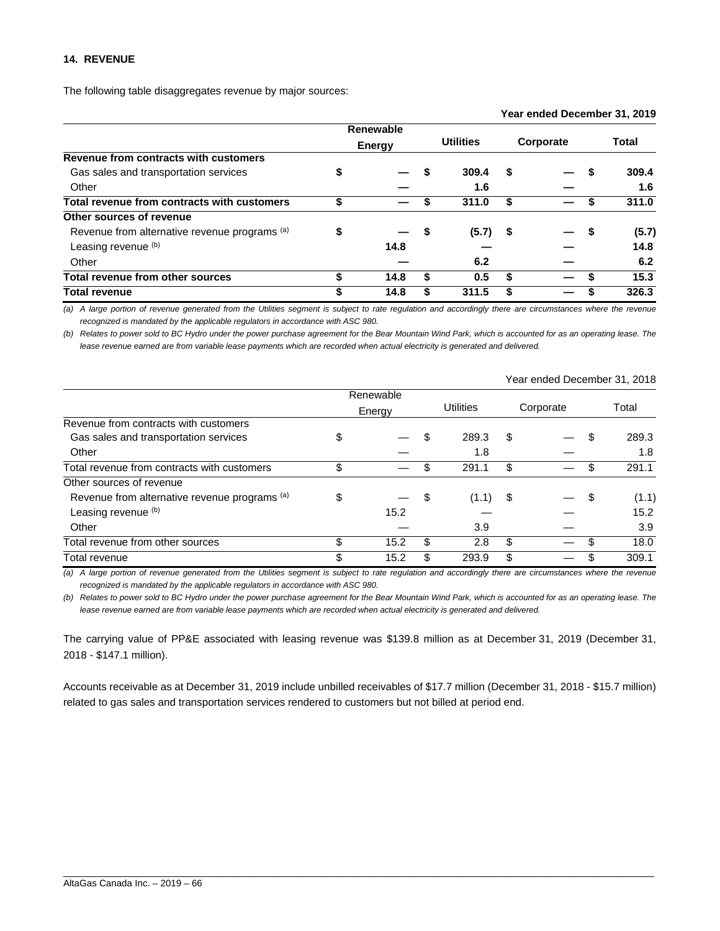# **14. REVENUE**

The following table disaggregates revenue by major sources:

|                                               |               | Renewable |                  |       |           |       |             |
|-----------------------------------------------|---------------|-----------|------------------|-------|-----------|-------|-------------|
|                                               | <b>Energy</b> |           | <b>Utilities</b> |       | Corporate | Total |             |
| Revenue from contracts with customers         |               |           |                  |       |           |       |             |
| Gas sales and transportation services         | \$            |           |                  | 309.4 | \$        |       | \$<br>309.4 |
| Other                                         |               |           |                  | 1.6   |           |       | 1.6         |
| Total revenue from contracts with customers   | \$            |           |                  | 311.0 | \$        |       | 311.0       |
| Other sources of revenue                      |               |           |                  |       |           |       |             |
| Revenue from alternative revenue programs (a) | \$            |           | S                | (5.7) | - \$      |       | \$<br>(5.7) |
| Leasing revenue (b)                           |               | 14.8      |                  |       |           |       | 14.8        |
| Other                                         |               |           |                  | 6.2   |           |       | 6.2         |
| Total revenue from other sources              | \$            | 14.8      | \$               | 0.5   | \$        |       | \$<br>15.3  |
| <b>Total revenue</b>                          | S             | 14.8      | S                | 311.5 |           |       | 326.3       |

*(a) A large portion of revenue generated from the Utilities segment is subject to rate regulation and accordingly there are circumstances where the revenue recognized is mandated by the applicable regulators in accordance with ASC 980.* 

*(b) Relates to power sold to BC Hydro under the power purchase agreement for the Bear Mountain Wind Park, which is accounted for as an operating lease. The lease revenue earned are from variable lease payments which are recorded when actual electricity is generated and delivered.*

#### Year ended December 31, 2018

**Year ended December 31, 2019** 

|                                               | Renewable  |     |                  |           |    |       |
|-----------------------------------------------|------------|-----|------------------|-----------|----|-------|
|                                               | Energy     |     | <b>Utilities</b> | Corporate |    | Total |
| Revenue from contracts with customers         |            |     |                  |           |    |       |
| Gas sales and transportation services         | \$         |     | 289.3            | \$        | \$ | 289.3 |
| Other                                         |            |     | 1.8              |           |    | 1.8   |
| Total revenue from contracts with customers   | \$         |     | 291.1            | \$        |    | 291.1 |
| Other sources of revenue                      |            |     |                  |           |    |       |
| Revenue from alternative revenue programs (a) | \$         | S   | (1.1)            | \$        | \$ | (1.1) |
| Leasing revenue (b)                           | 15.2       |     |                  |           |    | 15.2  |
| Other                                         |            |     | 3.9              |           |    | 3.9   |
| Total revenue from other sources              | \$<br>15.2 | \$. | 2.8              | \$        | S  | 18.0  |
| Total revenue                                 | \$<br>15.2 | \$  | 293.9            | \$        | S  | 309.1 |

*(a) A large portion of revenue generated from the Utilities segment is subject to rate regulation and accordingly there are circumstances where the revenue recognized is mandated by the applicable regulators in accordance with ASC 980.* 

*(b) Relates to power sold to BC Hydro under the power purchase agreement for the Bear Mountain Wind Park, which is accounted for as an operating lease. The lease revenue earned are from variable lease payments which are recorded when actual electricity is generated and delivered.*

The carrying value of PP&E associated with leasing revenue was \$139.8 million as at December 31, 2019 (December 31, 2018 - \$147.1 million).

Accounts receivable as at December 31, 2019 include unbilled receivables of \$17.7 million (December 31, 2018 - \$15.7 million) related to gas sales and transportation services rendered to customers but not billed at period end.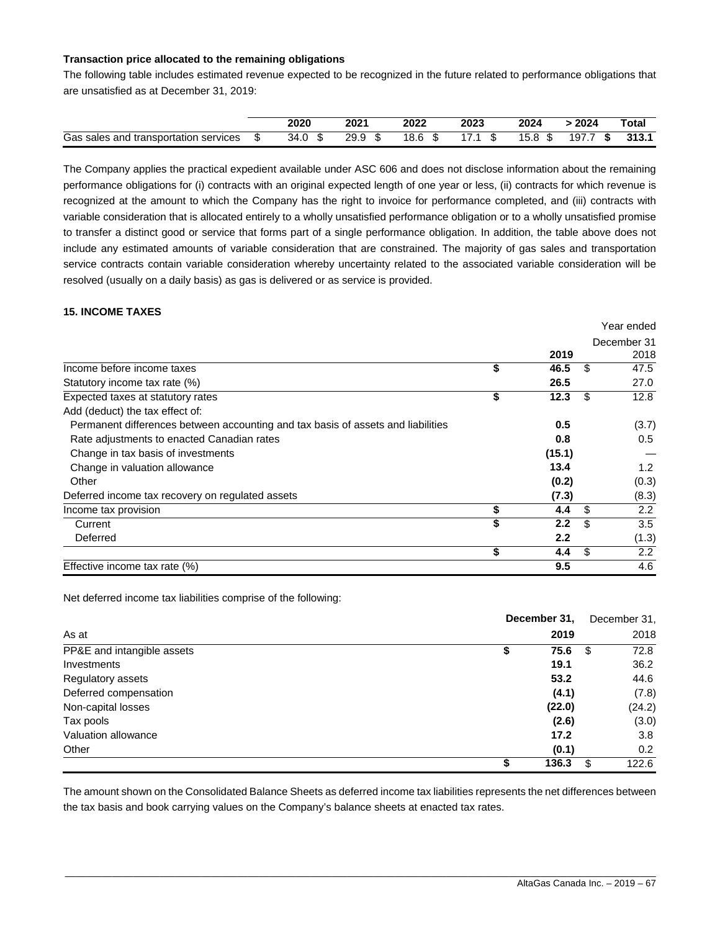# **Transaction price allocated to the remaining obligations**

The following table includes estimated revenue expected to be recognized in the future related to performance obligations that are unsatisfied as at December 31, 2019:

|                                       |   | 2020 | 2021         | 2022       | 2023 | 2024 | 2024 | Total |
|---------------------------------------|---|------|--------------|------------|------|------|------|-------|
| Gas sales and transportation services | ѡ | 34.0 | 29.9<br>- 13 | 18.6<br>٠D | Œ    | 15.8 | 197  | 313.1 |

The Company applies the practical expedient available under ASC 606 and does not disclose information about the remaining performance obligations for (i) contracts with an original expected length of one year or less, (ii) contracts for which revenue is recognized at the amount to which the Company has the right to invoice for performance completed, and (iii) contracts with variable consideration that is allocated entirely to a wholly unsatisfied performance obligation or to a wholly unsatisfied promise to transfer a distinct good or service that forms part of a single performance obligation. In addition, the table above does not include any estimated amounts of variable consideration that are constrained. The majority of gas sales and transportation service contracts contain variable consideration whereby uncertainty related to the associated variable consideration will be resolved (usually on a daily basis) as gas is delivered or as service is provided.

# **15. INCOME TAXES**

|                                                                                  |                        | Year ended          |
|----------------------------------------------------------------------------------|------------------------|---------------------|
|                                                                                  |                        | December 31         |
|                                                                                  | 2019                   | 2018                |
| Income before income taxes                                                       | \$<br>46.5             | \$<br>47.5          |
| Statutory income tax rate (%)                                                    | 26.5                   | 27.0                |
| Expected taxes at statutory rates                                                | \$<br>12.3             | \$<br>12.8          |
| Add (deduct) the tax effect of:                                                  |                        |                     |
| Permanent differences between accounting and tax basis of assets and liabilities | 0.5                    | (3.7)               |
| Rate adjustments to enacted Canadian rates                                       | 0.8                    | 0.5                 |
| Change in tax basis of investments                                               | (15.1)                 |                     |
| Change in valuation allowance                                                    | 13.4                   | 1.2 <sub>1</sub>    |
| Other                                                                            | (0.2)                  | (0.3)               |
| Deferred income tax recovery on regulated assets                                 | (7.3)                  | (8.3)               |
| Income tax provision                                                             | \$<br>4.4              | \$<br>$2.2^{\circ}$ |
| Current                                                                          | \$<br>2.2 <sub>2</sub> | \$<br>3.5           |
| Deferred                                                                         | $2.2\phantom{0}$       | (1.3)               |
|                                                                                  | \$<br>4.4              | \$<br>2.2           |
| Effective income tax rate (%)                                                    | 9.5                    | 4.6                 |

Net deferred income tax liabilities comprise of the following:

|                            | December 31, | December 31,     |  |
|----------------------------|--------------|------------------|--|
| As at                      | 2019         | 2018             |  |
| PP&E and intangible assets | 75.6<br>\$   | \$<br>72.8       |  |
| Investments                | 19.1         | 36.2             |  |
| Regulatory assets          | 53.2         | 44.6             |  |
| Deferred compensation      | (4.1)        | (7.8)            |  |
| Non-capital losses         | (22.0)       | (24.2)           |  |
| Tax pools                  | (2.6)        | (3.0)            |  |
| Valuation allowance        | 17.2         | 3.8 <sub>2</sub> |  |
| Other                      | (0.1)        | 0.2              |  |
|                            | 136.3        | \$<br>122.6      |  |

The amount shown on the Consolidated Balance Sheets as deferred income tax liabilities represents the net differences between the tax basis and book carrying values on the Company's balance sheets at enacted tax rates.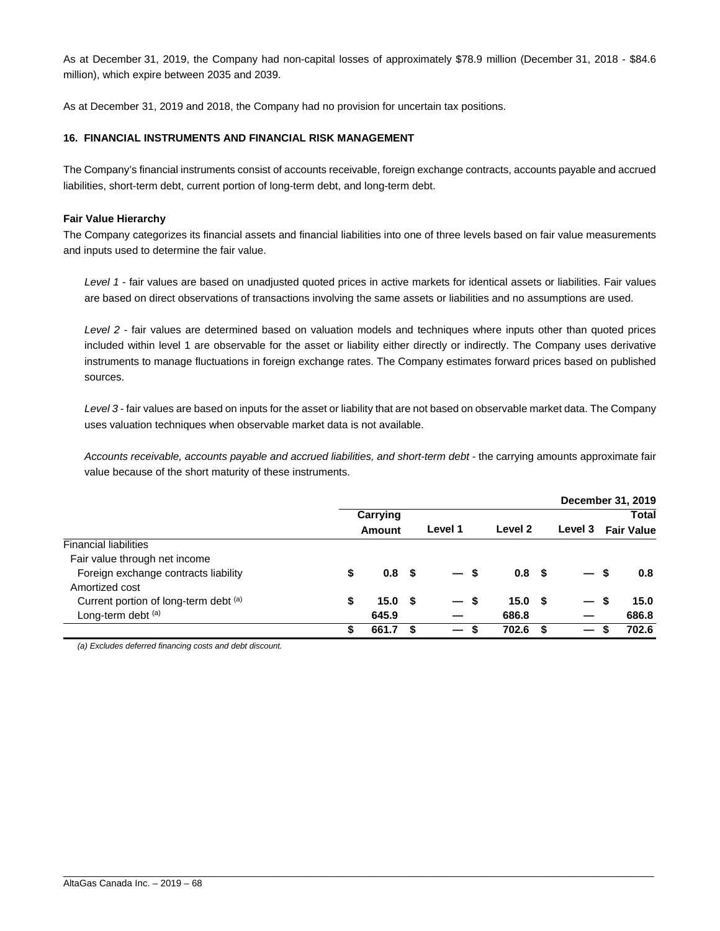As at December 31, 2019, the Company had non-capital losses of approximately \$78.9 million (December 31, 2018 - \$84.6 million), which expire between 2035 and 2039.

As at December 31, 2019 and 2018, the Company had no provision for uncertain tax positions.

# **16. FINANCIAL INSTRUMENTS AND FINANCIAL RISK MANAGEMENT**

The Company's financial instruments consist of accounts receivable, foreign exchange contracts, accounts payable and accrued liabilities, short-term debt, current portion of long-term debt, and long-term debt.

#### **Fair Value Hierarchy**

The Company categorizes its financial assets and financial liabilities into one of three levels based on fair value measurements and inputs used to determine the fair value.

*Level 1* - fair values are based on unadjusted quoted prices in active markets for identical assets or liabilities. Fair values are based on direct observations of transactions involving the same assets or liabilities and no assumptions are used.

*Level 2* - fair values are determined based on valuation models and techniques where inputs other than quoted prices included within level 1 are observable for the asset or liability either directly or indirectly. The Company uses derivative instruments to manage fluctuations in foreign exchange rates. The Company estimates forward prices based on published sources.

*Level 3* - fair values are based on inputs for the asset or liability that are not based on observable market data. The Company uses valuation techniques when observable market data is not available.

Accounts receivable, accounts payable and accrued liabilities, and short-term debt - the carrying amounts approximate fair value because of the short maturity of these instruments.

|                                       |                         |   |         |                   |    |         |   | December 31, 2019 |
|---------------------------------------|-------------------------|---|---------|-------------------|----|---------|---|-------------------|
|                                       | Carrying                |   |         |                   |    |         |   | <b>Total</b>      |
|                                       | Amount                  |   | Level 1 | Level 2           |    | Level 3 |   | <b>Fair Value</b> |
| <b>Financial liabilities</b>          |                         |   |         |                   |    |         |   |                   |
| Fair value through net income         |                         |   |         |                   |    |         |   |                   |
| Foreign exchange contracts liability  | \$<br>0.8 <sup>5</sup>  |   | — S     | 0.8 <sup>5</sup>  |    |         | S | 0.8               |
| Amortized cost                        |                         |   |         |                   |    |         |   |                   |
| Current portion of long-term debt (a) | \$<br>15.0 <sup>5</sup> |   | — S     | 15.0 <sup>5</sup> |    |         | S | 15.0              |
| Long-term debt (a)                    | 645.9                   |   |         | 686.8             |    |         |   | 686.8             |
|                                       | \$<br>661.7             | S | S<br>—  | 702.6             | S. |         |   | 702.6             |

\_\_\_\_\_\_\_\_\_\_\_\_\_\_\_\_\_\_\_\_\_\_\_\_\_\_\_\_\_\_\_\_\_\_\_\_\_\_\_\_\_\_\_\_\_\_\_\_\_\_\_\_\_\_\_\_\_\_\_\_\_\_\_\_\_\_\_\_\_\_\_\_\_\_\_\_\_\_\_\_\_\_\_\_\_\_\_\_\_\_\_\_\_\_\_\_\_\_\_\_\_\_\_\_\_\_\_\_\_\_\_\_\_

*(a) Excludes deferred financing costs and debt discount.*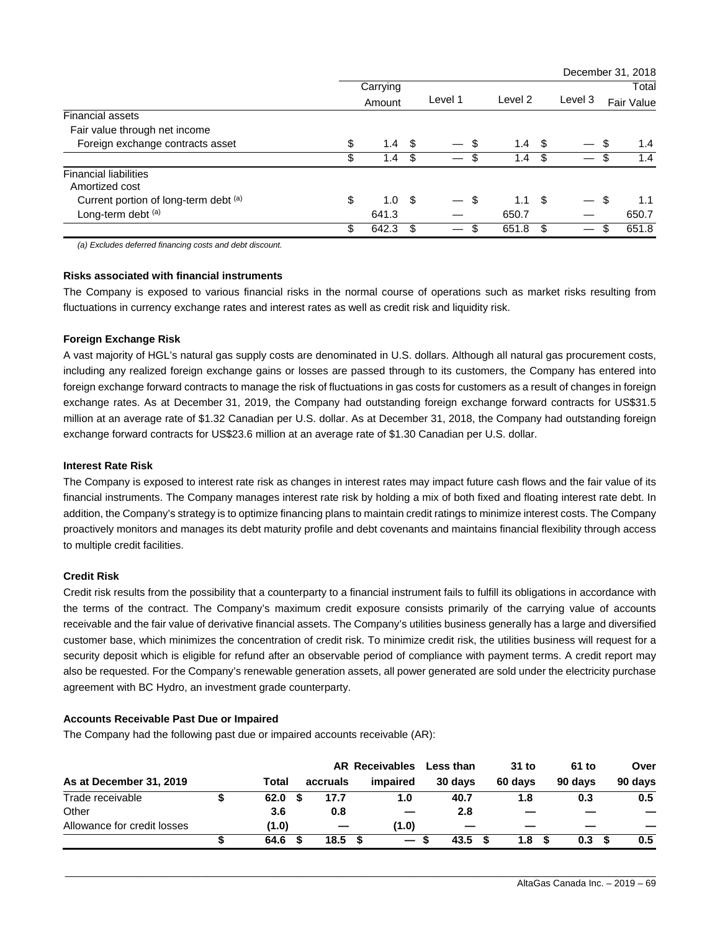|                                                |             |      |         |                  |         |     | December 31, 2018 |
|------------------------------------------------|-------------|------|---------|------------------|---------|-----|-------------------|
|                                                | Carrying    |      |         |                  |         |     | Total             |
|                                                | Amount      |      | Level 1 | Level 2          | Level 3 |     | Fair Value        |
| <b>Financial assets</b>                        |             |      |         |                  |         |     |                   |
| Fair value through net income                  |             |      |         |                  |         |     |                   |
| Foreign exchange contracts asset               | \$<br>1.4   | \$   | - \$    | 1.4 $\sqrt{3}$   | — \$    |     | 1.4               |
|                                                | \$<br>1.4   | \$   | S       | 1.4              | \$      | \$  | 1.4               |
| <b>Financial liabilities</b><br>Amortized cost |             |      |         |                  |         |     |                   |
| Current portion of long-term debt (a)          | \$<br>1.0   | - \$ | - \$    | 1.1 <sup>5</sup> |         | \$. | 1.1               |
| Long-term debt (a)                             | 641.3       |      |         | 650.7            |         |     | 650.7             |
|                                                | \$<br>642.3 | \$   | \$      | 651.8            | \$      | S   | 651.8             |

*(a) Excludes deferred financing costs and debt discount.* 

#### **Risks associated with financial instruments**

The Company is exposed to various financial risks in the normal course of operations such as market risks resulting from fluctuations in currency exchange rates and interest rates as well as credit risk and liquidity risk.

#### **Foreign Exchange Risk**

A vast majority of HGL's natural gas supply costs are denominated in U.S. dollars. Although all natural gas procurement costs, including any realized foreign exchange gains or losses are passed through to its customers, the Company has entered into foreign exchange forward contracts to manage the risk of fluctuations in gas costs for customers as a result of changes in foreign exchange rates. As at December 31, 2019, the Company had outstanding foreign exchange forward contracts for US\$31.5 million at an average rate of \$1.32 Canadian per U.S. dollar. As at December 31, 2018, the Company had outstanding foreign exchange forward contracts for US\$23.6 million at an average rate of \$1.30 Canadian per U.S. dollar.

#### **Interest Rate Risk**

The Company is exposed to interest rate risk as changes in interest rates may impact future cash flows and the fair value of its financial instruments. The Company manages interest rate risk by holding a mix of both fixed and floating interest rate debt. In addition, the Company's strategy is to optimize financing plans to maintain credit ratings to minimize interest costs. The Company proactively monitors and manages its debt maturity profile and debt covenants and maintains financial flexibility through access to multiple credit facilities.

#### **Credit Risk**

Credit risk results from the possibility that a counterparty to a financial instrument fails to fulfill its obligations in accordance with the terms of the contract. The Company's maximum credit exposure consists primarily of the carrying value of accounts receivable and the fair value of derivative financial assets. The Company's utilities business generally has a large and diversified customer base, which minimizes the concentration of credit risk. To minimize credit risk, the utilities business will request for a security deposit which is eligible for refund after an observable period of compliance with payment terms. A credit report may also be requested. For the Company's renewable generation assets, all power generated are sold under the electricity purchase agreement with BC Hydro, an investment grade counterparty.

#### **Accounts Receivable Past Due or Impaired**

The Company had the following past due or impaired accounts receivable (AR):

|                             |       |          | <b>AR Receivables</b> | Less than | 31 to   | 61 to   | Over    |
|-----------------------------|-------|----------|-----------------------|-----------|---------|---------|---------|
| As at December 31, 2019     | Total | accruals | impaired              | 30 davs   | 60 davs | 90 davs | 90 days |
| Trade receivable            | 62.0  | 17.7     | 1.0                   | 40.7      | 1.8     | 0.3     | 0.5     |
| Other                       | 3.6   | 0.8      |                       | 2.8       |         |         |         |
| Allowance for credit losses | (1.0) |          | (1.0)                 |           |         |         |         |
|                             | 64.6  | 18.5     | — s                   | 43.5      | 1.8     | 0.3     | 0.5     |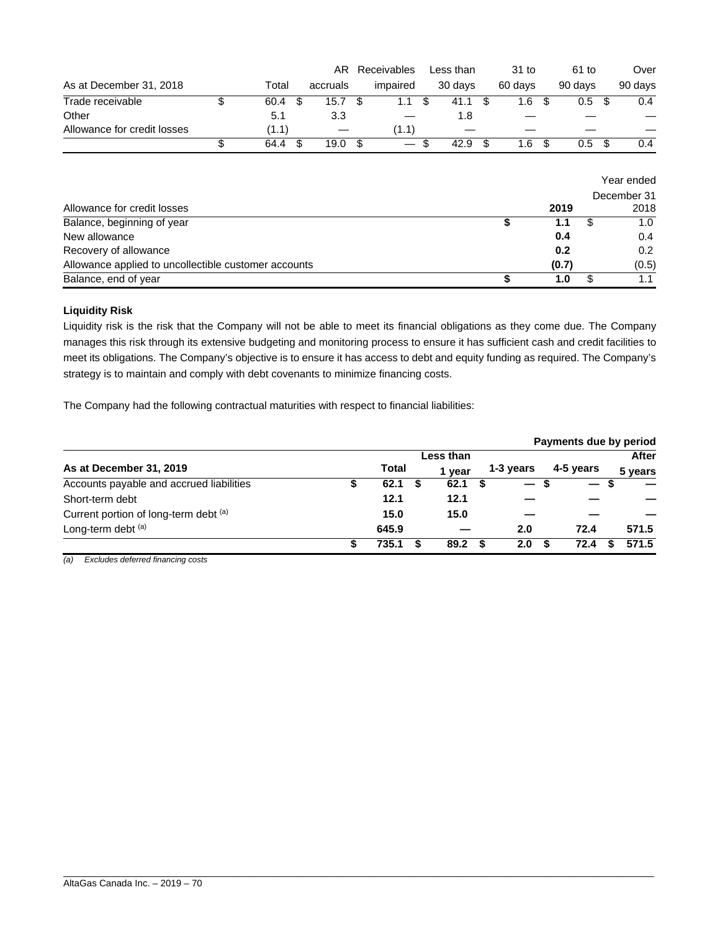|                             |       | AR       | Receivables |      | Less than | $31$ to | 61 to   | Over    |
|-----------------------------|-------|----------|-------------|------|-----------|---------|---------|---------|
| As at December 31, 2018     | Total | accruals | impaired    |      | 30 days   | 60 days | 90 days | 90 days |
| Trade receivable            | 60.4  | 15.7     | 1.1         | - \$ | 41.1      | .6      | 0.5     | 0.4     |
| Other                       | 5.1   | 3.3      |             |      | 1.8       |         |         |         |
| Allowance for credit losses | (1.1) |          | (1.1)       |      |           |         |         |         |
|                             | 64.4  | 19.0     | $-$ .       |      | 42.9      | . 6.    | 0.5     | 0.4     |

|                                                      |       | Year ended  |
|------------------------------------------------------|-------|-------------|
|                                                      |       | December 31 |
| Allowance for credit losses                          | 2019  | 2018        |
| Balance, beginning of year                           | 1.1   | 1.0         |
| New allowance                                        | 0.4   | 0.4         |
| Recovery of allowance                                | 0.2   | 0.2         |
| Allowance applied to uncollectible customer accounts | (0.7) | (0.5)       |
| Balance, end of year                                 | 1.0   |             |

# **Liquidity Risk**

Liquidity risk is the risk that the Company will not be able to meet its financial obligations as they come due. The Company manages this risk through its extensive budgeting and monitoring process to ensure it has sufficient cash and credit facilities to meet its obligations. The Company's objective is to ensure it has access to debt and equity funding as required. The Company's strategy is to maintain and comply with debt covenants to minimize financing costs.

The Company had the following contractual maturities with respect to financial liabilities:

|                                          |       |      |           |                          | Payments due by period |         |
|------------------------------------------|-------|------|-----------|--------------------------|------------------------|---------|
|                                          |       |      | Less than |                          |                        | After   |
| As at December 31, 2019                  | Total |      | vear      | 1-3 years                | 4-5 years              | 5 years |
| Accounts payable and accrued liabilities | 62.1  | - 55 | 62.1      | $\overline{\phantom{0}}$ | $\qquad \qquad -$      |         |
| Short-term debt                          | 12.1  |      | 12.1      |                          |                        |         |
| Current portion of long-term debt (a)    | 15.0  |      | 15.0      |                          |                        |         |
| Long-term debt (a)                       | 645.9 |      |           | 2.0                      | 72.4                   | 571.5   |
|                                          | 735.1 |      | 89.2      | 2.0                      | 72.4                   | 571.5   |

\_\_\_\_\_\_\_\_\_\_\_\_\_\_\_\_\_\_\_\_\_\_\_\_\_\_\_\_\_\_\_\_\_\_\_\_\_\_\_\_\_\_\_\_\_\_\_\_\_\_\_\_\_\_\_\_\_\_\_\_\_\_\_\_\_\_\_\_\_\_\_\_\_\_\_\_\_\_\_\_\_\_\_\_\_\_\_\_\_\_\_\_\_\_\_\_\_\_\_\_\_\_\_\_\_\_\_\_\_\_\_\_\_

*(a) Excludes deferred financing costs*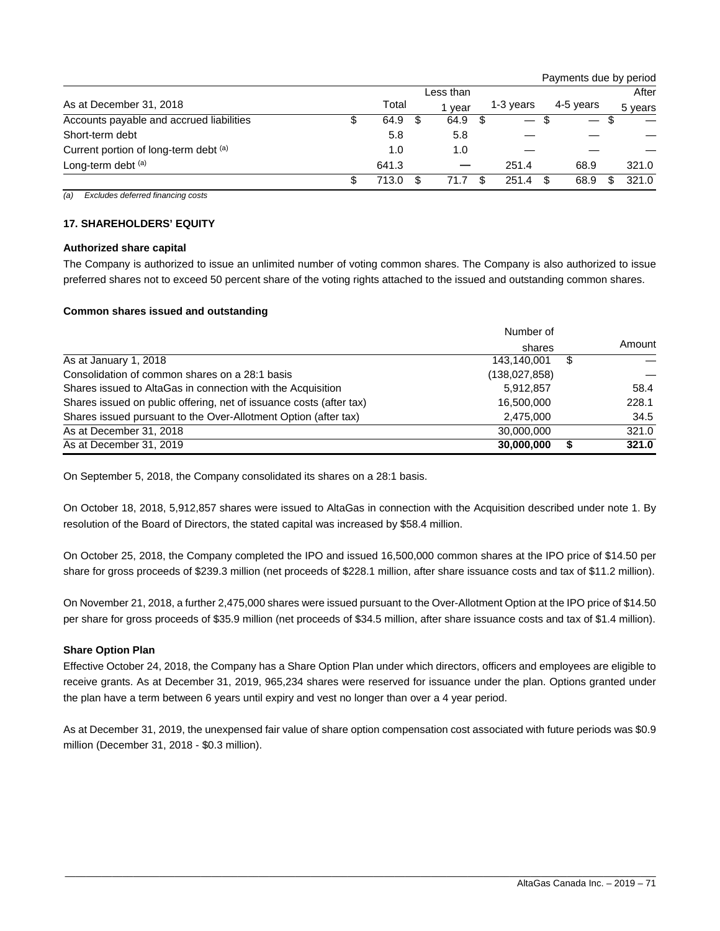|                                          |            |  |      |      |           |      |           | . .     |
|------------------------------------------|------------|--|------|------|-----------|------|-----------|---------|
|                                          | Less than  |  |      |      |           |      |           | After   |
| As at December 31, 2018                  | Total      |  | vear |      | 1-3 years |      | 4-5 years | 5 years |
| Accounts payable and accrued liabilities | \$<br>64.9 |  | 64.9 | - \$ |           |      |           |         |
| Short-term debt                          | 5.8        |  | 5.8  |      |           |      |           |         |
| Current portion of long-term debt (a)    | 1.0        |  | 1.0  |      |           |      |           |         |
| Long-term debt (a)                       | 641.3      |  |      |      | 251.4     |      | 68.9      | 321.0   |
|                                          | 713.0      |  | 71.7 |      | 251.4     | - \$ | 68.9      | 321.0   |
|                                          |            |  |      |      |           |      |           |         |

*(a) Excludes deferred financing costs* 

# **17. SHAREHOLDERS' EQUITY**

#### **Authorized share capital**

The Company is authorized to issue an unlimited number of voting common shares. The Company is also authorized to issue preferred shares not to exceed 50 percent share of the voting rights attached to the issued and outstanding common shares.

#### **Common shares issued and outstanding**

|                                                                     | Number of       |    |        |
|---------------------------------------------------------------------|-----------------|----|--------|
|                                                                     | shares          |    | Amount |
| As at January 1, 2018                                               | 143.140.001     | \$ |        |
| Consolidation of common shares on a 28:1 basis                      | (138, 027, 858) |    |        |
| Shares issued to AltaGas in connection with the Acquisition         | 5,912,857       |    | 58.4   |
| Shares issued on public offering, net of issuance costs (after tax) | 16,500,000      |    | 228.1  |
| Shares issued pursuant to the Over-Allotment Option (after tax)     | 2,475,000       |    | 34.5   |
| As at December 31, 2018                                             | 30,000,000      |    | 321.0  |
| As at December 31, 2019                                             | 30,000,000      |    | 321.0  |

On September 5, 2018, the Company consolidated its shares on a 28:1 basis.

On October 18, 2018, 5,912,857 shares were issued to AltaGas in connection with the Acquisition described under note 1. By resolution of the Board of Directors, the stated capital was increased by \$58.4 million.

On October 25, 2018, the Company completed the IPO and issued 16,500,000 common shares at the IPO price of \$14.50 per share for gross proceeds of \$239.3 million (net proceeds of \$228.1 million, after share issuance costs and tax of \$11.2 million).

On November 21, 2018, a further 2,475,000 shares were issued pursuant to the Over-Allotment Option at the IPO price of \$14.50 per share for gross proceeds of \$35.9 million (net proceeds of \$34.5 million, after share issuance costs and tax of \$1.4 million).

#### **Share Option Plan**

Effective October 24, 2018, the Company has a Share Option Plan under which directors, officers and employees are eligible to receive grants. As at December 31, 2019, 965,234 shares were reserved for issuance under the plan. Options granted under the plan have a term between 6 years until expiry and vest no longer than over a 4 year period.

As at December 31, 2019, the unexpensed fair value of share option compensation cost associated with future periods was \$0.9 million (December 31, 2018 - \$0.3 million).

\_\_\_\_\_\_\_\_\_\_\_\_\_\_\_\_\_\_\_\_\_\_\_\_\_\_\_\_\_\_\_\_\_\_\_\_\_\_\_\_\_\_\_\_\_\_\_\_\_\_\_\_\_\_\_\_\_\_\_\_\_\_\_\_\_\_\_\_\_\_\_\_\_\_\_\_\_\_\_\_\_\_\_\_\_\_\_\_\_\_\_\_\_\_\_\_\_\_\_\_\_\_\_\_\_\_\_\_\_\_\_\_\_

Payments due by period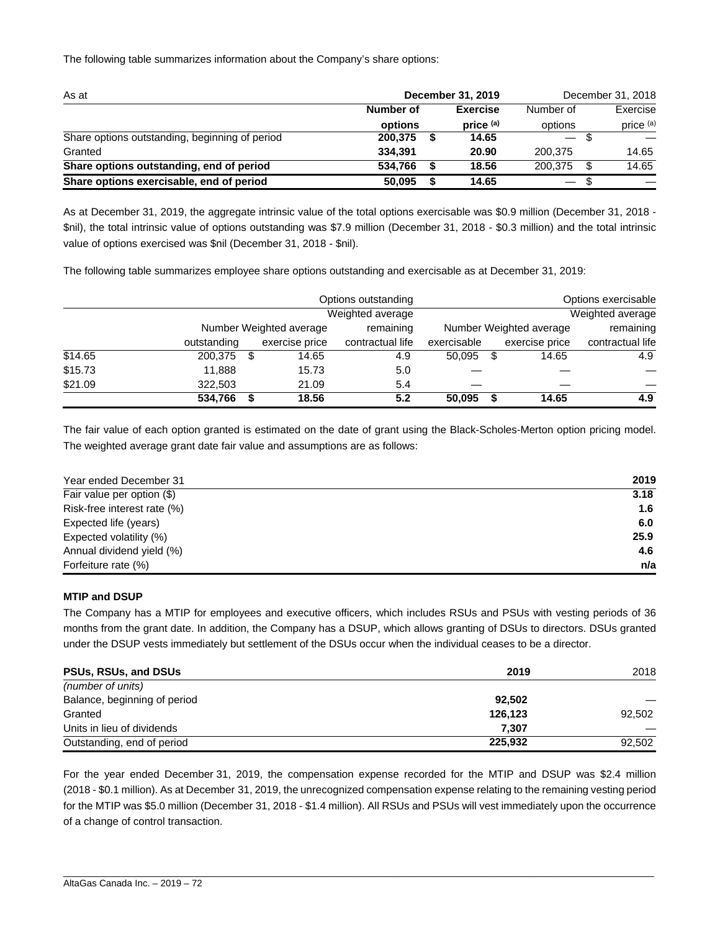The following table summarizes information about the Company's share options:

| As at                                          | December 31, 2019 |                 | December 31, 2018 |         |          |           |
|------------------------------------------------|-------------------|-----------------|-------------------|---------|----------|-----------|
|                                                | Number of         | <b>Exercise</b> | Number of         |         | Exercise |           |
|                                                | options           |                 | price (a)         | options |          | price (a) |
| Share options outstanding, beginning of period | 200.375           |                 | 14.65             |         |          |           |
| Granted                                        | 334.391           |                 | 20.90             | 200.375 |          | 14.65     |
| Share options outstanding, end of period       | 534.766           |                 | 18.56             | 200.375 | S        | 14.65     |
| Share options exercisable, end of period       | 50.095            |                 | 14.65             |         |          |           |

As at December 31, 2019, the aggregate intrinsic value of the total options exercisable was \$0.9 million (December 31, 2018 - \$nil), the total intrinsic value of options outstanding was \$7.9 million (December 31, 2018 - \$0.3 million) and the total intrinsic value of options exercised was \$nil (December 31, 2018 - \$nil).

The following table summarizes employee share options outstanding and exercisable as at December 31, 2019:

|         |             |    |                         | Options outstanding |                  |     |                         | Options exercisable |  |
|---------|-------------|----|-------------------------|---------------------|------------------|-----|-------------------------|---------------------|--|
|         |             |    |                         | Weighted average    | Weighted average |     |                         |                     |  |
|         |             |    | Number Weighted average | remaining           |                  |     | Number Weighted average | remaining           |  |
|         | outstanding |    | exercise price          | contractual life    | exercisable      |     | exercise price          | contractual life    |  |
| \$14.65 | 200,375     | -S | 14.65                   | 4.9                 | 50.095           | \$. | 14.65                   | 4.9                 |  |
| \$15.73 | 11,888      |    | 15.73                   | 5.0                 |                  |     |                         |                     |  |
| \$21.09 | 322,503     |    | 21.09                   | 5.4                 |                  |     |                         |                     |  |
|         | 534,766     |    | 18.56                   | 5.2                 | 50,095           |     | 14.65                   | 4.9                 |  |

The fair value of each option granted is estimated on the date of grant using the Black-Scholes-Merton option pricing model. The weighted average grant date fair value and assumptions are as follows:

| Year ended December 31      | 2019 |
|-----------------------------|------|
| Fair value per option (\$)  | 3.18 |
| Risk-free interest rate (%) | 1.6  |
| Expected life (years)       | 6.0  |
| Expected volatility (%)     | 25.9 |
| Annual dividend yield (%)   | 4.6  |
| Forfeiture rate (%)         | n/a  |

# **MTIP and DSUP**

The Company has a MTIP for employees and executive officers, which includes RSUs and PSUs with vesting periods of 36 months from the grant date. In addition, the Company has a DSUP, which allows granting of DSUs to directors. DSUs granted under the DSUP vests immediately but settlement of the DSUs occur when the individual ceases to be a director.

| <b>PSUs, RSUs, and DSUs</b>  | 2019    | 2018   |
|------------------------------|---------|--------|
| (number of units)            |         |        |
| Balance, beginning of period | 92.502  |        |
| Granted                      | 126.123 | 92.502 |
| Units in lieu of dividends   | 7.307   |        |
| Outstanding, end of period   | 225.932 | 92.502 |

For the year ended December 31, 2019, the compensation expense recorded for the MTIP and DSUP was \$2.4 million (2018 - \$0.1 million). As at December 31, 2019, the unrecognized compensation expense relating to the remaining vesting period for the MTIP was \$5.0 million (December 31, 2018 - \$1.4 million). All RSUs and PSUs will vest immediately upon the occurrence of a change of control transaction.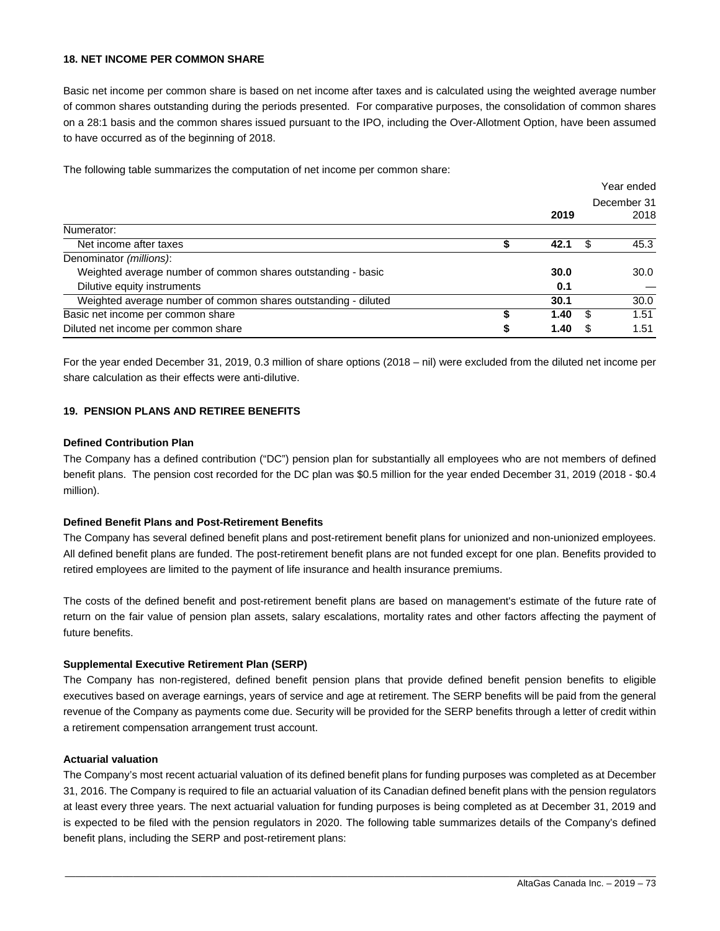#### **18. NET INCOME PER COMMON SHARE**

Basic net income per common share is based on net income after taxes and is calculated using the weighted average number of common shares outstanding during the periods presented. For comparative purposes, the consolidation of common shares on a 28:1 basis and the common shares issued pursuant to the IPO, including the Over-Allotment Option, have been assumed to have occurred as of the beginning of 2018.

The following table summarizes the computation of net income per common share:

|                                                                |      |             | Year ended |
|----------------------------------------------------------------|------|-------------|------------|
|                                                                |      | December 31 |            |
|                                                                | 2019 |             | 2018       |
| Numerator:                                                     |      |             |            |
| Net income after taxes                                         | 42.1 | S           | 45.3       |
| Denominator (millions):                                        |      |             |            |
| Weighted average number of common shares outstanding - basic   | 30.0 |             | 30.0       |
| Dilutive equity instruments                                    | 0.1  |             |            |
| Weighted average number of common shares outstanding - diluted | 30.1 |             | 30.0       |
| Basic net income per common share                              | 1.40 | S           | 1.51       |
| Diluted net income per common share                            | 1.40 | S           | 1.51       |

For the year ended December 31, 2019, 0.3 million of share options (2018 – nil) were excluded from the diluted net income per share calculation as their effects were anti-dilutive.

## **19. PENSION PLANS AND RETIREE BENEFITS**

## **Defined Contribution Plan**

The Company has a defined contribution ("DC") pension plan for substantially all employees who are not members of defined benefit plans. The pension cost recorded for the DC plan was \$0.5 million for the year ended December 31, 2019 (2018 - \$0.4 million).

#### **Defined Benefit Plans and Post-Retirement Benefits**

The Company has several defined benefit plans and post-retirement benefit plans for unionized and non-unionized employees. All defined benefit plans are funded. The post-retirement benefit plans are not funded except for one plan. Benefits provided to retired employees are limited to the payment of life insurance and health insurance premiums.

The costs of the defined benefit and post-retirement benefit plans are based on management's estimate of the future rate of return on the fair value of pension plan assets, salary escalations, mortality rates and other factors affecting the payment of future benefits.

#### **Supplemental Executive Retirement Plan (SERP)**

The Company has non-registered, defined benefit pension plans that provide defined benefit pension benefits to eligible executives based on average earnings, years of service and age at retirement. The SERP benefits will be paid from the general revenue of the Company as payments come due. Security will be provided for the SERP benefits through a letter of credit within a retirement compensation arrangement trust account.

#### **Actuarial valuation**

The Company's most recent actuarial valuation of its defined benefit plans for funding purposes was completed as at December 31, 2016. The Company is required to file an actuarial valuation of its Canadian defined benefit plans with the pension regulators at least every three years. The next actuarial valuation for funding purposes is being completed as at December 31, 2019 and is expected to be filed with the pension regulators in 2020. The following table summarizes details of the Company's defined benefit plans, including the SERP and post-retirement plans: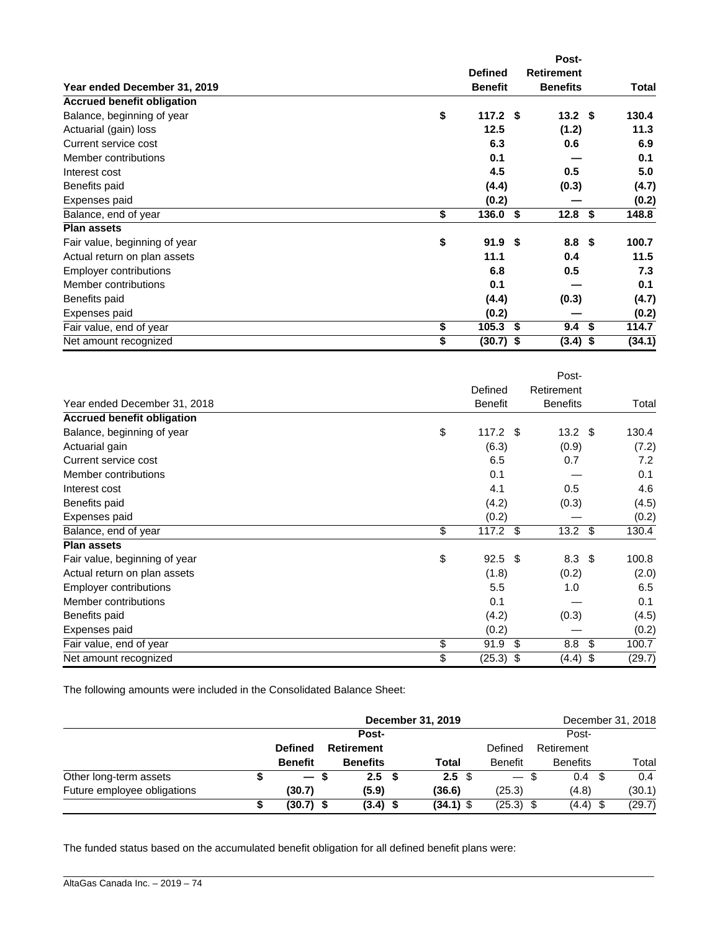|                                   |                         |    | Post-             |             |
|-----------------------------------|-------------------------|----|-------------------|-------------|
|                                   | <b>Defined</b>          |    | <b>Retirement</b> |             |
| Year ended December 31, 2019      | <b>Benefit</b>          |    | <b>Benefits</b>   | Total       |
| <b>Accrued benefit obligation</b> |                         |    |                   |             |
| Balance, beginning of year        | \$<br>$117.2$ \$        |    | 13.2 <sup>5</sup> | 130.4       |
| Actuarial (gain) loss             | 12.5                    |    | (1.2)             | 11.3        |
| Current service cost              | 6.3                     |    | 0.6               | 6.9         |
| Member contributions              | 0.1                     |    |                   | 0.1         |
| Interest cost                     | 4.5                     |    | 0.5               | 5.0         |
| Benefits paid                     | (4.4)                   |    | (0.3)             | (4.7)       |
| Expenses paid                     | (0.2)                   |    |                   | (0.2)       |
| Balance, end of year              | \$<br>136.0             | \$ | 12.8              | \$<br>148.8 |
| <b>Plan assets</b>                |                         |    |                   |             |
| Fair value, beginning of year     | \$<br>91.9 <sup>5</sup> |    | 8.8 <sup>5</sup>  | 100.7       |
| Actual return on plan assets      | 11.1                    |    | 0.4               | 11.5        |
| <b>Employer contributions</b>     | 6.8                     |    | 0.5               | 7.3         |
| Member contributions              | 0.1                     |    |                   | 0.1         |
| Benefits paid                     | (4.4)                   |    | (0.3)             | (4.7)       |
| Expenses paid                     | (0.2)                   |    |                   | (0.2)       |
| Fair value, end of year           | \$<br>105.3             | S. | 9.4               | \$<br>114.7 |
| Net amount recognized             | \$<br>(30.7) \$         |    | $(3.4)$ \$        | (34.1)      |

|                                   |                 |      | Post-             |     |        |
|-----------------------------------|-----------------|------|-------------------|-----|--------|
|                                   | Defined         |      | Retirement        |     |        |
| Year ended December 31, 2018      | <b>Benefit</b>  |      | <b>Benefits</b>   |     | Total  |
| <b>Accrued benefit obligation</b> |                 |      |                   |     |        |
| Balance, beginning of year        | \$<br>117.2     | \$   | $13.2 \text{ } $$ |     | 130.4  |
| Actuarial gain                    | (6.3)           |      | (0.9)             |     | (7.2)  |
| Current service cost              | 6.5             |      | 0.7               |     | 7.2    |
| Member contributions              | 0.1             |      |                   |     | 0.1    |
| Interest cost                     | 4.1             |      | 0.5               |     | 4.6    |
| Benefits paid                     | (4.2)           |      | (0.3)             |     | (4.5)  |
| Expenses paid                     | (0.2)           |      |                   |     | (0.2)  |
| Balance, end of year              | \$<br>117.2     | -\$  | $13.2 \text{ } $$ |     | 130.4  |
| <b>Plan assets</b>                |                 |      |                   |     |        |
| Fair value, beginning of year     | \$<br>$92.5$ \$ |      | 8.3 <sup>5</sup>  |     | 100.8  |
| Actual return on plan assets      | (1.8)           |      | (0.2)             |     | (2.0)  |
| <b>Employer contributions</b>     | 5.5             |      | 1.0               |     | 6.5    |
| Member contributions              | 0.1             |      |                   |     | 0.1    |
| Benefits paid                     | (4.2)           |      | (0.3)             |     | (4.5)  |
| Expenses paid                     | (0.2)           |      |                   |     | (0.2)  |
| Fair value, end of year           | \$<br>91.9      | \$   | 8.8               | -\$ | 100.7  |
| Net amount recognized             | \$<br>(25.3)    | - \$ | $(4.4)$ \$        |     | (29.7) |

The following amounts were included in the Consolidated Balance Sheet:

|                             |                |                   |      | December 31, 2019 |         |                 | December 31, 2018 |
|-----------------------------|----------------|-------------------|------|-------------------|---------|-----------------|-------------------|
|                             |                | Post-             |      |                   |         | Post-           |                   |
|                             | <b>Defined</b> | <b>Retirement</b> |      |                   | Defined | Retirement      |                   |
|                             | <b>Benefit</b> | <b>Benefits</b>   |      | Total             | Benefit | <b>Benefits</b> | Total             |
| Other long-term assets      | $-s$           | 2.5               | - \$ | 2.5 <sup>5</sup>  | $-$ \$  | 0.4             | 0.4               |
| Future employee obligations | (30.7)         | (5.9)             |      | (36.6)            | (25.3)  | (4.8)           | (30.1)            |
|                             | $(30.7)$ \$    | $(3.4)$ \$        |      | $(34.1)$ \$       | (25.3)  | $(4.4)$ \$      | (29.7)            |

\_\_\_\_\_\_\_\_\_\_\_\_\_\_\_\_\_\_\_\_\_\_\_\_\_\_\_\_\_\_\_\_\_\_\_\_\_\_\_\_\_\_\_\_\_\_\_\_\_\_\_\_\_\_\_\_\_\_\_\_\_\_\_\_\_\_\_\_\_\_\_\_\_\_\_\_\_\_\_\_\_\_\_\_\_\_\_\_\_\_\_\_\_\_\_\_\_\_\_\_\_\_\_\_\_\_\_\_\_\_\_\_\_

The funded status based on the accumulated benefit obligation for all defined benefit plans were: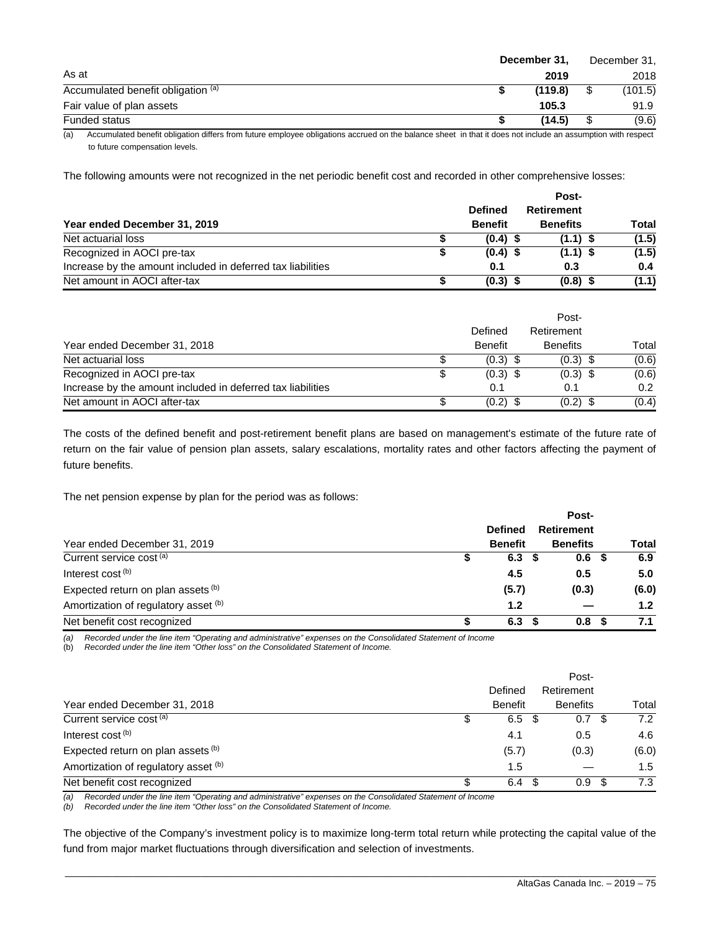|                                    | December 31, | December 31, |  |  |
|------------------------------------|--------------|--------------|--|--|
| As at                              | 2019         | 2018         |  |  |
| Accumulated benefit obligation (a) | (119.8)      | (101.5)      |  |  |
| Fair value of plan assets          | 105.3        | 91.9         |  |  |
| <b>Funded status</b>               | (14.5)       | (9.6)        |  |  |

(a) Accumulated benefit obligation differs from future employee obligations accrued on the balance sheet in that it does not include an assumption with respect to future compensation levels.

The following amounts were not recognized in the net periodic benefit cost and recorded in other comprehensive losses:

|                                                             |                | Post-             |       |
|-------------------------------------------------------------|----------------|-------------------|-------|
|                                                             | <b>Defined</b> | <b>Retirement</b> |       |
| Year ended December 31, 2019                                | <b>Benefit</b> | <b>Benefits</b>   | Total |
| Net actuarial loss                                          | $(0.4)$ \$     | $(1.1)$ \$        | (1.5) |
| Recognized in AOCI pre-tax                                  | $(0.4)$ \$     | $(1.1)$ \$        | (1.5) |
| Increase by the amount included in deferred tax liabilities | 0.1            | 0.3               | 0.4   |
| Net amount in AOCI after-tax                                | (0.3)          | $(0.8)$ \$        | (1.1) |

|                                                             |                | Post-           |                  |
|-------------------------------------------------------------|----------------|-----------------|------------------|
|                                                             | Defined        | Retirement      |                  |
| Year ended December 31, 2018                                | <b>Benefit</b> | <b>Benefits</b> | Total            |
| Net actuarial loss                                          | $(0.3)$ \$     | $(0.3)$ \$      | (0.6)            |
| Recognized in AOCI pre-tax                                  | $(0.3)$ \$     | $(0.3)$ \$      | (0.6)            |
| Increase by the amount included in deferred tax liabilities | 0.1            | 0.1             | 0.2 <sub>0</sub> |
| Net amount in AOCI after-tax                                | $(0.2)$ \$     | $(0.2)$ \$      | (0.4)            |

The costs of the defined benefit and post-retirement benefit plans are based on management's estimate of the future rate of return on the fair value of pension plan assets, salary escalations, mortality rates and other factors affecting the payment of future benefits.

The net pension expense by plan for the period was as follows:

|                                      |                | Post-            |       |
|--------------------------------------|----------------|------------------|-------|
|                                      | <b>Defined</b> | Retirement       |       |
| Year ended December 31, 2019         | <b>Benefit</b> | <b>Benefits</b>  | Total |
| Current service cost (a)             | 6.3            | 0.6 <sup>5</sup> | 6.9   |
| Interest cost <sup>(b)</sup>         | 4.5            | 0.5              | 5.0   |
| Expected return on plan assets (b)   | (5.7)          | (0.3)            | (6.0) |
| Amortization of regulatory asset (b) | 1.2            |                  | 1.2   |
| Net benefit cost recognized          | 6.3            | 0.8              |       |

*(a) Recorded under the line item "Operating and administrative" expenses on the Consolidated Statement of Income* 

(b) *Recorded under the line item "Other loss" on the Consolidated Statement of Income.*

|                                      |   | Post-          |                 |      |       |  |
|--------------------------------------|---|----------------|-----------------|------|-------|--|
|                                      |   | Defined        | Retirement      |      |       |  |
| Year ended December 31, 2018         |   | <b>Benefit</b> | <b>Benefits</b> |      | Total |  |
| Current service cost <sup>(a)</sup>  | S | 6.5<br>- \$    | 0.7             | - \$ | 7.2   |  |
| Interest cost <sup>(b)</sup>         |   | 4.1            | 0.5             |      | 4.6   |  |
| Expected return on plan assets (b)   |   | (5.7)          | (0.3)           |      | (6.0) |  |
| Amortization of regulatory asset (b) |   | 1.5            |                 |      | 1.5   |  |
| Net benefit cost recognized          |   | 6.4<br>.S      | 0.9             | - \$ | 7.3   |  |

*(a) Recorded under the line item "Operating and administrative" expenses on the Consolidated Statement of Income* 

*(b) Recorded under the line item "Other loss" on the Consolidated Statement of Income.* 

The objective of the Company's investment policy is to maximize long-term total return while protecting the capital value of the fund from major market fluctuations through diversification and selection of investments.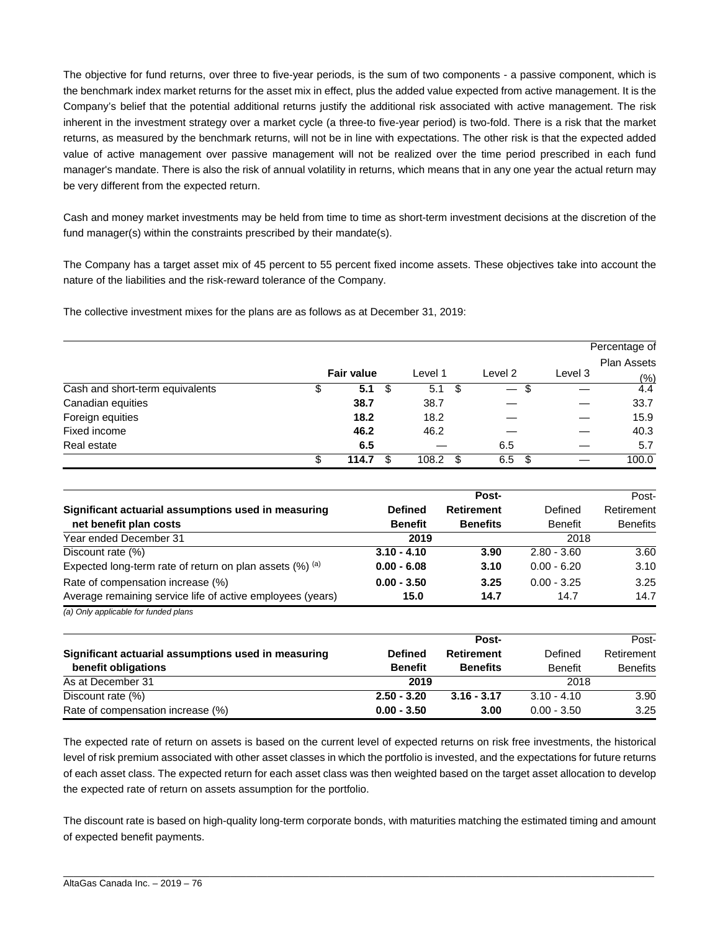The objective for fund returns, over three to five-year periods, is the sum of two components - a passive component, which is the benchmark index market returns for the asset mix in effect, plus the added value expected from active management. It is the Company's belief that the potential additional returns justify the additional risk associated with active management. The risk inherent in the investment strategy over a market cycle (a three-to five-year period) is two-fold. There is a risk that the market returns, as measured by the benchmark returns, will not be in line with expectations. The other risk is that the expected added value of active management over passive management will not be realized over the time period prescribed in each fund manager's mandate. There is also the risk of annual volatility in returns, which means that in any one year the actual return may be very different from the expected return.

Cash and money market investments may be held from time to time as short-term investment decisions at the discretion of the fund manager(s) within the constraints prescribed by their mandate(s).

The Company has a target asset mix of 45 percent to 55 percent fixed income assets. These objectives take into account the nature of the liabilities and the risk-reward tolerance of the Company.

The collective investment mixes for the plans are as follows as at December 31, 2019:

|                                 |                   |      |         |      |            |         | Percentage of      |
|---------------------------------|-------------------|------|---------|------|------------|---------|--------------------|
|                                 |                   |      |         |      |            |         |                    |
|                                 |                   |      |         |      |            |         | <b>Plan Assets</b> |
|                                 | <b>Fair value</b> |      | Level 1 |      | Level 2    | Level 3 | (%)                |
| Cash and short-term equivalents | \$<br>5.1         | - \$ | 5.1     | - \$ |            | \$      | 4.4                |
| Canadian equities               | 38.7              |      | 38.7    |      |            |         | 33.7               |
| Foreign equities                | 18.2              |      | 18.2    |      |            |         | 15.9               |
| Fixed income                    | 46.2              |      | 46.2    |      |            |         | 40.3               |
| Real estate                     | 6.5               |      |         |      | 6.5        |         | 5.7                |
|                                 | \$<br>114.7       | S    | 108.2   | - \$ | $6.5\quad$ |         | 100.0              |

|                                                            |                | Post-             |                | Post-           |
|------------------------------------------------------------|----------------|-------------------|----------------|-----------------|
| Significant actuarial assumptions used in measuring        | <b>Defined</b> | <b>Retirement</b> | Defined        | Retirement      |
| net benefit plan costs                                     | <b>Benefit</b> | <b>Benefits</b>   | <b>Benefit</b> | <b>Benefits</b> |
| Year ended December 31                                     | 2019           |                   | 2018           |                 |
| Discount rate (%)                                          | $3.10 - 4.10$  | 3.90              | $2.80 - 3.60$  | 3.60            |
| Expected long-term rate of return on plan assets (%) (a)   | $0.00 - 6.08$  | 3.10              | $0.00 - 6.20$  | 3.10            |
| Rate of compensation increase (%)                          | $0.00 - 3.50$  | 3.25              | $0.00 - 3.25$  | 3.25            |
| Average remaining service life of active employees (years) | 15.0           | 14.7              | 14.7           | 14.7            |
| (a) Only applicable for funded plans                       |                |                   |                |                 |

|                                                     |                | Post-             |                | Post-           |  |
|-----------------------------------------------------|----------------|-------------------|----------------|-----------------|--|
| Significant actuarial assumptions used in measuring | <b>Defined</b> | <b>Retirement</b> | Defined        | Retirement      |  |
| benefit obligations                                 | <b>Benefit</b> | <b>Benefits</b>   | <b>Benefit</b> | <b>Benefits</b> |  |
| As at December 31                                   | 2019           |                   | 2018           |                 |  |
| Discount rate (%)                                   | $2.50 - 3.20$  | $3.16 - 3.17$     | $3.10 - 4.10$  | 3.90            |  |
| Rate of compensation increase (%)                   | $0.00 - 3.50$  | 3.00              | $0.00 - 3.50$  | 3.25            |  |

The expected rate of return on assets is based on the current level of expected returns on risk free investments, the historical level of risk premium associated with other asset classes in which the portfolio is invested, and the expectations for future returns of each asset class. The expected return for each asset class was then weighted based on the target asset allocation to develop the expected rate of return on assets assumption for the portfolio.

The discount rate is based on high-quality long-term corporate bonds, with maturities matching the estimated timing and amount of expected benefit payments.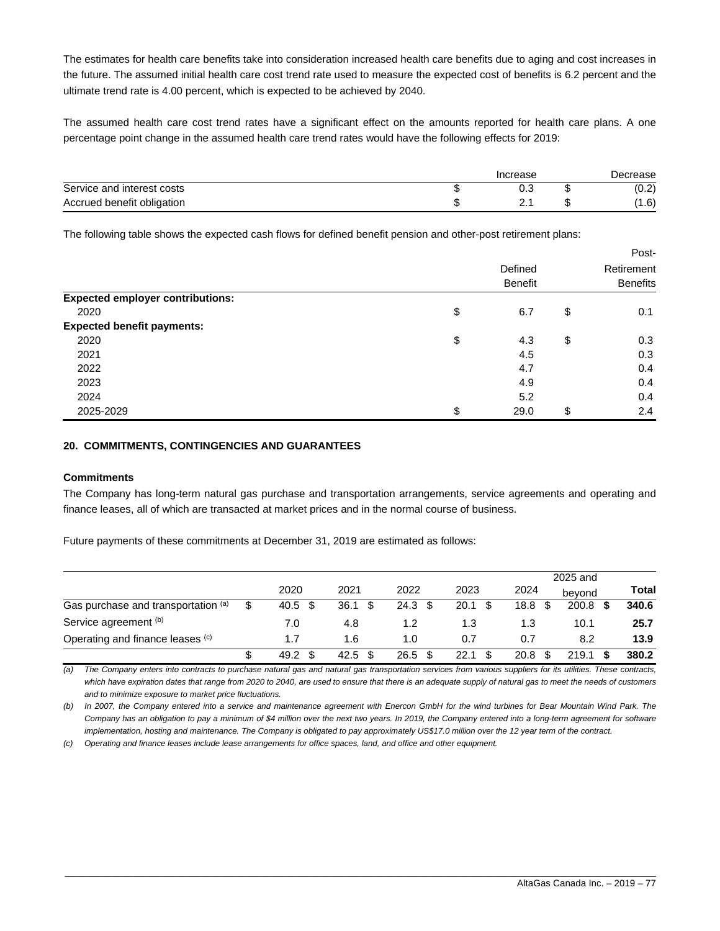The estimates for health care benefits take into consideration increased health care benefits due to aging and cost increases in the future. The assumed initial health care cost trend rate used to measure the expected cost of benefits is 6.2 percent and the ultimate trend rate is 4.00 percent, which is expected to be achieved by 2040.

The assumed health care cost trend rates have a significant effect on the amounts reported for health care plans. A one percentage point change in the assumed health care trend rates would have the following effects for 2019:

|                            | Increase | Decrease |
|----------------------------|----------|----------|
| Service and interest costs | 0.3      | (0.2)    |
| Accrued benefit obligation |          | 1.6)     |

The following table shows the expected cash flows for defined benefit pension and other-post retirement plans:

|                                         |            | Post-           |  |
|-----------------------------------------|------------|-----------------|--|
|                                         | Defined    | Retirement      |  |
|                                         | Benefit    | <b>Benefits</b> |  |
| <b>Expected employer contributions:</b> |            |                 |  |
| 2020                                    | \$<br>6.7  | \$<br>0.1       |  |
| <b>Expected benefit payments:</b>       |            |                 |  |
| 2020                                    | \$<br>4.3  | \$<br>0.3       |  |
| 2021                                    | 4.5        | 0.3             |  |
| 2022                                    | 4.7        | 0.4             |  |
| 2023                                    | 4.9        | 0.4             |  |
| 2024                                    | 5.2        | 0.4             |  |
| 2025-2029                               | \$<br>29.0 | \$<br>$2.4\,$   |  |

#### **20. COMMITMENTS, CONTINGENCIES AND GUARANTEES**

#### **Commitments**

The Company has long-term natural gas purchase and transportation arrangements, service agreements and operating and finance leases, all of which are transacted at market prices and in the normal course of business.

Future payments of these commitments at December 31, 2019 are estimated as follows:

|                                     |    |            |              |                    |              |                   | 2025 and |       |  |  |
|-------------------------------------|----|------------|--------------|--------------------|--------------|-------------------|----------|-------|--|--|
|                                     |    | 2020       | 2021         | 2022               | 2023         | 2024              | bevond   | Total |  |  |
| Gas purchase and transportation (a) | \$ | 40.5<br>-S | 36.1<br>- \$ | $24.3 \text{ } $s$ | 20.1<br>- \$ | 18.8 <sup>5</sup> | 200.8    | 340.6 |  |  |
| Service agreement (b)               |    | 7.0        | 4.8          | 1.2                | 1.3          | 1.3               | 10.1     | 25.7  |  |  |
| Operating and finance leases (c)    |    | 1.7        | 1.6          | 1.0                | 0.7          | 0.7               | 8.2      | 13.9  |  |  |
|                                     | S  | 49.2       | 42.5         | $26.5 \text{ } $$  | 22.1<br>S    | 20.8              | 219.1    | 380.2 |  |  |

*(a) The Company enters into contracts to purchase natural gas and natural gas transportation services from various suppliers for its utilities. These contracts, which have expiration dates that range from 2020 to 2040, are used to ensure that there is an adequate supply of natural gas to meet the needs of customers and to minimize exposure to market price fluctuations.* 

*(b) In 2007, the Company entered into a service and maintenance agreement with Enercon GmbH for the wind turbines for Bear Mountain Wind Park. The Company has an obligation to pay a minimum of \$4 million over the next two years. In 2019, the Company entered into a long-term agreement for software implementation, hosting and maintenance. The Company is obligated to pay approximately US\$17.0 million over the 12 year term of the contract.* 

\_\_\_\_\_\_\_\_\_\_\_\_\_\_\_\_\_\_\_\_\_\_\_\_\_\_\_\_\_\_\_\_\_\_\_\_\_\_\_\_\_\_\_\_\_\_\_\_\_\_\_\_\_\_\_\_\_\_\_\_\_\_\_\_\_\_\_\_\_\_\_\_\_\_\_\_\_\_\_\_\_\_\_\_\_\_\_\_\_\_\_\_\_\_\_\_\_\_\_\_\_\_\_\_\_\_\_\_\_\_\_\_\_

*(c) Operating and finance leases include lease arrangements for office spaces, land, and office and other equipment.*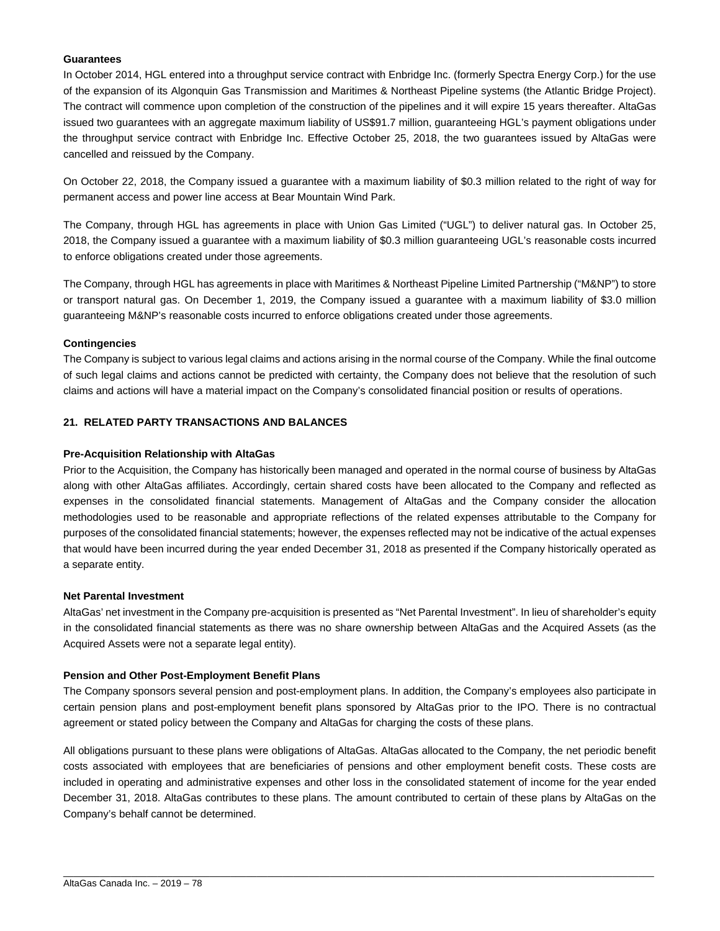## **Guarantees**

In October 2014, HGL entered into a throughput service contract with Enbridge Inc. (formerly Spectra Energy Corp.) for the use of the expansion of its Algonquin Gas Transmission and Maritimes & Northeast Pipeline systems (the Atlantic Bridge Project). The contract will commence upon completion of the construction of the pipelines and it will expire 15 years thereafter. AltaGas issued two guarantees with an aggregate maximum liability of US\$91.7 million, guaranteeing HGL's payment obligations under the throughput service contract with Enbridge Inc. Effective October 25, 2018, the two guarantees issued by AltaGas were cancelled and reissued by the Company.

On October 22, 2018, the Company issued a guarantee with a maximum liability of \$0.3 million related to the right of way for permanent access and power line access at Bear Mountain Wind Park.

The Company, through HGL has agreements in place with Union Gas Limited ("UGL") to deliver natural gas. In October 25, 2018, the Company issued a guarantee with a maximum liability of \$0.3 million guaranteeing UGL's reasonable costs incurred to enforce obligations created under those agreements.

The Company, through HGL has agreements in place with Maritimes & Northeast Pipeline Limited Partnership ("M&NP") to store or transport natural gas. On December 1, 2019, the Company issued a guarantee with a maximum liability of \$3.0 million guaranteeing M&NP's reasonable costs incurred to enforce obligations created under those agreements.

#### **Contingencies**

The Company is subject to various legal claims and actions arising in the normal course of the Company. While the final outcome of such legal claims and actions cannot be predicted with certainty, the Company does not believe that the resolution of such claims and actions will have a material impact on the Company's consolidated financial position or results of operations.

## **21. RELATED PARTY TRANSACTIONS AND BALANCES**

#### **Pre-Acquisition Relationship with AltaGas**

Prior to the Acquisition, the Company has historically been managed and operated in the normal course of business by AltaGas along with other AltaGas affiliates. Accordingly, certain shared costs have been allocated to the Company and reflected as expenses in the consolidated financial statements. Management of AltaGas and the Company consider the allocation methodologies used to be reasonable and appropriate reflections of the related expenses attributable to the Company for purposes of the consolidated financial statements; however, the expenses reflected may not be indicative of the actual expenses that would have been incurred during the year ended December 31, 2018 as presented if the Company historically operated as a separate entity.

#### **Net Parental Investment**

AltaGas' net investment in the Company pre-acquisition is presented as "Net Parental Investment". In lieu of shareholder's equity in the consolidated financial statements as there was no share ownership between AltaGas and the Acquired Assets (as the Acquired Assets were not a separate legal entity).

#### **Pension and Other Post-Employment Benefit Plans**

The Company sponsors several pension and post-employment plans. In addition, the Company's employees also participate in certain pension plans and post-employment benefit plans sponsored by AltaGas prior to the IPO. There is no contractual agreement or stated policy between the Company and AltaGas for charging the costs of these plans.

All obligations pursuant to these plans were obligations of AltaGas. AltaGas allocated to the Company, the net periodic benefit costs associated with employees that are beneficiaries of pensions and other employment benefit costs. These costs are included in operating and administrative expenses and other loss in the consolidated statement of income for the year ended December 31, 2018. AltaGas contributes to these plans. The amount contributed to certain of these plans by AltaGas on the Company's behalf cannot be determined.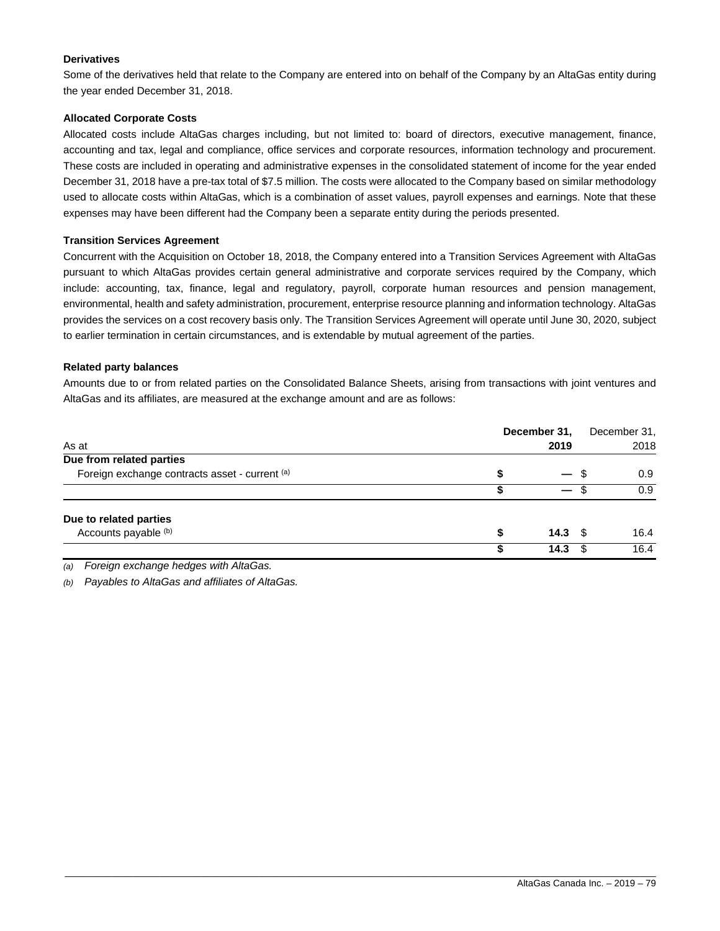## **Derivatives**

Some of the derivatives held that relate to the Company are entered into on behalf of the Company by an AltaGas entity during the year ended December 31, 2018.

#### **Allocated Corporate Costs**

Allocated costs include AltaGas charges including, but not limited to: board of directors, executive management, finance, accounting and tax, legal and compliance, office services and corporate resources, information technology and procurement. These costs are included in operating and administrative expenses in the consolidated statement of income for the year ended December 31, 2018 have a pre-tax total of \$7.5 million. The costs were allocated to the Company based on similar methodology used to allocate costs within AltaGas, which is a combination of asset values, payroll expenses and earnings. Note that these expenses may have been different had the Company been a separate entity during the periods presented.

## **Transition Services Agreement**

Concurrent with the Acquisition on October 18, 2018, the Company entered into a Transition Services Agreement with AltaGas pursuant to which AltaGas provides certain general administrative and corporate services required by the Company, which include: accounting, tax, finance, legal and regulatory, payroll, corporate human resources and pension management, environmental, health and safety administration, procurement, enterprise resource planning and information technology. AltaGas provides the services on a cost recovery basis only. The Transition Services Agreement will operate until June 30, 2020, subject to earlier termination in certain circumstances, and is extendable by mutual agreement of the parties.

## **Related party balances**

Amounts due to or from related parties on the Consolidated Balance Sheets, arising from transactions with joint ventures and AltaGas and its affiliates, are measured at the exchange amount and are as follows:

| As at                                          | December 31, | 2019                     |      | December 31,<br>2018 |
|------------------------------------------------|--------------|--------------------------|------|----------------------|
| Due from related parties                       |              |                          |      |                      |
| Foreign exchange contracts asset - current (a) | — S          |                          | 0.9  |                      |
|                                                |              | $\overline{\phantom{0}}$ | - \$ | 0.9                  |
| Due to related parties                         |              |                          |      |                      |
| Accounts payable (b)                           | S            | 14.3                     | - \$ | 16.4                 |
|                                                |              | 14.3                     | - \$ | 16.4                 |
|                                                |              |                          |      |                      |

\_\_\_\_\_\_\_\_\_\_\_\_\_\_\_\_\_\_\_\_\_\_\_\_\_\_\_\_\_\_\_\_\_\_\_\_\_\_\_\_\_\_\_\_\_\_\_\_\_\_\_\_\_\_\_\_\_\_\_\_\_\_\_\_\_\_\_\_\_\_\_\_\_\_\_\_\_\_\_\_\_\_\_\_\_\_\_\_\_\_\_\_\_\_\_\_\_\_\_\_\_\_\_\_\_\_\_\_\_\_\_\_\_

*(a) Foreign exchange hedges with AltaGas.* 

*(b) Payables to AltaGas and affiliates of AltaGas.*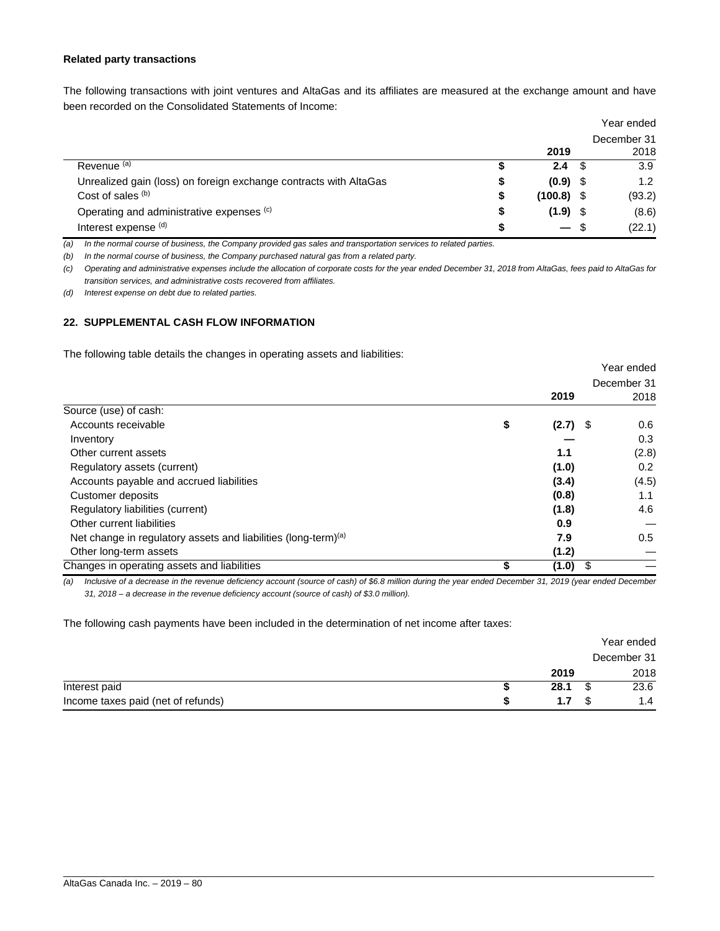#### **Related party transactions**

The following transactions with joint ventures and AltaGas and its affiliates are measured at the exchange amount and have been recorded on the Consolidated Statements of Income:

|                                                                   |    |               |      | Year ended  |  |  |
|-------------------------------------------------------------------|----|---------------|------|-------------|--|--|
|                                                                   |    |               |      | December 31 |  |  |
|                                                                   |    | 2019          |      | 2018        |  |  |
| Revenue <sup>(a)</sup>                                            |    | $2.4^{\circ}$ | - \$ | 3.9         |  |  |
| Unrealized gain (loss) on foreign exchange contracts with AltaGas |    | $(0.9)$ \$    |      | 1.2         |  |  |
| Cost of sales $(b)$                                               |    | $(100.8)$ \$  |      | (93.2)      |  |  |
| Operating and administrative expenses (c)                         | \$ | $(1.9)$ \$    |      | (8.6)       |  |  |
| Interest expense (d)                                              |    | $-$ \$        |      | (22.1)      |  |  |

*(a) In the normal course of business, the Company provided gas sales and transportation services to related parties.* 

*(b) In the normal course of business, the Company purchased natural gas from a related party.* 

*(c) Operating and administrative expenses include the allocation of corporate costs for the year ended December 31, 2018 from AltaGas, fees paid to AltaGas for transition services, and administrative costs recovered from affiliates.* 

*(d) Interest expense on debt due to related parties.*

#### **22. SUPPLEMENTAL CASH FLOW INFORMATION**

The following table details the changes in operating assets and liabilities:

|                                                                            |                  | Year ended  |
|----------------------------------------------------------------------------|------------------|-------------|
|                                                                            |                  | December 31 |
|                                                                            | 2019             | 2018        |
| Source (use) of cash:                                                      |                  |             |
| Accounts receivable                                                        | \$<br>$(2.7)$ \$ | 0.6         |
| Inventory                                                                  |                  | 0.3         |
| Other current assets                                                       | 1.1              | (2.8)       |
| Regulatory assets (current)                                                | (1.0)            | 0.2         |
| Accounts payable and accrued liabilities                                   | (3.4)            | (4.5)       |
| Customer deposits                                                          | (0.8)            | 1.1         |
| Regulatory liabilities (current)                                           | (1.8)            | 4.6         |
| Other current liabilities                                                  | 0.9              |             |
| Net change in regulatory assets and liabilities (long-term) <sup>(a)</sup> | 7.9              | 0.5         |
| Other long-term assets                                                     | (1.2)            |             |
| Changes in operating assets and liabilities                                | \$<br>(1.0)      | \$          |

*(a)* Inclusive of a decrease in the revenue deficiency account (source of cash) of \$6.8 million during the year ended December 31, 2019 (year ended December *31, 2018 – a decrease in the revenue deficiency account (source of cash) of \$3.0 million).* 

The following cash payments have been included in the determination of net income after taxes:

|                                    |      |    | Year ended  |
|------------------------------------|------|----|-------------|
|                                    |      |    | December 31 |
|                                    | 2019 |    | 2018        |
| Interest paid                      | 28.1 | -S | 23.6        |
| Income taxes paid (net of refunds) |      |    | 1.4         |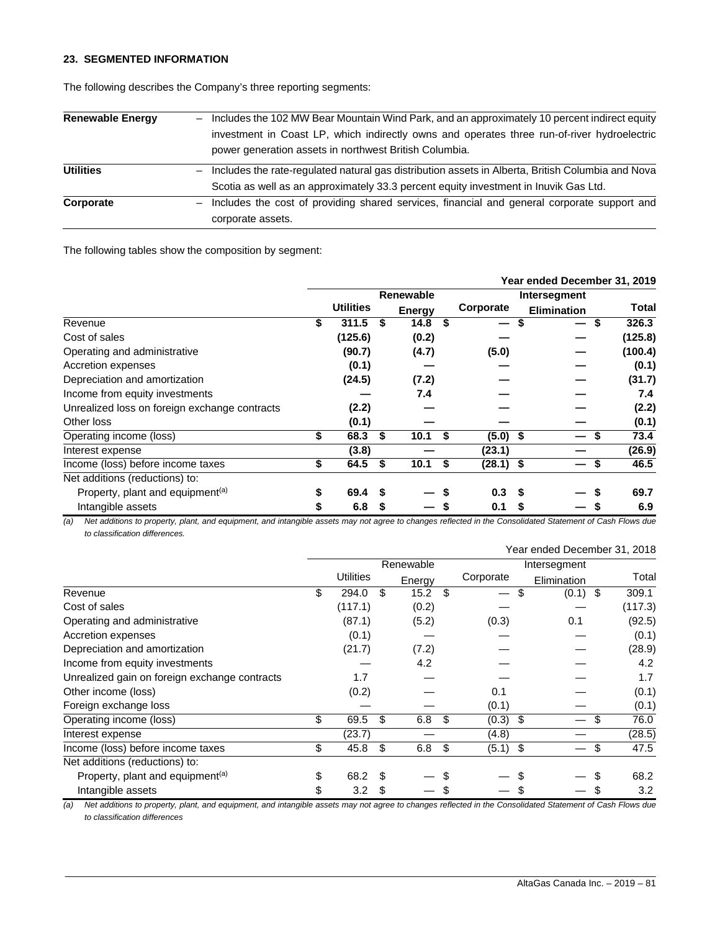## **23. SEGMENTED INFORMATION**

The following describes the Company's three reporting segments:

| <b>Renewable Energy</b> | Includes the 102 MW Bear Mountain Wind Park, and an approximately 10 percent indirect equity<br>$-$ |
|-------------------------|-----------------------------------------------------------------------------------------------------|
|                         | investment in Coast LP, which indirectly owns and operates three run-of-river hydroelectric         |
|                         | power generation assets in northwest British Columbia.                                              |
| <b>Utilities</b>        | - Includes the rate-regulated natural gas distribution assets in Alberta, British Columbia and Nova |
|                         | Scotia as well as an approximately 33.3 percent equity investment in Inuvik Gas Ltd.                |
| Corporate               | - Includes the cost of providing shared services, financial and general corporate support and       |
|                         | corporate assets.                                                                                   |

The following tables show the composition by segment:

|                                               |                  |                  |      |               |    |              |  | Year ended December 31, 2019 |    |         |
|-----------------------------------------------|------------------|------------------|------|---------------|----|--------------|--|------------------------------|----|---------|
|                                               | <b>Renewable</b> |                  |      |               |    | Intersegment |  |                              |    |         |
|                                               |                  | <b>Utilities</b> |      | <b>Energy</b> |    | Corporate    |  | <b>Elimination</b>           |    | Total   |
| Revenue                                       |                  | 311.5            | S    | 14.8          | S  |              |  |                              | S  | 326.3   |
| Cost of sales                                 |                  | (125.6)          |      | (0.2)         |    |              |  |                              |    | (125.8) |
| Operating and administrative                  |                  | (90.7)           |      | (4.7)         |    | (5.0)        |  |                              |    | (100.4) |
| Accretion expenses                            |                  | (0.1)            |      |               |    |              |  |                              |    | (0.1)   |
| Depreciation and amortization                 |                  | (24.5)           |      | (7.2)         |    |              |  |                              |    | (31.7)  |
| Income from equity investments                |                  |                  |      | 7.4           |    |              |  |                              |    | 7.4     |
| Unrealized loss on foreign exchange contracts |                  | (2.2)            |      |               |    |              |  |                              |    | (2.2)   |
| Other loss                                    |                  | (0.1)            |      |               |    |              |  |                              |    | (0.1)   |
| Operating income (loss)                       | \$               | 68.3             | \$   | 10.1          | S  | $(5.0)$ \$   |  |                              |    | 73.4    |
| Interest expense                              |                  | (3.8)            |      |               |    | (23.1)       |  |                              |    | (26.9)  |
| Income (loss) before income taxes             | \$               | 64.5             | \$   | 10.1          | \$ | $(28.1)$ \$  |  | $\overline{\phantom{0}}$     | \$ | 46.5    |
| Net additions (reductions) to:                |                  |                  |      |               |    |              |  |                              |    |         |
| Property, plant and equipment <sup>(a)</sup>  |                  | 69.4             |      |               |    | 0.3          |  |                              |    | 69.7    |
| Intangible assets                             | \$               | 6.8              | - \$ |               |    | 0.1          |  |                              |    | 6.9     |

*(a) Net additions to property, plant, and equipment, and intangible assets may not agree to changes reflected in the Consolidated Statement of Cash Flows due to classification differences.* 

|                                               |                  |    |           |                    | Year ended December 31, 2018 |     |         |
|-----------------------------------------------|------------------|----|-----------|--------------------|------------------------------|-----|---------|
|                                               |                  |    | Renewable |                    | Intersegment                 |     |         |
|                                               | <b>Utilities</b> |    | Energy    | Corporate          | Elimination                  |     | Total   |
| Revenue                                       | \$<br>294.0      | \$ | 15.2      | \$<br>\$           | $(0.1)$ \$                   |     | 309.1   |
| Cost of sales                                 | (117.1)          |    | (0.2)     |                    |                              |     | (117.3) |
| Operating and administrative                  | (87.1)           |    | (5.2)     | (0.3)              | 0.1                          |     | (92.5)  |
| Accretion expenses                            | (0.1)            |    |           |                    |                              |     | (0.1)   |
| Depreciation and amortization                 | (21.7)           |    | (7.2)     |                    |                              |     | (28.9)  |
| Income from equity investments                |                  |    | 4.2       |                    |                              |     | 4.2     |
| Unrealized gain on foreign exchange contracts | 1.7              |    |           |                    |                              |     | 1.7     |
| Other income (loss)                           | (0.2)            |    |           | 0.1                |                              |     | (0.1)   |
| Foreign exchange loss                         |                  |    |           | (0.1)              |                              |     | (0.1)   |
| Operating income (loss)                       | \$<br>69.5       | \$ | 6.8       | \$<br>-\$<br>(0.3) |                              |     | 76.0    |
| Interest expense                              | (23.7)           |    |           | (4.8)              |                              |     | (28.5)  |
| Income (loss) before income taxes             | \$<br>45.8       | \$ | 6.8       | \$<br>-\$<br>(5.1) |                              | \$. | 47.5    |
| Net additions (reductions) to:                |                  |    |           |                    |                              |     |         |
| Property, plant and equipment <sup>(a)</sup>  | \$<br>68.2       |    |           |                    |                              |     | 68.2    |
| Intangible assets                             | \$<br>3.2        | S  |           |                    |                              |     | 3.2     |

*(a) Net additions to property, plant, and equipment, and intangible assets may not agree to changes reflected in the Consolidated Statement of Cash Flows due to classification differences*